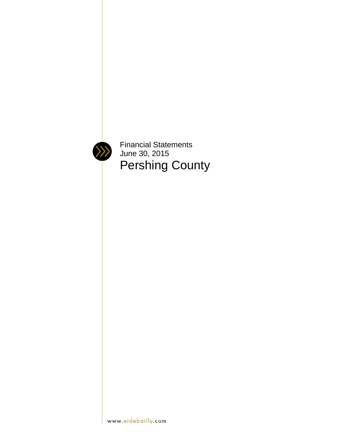

Financial Statements June 30, 2015 Pershing County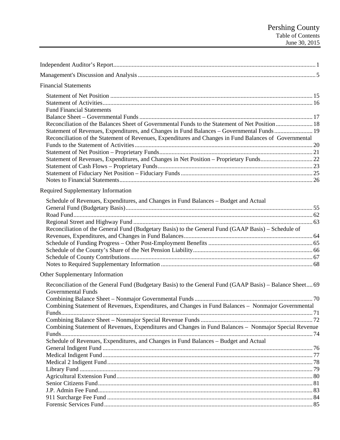| <b>Financial Statements</b><br><b>Fund Financial Statements</b><br>Reconciliation of the Balances Sheet of Governmental Funds to the Statement of Net Position 18<br>Statement of Revenues, Expenditures, and Changes in Fund Balances – Governmental Funds  19<br>Reconciliation of the Statement of Revenues, Expenditures and Changes in Fund Balances of Governmental<br>Required Supplementary Information<br>Schedule of Revenues, Expenditures, and Changes in Fund Balances - Budget and Actual<br>Reconciliation of the General Fund (Budgetary Basis) to the General Fund (GAAP Basis) - Schedule of<br>Other Supplementary Information<br>Reconciliation of the General Fund (Budgetary Basis) to the General Fund (GAAP Basis) – Balance Sheet 69 |
|---------------------------------------------------------------------------------------------------------------------------------------------------------------------------------------------------------------------------------------------------------------------------------------------------------------------------------------------------------------------------------------------------------------------------------------------------------------------------------------------------------------------------------------------------------------------------------------------------------------------------------------------------------------------------------------------------------------------------------------------------------------|
|                                                                                                                                                                                                                                                                                                                                                                                                                                                                                                                                                                                                                                                                                                                                                               |
|                                                                                                                                                                                                                                                                                                                                                                                                                                                                                                                                                                                                                                                                                                                                                               |
|                                                                                                                                                                                                                                                                                                                                                                                                                                                                                                                                                                                                                                                                                                                                                               |
|                                                                                                                                                                                                                                                                                                                                                                                                                                                                                                                                                                                                                                                                                                                                                               |
|                                                                                                                                                                                                                                                                                                                                                                                                                                                                                                                                                                                                                                                                                                                                                               |
|                                                                                                                                                                                                                                                                                                                                                                                                                                                                                                                                                                                                                                                                                                                                                               |
| <b>Governmental Funds</b><br>Combining Statement of Revenues, Expenditures, and Changes in Fund Balances - Nonmajor Governmental                                                                                                                                                                                                                                                                                                                                                                                                                                                                                                                                                                                                                              |
|                                                                                                                                                                                                                                                                                                                                                                                                                                                                                                                                                                                                                                                                                                                                                               |
| Combining Statement of Revenues, Expenditures and Changes in Fund Balances - Nonmajor Special Revenue<br>Schedule of Revenues, Expenditures, and Changes in Fund Balances - Budget and Actual                                                                                                                                                                                                                                                                                                                                                                                                                                                                                                                                                                 |
|                                                                                                                                                                                                                                                                                                                                                                                                                                                                                                                                                                                                                                                                                                                                                               |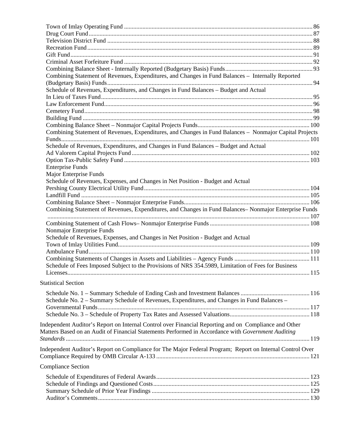| Combining Statement of Revenues, Expenditures, and Changes in Fund Balances - Internally Reported                                                                                                           |  |
|-------------------------------------------------------------------------------------------------------------------------------------------------------------------------------------------------------------|--|
| Schedule of Revenues, Expenditures, and Changes in Fund Balances - Budget and Actual                                                                                                                        |  |
|                                                                                                                                                                                                             |  |
|                                                                                                                                                                                                             |  |
|                                                                                                                                                                                                             |  |
|                                                                                                                                                                                                             |  |
|                                                                                                                                                                                                             |  |
| Combining Statement of Revenues, Expenditures, and Changes in Fund Balances - Nonmajor Capital Projects                                                                                                     |  |
|                                                                                                                                                                                                             |  |
| Schedule of Revenues, Expenditures, and Changes in Fund Balances - Budget and Actual                                                                                                                        |  |
|                                                                                                                                                                                                             |  |
|                                                                                                                                                                                                             |  |
| <b>Enterprise Funds</b>                                                                                                                                                                                     |  |
| Major Enterprise Funds                                                                                                                                                                                      |  |
| Schedule of Revenues, Expenses, and Changes in Net Position - Budget and Actual                                                                                                                             |  |
|                                                                                                                                                                                                             |  |
|                                                                                                                                                                                                             |  |
|                                                                                                                                                                                                             |  |
| Combining Statement of Revenues, Expenditures, and Changes in Fund Balances-Nonmajor Enterprise Funds                                                                                                       |  |
|                                                                                                                                                                                                             |  |
|                                                                                                                                                                                                             |  |
| Nonmajor Enterprise Funds                                                                                                                                                                                   |  |
| Schedule of Revenues, Expenses, and Changes in Net Position - Budget and Actual                                                                                                                             |  |
|                                                                                                                                                                                                             |  |
|                                                                                                                                                                                                             |  |
|                                                                                                                                                                                                             |  |
| Schedule of Fees Imposed Subject to the Provisions of NRS 354.5989, Limitation of Fees for Business                                                                                                         |  |
|                                                                                                                                                                                                             |  |
| <b>Statistical Section</b>                                                                                                                                                                                  |  |
|                                                                                                                                                                                                             |  |
| Schedule No. 2 – Summary Schedule of Revenues, Expenditures, and Changes in Fund Balances –                                                                                                                 |  |
|                                                                                                                                                                                                             |  |
|                                                                                                                                                                                                             |  |
|                                                                                                                                                                                                             |  |
| Independent Auditor's Report on Internal Control over Financial Reporting and on Compliance and Other<br>Matters Based on an Audit of Financial Statements Performed in Accordance with Government Auditing |  |
|                                                                                                                                                                                                             |  |
| Independent Auditor's Report on Compliance for The Major Federal Program; Report on Internal Control Over                                                                                                   |  |
| <b>Compliance Section</b>                                                                                                                                                                                   |  |
|                                                                                                                                                                                                             |  |
|                                                                                                                                                                                                             |  |
|                                                                                                                                                                                                             |  |
|                                                                                                                                                                                                             |  |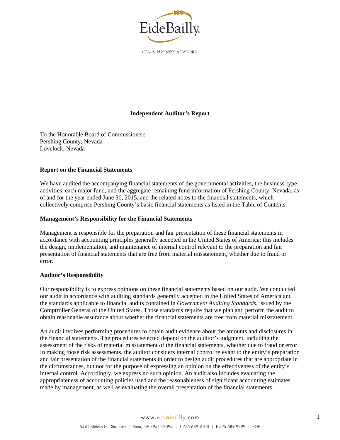

CPAs & BUSINESS ADVISORS

# **Independent Auditor's Report**

To the Honorable Board of Commissioners Pershing County, Nevada Lovelock, Nevada

### **Report on the Financial Statements**

We have audited the accompanying financial statements of the governmental activities, the business-type activities, each major fund, and the aggregate remaining fund information of Pershing County, Nevada, as of and for the year ended June 30, 2015, and the related notes to the financial statements, which collectively comprise Pershing County's basic financial statements as listed in the Table of Contents.

#### **Management's Responsibility for the Financial Statements**

Management is responsible for the preparation and fair presentation of these financial statements in accordance with accounting principles generally accepted in the United States of America; this includes the design, implementation, and maintenance of internal control relevant to the preparation and fair presentation of financial statements that are free from material misstatement, whether due to fraud or error.

#### **Auditor's Responsibility**

Our responsibility is to express opinions on these financial statements based on our audit. We conducted our audit in accordance with auditing standards generally accepted in the United States of America and the standards applicable to financial audits contained in *Government Auditing Standards*, issued by the Comptroller General of the United States. Those standards require that we plan and perform the audit to obtain reasonable assurance about whether the financial statements are free from material misstatement.

An audit involves performing procedures to obtain audit evidence about the amounts and disclosures in the financial statements. The procedures selected depend on the auditor's judgment, including the assessment of the risks of material misstatement of the financial statements, whether due to fraud or error. In making those risk assessments, the auditor considers internal control relevant to the entity's preparation and fair presentation of the financial statements in order to design audit procedures that are appropriate in the circumstances, but not for the purpose of expressing an opinion on the effectiveness of the entity's internal control. Accordingly, we express no such opinion. An audit also includes evaluating the appropriateness of accounting policies used and the reasonableness of significant accounting estimates made by management, as well as evaluating the overall presentation of the financial statements.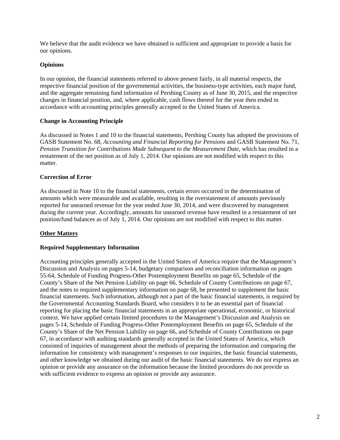We believe that the audit evidence we have obtained is sufficient and appropriate to provide a basis for our opinions.

## **Opinions**

In our opinion, the financial statements referred to above present fairly, in all material respects, the respective financial position of the governmental activities, the business-type activities, each major fund, and the aggregate remaining fund information of Pershing County as of June 30, 2015, and the respective changes in financial position, and, where applicable, cash flows thereof for the year then ended in accordance with accounting principles generally accepted in the United States of America.

### **Change in Accounting Principle**

As discussed in Notes 1 and 10 to the financial statements, Pershing County has adopted the provisions of GASB Statement No. 68, *Accounting and Financial Reporting for Pensions* and GASB Statement No. 71, *Pension Transition for Contributions Made Subsequent to the Measurement Date*, which has resulted in a restatement of the net position as of July 1, 2014. Our opinions are not modified with respect to this matter.

### **Correction of Error**

As discussed in Note 10 to the financial statements, certain errors occurred in the determination of amounts which were measurable and available, resulting in the overstatement of amounts previously reported for unearned revenue for the year ended June 30, 2014, and were discovered by management during the current year. Accordingly, amounts for unearned revenue have resulted in a restatement of net position/fund balances as of July 1, 2014. Our opinions are not modified with respect to this matter.

# **Other Matters**

### **Required Supplementary Information**

Accounting principles generally accepted in the United States of America require that the Management's Discussion and Analysis on pages 5-14, budgetary comparison and reconciliation information on pages 55-64, Schedule of Funding Progress-Other Postemployment Benefits on page 65, Schedule of the County's Share of the Net Pension Liability on page 66, Schedule of County Contributions on page 67, and the notes to required supplementary information on page 68, be presented to supplement the basic financial statements. Such information, although not a part of the basic financial statements, is required by the Governmental Accounting Standards Board, who considers it to be an essential part of financial reporting for placing the basic financial statements in an appropriate operational, economic, or historical context. We have applied certain limited procedures to the Management's Discussion and Analysis on pages 5-14, Schedule of Funding Progress-Other Postemployment Benefits on page 65, Schedule of the County's Share of the Net Pension Liability on page 66, and Schedule of County Contributions on page 67, in accordance with auditing standards generally accepted in the United States of America, which consisted of inquiries of management about the methods of preparing the information and comparing the information for consistency with management's responses to our inquiries, the basic financial statements, and other knowledge we obtained during our audit of the basic financial statements. We do not express an opinion or provide any assurance on the information because the limited procedures do not provide us with sufficient evidence to express an opinion or provide any assurance.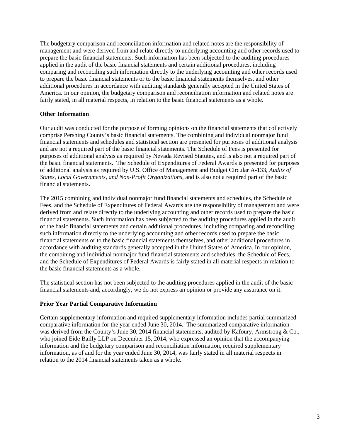The budgetary comparison and reconciliation information and related notes are the responsibility of management and were derived from and relate directly to underlying accounting and other records used to prepare the basic financial statements. Such information has been subjected to the auditing procedures applied in the audit of the basic financial statements and certain additional procedures, including comparing and reconciling such information directly to the underlying accounting and other records used to prepare the basic financial statements or to the basic financial statements themselves, and other additional procedures in accordance with auditing standards generally accepted in the United States of America. In our opinion, the budgetary comparison and reconciliation information and related notes are fairly stated, in all material respects, in relation to the basic financial statements as a whole.

### **Other Information**

Our audit was conducted for the purpose of forming opinions on the financial statements that collectively comprise Pershing County's basic financial statements. The combining and individual nonmajor fund financial statements and schedules and statistical section are presented for purposes of additional analysis and are not a required part of the basic financial statements. The Schedule of Fees is presented for purposes of additional analysis as required by Nevada Revised Statutes, and is also not a required part of the basic financial statements. The Schedule of Expenditures of Federal Awards is presented for purposes of additional analysis as required by U.S. Office of Management and Budget Circular A-133, *Audits of States, Local Governments, and Non-Profit Organizations*, and is also not a required part of the basic financial statements.

The 2015 combining and individual nonmajor fund financial statements and schedules, the Schedule of Fees, and the Schedule of Expenditures of Federal Awards are the responsibility of management and were derived from and relate directly to the underlying accounting and other records used to prepare the basic financial statements. Such information has been subjected to the auditing procedures applied in the audit of the basic financial statements and certain additional procedures, including comparing and reconciling such information directly to the underlying accounting and other records used to prepare the basic financial statements or to the basic financial statements themselves, and other additional procedures in accordance with auditing standards generally accepted in the United States of America. In our opinion, the combining and individual nonmajor fund financial statements and schedules, the Schedule of Fees, and the Schedule of Expenditures of Federal Awards is fairly stated in all material respects in relation to the basic financial statements as a whole.

The statistical section has not been subjected to the auditing procedures applied in the audit of the basic financial statements and, accordingly, we do not express an opinion or provide any assurance on it.

### **Prior Year Partial Comparative Information**

Certain supplementary information and required supplementary information includes partial summarized comparative information for the year ended June 30, 2014. The summarized comparative information was derived from the County's June 30, 2014 financial statements, audited by Kafoury, Armstrong & Co., who joined Eide Bailly LLP on December 15, 2014, who expressed an opinion that the accompanying information and the budgetary comparison and reconciliation information, required supplementary information, as of and for the year ended June 30, 2014, was fairly stated in all material respects in relation to the 2014 financial statements taken as a whole.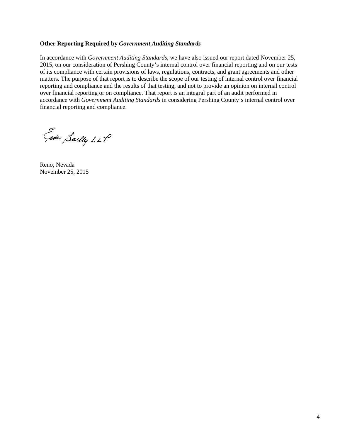### **Other Reporting Required by** *Government Auditing Standards*

In accordance with *Government Auditing Standards*, we have also issued our report dated November 25, 2015, on our consideration of Pershing County's internal control over financial reporting and on our tests of its compliance with certain provisions of laws, regulations, contracts, and grant agreements and other matters. The purpose of that report is to describe the scope of our testing of internal control over financial reporting and compliance and the results of that testing, and not to provide an opinion on internal control over financial reporting or on compliance. That report is an integral part of an audit performed in accordance with *Government Auditing Standards* in considering Pershing County's internal control over financial reporting and compliance.

Gide Sailly LLP

Reno, Nevada November 25, 2015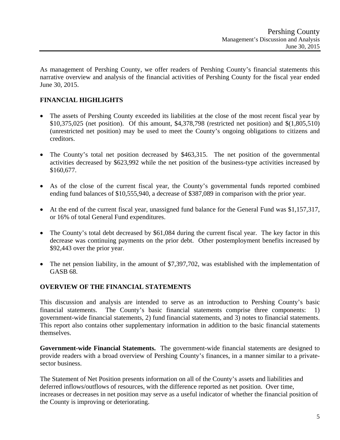As management of Pershing County, we offer readers of Pershing County's financial statements this narrative overview and analysis of the financial activities of Pershing County for the fiscal year ended June 30, 2015.

# **FINANCIAL HIGHLIGHTS**

- The assets of Pershing County exceeded its liabilities at the close of the most recent fiscal year by \$10,375,025 (net position). Of this amount, \$4,378,798 (restricted net position) and \$(1,805,510) (unrestricted net position) may be used to meet the County's ongoing obligations to citizens and creditors.
- The County's total net position decreased by \$463,315. The net position of the governmental activities decreased by \$623,992 while the net position of the business-type activities increased by \$160,677.
- As of the close of the current fiscal year, the County's governmental funds reported combined ending fund balances of \$10,555,940, a decrease of \$387,089 in comparison with the prior year.
- At the end of the current fiscal year, unassigned fund balance for the General Fund was \$1,157,317, or 16% of total General Fund expenditures.
- The County's total debt decreased by \$61,084 during the current fiscal year. The key factor in this decrease was continuing payments on the prior debt. Other postemployment benefits increased by \$92,443 over the prior year.
- The net pension liability, in the amount of \$7,397,702, was established with the implementation of GASB 68.

# **OVERVIEW OF THE FINANCIAL STATEMENTS**

This discussion and analysis are intended to serve as an introduction to Pershing County's basic financial statements. The County's basic financial statements comprise three components: 1) government-wide financial statements, 2) fund financial statements, and 3) notes to financial statements. This report also contains other supplementary information in addition to the basic financial statements themselves.

**Government-wide Financial Statements.** The government-wide financial statements are designed to provide readers with a broad overview of Pershing County's finances, in a manner similar to a privatesector business.

The Statement of Net Position presents information on all of the County's assets and liabilities and deferred inflows/outflows of resources, with the difference reported as net position. Over time, increases or decreases in net position may serve as a useful indicator of whether the financial position of the County is improving or deteriorating.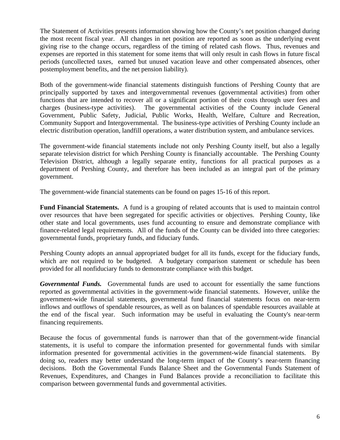The Statement of Activities presents information showing how the County's net position changed during the most recent fiscal year. All changes in net position are reported as soon as the underlying event giving rise to the change occurs, regardless of the timing of related cash flows. Thus, revenues and expenses are reported in this statement for some items that will only result in cash flows in future fiscal periods (uncollected taxes, earned but unused vacation leave and other compensated absences, other postemployment benefits, and the net pension liability).

Both of the government-wide financial statements distinguish functions of Pershing County that are principally supported by taxes and intergovernmental revenues (governmental activities) from other functions that are intended to recover all or a significant portion of their costs through user fees and charges (business-type activities). The governmental activities of the County include General Government, Public Safety, Judicial, Public Works, Health, Welfare, Culture and Recreation, Community Support and Intergovernmental. The business-type activities of Pershing County include an electric distribution operation, landfill operations, a water distribution system, and ambulance services.

The government-wide financial statements include not only Pershing County itself, but also a legally separate television district for which Pershing County is financially accountable. The Pershing County Television District, although a legally separate entity, functions for all practical purposes as a department of Pershing County, and therefore has been included as an integral part of the primary government.

The government-wide financial statements can be found on pages 15-16 of this report.

**Fund Financial Statements.** A fund is a grouping of related accounts that is used to maintain control over resources that have been segregated for specific activities or objectives. Pershing County, like other state and local governments, uses fund accounting to ensure and demonstrate compliance with finance-related legal requirements. All of the funds of the County can be divided into three categories: governmental funds, proprietary funds, and fiduciary funds.

Pershing County adopts an annual appropriated budget for all its funds, except for the fiduciary funds, which are not required to be budgeted. A budgetary comparison statement or schedule has been provided for all nonfiduciary funds to demonstrate compliance with this budget.

*Governmental Funds.* Governmental funds are used to account for essentially the same functions reported as governmental activities in the government-wide financial statements. However, unlike the government-wide financial statements, governmental fund financial statements focus on near-term inflows and outflows of spendable resources, as well as on balances of spendable resources available at the end of the fiscal year. Such information may be useful in evaluating the County's near-term financing requirements.

Because the focus of governmental funds is narrower than that of the government-wide financial statements, it is useful to compare the information presented for governmental funds with similar information presented for governmental activities in the government-wide financial statements. By doing so, readers may better understand the long-term impact of the County's near-term financing decisions. Both the Governmental Funds Balance Sheet and the Governmental Funds Statement of Revenues, Expenditures, and Changes in Fund Balances provide a reconciliation to facilitate this comparison between governmental funds and governmental activities.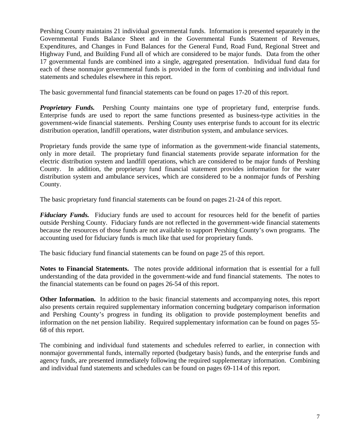Pershing County maintains 21 individual governmental funds. Information is presented separately in the Governmental Funds Balance Sheet and in the Governmental Funds Statement of Revenues, Expenditures, and Changes in Fund Balances for the General Fund, Road Fund, Regional Street and Highway Fund, and Building Fund all of which are considered to be major funds. Data from the other 17 governmental funds are combined into a single, aggregated presentation. Individual fund data for each of these nonmajor governmental funds is provided in the form of combining and individual fund statements and schedules elsewhere in this report.

The basic governmental fund financial statements can be found on pages 17-20 of this report.

**Proprietary Funds.** Pershing County maintains one type of proprietary fund, enterprise funds. Enterprise funds are used to report the same functions presented as business-type activities in the government-wide financial statements. Pershing County uses enterprise funds to account for its electric distribution operation, landfill operations, water distribution system, and ambulance services.

Proprietary funds provide the same type of information as the government-wide financial statements, only in more detail. The proprietary fund financial statements provide separate information for the electric distribution system and landfill operations, which are considered to be major funds of Pershing County. In addition, the proprietary fund financial statement provides information for the water distribution system and ambulance services, which are considered to be a nonmajor funds of Pershing County.

The basic proprietary fund financial statements can be found on pages 21-24 of this report.

*Fiduciary Funds.* Fiduciary funds are used to account for resources held for the benefit of parties outside Pershing County. Fiduciary funds are not reflected in the government-wide financial statements because the resources of those funds are not available to support Pershing County's own programs. The accounting used for fiduciary funds is much like that used for proprietary funds.

The basic fiduciary fund financial statements can be found on page 25 of this report.

**Notes to Financial Statements.** The notes provide additional information that is essential for a full understanding of the data provided in the government-wide and fund financial statements. The notes to the financial statements can be found on pages 26-54 of this report.

**Other Information.** In addition to the basic financial statements and accompanying notes, this report also presents certain required supplementary information concerning budgetary comparison information and Pershing County's progress in funding its obligation to provide postemployment benefits and information on the net pension liability. Required supplementary information can be found on pages 55- 68 of this report.

The combining and individual fund statements and schedules referred to earlier, in connection with nonmajor governmental funds, internally reported (budgetary basis) funds, and the enterprise funds and agency funds, are presented immediately following the required supplementary information. Combining and individual fund statements and schedules can be found on pages 69-114 of this report.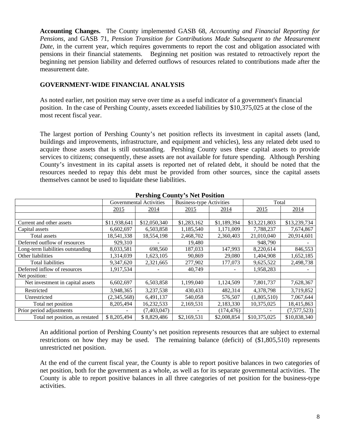**Accounting Changes.** The County implemented GASB 68, *Accounting and Financial Reporting for Pensions,* and GASB 71, *Pension Transition for Contributions Made Subsequent to the Measurement Date*, in the current year, which requires governments to report the cost and obligation associated with pensions in their financial statements. Beginning net position was restated to retroactively report the beginning net pension liability and deferred outflows of resources related to contributions made after the measurement date.

# **GOVERNMENT-WIDE FINANCIAL ANALYSIS**

As noted earlier, net position may serve over time as a useful indicator of a government's financial position. In the case of Pershing County, assets exceeded liabilities by \$10,375,025 at the close of the most recent fiscal year.

The largest portion of Pershing County's net position reflects its investment in capital assets (land, buildings and improvements, infrastructure, and equipment and vehicles), less any related debt used to acquire those assets that is still outstanding. Pershing County uses these capital assets to provide services to citizens; consequently, these assets are not available for future spending. Although Pershing County's investment in its capital assets is reported net of related debt, it should be noted that the resources needed to repay this debt must be provided from other sources, since the capital assets themselves cannot be used to liquidate these liabilities.

|                                   | Governmental Activities |              | <b>Business-type Activities</b> |             | Total        |              |
|-----------------------------------|-------------------------|--------------|---------------------------------|-------------|--------------|--------------|
|                                   | 2015                    | 2014         | 2015                            | 2014        | 2015         | 2014         |
|                                   |                         |              |                                 |             |              |              |
| Current and other assets          | \$11,938,641            | \$12,050,340 | \$1,283,162                     | \$1,189,394 | \$13,221,803 | \$13,239,734 |
| Capital assets                    | 6,602,697               | 6,503,858    | 1,185,540                       | 1,171,009   | 7,788,237    | 7,674,867    |
| Total assets                      | 18,541,338              | 18,554,198   | 2,468,702                       | 2,360,403   | 21,010,040   | 20,914,601   |
| Deferred outflow of resources     | 929,310                 |              | 19,480                          |             | 948,790      |              |
| Long-term liabilities outstanding | 8,033,581               | 698,560      | 187,033                         | 147,993     | 8,220,614    | 846,553      |
| Other liabilities                 | 1,314,039               | 1,623,105    | 90,869                          | 29,080      | 1,404,908    | 1,652,185    |
| <b>Total liabilities</b>          | 9,347,620               | 2,321,665    | 277,902                         | 177,073     | 9,625,522    | 2,498,738    |
| Deferred inflow of resources      | 1,917,534               |              | 40,749                          |             | 1,958,283    |              |
| Net position:                     |                         |              |                                 |             |              |              |
| Net investment in capital assets  | 6,602,697               | 6,503,858    | 1,199,040                       | 1,124,509   | 7,801,737    | 7,628,367    |
| Restricted                        | 3,948,365               | 3,237,538    | 430,433                         | 482,314     | 4,378,798    | 3,719,852    |
| Unrestricted                      | (2,345,568)             | 6,491,137    | 540,058                         | 576,507     | (1,805,510)  | 7,067,644    |
| Total net position                | 8,205,494               | 16,232,533   | 2,169,531                       | 2,183,330   | 10,375,025   | 18,415,863   |
| Prior period adjustments          |                         | (7,403,047)  |                                 | (174, 476)  |              | (7,577,523)  |
| Total net position, as restated   | \$8,205,494             | \$8,829,486  | \$2,169,531                     | \$2,008,854 | \$10,375,025 | \$10,838,340 |

**Pershing County's Net Position** 

An additional portion of Pershing County's net position represents resources that are subject to external restrictions on how they may be used. The remaining balance (deficit) of (\$1,805,510) represents unrestricted net position.

At the end of the current fiscal year, the County is able to report positive balances in two categories of net position, both for the government as a whole, as well as for its separate governmental activities. The County is able to report positive balances in all three categories of net position for the business-type activities.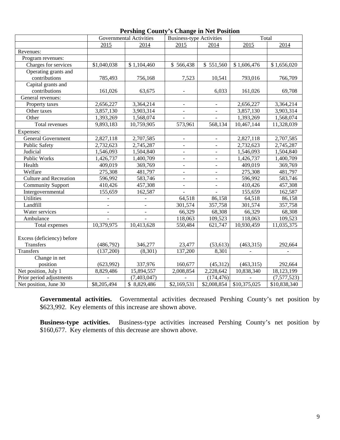| <b>Pershing County's Change in Net Position</b> |  |  |  |  |
|-------------------------------------------------|--|--|--|--|
|-------------------------------------------------|--|--|--|--|

|                               | Governmental Activities |                | ----         | <b>Business-type Activities</b> |                          | Total          |  |
|-------------------------------|-------------------------|----------------|--------------|---------------------------------|--------------------------|----------------|--|
|                               | 2015                    | 2014           | 2015         | 2014                            | 2015                     | 2014           |  |
| Revenues:                     |                         |                |              |                                 |                          |                |  |
| Program revenues:             |                         |                |              |                                 |                          |                |  |
| Charges for services          | \$1,040,038             | \$1,104,460    | \$566,438    | \$551,560                       | \$1,606,476              | \$1,656,020    |  |
| Operating grants and          |                         |                |              |                                 |                          |                |  |
| contributions                 | 785,493                 | 756,168        | 7,523        | 10,541                          | 793,016                  | 766,709        |  |
| Capital grants and            |                         |                |              |                                 |                          |                |  |
| contributions                 | 161,026                 | 63,675         |              | 6,033                           | 161,026                  | 69,708         |  |
| General revenues:             |                         |                |              |                                 |                          |                |  |
| Property taxes                | 2,656,227               | 3,364,214      |              |                                 | 2,656,227                | 3,364,214      |  |
| Other taxes                   | 3,857,130               | 3,903,314      |              |                                 | 3,857,130                | 3,903,314      |  |
| Other                         | 1,393,269               | 1,568,074      |              |                                 | 1,393,269                | 1,568,074      |  |
| Total revenues                | 9,893,183               | 10,759,905     | 573,961      | 568,134                         | 10,467,144               | 11,328,039     |  |
| Expenses:                     |                         |                |              |                                 |                          |                |  |
| General Government            | 2,827,118               | 2,707,585      |              |                                 | 2,827,118                | 2,707,585      |  |
| <b>Public Safety</b>          | 2,732,623               | 2,745,287      |              |                                 | 2,732,623                | 2,745,287      |  |
| Judicial                      | 1,546,093               | 1,504,840      |              |                                 | 1,546,093                | 1,504,840      |  |
| Public Works                  | 1,426,737               | 1,400,709      |              |                                 | 1,426,737                | 1,400,709      |  |
| Health                        | 409,019                 | 369,769        |              |                                 | 409,019                  | 369,769        |  |
| Welfare                       | 275,308                 | 481,797        |              |                                 | 275,308                  | 481,797        |  |
| <b>Culture and Recreation</b> | 596,992                 | 583,746        |              | $\equiv$                        | 596,992                  | 583,746        |  |
| <b>Community Support</b>      | 410,426                 | 457,308        | $\equiv$     | $\equiv$                        | 410,426                  | 457,308        |  |
| Intergovernmental             | 155,659                 | 162,587        | $\mathbf{r}$ | $\omega$                        | 155,659                  | 162,587        |  |
| <b>Utilities</b>              | $\equiv$                | $\equiv$       | 64,518       | 86,158                          | 64,518                   | 86,158         |  |
| Landfill                      | $\blacksquare$          | $\sim$         | 301,574      | 357,758                         | 301,574                  | 357,758        |  |
| Water services                | $\blacksquare$          | $\blacksquare$ | 66,329       | 68,308                          | 66,329                   | 68,308         |  |
| Ambulance                     |                         |                | 118,063      | 109,523                         | 118,063                  | 109,523        |  |
| Total expenses                | 10,379,975              | 10,413,628     | 550,484      | 621,747                         | 10,930,459               | 11,035,375     |  |
|                               |                         |                |              |                                 |                          |                |  |
| Excess (deficiency) before    |                         |                |              |                                 |                          |                |  |
| <b>Transfers</b>              | (486,792)               | 346,277        | 23,477       | (53, 613)                       | (463,315)                | 292,664        |  |
| Transfers                     | (137,200)               | (8,301)        | 137,200      | 8,301                           | $\overline{\phantom{a}}$ | $\blacksquare$ |  |
| Change in net                 |                         |                |              |                                 |                          |                |  |
| position                      | (623,992)               | 337,976        | 160,677      | (45,312)                        | (463,315)                | 292,664        |  |
| Net position, July 1          | 8,829,486               | 15,894,557     | 2,008,854    | 2,228,642                       | 10,838,340               | 18,123,199     |  |
| Prior period adjustments      |                         | (7,403,047)    |              | (174, 476)                      |                          | (7,577,523)    |  |
| Net position, June 30         | \$8,205,494             | \$8,829,486    | \$2,169,531  | \$2,008,854                     | $\overline{$}10,375,025$ | \$10,838,340   |  |

**Governmental activities.** Governmental activities decreased Pershing County's net position by \$623,992. Key elements of this increase are shown above.

**Business-type activities.** Business-type activities increased Pershing County's net position by \$160,677. Key elements of this decrease are shown above.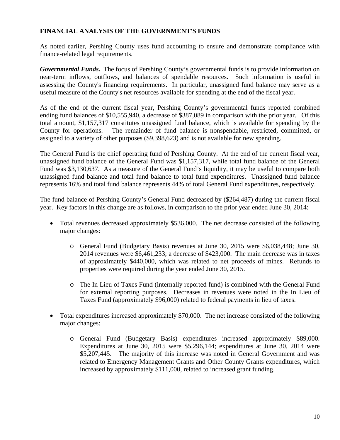# **FINANCIAL ANALYSIS OF THE GOVERNMENT'S FUNDS**

As noted earlier, Pershing County uses fund accounting to ensure and demonstrate compliance with finance-related legal requirements.

*Governmental Funds.* The focus of Pershing County's governmental funds is to provide information on near-term inflows, outflows, and balances of spendable resources. Such information is useful in assessing the County's financing requirements. In particular, unassigned fund balance may serve as a useful measure of the County's net resources available for spending at the end of the fiscal year.

As of the end of the current fiscal year, Pershing County's governmental funds reported combined ending fund balances of \$10,555,940, a decrease of \$387,089 in comparison with the prior year. Of this total amount, \$1,157,317 constitutes unassigned fund balance, which is available for spending by the County for operations. The remainder of fund balance is nonspendable, restricted, committed, or assigned to a variety of other purposes (\$9,398,623) and is not available for new spending.

The General Fund is the chief operating fund of Pershing County. At the end of the current fiscal year, unassigned fund balance of the General Fund was \$1,157,317, while total fund balance of the General Fund was \$3,130,637. As a measure of the General Fund's liquidity, it may be useful to compare both unassigned fund balance and total fund balance to total fund expenditures. Unassigned fund balance represents 16% and total fund balance represents 44% of total General Fund expenditures, respectively.

The fund balance of Pershing County's General Fund decreased by (\$264,487) during the current fiscal year. Key factors in this change are as follows, in comparison to the prior year ended June 30, 2014:

- Total revenues decreased approximately \$536,000. The net decrease consisted of the following major changes:
	- o General Fund (Budgetary Basis) revenues at June 30, 2015 were \$6,038,448; June 30, 2014 revenues were \$6,461,233; a decrease of \$423,000. The main decrease was in taxes of approximately \$440,000, which was related to net proceeds of mines. Refunds to properties were required during the year ended June 30, 2015.
	- o The In Lieu of Taxes Fund (internally reported fund) is combined with the General Fund for external reporting purposes. Decreases in revenues were noted in the In Lieu of Taxes Fund (approximately \$96,000) related to federal payments in lieu of taxes.
- Total expenditures increased approximately \$70,000. The net increase consisted of the following major changes:
	- o General Fund (Budgetary Basis) expenditures increased approximately \$89,000. Expenditures at June 30, 2015 were \$5,296,144; expenditures at June 30, 2014 were \$5,207,445. The majority of this increase was noted in General Government and was related to Emergency Management Grants and Other County Grants expenditures, which increased by approximately \$111,000, related to increased grant funding.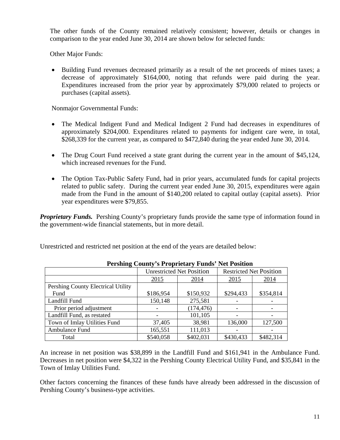The other funds of the County remained relatively consistent; however, details or changes in comparison to the year ended June 30, 2014 are shown below for selected funds:

Other Major Funds:

 Building Fund revenues decreased primarily as a result of the net proceeds of mines taxes; a decrease of approximately \$164,000, noting that refunds were paid during the year. Expenditures increased from the prior year by approximately \$79,000 related to projects or purchases (capital assets).

Nonmajor Governmental Funds:

- The Medical Indigent Fund and Medical Indigent 2 Fund had decreases in expenditures of approximately \$204,000. Expenditures related to payments for indigent care were, in total, \$268,339 for the current year, as compared to \$472,840 during the year ended June 30, 2014.
- The Drug Court Fund received a state grant during the current year in the amount of \$45,124, which increased revenues for the Fund.
- The Option Tax-Public Safety Fund, had in prior years, accumulated funds for capital projects related to public safety. During the current year ended June 30, 2015, expenditures were again made from the Fund in the amount of \$140,200 related to capital outlay (capital assets). Prior year expenditures were \$79,855.

**Proprietary Funds.** Pershing County's proprietary funds provide the same type of information found in the government-wide financial statements, but in more detail.

| <b>Pershing County's Proprietary Funds' Net Position</b> |              |                                  |                                |             |  |  |  |  |  |
|----------------------------------------------------------|--------------|----------------------------------|--------------------------------|-------------|--|--|--|--|--|
|                                                          |              | <b>Unrestricted Net Position</b> | <b>Restricted Net Position</b> |             |  |  |  |  |  |
|                                                          | 2015<br>2014 |                                  | 2015                           | <u>2014</u> |  |  |  |  |  |
| Pershing County Electrical Utility                       |              |                                  |                                |             |  |  |  |  |  |
| Fund                                                     | \$186,954    | \$150,932                        | \$294,433                      | \$354,814   |  |  |  |  |  |
| Landfill Fund                                            | 150,148      | 275,581                          |                                |             |  |  |  |  |  |
| Prior period adjustment                                  |              | (174, 476)                       |                                |             |  |  |  |  |  |
| Landfill Fund, as restated                               |              | 101,105                          |                                |             |  |  |  |  |  |
| Town of Imlay Utilities Fund                             | 37,405       | 38,981                           | 136,000                        | 127,500     |  |  |  |  |  |
| Ambulance Fund                                           | 165,551      | 111,013                          |                                |             |  |  |  |  |  |
| Total                                                    | \$540,058    | \$402,031                        | \$430,433                      | \$482,314   |  |  |  |  |  |

Unrestricted and restricted net position at the end of the years are detailed below:

An increase in net position was \$38,899 in the Landfill Fund and \$161,941 in the Ambulance Fund. Decreases in net position were \$4,322 in the Pershing County Electrical Utility Fund, and \$35,841 in the Town of Imlay Utilities Fund.

Other factors concerning the finances of these funds have already been addressed in the discussion of Pershing County's business-type activities.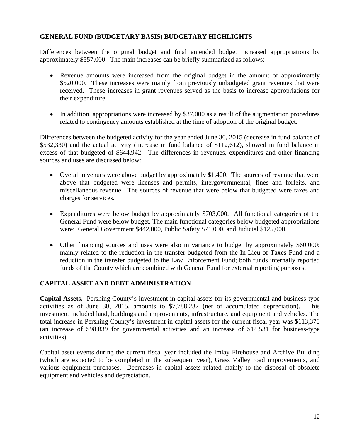# **GENERAL FUND (BUDGETARY BASIS) BUDGETARY HIGHLIGHTS**

Differences between the original budget and final amended budget increased appropriations by approximately \$557,000. The main increases can be briefly summarized as follows:

- Revenue amounts were increased from the original budget in the amount of approximately \$520,000. These increases were mainly from previously unbudgeted grant revenues that were received. These increases in grant revenues served as the basis to increase appropriations for their expenditure.
- In addition, appropriations were increased by \$37,000 as a result of the augmentation procedures related to contingency amounts established at the time of adoption of the original budget.

Differences between the budgeted activity for the year ended June 30, 2015 (decrease in fund balance of \$532,330) and the actual activity (increase in fund balance of \$112,612), showed in fund balance in excess of that budgeted of \$644,942. The differences in revenues, expenditures and other financing sources and uses are discussed below:

- Overall revenues were above budget by approximately \$1,400. The sources of revenue that were above that budgeted were licenses and permits, intergovernmental, fines and forfeits, and miscellaneous revenue. The sources of revenue that were below that budgeted were taxes and charges for services.
- Expenditures were below budget by approximately \$703,000. All functional categories of the General Fund were below budget. The main functional categories below budgeted appropriations were: General Government \$442,000, Public Safety \$71,000, and Judicial \$125,000.
- Other financing sources and uses were also in variance to budget by approximately \$60,000; mainly related to the reduction in the transfer budgeted from the In Lieu of Taxes Fund and a reduction in the transfer budgeted to the Law Enforcement Fund; both funds internally reported funds of the County which are combined with General Fund for external reporting purposes.

# **CAPITAL ASSET AND DEBT ADMINISTRATION**

**Capital Assets.** Pershing County's investment in capital assets for its governmental and business-type activities as of June 30, 2015, amounts to \$7,788,237 (net of accumulated depreciation). This investment included land, buildings and improvements, infrastructure, and equipment and vehicles. The total increase in Pershing County's investment in capital assets for the current fiscal year was \$113,370 (an increase of \$98,839 for governmental activities and an increase of \$14,531 for business-type activities).

Capital asset events during the current fiscal year included the Imlay Firehouse and Archive Building (which are expected to be completed in the subsequent year), Grass Valley road improvements, and various equipment purchases. Decreases in capital assets related mainly to the disposal of obsolete equipment and vehicles and depreciation.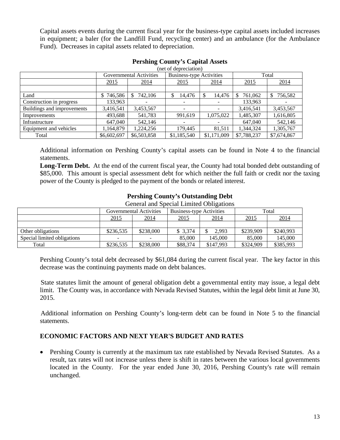Capital assets events during the current fiscal year for the business-type capital assets included increases in equipment; a baler (for the Landfill Fund, recycling center) and an ambulance (for the Ambulance Fund). Decreases in capital assets related to depreciation.

| $\mu$ acpreciation,        |                         |              |                                 |             |              |                |  |  |  |
|----------------------------|-------------------------|--------------|---------------------------------|-------------|--------------|----------------|--|--|--|
|                            | Governmental Activities |              | <b>Business-type Activities</b> |             | Total        |                |  |  |  |
|                            | 2015                    | 2014         | 2015                            | 2014        | 2015         | 2014           |  |  |  |
|                            |                         |              |                                 |             |              |                |  |  |  |
| Land                       | 746,586                 | 742,106<br>S | 14,476<br>\$                    | 14,476      | 761,062<br>S | 756,582<br>\$. |  |  |  |
| Construction in progress   | 133,963                 |              | $\overline{\phantom{a}}$        |             | 133,963      |                |  |  |  |
| Buildings and improvements | 3,416,541               | 3,453,567    |                                 |             | 3,416,541    | 3,453,567      |  |  |  |
| Improvements               | 493,688                 | 541,783      | 991,619                         | 1,075,022   | 1,485,307    | 1,616,805      |  |  |  |
| Infrastructure             | 647,040                 | 542,146      |                                 |             | 647,040      | 542,146        |  |  |  |
| Equipment and vehicles     | 1,164,879               | 1,224,256    | 179.445                         | 81,511      | 1,344,324    | 1,305,767      |  |  |  |
| Total                      | \$6,602,697             | \$6,503,858  | \$1,185,540                     | \$1,171,009 | \$7,788,237  | \$7,674,867    |  |  |  |

#### **Pershing County's Capital Assets**  (net of depreciation)

Additional information on Pershing County's capital assets can be found in Note 4 to the financial statements.

**Long-Term Debt.** At the end of the current fiscal year, the County had total bonded debt outstanding of \$85,000. This amount is special assessment debt for which neither the full faith or credit nor the taxing power of the County is pledged to the payment of the bonds or related interest.

# **Pershing County's Outstanding Debt**

|                             | Governmental Activities  |           | <b>Business-type Activities</b> |           | Total     |           |
|-----------------------------|--------------------------|-----------|---------------------------------|-----------|-----------|-----------|
|                             | <u>2015</u>              | 2014      | <u> 2015</u>                    | 2014      | 2015      | 2014      |
|                             |                          |           |                                 |           |           |           |
| Other obligations           | \$236,535                | \$238,000 | \$3.374                         | 2.993     | \$239,909 | \$240,993 |
| Special limited obligations | $\overline{\phantom{0}}$ |           | 85,000                          | 145,000   | 85,000    | 145,000   |
| Total                       | \$236,535                | \$238,000 | \$88,374                        | \$147,993 | \$324,909 | \$385,993 |

Pershing County's total debt decreased by \$61,084 during the current fiscal year. The key factor in this decrease was the continuing payments made on debt balances.

State statutes limit the amount of general obligation debt a governmental entity may issue, a legal debt limit. The County was, in accordance with Nevada Revised Statutes, within the legal debt limit at June 30, 2015.

Additional information on Pershing County's long-term debt can be found in Note 5 to the financial statements.

# **ECONOMIC FACTORS AND NEXT YEAR'S BUDGET AND RATES**

• Pershing County is currently at the maximum tax rate established by Nevada Revised Statutes. As a result, tax rates will not increase unless there is shift in rates between the various local governments located in the County. For the year ended June 30, 2016, Pershing County's rate will remain unchanged.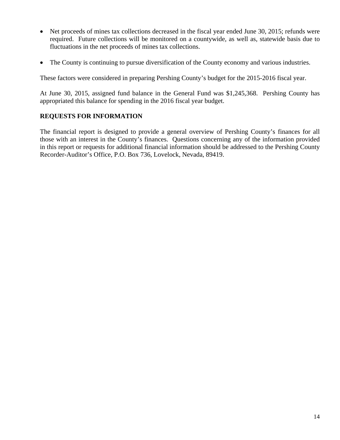- Net proceeds of mines tax collections decreased in the fiscal year ended June 30, 2015; refunds were required. Future collections will be monitored on a countywide, as well as, statewide basis due to fluctuations in the net proceeds of mines tax collections.
- The County is continuing to pursue diversification of the County economy and various industries.

These factors were considered in preparing Pershing County's budget for the 2015-2016 fiscal year.

At June 30, 2015, assigned fund balance in the General Fund was \$1,245,368. Pershing County has appropriated this balance for spending in the 2016 fiscal year budget.

# **REQUESTS FOR INFORMATION**

The financial report is designed to provide a general overview of Pershing County's finances for all those with an interest in the County's finances. Questions concerning any of the information provided in this report or requests for additional financial information should be addressed to the Pershing County Recorder-Auditor's Office, P.O. Box 736, Lovelock, Nevada, 89419.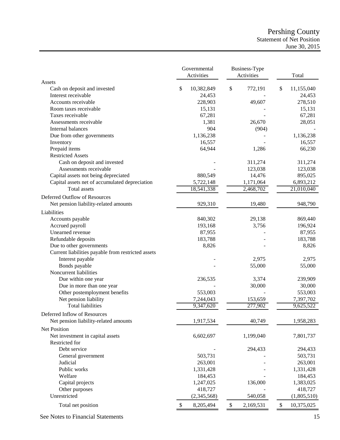|                                                    | Governmental<br>Activities | Business-Type<br>Activities | Total                                   |
|----------------------------------------------------|----------------------------|-----------------------------|-----------------------------------------|
| Assets                                             |                            |                             |                                         |
| Cash on deposit and invested                       | \$<br>10,382,849           | \$<br>772,191               | \$<br>11,155,040                        |
| Interest receivable                                | 24,453                     |                             | 24,453                                  |
| Accounts receivable                                | 228,903                    | 49,607                      | 278,510                                 |
| Room taxes receivable                              | 15,131                     |                             | 15,131                                  |
| Taxes receivable                                   | 67,281                     |                             | 67,281                                  |
| Assessments receivable                             | 1,381                      | 26,670                      | 28,051                                  |
| Internal balances                                  | 904                        | (904)                       |                                         |
| Due from other governments                         | 1,136,238                  |                             | 1,136,238                               |
| Inventory                                          | 16,557                     |                             | 16,557                                  |
| Prepaid items                                      | 64,944                     | 1,286                       | 66,230                                  |
| <b>Restricted Assets</b>                           |                            |                             |                                         |
| Cash on deposit and invested                       |                            | 311,274                     | 311,274                                 |
| Assessments receivable                             |                            | 123,038                     | 123,038                                 |
| Capital assets not being depreciated               | 880,549                    | 14,476                      | 895,025                                 |
| Capital assets net of accumulated depreciation     | 5,722,148                  | 1,171,064                   | 6,893,212                               |
| <b>Total assets</b>                                | 18,541,338                 | 2,468,702                   | 21,010,040                              |
| Deferred Outflow of Resources                      |                            |                             |                                         |
| Net pension liability-related amounts              | 929,310                    | 19,480                      | 948,790                                 |
|                                                    |                            |                             |                                         |
| Liabilities                                        |                            |                             |                                         |
| Accounts payable                                   | 840,302                    | 29,138                      | 869,440                                 |
| Accrued payroll                                    | 193,168                    | 3,756                       | 196,924                                 |
| Unearned revenue                                   | 87,955                     |                             | 87,955                                  |
| Refundable deposits                                | 183,788                    |                             | 183,788                                 |
| Due to other governments                           | 8,826                      |                             | 8,826                                   |
| Current liabilities payable from restricted assets |                            |                             |                                         |
| Interest payable                                   |                            | 2,975                       | 2,975                                   |
| Bonds payable                                      |                            | 55,000                      | 55,000                                  |
| Noncurrent liabilities                             |                            |                             |                                         |
| Due within one year                                | 236,535                    | 3,374                       | 239,909                                 |
| Due in more than one year                          |                            | 30,000                      | 30,000                                  |
| Other postemployment benefits                      | 553,003                    |                             | 553,003                                 |
| Net pension liability                              | 7,244,043                  | 153,659                     | 7,397,702                               |
| <b>Total liabilities</b>                           | 9,347,620                  | 277,902                     | $\overline{9,625,522}$                  |
| Deferred Inflow of Resources                       |                            |                             |                                         |
| Net pension liability-related amounts              | 1,917,534                  | 40,749                      | 1,958,283                               |
| <b>Net Position</b>                                |                            |                             |                                         |
| Net investment in capital assets                   | 6,602,697                  | 1,199,040                   | 7,801,737                               |
| Restricted for                                     |                            |                             |                                         |
| Debt service                                       |                            | 294,433                     | 294,433                                 |
| General government                                 | 503,731                    |                             | 503,731                                 |
| Judicial                                           | 263,001                    |                             | 263,001                                 |
| Public works                                       | 1,331,428                  |                             | 1,331,428                               |
|                                                    |                            |                             |                                         |
| Welfare                                            | 184,453                    |                             | 184,453                                 |
| Capital projects                                   | 1,247,025                  | 136,000                     | 1,383,025                               |
| Other purposes                                     | 418,727                    |                             | 418,727                                 |
| Unrestricted                                       | (2,345,568)                | 540,058                     | (1,805,510)                             |
| Total net position                                 | 8,205,494<br>\$            | $\$\,$<br>2,169,531         | $\boldsymbol{\mathsf{S}}$<br>10,375,025 |
| See Notes to Financial Statements                  |                            |                             | 15                                      |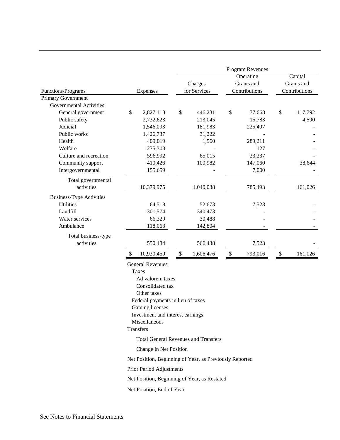|                                   |                                              |                                                                                                                                                                                                                          | Program Revenues          |           |                                          |         |    |                                        |  |
|-----------------------------------|----------------------------------------------|--------------------------------------------------------------------------------------------------------------------------------------------------------------------------------------------------------------------------|---------------------------|-----------|------------------------------------------|---------|----|----------------------------------------|--|
| Functions/Programs                | Expenses                                     |                                                                                                                                                                                                                          | Charges<br>for Services   |           | Operating<br>Grants and<br>Contributions |         |    | Capital<br>Grants and<br>Contributions |  |
| Primary Government                |                                              |                                                                                                                                                                                                                          |                           |           |                                          |         |    |                                        |  |
| <b>Governmental Activities</b>    |                                              |                                                                                                                                                                                                                          |                           |           |                                          |         |    |                                        |  |
| General government                | \$                                           | 2,827,118                                                                                                                                                                                                                | \$                        | 446,231   | \$                                       | 77,668  | \$ | 117,792                                |  |
| Public safety                     |                                              | 2,732,623                                                                                                                                                                                                                |                           | 213,045   |                                          | 15,783  |    | 4,590                                  |  |
| Judicial                          |                                              | 1,546,093                                                                                                                                                                                                                |                           | 181,983   |                                          | 225,407 |    |                                        |  |
| Public works                      |                                              | 1,426,737                                                                                                                                                                                                                |                           | 31,222    |                                          |         |    |                                        |  |
| Health                            |                                              | 409,019                                                                                                                                                                                                                  |                           | 1,560     |                                          | 289,211 |    |                                        |  |
| Welfare                           |                                              | 275,308                                                                                                                                                                                                                  |                           |           |                                          | 127     |    |                                        |  |
| Culture and recreation            |                                              | 596,992                                                                                                                                                                                                                  |                           | 65,015    |                                          | 23,237  |    |                                        |  |
| Community support                 |                                              | 410,426                                                                                                                                                                                                                  |                           | 100,982   |                                          | 147,060 |    | 38,644                                 |  |
| Intergovernmental                 |                                              | 155,659                                                                                                                                                                                                                  |                           |           |                                          | 7,000   |    |                                        |  |
| Total governmental                |                                              |                                                                                                                                                                                                                          |                           |           |                                          |         |    |                                        |  |
| activities                        |                                              | 10,379,975                                                                                                                                                                                                               |                           | 1,040,038 |                                          | 785,493 |    | 161,026                                |  |
| <b>Business-Type Activities</b>   |                                              |                                                                                                                                                                                                                          |                           |           |                                          |         |    |                                        |  |
| <b>Utilities</b>                  |                                              | 64,518                                                                                                                                                                                                                   |                           | 52,673    |                                          | 7,523   |    |                                        |  |
| Landfill                          |                                              | 301,574                                                                                                                                                                                                                  |                           | 340,473   |                                          |         |    |                                        |  |
| Water services                    |                                              | 66,329                                                                                                                                                                                                                   |                           | 30,488    |                                          |         |    |                                        |  |
| Ambulance                         |                                              | 118,063                                                                                                                                                                                                                  |                           | 142,804   |                                          |         |    |                                        |  |
| Total business-type<br>activities |                                              | 550,484                                                                                                                                                                                                                  |                           | 566,438   |                                          | 7,523   |    |                                        |  |
|                                   | \$                                           | 10,930,459                                                                                                                                                                                                               | $\boldsymbol{\mathsf{S}}$ | 1,606,476 | $\$$                                     | 793,016 | \$ | 161,026                                |  |
|                                   |                                              | <b>General Revenues</b><br><b>Taxes</b><br>Ad valorem taxes<br>Consolidated tax<br>Other taxes<br>Federal payments in lieu of taxes<br>Gaming licenses<br>Investment and interest earnings<br>Miscellaneous<br>Transfers |                           |           |                                          |         |    |                                        |  |
|                                   |                                              | <b>Total General Revenues and Transfers</b>                                                                                                                                                                              |                           |           |                                          |         |    |                                        |  |
|                                   |                                              | Change in Net Position                                                                                                                                                                                                   |                           |           |                                          |         |    |                                        |  |
|                                   |                                              | Net Position, Beginning of Year, as Previously Reported                                                                                                                                                                  |                           |           |                                          |         |    |                                        |  |
|                                   |                                              | Prior Period Adjustments                                                                                                                                                                                                 |                           |           |                                          |         |    |                                        |  |
|                                   | Net Position, Beginning of Year, as Restated |                                                                                                                                                                                                                          |                           |           |                                          |         |    |                                        |  |
|                                   |                                              | Net Position, End of Year                                                                                                                                                                                                |                           |           |                                          |         |    |                                        |  |
|                                   |                                              |                                                                                                                                                                                                                          |                           |           |                                          |         |    |                                        |  |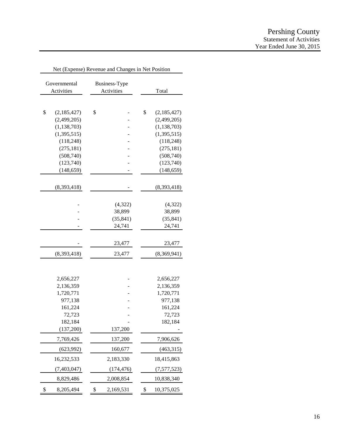| Governmental      | Business-Type   |                   |
|-------------------|-----------------|-------------------|
| Activities        | Activities      | Total             |
|                   |                 |                   |
|                   |                 |                   |
| \$<br>(2,185,427) | \$              | \$<br>(2,185,427) |
| (2,499,205)       |                 | (2,499,205)       |
| (1, 138, 703)     |                 | (1, 138, 703)     |
| (1, 395, 515)     |                 | (1,395,515)       |
| (118, 248)        |                 | (118, 248)        |
| (275, 181)        |                 | (275, 181)        |
| (508, 740)        |                 | (508,740)         |
| (123,740)         |                 | (123,740)         |
| (148, 659)        |                 | (148, 659)        |
|                   |                 |                   |
| (8,393,418)       |                 | (8,393,418)       |
|                   |                 |                   |
|                   | (4,322)         | (4,322)           |
|                   | 38,899          | 38,899            |
|                   | (35, 841)       | (35, 841)         |
|                   | 24,741          | 24,741            |
|                   | 23,477          | 23,477            |
|                   |                 |                   |
| (8,393,418)       | 23,477          | (8,369,941)       |
|                   |                 |                   |
| 2,656,227         |                 | 2,656,227         |
| 2,136,359         |                 | 2,136,359         |
| 1,720,771         |                 | 1,720,771         |
| 977,138           |                 | 977,138           |
| 161,224           |                 | 161,224           |
| 72,723            |                 | 72,723            |
| 182,184           |                 | 182,184           |
| (137,200)         | 137,200         |                   |
| 7,769,426         | 137,200         | 7,906,626         |
| (623,992)         | 160,677         | (463, 315)        |
| 16,232,533        | 2,183,330       | 18,415,863        |
| (7,403,047)       | (174, 476)      | (7,577,523)       |
| 8,829,486         | 2,008,854       | 10,838,340        |
| \$<br>8,205,494   | \$<br>2,169,531 | \$<br>10,375,025  |

Net (Expense) Revenue and Changes in Net Position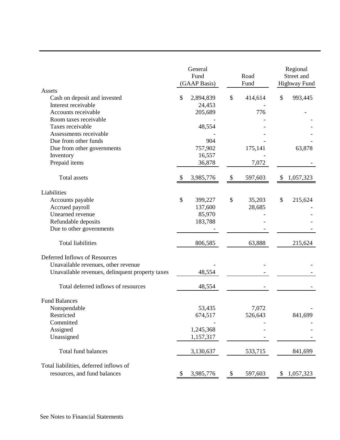|                                                 |    | General<br>Fund<br>(GAAP Basis) |                           | Road<br>Fund |               | Regional<br>Street and<br><b>Highway Fund</b> |  |
|-------------------------------------------------|----|---------------------------------|---------------------------|--------------|---------------|-----------------------------------------------|--|
| Assets                                          |    |                                 |                           |              |               |                                               |  |
| Cash on deposit and invested                    | \$ | 2,894,839                       | \$                        | 414,614      | \$            | 993,445                                       |  |
| Interest receivable                             |    | 24,453                          |                           |              |               |                                               |  |
| Accounts receivable                             |    | 205,689                         |                           | 776          |               |                                               |  |
| Room taxes receivable                           |    |                                 |                           |              |               |                                               |  |
| Taxes receivable                                |    | 48,554                          |                           |              |               |                                               |  |
| Assessments receivable                          |    |                                 |                           |              |               |                                               |  |
| Due from other funds                            |    | 904                             |                           |              |               |                                               |  |
| Due from other governments                      |    | 757,902                         |                           | 175,141      |               | 63,878                                        |  |
| Inventory                                       |    | 16,557                          |                           |              |               |                                               |  |
| Prepaid items                                   |    | 36,878                          |                           | 7,072        |               |                                               |  |
| <b>Total</b> assets                             |    | 3,985,776                       | $\boldsymbol{\mathsf{S}}$ | 597,603      | \$            | 1,057,323                                     |  |
| Liabilities                                     |    |                                 |                           |              |               |                                               |  |
| Accounts payable                                | \$ | 399,227                         | \$                        | 35,203       | \$            | 215,624                                       |  |
| Accrued payroll                                 |    | 137,600                         |                           | 28,685       |               |                                               |  |
| Unearned revenue                                |    | 85,970                          |                           |              |               |                                               |  |
| Refundable deposits                             |    | 183,788                         |                           |              |               |                                               |  |
| Due to other governments                        |    |                                 |                           |              |               |                                               |  |
| <b>Total liabilities</b>                        |    | 806,585                         |                           | 63,888       |               | 215,624                                       |  |
| Deferred Inflows of Resources                   |    |                                 |                           |              |               |                                               |  |
| Unavailable revenues, other revenue             |    |                                 |                           |              |               |                                               |  |
| Unavailable revenues, delinquent property taxes |    | 48,554                          |                           |              |               |                                               |  |
| Total deferred inflows of resources             |    | 48,554                          |                           |              |               |                                               |  |
| <b>Fund Balances</b>                            |    |                                 |                           |              |               |                                               |  |
| Nonspendable                                    |    | 53,435                          |                           | 7,072        |               |                                               |  |
| Restricted                                      |    | 674,517                         |                           | 526,643      |               | 841,699                                       |  |
| Committed                                       |    |                                 |                           |              |               |                                               |  |
| Assigned                                        |    | 1,245,368                       |                           |              |               |                                               |  |
| Unassigned                                      |    | 1,157,317                       |                           |              |               |                                               |  |
| <b>Total fund balances</b>                      |    | 3,130,637                       |                           | 533,715      |               | 841,699                                       |  |
| Total liabilities, deferred inflows of          |    |                                 |                           |              |               |                                               |  |
| resources, and fund balances                    | \$ | 3,985,776                       | \$                        | 597,603      | <sup>\$</sup> | 1,057,323                                     |  |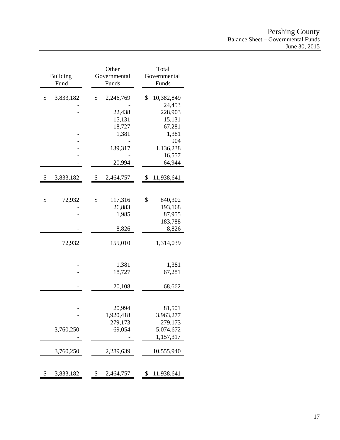| <b>Building</b><br>Fund | Other<br>Total<br>Governmental<br>Governmental<br>Funds<br>Funds |                  |
|-------------------------|------------------------------------------------------------------|------------------|
| \$<br>3,833,182         | \$<br>2,246,769                                                  | \$<br>10,382,849 |
|                         |                                                                  | 24,453           |
|                         | 22,438                                                           | 228,903          |
|                         | 15,131                                                           | 15,131           |
|                         | 18,727                                                           | 67,281           |
|                         | 1,381                                                            | 1,381            |
|                         |                                                                  | 904              |
|                         | 139,317                                                          | 1,136,238        |
|                         |                                                                  | 16,557           |
|                         | 20,994                                                           | 64,944           |
| \$<br>3,833,182         | \$<br>2,464,757                                                  | \$<br>11,938,641 |
|                         |                                                                  |                  |
| \$<br>72,932            | \$<br>117,316                                                    | \$<br>840,302    |
|                         | 26,883                                                           | 193,168          |
|                         | 1,985                                                            | 87,955           |
|                         |                                                                  | 183,788          |
|                         | 8,826                                                            | 8,826            |
|                         |                                                                  |                  |
| 72,932                  | 155,010                                                          | 1,314,039        |
|                         |                                                                  |                  |
|                         | 1,381                                                            | 1,381            |
|                         | 18,727                                                           | 67,281           |
|                         |                                                                  |                  |
|                         | 20,108                                                           | 68,662           |
|                         |                                                                  |                  |
|                         | 20,994                                                           | 81,501           |
|                         | 1,920,418                                                        | 3,963,277        |
|                         | 279,173                                                          | 279,173          |
| 3,760,250               | 69,054                                                           | 5,074,672        |
|                         |                                                                  | 1,157,317        |
| 3,760,250               | 2,289,639                                                        | 10,555,940       |
|                         |                                                                  |                  |
| \$<br>3,833,182         | 2,464,757<br>\$                                                  | 11,938,641<br>\$ |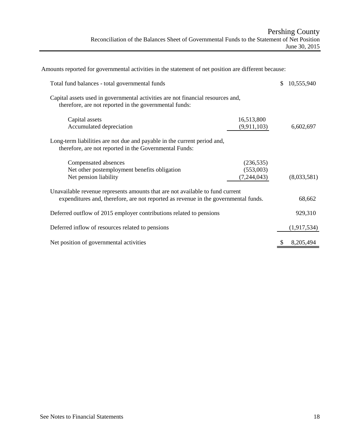| Amounts reported for governmental activities in the statement of net position are unferent occause.                                                                  |                                        |     |             |
|----------------------------------------------------------------------------------------------------------------------------------------------------------------------|----------------------------------------|-----|-------------|
| Total fund balances - total governmental funds                                                                                                                       |                                        | \$. | 10,555,940  |
| Capital assets used in governmental activities are not financial resources and,<br>therefore, are not reported in the governmental funds:                            |                                        |     |             |
| Capital assets<br>Accumulated depreciation                                                                                                                           | 16,513,800<br>(9,911,103)              |     | 6,602,697   |
| Long-term liabilities are not due and payable in the current period and,<br>therefore, are not reported in the Governmental Funds:                                   |                                        |     |             |
| Compensated absences<br>Net other postemployment benefits obligation<br>Net pension liability                                                                        | (236, 535)<br>(553,003)<br>(7,244,043) |     | (8,033,581) |
| Unavailable revenue represents amounts that are not available to fund current<br>expenditures and, therefore, are not reported as revenue in the governmental funds. |                                        |     | 68,662      |
| Deferred outflow of 2015 employer contributions related to pensions                                                                                                  |                                        |     | 929,310     |
| Deferred inflow of resources related to pensions                                                                                                                     |                                        |     | (1,917,534) |
| Net position of governmental activities                                                                                                                              |                                        | \$  | 8,205,494   |

Amounts reported for governmental activities in the statement of net position are different because: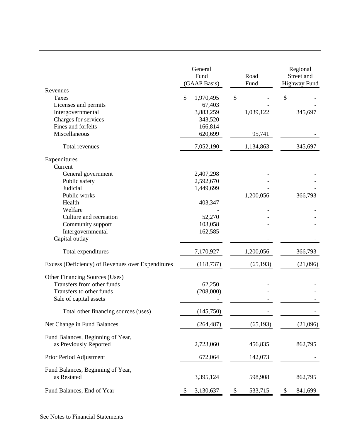|                                                   | General<br>Fund<br>(GAAP Basis) | Road<br>Fund  | Regional<br>Street and<br><b>Highway Fund</b> |
|---------------------------------------------------|---------------------------------|---------------|-----------------------------------------------|
| Revenues                                          |                                 |               |                                               |
| Taxes                                             | \$<br>1,970,495                 | \$            | \$                                            |
| Licenses and permits                              | 67,403                          |               |                                               |
| Intergovernmental                                 | 3,883,259                       | 1,039,122     | 345,697                                       |
| Charges for services                              | 343,520                         |               |                                               |
| Fines and forfeits                                | 166,814                         |               |                                               |
| Miscellaneous                                     | 620,699                         | 95,741        |                                               |
| Total revenues                                    | 7,052,190                       | 1,134,863     | 345,697                                       |
| Expenditures                                      |                                 |               |                                               |
| Current                                           |                                 |               |                                               |
| General government                                | 2,407,298                       |               |                                               |
| Public safety                                     | 2,592,670                       |               |                                               |
| Judicial                                          | 1,449,699                       |               |                                               |
| Public works                                      |                                 | 1,200,056     | 366,793                                       |
| Health                                            | 403,347                         |               |                                               |
| Welfare                                           |                                 |               |                                               |
| Culture and recreation                            | 52,270                          |               |                                               |
| Community support                                 | 103,058                         |               |                                               |
| Intergovernmental                                 | 162,585                         |               |                                               |
| Capital outlay                                    |                                 |               |                                               |
| Total expenditures                                | 7,170,927                       | 1,200,056     | 366,793                                       |
| Excess (Deficiency) of Revenues over Expenditures | (118, 737)                      | (65, 193)     | (21,096)                                      |
| Other Financing Sources (Uses)                    |                                 |               |                                               |
| Transfers from other funds                        | 62,250                          |               |                                               |
| Transfers to other funds                          | (208,000)                       |               |                                               |
| Sale of capital assets                            |                                 |               |                                               |
| Total other financing sources (uses)              | (145,750)                       |               |                                               |
| Net Change in Fund Balances                       | (264, 487)                      | (65, 193)     | (21,096)                                      |
| Fund Balances, Beginning of Year,                 |                                 |               |                                               |
| as Previously Reported                            | 2,723,060                       | 456,835       | 862,795                                       |
| Prior Period Adjustment                           | 672,064                         | 142,073       |                                               |
| Fund Balances, Beginning of Year,                 |                                 |               |                                               |
| as Restated                                       | 3,395,124                       | 598,908       | 862,795                                       |
| Fund Balances, End of Year                        | 3,130,637                       | 533,715<br>\$ | 841,699                                       |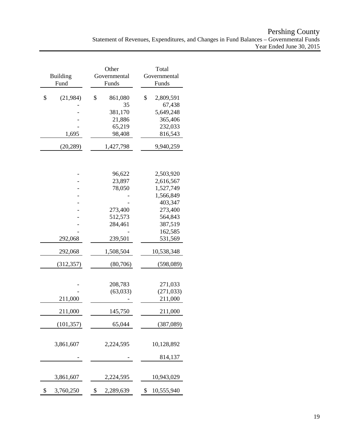| <b>Building</b><br>Fund | Other<br>Governmental<br>Funds | Total<br>Governmental<br>Funds |
|-------------------------|--------------------------------|--------------------------------|
| \$<br>(21,984)          | \$<br>861,080                  | \$<br>2,809,591                |
|                         | 35                             | 67,438                         |
|                         | 381,170                        | 5,649,248                      |
|                         | 21,886                         | 365,406                        |
|                         | 65,219                         | 232,033                        |
| 1,695                   | 98,408                         | 816,543                        |
| (20, 289)               | 1,427,798                      | 9,940,259                      |
|                         |                                |                                |
|                         | 96,622                         | 2,503,920                      |
|                         | 23,897                         | 2,616,567                      |
|                         | 78,050                         | 1,527,749                      |
|                         |                                | 1,566,849                      |
|                         |                                | 403,347                        |
|                         | 273,400                        | 273,400                        |
|                         | 512,573                        | 564,843                        |
|                         | 284,461                        | 387,519                        |
|                         |                                | 162,585                        |
| 292,068                 | 239,501                        | 531,569                        |
| 292,068                 | 1,508,504                      | 10,538,348                     |
| (312, 357)              | (80,706)                       | (598,089)                      |
|                         |                                |                                |
|                         | 208,783                        | 271,033                        |
|                         | (63,033)                       | (271, 033)                     |
| 211,000                 |                                | 211,000                        |
| 211,000                 | 145,750                        | 211,000                        |
| (101, 357)              | 65,044                         | (387,089)                      |
| 3,861,607               | 2,224,595                      | 10,128,892                     |
|                         |                                | 814,137                        |
|                         |                                |                                |
| 3,861,607               | 2,224,595                      | 10,943,029                     |
| \$<br>3,760,250         | 2,289,639<br>\$                | 10,555,940<br>\$               |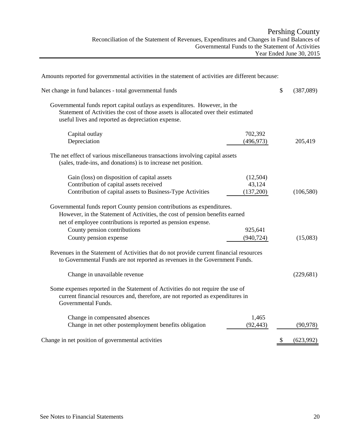| Amounts reported for governmental activities in the statement of activities are different because:                                                                                                                                                                                 |                       |                 |
|------------------------------------------------------------------------------------------------------------------------------------------------------------------------------------------------------------------------------------------------------------------------------------|-----------------------|-----------------|
| Net change in fund balances - total governmental funds                                                                                                                                                                                                                             |                       | \$<br>(387,089) |
| Governmental funds report capital outlays as expenditures. However, in the<br>Statement of Activities the cost of those assets is allocated over their estimated<br>useful lives and reported as depreciation expense.                                                             |                       |                 |
| Capital outlay                                                                                                                                                                                                                                                                     | 702,392               |                 |
| Depreciation                                                                                                                                                                                                                                                                       | (496, 973)            | 205,419         |
| The net effect of various miscellaneous transactions involving capital assets<br>(sales, trade-ins, and donations) is to increase net position.                                                                                                                                    |                       |                 |
| Gain (loss) on disposition of capital assets                                                                                                                                                                                                                                       | (12,504)              |                 |
| Contribution of capital assets received                                                                                                                                                                                                                                            | 43,124                |                 |
| Contribution of capital assets to Business-Type Activities                                                                                                                                                                                                                         | (137,200)             | (106, 580)      |
| Governmental funds report County pension contributions as expenditures.<br>However, in the Statement of Activities, the cost of pension benefits earned<br>net of employee contributions is reported as pension expense.<br>County pension contributions<br>County pension expense | 925,641<br>(940, 724) | (15,083)        |
| Revenues in the Statement of Activities that do not provide current financial resources<br>to Governmental Funds are not reported as revenues in the Government Funds.                                                                                                             |                       |                 |
| Change in unavailable revenue                                                                                                                                                                                                                                                      |                       | (229, 681)      |
| Some expenses reported in the Statement of Activities do not require the use of<br>current financial resources and, therefore, are not reported as expenditures in<br>Governmental Funds.                                                                                          |                       |                 |
| Change in compensated absences                                                                                                                                                                                                                                                     | 1,465                 |                 |
| Change in net other postemployment benefits obligation                                                                                                                                                                                                                             | (92, 443)             | (90, 978)       |
| Change in net position of governmental activities                                                                                                                                                                                                                                  |                       | \$<br>(623,992) |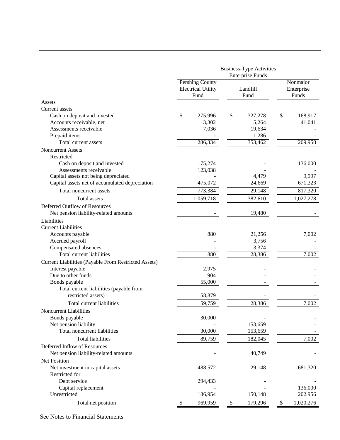|                                                      | <b>Business-Type Activities</b><br><b>Enterprise Funds</b> |                  |                                 |  |
|------------------------------------------------------|------------------------------------------------------------|------------------|---------------------------------|--|
|                                                      | Pershing County<br><b>Electrical Utility</b><br>Fund       | Landfill<br>Fund | Nonmajor<br>Enterprise<br>Funds |  |
| Assets                                               |                                                            |                  |                                 |  |
| Current assets                                       |                                                            |                  |                                 |  |
| Cash on deposit and invested                         | \$<br>275,996                                              | \$<br>327,278    | 168,917<br>\$                   |  |
| Accounts receivable, net                             | 3,302                                                      | 5,264            | 41,041                          |  |
| Assessments receivable                               | 7,036                                                      | 19,634           |                                 |  |
| Prepaid items                                        |                                                            | 1,286            |                                 |  |
| Total current assets                                 | 286,334                                                    | 353,462          | 209,958                         |  |
| <b>Noncurrent Assets</b><br>Restricted               |                                                            |                  |                                 |  |
| Cash on deposit and invested                         | 175,274                                                    |                  | 136,000                         |  |
| Assessments receivable                               | 123,038                                                    |                  |                                 |  |
| Capital assets not being depreciated                 |                                                            | 4,479            | 9,997                           |  |
| Capital assets net of accumulated depreciation       | 475,072                                                    | 24,669           | 671,323                         |  |
| Total noncurrent assets                              | 773,384                                                    | 29,148           | 817,320                         |  |
| Total assets                                         | 1,059,718                                                  | 382,610          | 1,027,278                       |  |
| Deferred Outflow of Resources                        |                                                            |                  |                                 |  |
| Net pension liability-related amounts                |                                                            | 19,480           |                                 |  |
| Liabilities                                          |                                                            |                  |                                 |  |
| <b>Current Liabilities</b>                           |                                                            |                  |                                 |  |
| Accounts payable                                     | 880                                                        | 21,256           | 7,002                           |  |
| Accrued payroll                                      |                                                            | 3,756            |                                 |  |
| Compensated absences                                 |                                                            | 3,374            |                                 |  |
| Total current liabilities                            | 880                                                        | 28,386           | 7,002                           |  |
| Current Liabilities (Payable From Restricted Assets) |                                                            |                  |                                 |  |
| Interest payable                                     | 2,975                                                      |                  |                                 |  |
| Due to other funds                                   | 904                                                        |                  |                                 |  |
| Bonds payable                                        | 55,000                                                     |                  |                                 |  |
| Total current liabilities (payable from              |                                                            |                  |                                 |  |
| restricted assets)                                   | 58,879                                                     |                  |                                 |  |
| Total current liabilities                            | 59,759                                                     | 28,386           | 7,002                           |  |
| Noncurrent Liabilities                               |                                                            |                  |                                 |  |
| Bonds payable                                        | 30,000                                                     |                  |                                 |  |
| Net pension liability                                |                                                            | 153,659          |                                 |  |
| Total noncurrent liabilities                         | 30,000                                                     | 153,659          |                                 |  |
| <b>Total liabilities</b>                             | 89,759                                                     | 182,045          | 7,002                           |  |
| Deferred Inflow of Resources                         |                                                            |                  |                                 |  |
| Net pension liability-related amounts                |                                                            | 40,749           |                                 |  |
| <b>Net Position</b>                                  |                                                            |                  |                                 |  |
| Net investment in capital assets                     | 488,572                                                    | 29,148           | 681,320                         |  |
| Restricted for                                       |                                                            |                  |                                 |  |
| Debt service                                         | 294,433                                                    |                  |                                 |  |
| Capital replacement                                  |                                                            |                  | 136,000                         |  |
| Unrestricted                                         | 186,954                                                    | 150,148          | 202,956                         |  |
| Total net position                                   | 969,959<br>\$                                              | \$<br>179,296    | 1,020,276<br>\$                 |  |
|                                                      |                                                            |                  |                                 |  |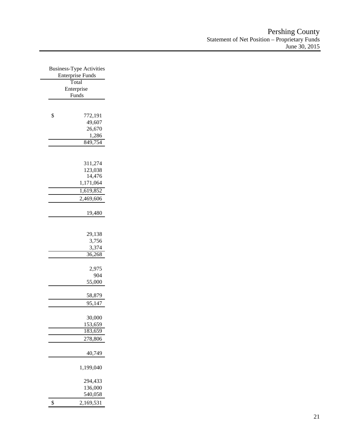| <b>Business-Type Activities</b><br><b>Enterprise Funds</b> |  |  |  |  |
|------------------------------------------------------------|--|--|--|--|
| Total                                                      |  |  |  |  |
| Enterprise                                                 |  |  |  |  |
| Funds                                                      |  |  |  |  |
|                                                            |  |  |  |  |
| \$<br>772,191                                              |  |  |  |  |
| 49,607                                                     |  |  |  |  |
| 26,670                                                     |  |  |  |  |
| 1,286                                                      |  |  |  |  |
| 849,754                                                    |  |  |  |  |
|                                                            |  |  |  |  |
|                                                            |  |  |  |  |
| 311,274                                                    |  |  |  |  |
| 123,038                                                    |  |  |  |  |
| 14,476                                                     |  |  |  |  |
| 1,171,064                                                  |  |  |  |  |
| 1,619,852                                                  |  |  |  |  |
| 2,469,606                                                  |  |  |  |  |
| 19,480                                                     |  |  |  |  |
|                                                            |  |  |  |  |
| 29,138                                                     |  |  |  |  |
| 3,756                                                      |  |  |  |  |
| 3,374                                                      |  |  |  |  |
| 36,268                                                     |  |  |  |  |
| 2,975                                                      |  |  |  |  |
| 904                                                        |  |  |  |  |
| 55,000                                                     |  |  |  |  |
| 58,879                                                     |  |  |  |  |
|                                                            |  |  |  |  |
| 95,147                                                     |  |  |  |  |
| 30,000                                                     |  |  |  |  |
| 153,659                                                    |  |  |  |  |
| 183,659                                                    |  |  |  |  |
| 278,806                                                    |  |  |  |  |
| 40,749                                                     |  |  |  |  |
| 1,199,040                                                  |  |  |  |  |
| 294,433                                                    |  |  |  |  |
| 136,000                                                    |  |  |  |  |
| 540,058                                                    |  |  |  |  |
| \$<br>2,169,531                                            |  |  |  |  |
|                                                            |  |  |  |  |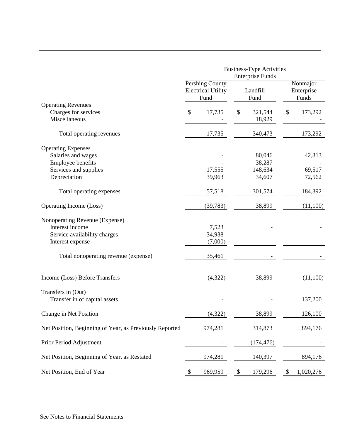|                                                                                                                                               | <b>Business-Type Activities</b><br><b>Enterprise Funds</b> |                                       |                                 |  |
|-----------------------------------------------------------------------------------------------------------------------------------------------|------------------------------------------------------------|---------------------------------------|---------------------------------|--|
|                                                                                                                                               | Pershing County<br><b>Electrical Utility</b><br>Fund       | Landfill<br>Fund                      | Nonmajor<br>Enterprise<br>Funds |  |
| <b>Operating Revenues</b><br>Charges for services<br>Miscellaneous                                                                            | \$<br>17,735                                               | \$<br>321,544<br>18,929               | \$<br>173,292                   |  |
| Total operating revenues                                                                                                                      | 17,735                                                     | 340,473                               | 173,292                         |  |
| <b>Operating Expenses</b><br>Salaries and wages<br><b>Employee benefits</b><br>Services and supplies<br>Depreciation                          | 17,555<br>39,963                                           | 80,046<br>38,287<br>148,634<br>34,607 | 42,313<br>69,517<br>72,562      |  |
| Total operating expenses                                                                                                                      | 57,518                                                     | 301,574                               | 184,392                         |  |
| Operating Income (Loss)                                                                                                                       | (39, 783)                                                  | 38,899                                | (11,100)                        |  |
| Nonoperating Revenue (Expense)<br>Interest income<br>Service availability charges<br>Interest expense<br>Total nonoperating revenue (expense) | 7,523<br>34,938<br>(7,000)<br>35,461                       |                                       |                                 |  |
| Income (Loss) Before Transfers                                                                                                                | (4,322)                                                    | 38,899                                | (11,100)                        |  |
| Transfers in (Out)<br>Transfer in of capital assets                                                                                           |                                                            |                                       | 137,200                         |  |
| Change in Net Position                                                                                                                        | (4,322)                                                    | 38,899                                | 126,100                         |  |
| Net Position, Beginning of Year, as Previously Reported                                                                                       | 974,281                                                    | 314,873                               | 894,176                         |  |
| Prior Period Adjustment                                                                                                                       |                                                            | (174, 476)                            |                                 |  |
| Net Position, Beginning of Year, as Restated                                                                                                  | 974,281                                                    | 140,397                               | 894,176                         |  |
| Net Position, End of Year                                                                                                                     | 969,959<br>P                                               | 179,296<br>\$                         | 1,020,276<br><sup>2</sup>       |  |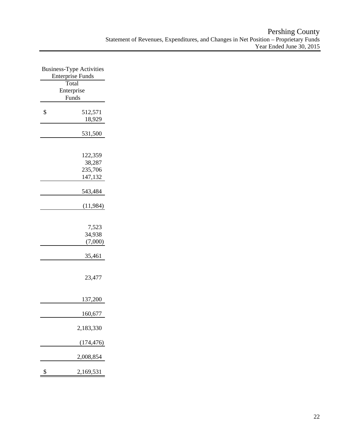| <b>Business-Type Activities</b><br><b>Enterprise Funds</b> |                     |  |  |
|------------------------------------------------------------|---------------------|--|--|
|                                                            | Total               |  |  |
|                                                            | Enterprise<br>Funds |  |  |
| \$                                                         | 512,571             |  |  |
|                                                            | 18,929              |  |  |
|                                                            | 531,500             |  |  |
|                                                            |                     |  |  |
|                                                            | 122,359             |  |  |
|                                                            | 38,287<br>235,706   |  |  |
|                                                            | 147,132             |  |  |
|                                                            | 543,484             |  |  |
|                                                            | (11, 984)           |  |  |
|                                                            |                     |  |  |
|                                                            | 7,523               |  |  |
|                                                            | 34,938<br>(7,000)   |  |  |
|                                                            |                     |  |  |
|                                                            | 35,461              |  |  |
|                                                            | 23,477              |  |  |
|                                                            | 137,200             |  |  |
|                                                            | 160,677             |  |  |
|                                                            | 2,183,330           |  |  |
|                                                            | (174, 476)          |  |  |
|                                                            | 2,008,854           |  |  |
| \$                                                         | 2,169,531           |  |  |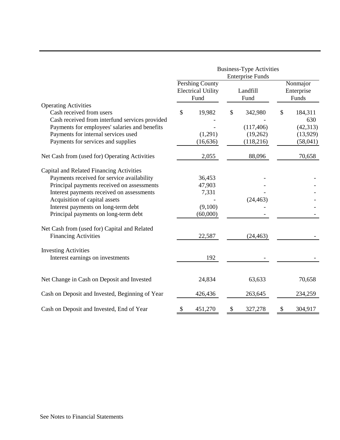|                                                                                                                                                                                                                                                                                                   | <b>Business-Type Activities</b><br><b>Enterprise Funds</b> |                                                             |    |                                                |    |                                                     |
|---------------------------------------------------------------------------------------------------------------------------------------------------------------------------------------------------------------------------------------------------------------------------------------------------|------------------------------------------------------------|-------------------------------------------------------------|----|------------------------------------------------|----|-----------------------------------------------------|
|                                                                                                                                                                                                                                                                                                   |                                                            | <b>Pershing County</b><br><b>Electrical Utility</b><br>Fund |    | Landfill<br>Fund                               |    | Nonmajor<br>Enterprise<br>Funds                     |
| <b>Operating Activities</b><br>Cash received from users<br>Cash received from interfund services provided<br>Payments for employees' salaries and benefits<br>Payments for internal services used<br>Payments for services and supplies                                                           | \$                                                         | 19,982<br>(1,291)<br>(16, 636)                              | \$ | 342,980<br>(117, 406)<br>(19,262)<br>(118,216) | \$ | 184,311<br>630<br>(42, 313)<br>(13,929)<br>(58,041) |
| Net Cash from (used for) Operating Activities                                                                                                                                                                                                                                                     |                                                            | 2,055                                                       |    | 88,096                                         |    | 70,658                                              |
| Capital and Related Financing Activities<br>Payments received for service availability<br>Principal payments received on assessments<br>Interest payments received on assessments<br>Acquisition of capital assets<br>Interest payments on long-term debt<br>Principal payments on long-term debt |                                                            | 36,453<br>47,903<br>7,331<br>(9,100)<br>(60,000)            |    | (24, 463)                                      |    |                                                     |
| Net Cash from (used for) Capital and Related<br><b>Financing Activities</b>                                                                                                                                                                                                                       |                                                            | 22,587                                                      |    | (24, 463)                                      |    |                                                     |
| <b>Investing Activities</b><br>Interest earnings on investments                                                                                                                                                                                                                                   |                                                            | 192                                                         |    |                                                |    |                                                     |
| Net Change in Cash on Deposit and Invested                                                                                                                                                                                                                                                        |                                                            | 24,834                                                      |    | 63,633                                         |    | 70,658                                              |
| Cash on Deposit and Invested, Beginning of Year                                                                                                                                                                                                                                                   |                                                            | 426,436                                                     |    | 263,645                                        |    | 234,259                                             |
| Cash on Deposit and Invested, End of Year                                                                                                                                                                                                                                                         | \$                                                         | 451,270                                                     | \$ | 327,278                                        | \$ | 304,917                                             |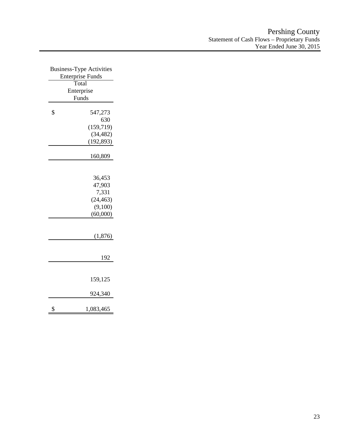| <b>Business-Type Activities</b><br><b>Enterprise Funds</b> |            |  |  |  |  |
|------------------------------------------------------------|------------|--|--|--|--|
|                                                            | Total      |  |  |  |  |
|                                                            | Enterprise |  |  |  |  |
|                                                            | Funds      |  |  |  |  |
|                                                            |            |  |  |  |  |
| \$                                                         | 547,273    |  |  |  |  |
|                                                            | 630        |  |  |  |  |
|                                                            | (159, 719) |  |  |  |  |
|                                                            | (34, 482)  |  |  |  |  |
|                                                            | (192, 893) |  |  |  |  |
|                                                            | 160,809    |  |  |  |  |
|                                                            |            |  |  |  |  |
|                                                            | 36,453     |  |  |  |  |
|                                                            | 47,903     |  |  |  |  |
|                                                            | 7,331      |  |  |  |  |
|                                                            | (24, 463)  |  |  |  |  |
|                                                            | (9,100)    |  |  |  |  |
|                                                            | (60,000)   |  |  |  |  |
|                                                            |            |  |  |  |  |
|                                                            | (1,876)    |  |  |  |  |
|                                                            | 192        |  |  |  |  |
|                                                            |            |  |  |  |  |
|                                                            | 159,125    |  |  |  |  |
|                                                            | 924,340    |  |  |  |  |
|                                                            |            |  |  |  |  |
| \$                                                         | 1,083,465  |  |  |  |  |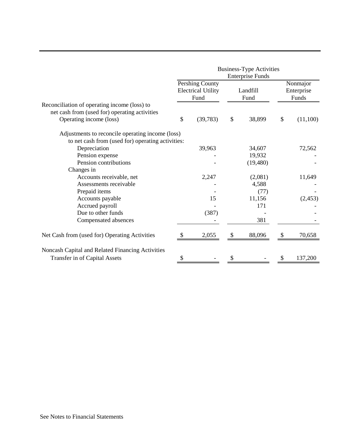|                                                                                                       |    | <b>Business-Type Activities</b><br><b>Enterprise Funds</b> |                  |           |                                 |          |  |
|-------------------------------------------------------------------------------------------------------|----|------------------------------------------------------------|------------------|-----------|---------------------------------|----------|--|
| Pershing County<br><b>Electrical Utility</b><br>Fund                                                  |    |                                                            | Landfill<br>Fund |           | Nonmajor<br>Enterprise<br>Funds |          |  |
| Reconciliation of operating income (loss) to                                                          |    |                                                            |                  |           |                                 |          |  |
| net cash from (used for) operating activities                                                         |    |                                                            |                  |           |                                 |          |  |
| Operating income (loss)                                                                               | \$ | (39, 783)                                                  | \$               | 38,899    | \$                              | (11,100) |  |
| Adjustments to reconcile operating income (loss)<br>to net cash from (used for) operating activities: |    |                                                            |                  |           |                                 |          |  |
| Depreciation                                                                                          |    | 39,963                                                     |                  | 34,607    |                                 | 72,562   |  |
| Pension expense                                                                                       |    |                                                            |                  | 19,932    |                                 |          |  |
| Pension contributions                                                                                 |    |                                                            |                  | (19, 480) |                                 |          |  |
| Changes in                                                                                            |    |                                                            |                  |           |                                 |          |  |
| Accounts receivable, net                                                                              |    | 2,247                                                      |                  | (2,081)   |                                 | 11,649   |  |
| Assessments receivable                                                                                |    |                                                            |                  | 4,588     |                                 |          |  |
| Prepaid items                                                                                         |    |                                                            |                  | (77)      |                                 |          |  |
| Accounts payable                                                                                      |    | 15                                                         |                  | 11,156    |                                 | (2, 453) |  |
| Accrued payroll                                                                                       |    |                                                            |                  | 171       |                                 |          |  |
| Due to other funds                                                                                    |    | (387)                                                      |                  |           |                                 |          |  |
| Compensated absences                                                                                  |    |                                                            |                  | 381       |                                 |          |  |
|                                                                                                       |    |                                                            |                  |           |                                 |          |  |
| Net Cash from (used for) Operating Activities                                                         |    | 2,055                                                      | S                | 88,096    |                                 | 70,658   |  |
| Noncash Capital and Related Financing Activities                                                      |    |                                                            |                  |           |                                 |          |  |
| Transfer in of Capital Assets                                                                         | \$ |                                                            |                  |           |                                 | 137,200  |  |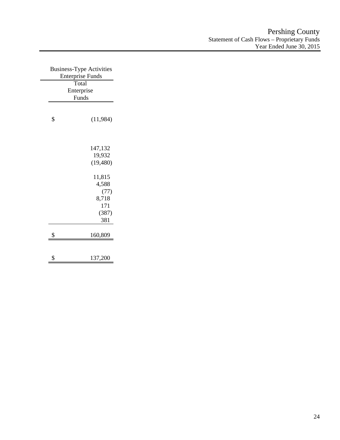| <b>Business-Type Activities</b><br><b>Enterprise Funds</b> |                                                  |  |  |  |  |  |
|------------------------------------------------------------|--------------------------------------------------|--|--|--|--|--|
|                                                            | Total<br>Enterprise<br>Funds                     |  |  |  |  |  |
| \$                                                         | (11, 984)                                        |  |  |  |  |  |
|                                                            | 147,132<br>19,932<br>(19, 480)                   |  |  |  |  |  |
|                                                            | 11,815<br>4,588<br>(77)<br>8,718<br>171<br>(387) |  |  |  |  |  |
| \$                                                         | 381<br>160,809                                   |  |  |  |  |  |
| \$                                                         | 137,200                                          |  |  |  |  |  |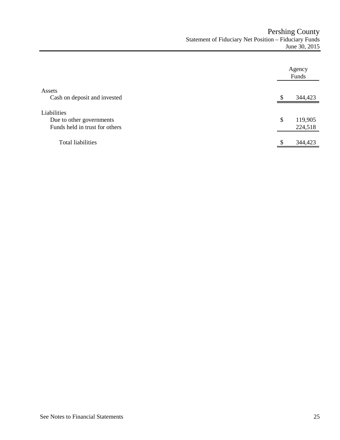|                                                                           |     | Agency<br>Funds    |  |
|---------------------------------------------------------------------------|-----|--------------------|--|
|                                                                           |     |                    |  |
| Assets                                                                    |     |                    |  |
| Cash on deposit and invested                                              | \$. | 344,423            |  |
| Liabilities<br>Due to other governments<br>Funds held in trust for others | \$  | 119,905<br>224,518 |  |
| <b>Total liabilities</b>                                                  | \$  | 344,423            |  |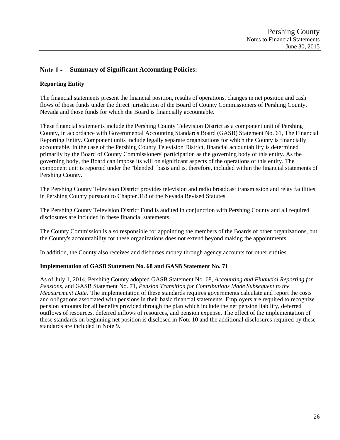# **Summary of Significant Accounting Policies:**

### **Reporting Entity**

The financial statements present the financial position, results of operations, changes in net position and cash flows of those funds under the direct jurisdiction of the Board of County Commissioners of Pershing County, Nevada and those funds for which the Board is financially accountable.

These financial statements include the Pershing County Television District as a component unit of Pershing County, in accordance with Governmental Accounting Standards Board (GASB) Statement No. 61, The Financial Reporting Entity. Component units include legally separate organizations for which the County is financially accountable. In the case of the Pershing County Television District, financial accountability is determined primarily by the Board of County Commissioners' participation as the governing body of this entity. As the governing body, the Board can impose its will on significant aspects of the operations of this entity. The component unit is reported under the "blended" basis and is, therefore, included within the financial statements of Pershing County.

The Pershing County Television District provides television and radio broadcast transmission and relay facilities in Pershing County pursuant to Chapter 318 of the Nevada Revised Statutes.

The Pershing County Television District Fund is audited in conjunction with Pershing County and all required disclosures are included in these financial statements.

The County Commission is also responsible for appointing the members of the Boards of other organizations, but the County's accountability for these organizations does not extend beyond making the appointments.

In addition, the County also receives and disburses money through agency accounts for other entities.

### **Implementation of GASB Statement No. 68 and GASB Statement No. 71**

As of July 1, 2014, Pershing County adopted GASB Statement No. 68, *Accounting and Financial Reporting for Pensions,* and GASB Statement No. 71, *Pension Transition for Contributions Made Subsequent to the Measurement Date*. The implementation of these standards requires governments calculate and report the costs and obligations associated with pensions in their basic financial statements. Employers are required to recognize pension amounts for all benefits provided through the plan which include the net pension liability, deferred outflows of resources, deferred inflows of resources, and pension expense. The effect of the implementation of these standards on beginning net position is disclosed in Note 10 and the additional disclosures required by these standards are included in Note 9.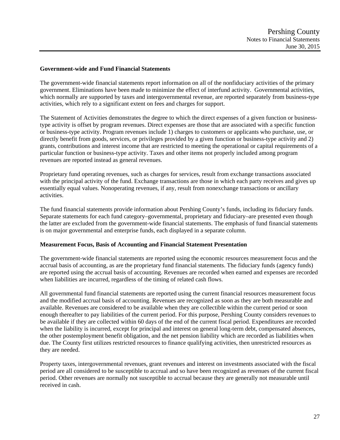### **Government-wide and Fund Financial Statements**

The government-wide financial statements report information on all of the nonfiduciary activities of the primary government. Eliminations have been made to minimize the effect of interfund activity. Governmental activities, which normally are supported by taxes and intergovernmental revenue, are reported separately from business-type activities, which rely to a significant extent on fees and charges for support.

The Statement of Activities demonstrates the degree to which the direct expenses of a given function or businesstype activity is offset by program revenues. Direct expenses are those that are associated with a specific function or business-type activity. Program revenues include 1) charges to customers or applicants who purchase, use, or directly benefit from goods, services, or privileges provided by a given function or business-type activity and 2) grants, contributions and interest income that are restricted to meeting the operational or capital requirements of a particular function or business-type activity. Taxes and other items not properly included among program revenues are reported instead as general revenues.

Proprietary fund operating revenues, such as charges for services, result from exchange transactions associated with the principal activity of the fund. Exchange transactions are those in which each party receives and gives up essentially equal values. Nonoperating revenues, if any, result from nonexchange transactions or ancillary activities.

The fund financial statements provide information about Pershing County's funds, including its fiduciary funds. Separate statements for each fund category–governmental, proprietary and fiduciary–are presented even though the latter are excluded from the government-wide financial statements. The emphasis of fund financial statements is on major governmental and enterprise funds, each displayed in a separate column.

#### **Measurement Focus, Basis of Accounting and Financial Statement Presentation**

The government-wide financial statements are reported using the economic resources measurement focus and the accrual basis of accounting, as are the proprietary fund financial statements. The fiduciary funds (agency funds) are reported using the accrual basis of accounting. Revenues are recorded when earned and expenses are recorded when liabilities are incurred, regardless of the timing of related cash flows.

All governmental fund financial statements are reported using the current financial resources measurement focus and the modified accrual basis of accounting. Revenues are recognized as soon as they are both measurable and available. Revenues are considered to be available when they are collectible within the current period or soon enough thereafter to pay liabilities of the current period. For this purpose, Pershing County considers revenues to be available if they are collected within 60 days of the end of the current fiscal period. Expenditures are recorded when the liability is incurred, except for principal and interest on general long-term debt, compensated absences, the other postemployment benefit obligation, and the net pension liability which are recorded as liabilities when due. The County first utilizes restricted resources to finance qualifying activities, then unrestricted resources as they are needed.

Property taxes, intergovernmental revenues, grant revenues and interest on investments associated with the fiscal period are all considered to be susceptible to accrual and so have been recognized as revenues of the current fiscal period. Other revenues are normally not susceptible to accrual because they are generally not measurable until received in cash.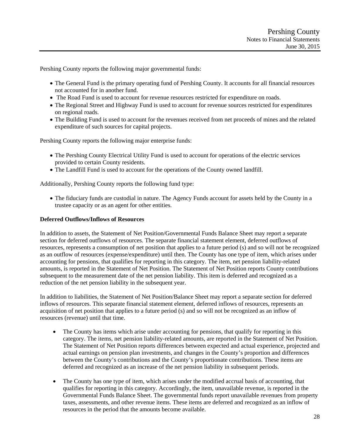Pershing County reports the following major governmental funds:

- The General Fund is the primary operating fund of Pershing County. It accounts for all financial resources not accounted for in another fund.
- The Road Fund is used to account for revenue resources restricted for expenditure on roads.
- The Regional Street and Highway Fund is used to account for revenue sources restricted for expenditures on regional roads.
- The Building Fund is used to account for the revenues received from net proceeds of mines and the related expenditure of such sources for capital projects.

Pershing County reports the following major enterprise funds:

- The Pershing County Electrical Utility Fund is used to account for operations of the electric services provided to certain County residents.
- The Landfill Fund is used to account for the operations of the County owned landfill.

Additionally, Pershing County reports the following fund type:

 The fiduciary funds are custodial in nature. The Agency Funds account for assets held by the County in a trustee capacity or as an agent for other entities.

### **Deferred Outflows/Inflows of Resources**

In addition to assets, the Statement of Net Position/Governmental Funds Balance Sheet may report a separate section for deferred outflows of resources. The separate financial statement element, deferred outflows of resources, represents a consumption of net position that applies to a future period (s) and so will not be recognized as an outflow of resources (expense/expenditure) until then. The County has one type of item, which arises under accounting for pensions, that qualifies for reporting in this category. The item, net pension liability-related amounts, is reported in the Statement of Net Position. The Statement of Net Position reports County contributions subsequent to the measurement date of the net pension liability. This item is deferred and recognized as a reduction of the net pension liability in the subsequent year.

In addition to liabilities, the Statement of Net Position/Balance Sheet may report a separate section for deferred inflows of resources. This separate financial statement element, deferred inflows of resources, represents an acquisition of net position that applies to a future period (s) and so will not be recognized as an inflow of resources (revenue) until that time.

- The County has items which arise under accounting for pensions, that qualify for reporting in this category. The items, net pension liability-related amounts, are reported in the Statement of Net Position. The Statement of Net Position reports differences between expected and actual experience, projected and actual earnings on pension plan investments, and changes in the County's proportion and differences between the County's contributions and the County's proportionate contributions. These items are deferred and recognized as an increase of the net pension liability in subsequent periods.
- The County has one type of item, which arises under the modified accrual basis of accounting, that qualifies for reporting in this category. Accordingly, the item, unavailable revenue, is reported in the Governmental Funds Balance Sheet. The governmental funds report unavailable revenues from property taxes, assessments, and other revenue items. These items are deferred and recognized as an inflow of resources in the period that the amounts become available.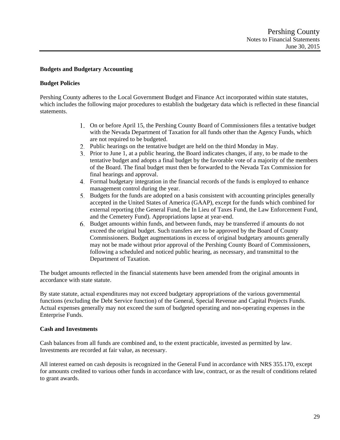#### **Budgets and Budgetary Accounting**

#### **Budget Policies**

Pershing County adheres to the Local Government Budget and Finance Act incorporated within state statutes, which includes the following major procedures to establish the budgetary data which is reflected in these financial statements.

- On or before April 15, the Pershing County Board of Commissioners files a tentative budget with the Nevada Department of Taxation for all funds other than the Agency Funds, which are not required to be budgeted.
- 2. Public hearings on the tentative budget are held on the third Monday in May.
- Prior to June 1, at a public hearing, the Board indicates changes, if any, to be made to the tentative budget and adopts a final budget by the favorable vote of a majority of the members of the Board. The final budget must then be forwarded to the Nevada Tax Commission for final hearings and approval.
- Formal budgetary integration in the financial records of the funds is employed to enhance management control during the year.
- 5. Budgets for the funds are adopted on a basis consistent with accounting principles generally accepted in the United States of America (GAAP), except for the funds which combined for external reporting (the General Fund, the In Lieu of Taxes Fund, the Law Enforcement Fund, and the Cemetery Fund). Appropriations lapse at year-end.
- Budget amounts within funds, and between funds, may be transferred if amounts do not exceed the original budget. Such transfers are to be approved by the Board of County Commissioners. Budget augmentations in excess of original budgetary amounts generally may not be made without prior approval of the Pershing County Board of Commissioners, following a scheduled and noticed public hearing, as necessary, and transmittal to the Department of Taxation.

The budget amounts reflected in the financial statements have been amended from the original amounts in accordance with state statute.

By state statute, actual expenditures may not exceed budgetary appropriations of the various governmental functions (excluding the Debt Service function) of the General, Special Revenue and Capital Projects Funds. Actual expenses generally may not exceed the sum of budgeted operating and non-operating expenses in the Enterprise Funds.

#### **Cash and Investments**

Cash balances from all funds are combined and, to the extent practicable, invested as permitted by law. Investments are recorded at fair value, as necessary.

All interest earned on cash deposits is recognized in the General Fund in accordance with NRS 355.170, except for amounts credited to various other funds in accordance with law, contract, or as the result of conditions related to grant awards.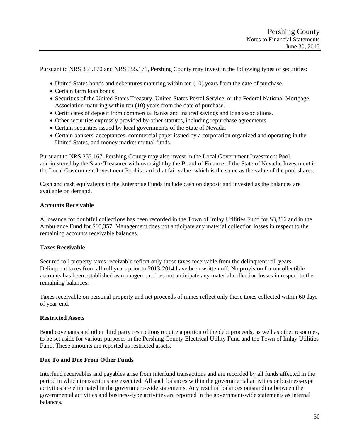Pursuant to NRS 355.170 and NRS 355.171, Pershing County may invest in the following types of securities:

- United States bonds and debentures maturing within ten (10) years from the date of purchase.
- Certain farm loan bonds.
- Securities of the United States Treasury, United States Postal Service, or the Federal National Mortgage Association maturing within ten (10) years from the date of purchase.
- Certificates of deposit from commercial banks and insured savings and loan associations.
- Other securities expressly provided by other statutes, including repurchase agreements.
- Certain securities issued by local governments of the State of Nevada.
- Certain bankers' acceptances, commercial paper issued by a corporation organized and operating in the United States, and money market mutual funds.

Pursuant to NRS 355.167, Pershing County may also invest in the Local Government Investment Pool administered by the State Treasurer with oversight by the Board of Finance of the State of Nevada. Investment in the Local Government Investment Pool is carried at fair value, which is the same as the value of the pool shares.

Cash and cash equivalents in the Enterprise Funds include cash on deposit and invested as the balances are available on demand.

### **Accounts Receivable**

Allowance for doubtful collections has been recorded in the Town of Imlay Utilities Fund for \$3,216 and in the Ambulance Fund for \$60,357. Management does not anticipate any material collection losses in respect to the remaining accounts receivable balances.

### **Taxes Receivable**

Secured roll property taxes receivable reflect only those taxes receivable from the delinquent roll years. Delinquent taxes from all roll years prior to 2013-2014 have been written off. No provision for uncollectible accounts has been established as management does not anticipate any material collection losses in respect to the remaining balances.

Taxes receivable on personal property and net proceeds of mines reflect only those taxes collected within 60 days of year-end.

### **Restricted Assets**

Bond covenants and other third party restrictions require a portion of the debt proceeds, as well as other resources, to be set aside for various purposes in the Pershing County Electrical Utility Fund and the Town of Imlay Utilities Fund. These amounts are reported as restricted assets.

### **Due To and Due From Other Funds**

Interfund receivables and payables arise from interfund transactions and are recorded by all funds affected in the period in which transactions are executed. All such balances within the governmental activities or business-type activities are eliminated in the government-wide statements. Any residual balances outstanding between the governmental activities and business-type activities are reported in the government-wide statements as internal balances.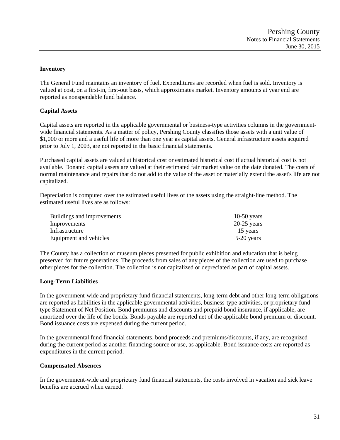### **Inventory**

The General Fund maintains an inventory of fuel. Expenditures are recorded when fuel is sold. Inventory is valued at cost, on a first-in, first-out basis, which approximates market. Inventory amounts at year end are reported as nonspendable fund balance.

### **Capital Assets**

Capital assets are reported in the applicable governmental or business-type activities columns in the governmentwide financial statements. As a matter of policy, Pershing County classifies those assets with a unit value of \$1,000 or more and a useful life of more than one year as capital assets. General infrastructure assets acquired prior to July 1, 2003, are not reported in the basic financial statements.

Purchased capital assets are valued at historical cost or estimated historical cost if actual historical cost is not available. Donated capital assets are valued at their estimated fair market value on the date donated. The costs of normal maintenance and repairs that do not add to the value of the asset or materially extend the asset's life are not capitalized.

Depreciation is computed over the estimated useful lives of the assets using the straight-line method. The estimated useful lives are as follows:

| Buildings and improvements | 10-50 years   |
|----------------------------|---------------|
| Improvements               | $20-25$ years |
| Infrastructure             | 15 years      |
| Equipment and vehicles     | $5-20$ years  |

The County has a collection of museum pieces presented for public exhibition and education that is being preserved for future generations. The proceeds from sales of any pieces of the collection are used to purchase other pieces for the collection. The collection is not capitalized or depreciated as part of capital assets.

### **Long-Term Liabilities**

In the government-wide and proprietary fund financial statements, long-term debt and other long-term obligations are reported as liabilities in the applicable governmental activities, business-type activities, or proprietary fund type Statement of Net Position. Bond premiums and discounts and prepaid bond insurance, if applicable, are amortized over the life of the bonds. Bonds payable are reported net of the applicable bond premium or discount. Bond issuance costs are expensed during the current period.

In the governmental fund financial statements, bond proceeds and premiums/discounts, if any, are recognized during the current period as another financing source or use, as applicable. Bond issuance costs are reported as expenditures in the current period.

### **Compensated Absences**

In the government-wide and proprietary fund financial statements, the costs involved in vacation and sick leave benefits are accrued when earned.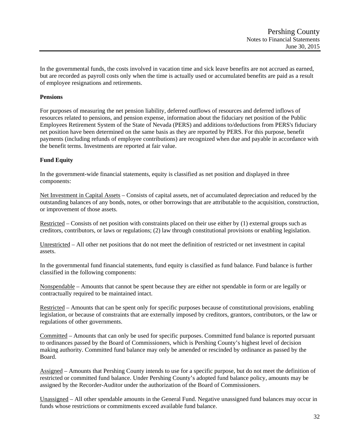In the governmental funds, the costs involved in vacation time and sick leave benefits are not accrued as earned, but are recorded as payroll costs only when the time is actually used or accumulated benefits are paid as a result of employee resignations and retirements.

### **Pensions**

For purposes of measuring the net pension liability, deferred outflows of resources and deferred inflows of resources related to pensions, and pension expense, information about the fiduciary net position of the Public Employees Retirement System of the State of Nevada (PERS) and additions to/deductions from PERS's fiduciary net position have been determined on the same basis as they are reported by PERS. For this purpose, benefit payments (including refunds of employee contributions) are recognized when due and payable in accordance with the benefit terms. Investments are reported at fair value.

## **Fund Equity**

In the government-wide financial statements, equity is classified as net position and displayed in three components:

Net Investment in Capital Assets – Consists of capital assets, net of accumulated depreciation and reduced by the outstanding balances of any bonds, notes, or other borrowings that are attributable to the acquisition, construction, or improvement of those assets.

Restricted – Consists of net position with constraints placed on their use either by (1) external groups such as creditors, contributors, or laws or regulations; (2) law through constitutional provisions or enabling legislation.

Unrestricted – All other net positions that do not meet the definition of restricted or net investment in capital assets.

In the governmental fund financial statements, fund equity is classified as fund balance. Fund balance is further classified in the following components:

Nonspendable – Amounts that cannot be spent because they are either not spendable in form or are legally or contractually required to be maintained intact.

Restricted – Amounts that can be spent only for specific purposes because of constitutional provisions, enabling legislation, or because of constraints that are externally imposed by creditors, grantors, contributors, or the law or regulations of other governments.

Committed – Amounts that can only be used for specific purposes. Committed fund balance is reported pursuant to ordinances passed by the Board of Commissioners, which is Pershing County's highest level of decision making authority. Committed fund balance may only be amended or rescinded by ordinance as passed by the Board.

Assigned – Amounts that Pershing County intends to use for a specific purpose, but do not meet the definition of restricted or committed fund balance. Under Pershing County's adopted fund balance policy, amounts may be assigned by the Recorder-Auditor under the authorization of the Board of Commissioners.

Unassigned – All other spendable amounts in the General Fund. Negative unassigned fund balances may occur in funds whose restrictions or commitments exceed available fund balance.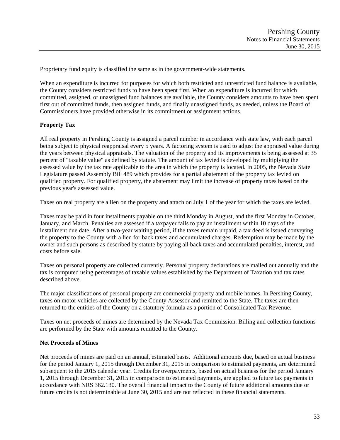Proprietary fund equity is classified the same as in the government-wide statements.

When an expenditure is incurred for purposes for which both restricted and unrestricted fund balance is available, the County considers restricted funds to have been spent first. When an expenditure is incurred for which committed, assigned, or unassigned fund balances are available, the County considers amounts to have been spent first out of committed funds, then assigned funds, and finally unassigned funds, as needed, unless the Board of Commissioners have provided otherwise in its commitment or assignment actions.

## **Property Tax**

All real property in Pershing County is assigned a parcel number in accordance with state law, with each parcel being subject to physical reappraisal every 5 years. A factoring system is used to adjust the appraised value during the years between physical appraisals. The valuation of the property and its improvements is being assessed at 35 percent of "taxable value" as defined by statute. The amount of tax levied is developed by multiplying the assessed value by the tax rate applicable to the area in which the property is located. In 2005, the Nevada State Legislature passed Assembly Bill 489 which provides for a partial abatement of the property tax levied on qualified property. For qualified property, the abatement may limit the increase of property taxes based on the previous year's assessed value.

Taxes on real property are a lien on the property and attach on July 1 of the year for which the taxes are levied.

Taxes may be paid in four installments payable on the third Monday in August, and the first Monday in October, January, and March. Penalties are assessed if a taxpayer fails to pay an installment within 10 days of the installment due date. After a two-year waiting period, if the taxes remain unpaid, a tax deed is issued conveying the property to the County with a lien for back taxes and accumulated charges. Redemption may be made by the owner and such persons as described by statute by paying all back taxes and accumulated penalties, interest, and costs before sale.

Taxes on personal property are collected currently. Personal property declarations are mailed out annually and the tax is computed using percentages of taxable values established by the Department of Taxation and tax rates described above.

The major classifications of personal property are commercial property and mobile homes. In Pershing County, taxes on motor vehicles are collected by the County Assessor and remitted to the State. The taxes are then returned to the entities of the County on a statutory formula as a portion of Consolidated Tax Revenue.

Taxes on net proceeds of mines are determined by the Nevada Tax Commission. Billing and collection functions are performed by the State with amounts remitted to the County.

### **Net Proceeds of Mines**

Net proceeds of mines are paid on an annual, estimated basis. Additional amounts due, based on actual business for the period January 1, 2015 through December 31, 2015 in comparison to estimated payments, are determined subsequent to the 2015 calendar year. Credits for overpayments, based on actual business for the period January 1, 2015 through December 31, 2015 in comparison to estimated payments, are applied to future tax payments in accordance with NRS 362.130. The overall financial impact to the County of future additional amounts due or future credits is not determinable at June 30, 2015 and are not reflected in these financial statements.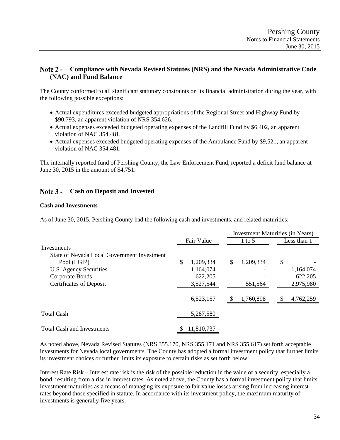# **Compliance with Nevada Revised Statutes (NRS) and the Nevada Administrative Code (NAC) and Fund Balance**

The County conformed to all significant statutory constraints on its financial administration during the year, with the following possible exceptions:

- Actual expenditures exceeded budgeted appropriations of the Regional Street and Highway Fund by \$90,793, an apparent violation of NRS 354.626.
- Actual expenses exceeded budgeted operating expenses of the Landfill Fund by \$6,402, an apparent violation of NAC 354.481.
- Actual expenses exceeded budgeted operating expenses of the Ambulance Fund by \$9,521, an apparent violation of NAC 354.481.

The internally reported fund of Pershing County, the Law Enforcement Fund, reported a deficit fund balance at June 30, 2015 in the amount of \$4,751.

#### Note  $3 -$ **Cash on Deposit and Invested**

### **Cash and Investments**

As of June 30, 2015, Pershing County had the following cash and investments, and related maturities:

|                                             |            |            | <b>Investment Maturities (in Years)</b> |           |    |             |  |  |
|---------------------------------------------|------------|------------|-----------------------------------------|-----------|----|-------------|--|--|
|                                             | Fair Value |            |                                         | 1 to 5    |    | Less than 1 |  |  |
| Investments                                 |            |            |                                         |           |    |             |  |  |
| State of Nevada Local Government Investment |            |            |                                         |           |    |             |  |  |
| Pool (LGIP)                                 | \$         | 1,209,334  | \$                                      | 1,209,334 | \$ |             |  |  |
| U.S. Agency Securities                      |            | 1,164,074  |                                         |           |    | 1,164,074   |  |  |
| Corporate Bonds                             |            | 622,205    |                                         |           |    | 622,205     |  |  |
| <b>Certificates of Deposit</b>              |            | 3,527,544  |                                         | 551,564   |    | 2,975,980   |  |  |
|                                             |            | 6,523,157  |                                         | 1,760,898 | S  | 4,762,259   |  |  |
| <b>Total Cash</b>                           |            | 5,287,580  |                                         |           |    |             |  |  |
| <b>Total Cash and Investments</b>           |            | 11,810,737 |                                         |           |    |             |  |  |

As noted above, Nevada Revised Statutes (NRS 355.170, NRS 355.171 and NRS 355.617) set forth acceptable investments for Nevada local governments. The County has adopted a formal investment policy that further limits its investment choices or further limits its exposure to certain risks as set forth below.

Interest Rate Risk – Interest rate risk is the risk of the possible reduction in the value of a security, especially a bond, resulting from a rise in interest rates. As noted above, the County has a formal investment policy that limits investment maturities as a means of managing its exposure to fair value losses arising from increasing interest rates beyond those specified in statute. In accordance with its investment policy, the maximum maturity of investments is generally five years.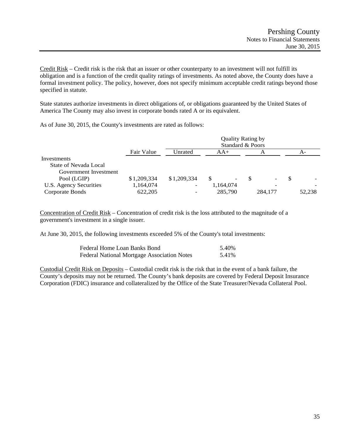Credit Risk – Credit risk is the risk that an issuer or other counterparty to an investment will not fulfill its obligation and is a function of the credit quality ratings of investments. As noted above, the County does have a formal investment policy. The policy, however, does not specify minimum acceptable credit ratings beyond those specified in statute.

State statutes authorize investments in direct obligations of, or obligations guaranteed by the United States of America The County may also invest in corporate bonds rated A or its equivalent.

As of June 30, 2015, the County's investments are rated as follows:

|                        |             | <b>Quality Rating by</b><br>Standard & Poors |                               |                                |          |        |  |  |  |  |
|------------------------|-------------|----------------------------------------------|-------------------------------|--------------------------------|----------|--------|--|--|--|--|
|                        | Fair Value  | Unrated                                      | $AA+$                         |                                |          | A-     |  |  |  |  |
| Investments            |             |                                              |                               |                                |          |        |  |  |  |  |
| State of Nevada Local  |             |                                              |                               |                                |          |        |  |  |  |  |
| Government Investment  |             |                                              |                               |                                |          |        |  |  |  |  |
| Pool (LGIP)            | \$1,209,334 | \$1,209,334                                  | S<br>$\overline{\phantom{a}}$ | £.<br>$\overline{\phantom{a}}$ | <b>S</b> |        |  |  |  |  |
| U.S. Agency Securities | 1,164,074   |                                              | 1,164,074                     |                                |          |        |  |  |  |  |
| Corporate Bonds        | 622,205     |                                              | 285,790                       | 284,177                        |          | 52,238 |  |  |  |  |

Concentration of Credit Risk – Concentration of credit risk is the loss attributed to the magnitude of a government's investment in a single issuer.

At June 30, 2015, the following investments exceeded 5% of the County's total investments:

| Federal Home Loan Banks Bond                | 5.40% |
|---------------------------------------------|-------|
| Federal National Mortgage Association Notes | 5.41% |

Custodial Credit Risk on Deposits – Custodial credit risk is the risk that in the event of a bank failure, the County's deposits may not be returned. The County's bank deposits are covered by Federal Deposit Insurance Corporation (FDIC) insurance and collateralized by the Office of the State Treasurer/Nevada Collateral Pool.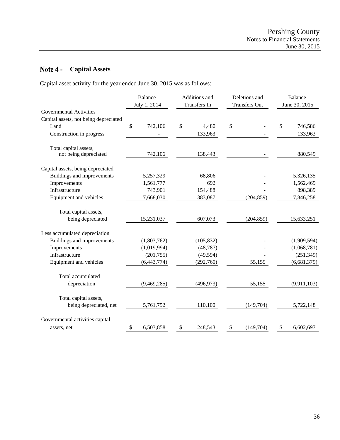# **Capital Assets**

Capital asset activity for the year ended June 30, 2015 was as follows:

|                                                | <b>Balance</b> |              | Additions and | Deletions and        | <b>Balance</b> |               |  |
|------------------------------------------------|----------------|--------------|---------------|----------------------|----------------|---------------|--|
|                                                |                | July 1, 2014 | Transfers In  | <b>Transfers Out</b> |                | June 30, 2015 |  |
| <b>Governmental Activities</b>                 |                |              |               |                      |                |               |  |
| Capital assets, not being depreciated          |                |              |               |                      |                |               |  |
| Land                                           | $\$$           | 742,106      | \$<br>4,480   | \$                   | \$             | 746,586       |  |
| Construction in progress                       |                |              | 133,963       |                      |                | 133,963       |  |
| Total capital assets,<br>not being depreciated |                | 742,106      | 138,443       |                      |                | 880,549       |  |
| Capital assets, being depreciated              |                |              |               |                      |                |               |  |
| Buildings and improvements                     |                | 5,257,329    | 68,806        |                      |                | 5,326,135     |  |
| Improvements                                   |                | 1,561,777    | 692           |                      |                | 1,562,469     |  |
| Infrastructure                                 |                | 743,901      | 154,488       |                      |                | 898,389       |  |
| Equipment and vehicles                         |                | 7,668,030    | 383,087       | (204, 859)           |                | 7,846,258     |  |
| Total capital assets,                          |                |              |               |                      |                |               |  |
| being depreciated                              |                | 15,231,037   | 607,073       | (204, 859)           |                | 15,633,251    |  |
| Less accumulated depreciation                  |                |              |               |                      |                |               |  |
| Buildings and improvements                     |                | (1,803,762)  | (105, 832)    |                      |                | (1,909,594)   |  |
| Improvements                                   |                | (1,019,994)  | (48, 787)     |                      |                | (1,068,781)   |  |
| Infrastructure                                 |                | (201, 755)   | (49, 594)     |                      |                | (251, 349)    |  |
| Equipment and vehicles                         |                | (6,443,774)  | (292,760)     | 55,155               |                | (6,681,379)   |  |
| Total accumulated                              |                |              |               |                      |                |               |  |
| depreciation                                   |                | (9,469,285)  | (496, 973)    | 55,155               |                | (9,911,103)   |  |
| Total capital assets,                          |                |              |               |                      |                |               |  |
| being depreciated, net                         |                | 5,761,752    | 110,100       | (149,704)            |                | 5,722,148     |  |
| Governmental activities capital                |                |              |               |                      |                |               |  |
| assets, net                                    | \$             | 6,503,858    | 248,543       | \$<br>(149,704)      | \$             | 6,602,697     |  |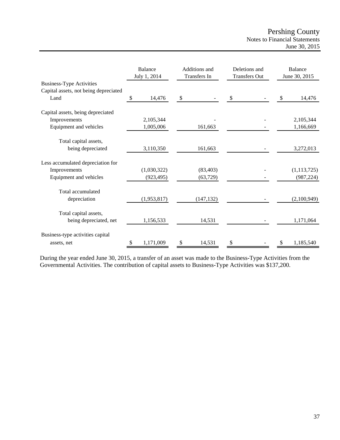|                                       | <b>Balance</b><br>July 1, 2014 | Additions and<br>Transfers In | Deletions and<br><b>Transfers Out</b> | Balance<br>June 30, 2015 |  |
|---------------------------------------|--------------------------------|-------------------------------|---------------------------------------|--------------------------|--|
| <b>Business-Type Activities</b>       |                                |                               |                                       |                          |  |
| Capital assets, not being depreciated |                                |                               |                                       |                          |  |
| Land                                  | \$<br>14,476                   | \$                            | $\mathcal{S}$                         | 14,476<br>S              |  |
| Capital assets, being depreciated     |                                |                               |                                       |                          |  |
| Improvements                          | 2,105,344                      |                               |                                       | 2,105,344                |  |
| Equipment and vehicles                | 1,005,006                      | 161,663                       |                                       | 1,166,669                |  |
| Total capital assets,                 |                                |                               |                                       |                          |  |
| being depreciated                     | 3,110,350                      | 161,663                       |                                       | 3,272,013                |  |
| Less accumulated depreciation for     |                                |                               |                                       |                          |  |
| Improvements                          | (1,030,322)                    | (83, 403)                     |                                       | (1, 113, 725)            |  |
| Equipment and vehicles                | (923, 495)                     | (63, 729)                     |                                       | (987, 224)               |  |
| Total accumulated                     |                                |                               |                                       |                          |  |
| depreciation                          | (1,953,817)                    | (147, 132)                    |                                       | (2,100,949)              |  |
| Total capital assets,                 |                                |                               |                                       |                          |  |
| being depreciated, net                | 1,156,533                      | 14,531                        |                                       | 1,171,064                |  |
| Business-type activities capital      |                                |                               |                                       |                          |  |
| assets, net                           | 1,171,009<br>S                 | 14,531                        | \$                                    | 1,185,540                |  |
|                                       |                                |                               |                                       |                          |  |

During the year ended June 30, 2015, a transfer of an asset was made to the Business-Type Activities from the Governmental Activities. The contribution of capital assets to Business-Type Activities was \$137,200.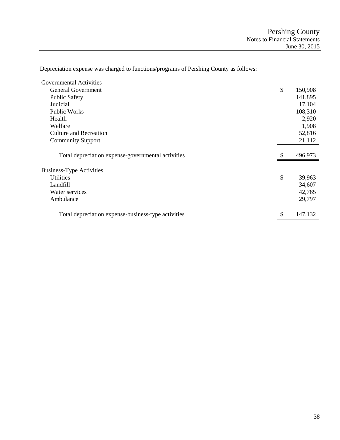Depreciation expense was charged to functions/programs of Pershing County as follows:

| <b>Governmental Activities</b>                      |               |
|-----------------------------------------------------|---------------|
| <b>General Government</b>                           | \$<br>150,908 |
| <b>Public Safety</b>                                | 141,895       |
| Judicial                                            | 17,104        |
| Public Works                                        | 108,310       |
| Health                                              | 2,920         |
| Welfare                                             | 1,908         |
| Culture and Recreation                              | 52,816        |
| <b>Community Support</b>                            | 21,112        |
|                                                     |               |
| Total depreciation expense-governmental activities  | 496,973       |
| <b>Business-Type Activities</b>                     |               |
| <b>Utilities</b>                                    | \$<br>39,963  |
| Landfill                                            | 34,607        |
| Water services                                      | 42,765        |
| Ambulance                                           | 29,797        |
| Total depreciation expense-business-type activities | \$<br>147,132 |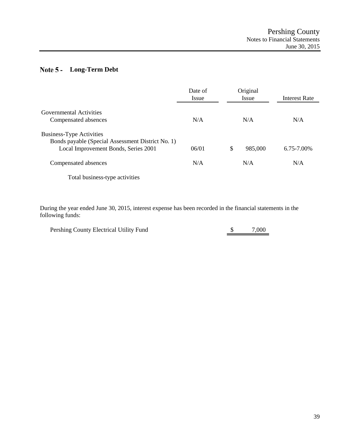# **Long-Term Debt**

|                                                                                      | Date of<br>Issue | Original<br>Issue | <b>Interest Rate</b> |
|--------------------------------------------------------------------------------------|------------------|-------------------|----------------------|
| Governmental Activities                                                              |                  |                   |                      |
| Compensated absences                                                                 | N/A              | N/A               | N/A                  |
| <b>Business-Type Activities</b><br>Bonds payable (Special Assessment District No. 1) |                  |                   |                      |
| Local Improvement Bonds, Series 2001                                                 | 06/01            | \$<br>985,000     | 6.75-7.00%           |
| Compensated absences                                                                 | N/A              | N/A               | N/A                  |
|                                                                                      |                  |                   |                      |

Total business-type activities

During the year ended June 30, 2015, interest expense has been recorded in the financial statements in the following funds:

| Pershing County Electrical Utility Fund |  | 7,000 |
|-----------------------------------------|--|-------|
|-----------------------------------------|--|-------|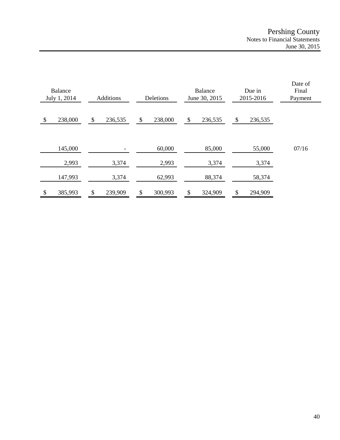| <b>Balance</b><br>July 1, 2014 | Additions |         | Deletions |         |               |                           |         |       | Balance<br>June 30, 2015 |  | Due in<br>2015-2016 | Date of<br>Final<br>Payment |
|--------------------------------|-----------|---------|-----------|---------|---------------|---------------------------|---------|-------|--------------------------|--|---------------------|-----------------------------|
| \$<br>238,000                  | \$        | 236,535 | \$        | 238,000 | \$<br>236,535 | $\boldsymbol{\mathsf{S}}$ | 236,535 |       |                          |  |                     |                             |
| 145,000                        |           |         |           | 60,000  | 85,000        |                           | 55,000  | 07/16 |                          |  |                     |                             |
| 2,993                          |           | 3,374   |           | 2,993   | 3,374         |                           | 3,374   |       |                          |  |                     |                             |
| 147,993                        |           | 3,374   |           | 62,993  | 88,374        |                           | 58,374  |       |                          |  |                     |                             |
| \$<br>385,993                  | \$        | 239,909 | \$        | 300,993 | \$<br>324,909 | \$                        | 294,909 |       |                          |  |                     |                             |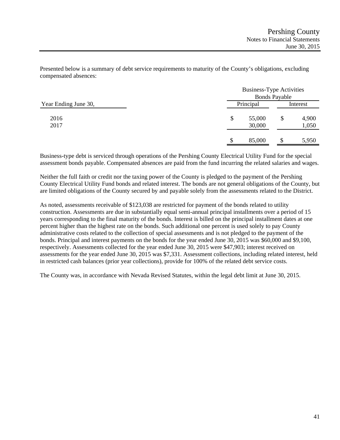Presented below is a summary of debt service requirements to maturity of the County's obligations, excluding compensated absences:

|                      | <b>Business-Type Activities</b><br><b>Bonds Payable</b> |           |          |       |  |  |  |
|----------------------|---------------------------------------------------------|-----------|----------|-------|--|--|--|
| Year Ending June 30, |                                                         | Principal | Interest |       |  |  |  |
| 2016                 | \$                                                      | 55,000    | S        | 4,900 |  |  |  |
| 2017                 |                                                         | 30,000    |          | 1,050 |  |  |  |
|                      | S                                                       | 85,000    | \$       | 5,950 |  |  |  |

Business-type debt is serviced through operations of the Pershing County Electrical Utility Fund for the special assessment bonds payable. Compensated absences are paid from the fund incurring the related salaries and wages.

Neither the full faith or credit nor the taxing power of the County is pledged to the payment of the Pershing County Electrical Utility Fund bonds and related interest. The bonds are not general obligations of the County, but are limited obligations of the County secured by and payable solely from the assessments related to the District.

As noted, assessments receivable of \$123,038 are restricted for payment of the bonds related to utility construction. Assessments are due in substantially equal semi-annual principal installments over a period of 15 years corresponding to the final maturity of the bonds. Interest is billed on the principal installment dates at one percent higher than the highest rate on the bonds. Such additional one percent is used solely to pay County administrative costs related to the collection of special assessments and is not pledged to the payment of the bonds. Principal and interest payments on the bonds for the year ended June 30, 2015 was \$60,000 and \$9,100, respectively. Assessments collected for the year ended June 30, 2015 were \$47,903; interest received on assessments for the year ended June 30, 2015 was \$7,331. Assessment collections, including related interest, held in restricted cash balances (prior year collections), provide for 100% of the related debt service costs.

The County was, in accordance with Nevada Revised Statutes, within the legal debt limit at June 30, 2015.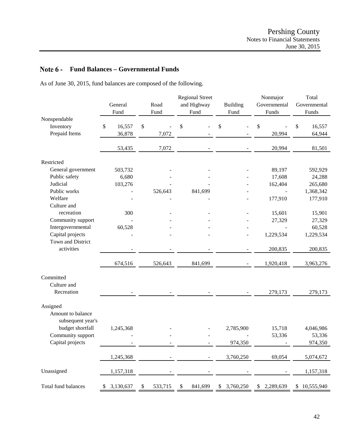# **Fund Balances – Governmental Funds**

As of June 30, 2015, fund balances are composed of the following.

|                                                                                                                                                                                                                        | General<br>Fund                              |                           | Road<br>Fund |               | <b>Regional Street</b><br>and Highway<br>Fund | <b>Building</b><br>Fund | Nonmajor<br>Governmental<br>Funds                                                  | Total<br>Governmental<br>Funds                                                                             |  |
|------------------------------------------------------------------------------------------------------------------------------------------------------------------------------------------------------------------------|----------------------------------------------|---------------------------|--------------|---------------|-----------------------------------------------|-------------------------|------------------------------------------------------------------------------------|------------------------------------------------------------------------------------------------------------|--|
| Nonspendable<br>Inventory<br>Prepaid Items                                                                                                                                                                             | \$<br>16,557<br>36,878                       | \$                        | 7,072        | \$            |                                               | \$                      | \$<br>20,994                                                                       | \$<br>16,557<br>64,944                                                                                     |  |
|                                                                                                                                                                                                                        | 53,435                                       |                           | 7,072        |               |                                               |                         | 20,994                                                                             | 81,501                                                                                                     |  |
| Restricted<br>General government<br>Public safety<br>Judicial<br>Public works<br>Welfare<br>Culture and<br>recreation<br>Community support<br>Intergovernmental<br>Capital projects<br>Town and District<br>activities | 503,732<br>6,680<br>103,276<br>300<br>60,528 |                           | 526,643      |               | 841,699                                       |                         | 89,197<br>17,608<br>162,404<br>177,910<br>15,601<br>27,329<br>1,229,534<br>200,835 | 592,929<br>24,288<br>265,680<br>1,368,342<br>177,910<br>15,901<br>27,329<br>60,528<br>1,229,534<br>200,835 |  |
|                                                                                                                                                                                                                        | 674,516                                      |                           | 526,643      |               | 841,699                                       |                         | 1,920,418                                                                          | 3,963,276                                                                                                  |  |
| Committed<br>Culture and<br>Recreation                                                                                                                                                                                 |                                              |                           |              |               |                                               |                         | 279,173                                                                            | 279,173                                                                                                    |  |
| Assigned<br>Amount to balance<br>subsequent year's<br>budget shortfall<br>Community support<br>Capital projects                                                                                                        | 1,245,368                                    |                           |              |               |                                               | 2,785,900<br>974,350    | 15,718<br>53,336<br>$\overline{\phantom{a}}$                                       | 4,046,986<br>53,336<br>974,350                                                                             |  |
|                                                                                                                                                                                                                        | 1,245,368                                    |                           |              |               |                                               | 3,760,250               | 69,054                                                                             | 5,074,672                                                                                                  |  |
| Unassigned                                                                                                                                                                                                             | 1,157,318                                    |                           |              |               |                                               |                         |                                                                                    | 1,157,318                                                                                                  |  |
| Total fund balances                                                                                                                                                                                                    | 3,130,637<br>SS.                             | $\boldsymbol{\mathsf{S}}$ | 533,715      | $\mathcal{S}$ | 841,699                                       | \$3,760,250             | \$2,289,639                                                                        | \$10,555,940                                                                                               |  |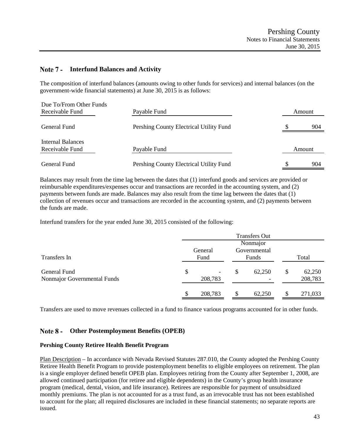# **Interfund Balances and Activity**

The composition of interfund balances (amounts owing to other funds for services) and internal balances (on the government-wide financial statements) at June 30, 2015 is as follows:

| Due To/From Other Funds<br>Receivable Fund | Payable Fund                            | Amount |
|--------------------------------------------|-----------------------------------------|--------|
| General Fund                               | Pershing County Electrical Utility Fund | 904    |
| Internal Balances<br>Receivable Fund       | Payable Fund                            | Amount |
| General Fund                               | Pershing County Electrical Utility Fund | 904    |

Balances may result from the time lag between the dates that (1) interfund goods and services are provided or reimbursable expenditures/expenses occur and transactions are recorded in the accounting system, and (2) payments between funds are made. Balances may also result from the time lag between the dates that (1) collection of revenues occur and transactions are recorded in the accounting system, and (2) payments between the funds are made.

Interfund transfers for the year ended June 30, 2015 consisted of the following:

|                                             | <b>Transfers Out</b> |                                     |   |              |    |                   |
|---------------------------------------------|----------------------|-------------------------------------|---|--------------|----|-------------------|
|                                             | Nonmajor             |                                     |   |              |    |                   |
|                                             |                      | General                             |   | Governmental |    |                   |
| Transfers In                                |                      | Fund                                |   | Funds        |    | Total             |
| General Fund<br>Nonmajor Governmental Funds | \$                   | $\overline{\phantom{0}}$<br>208,783 | S | 62,250       | \$ | 62,250<br>208,783 |
|                                             | \$                   | 208,783                             | S | 62,250       | S  | 271,033           |

Transfers are used to move revenues collected in a fund to finance various programs accounted for in other funds.

### Note 8 - Other Postemployment Benefits (OPEB)

### **Pershing County Retiree Health Benefit Program**

Plan Description – In accordance with Nevada Revised Statutes 287.010, the County adopted the Pershing County Retiree Health Benefit Program to provide postemployment benefits to eligible employees on retirement. The plan is a single employer defined benefit OPEB plan. Employees retiring from the County after September 1, 2008, are allowed continued participation (for retiree and eligible dependents) in the County's group health insurance program (medical, dental, vision, and life insurance). Retirees are responsible for payment of unsubsidized monthly premiums. The plan is not accounted for as a trust fund, as an irrevocable trust has not been established to account for the plan; all required disclosures are included in these financial statements; no separate reports are issued.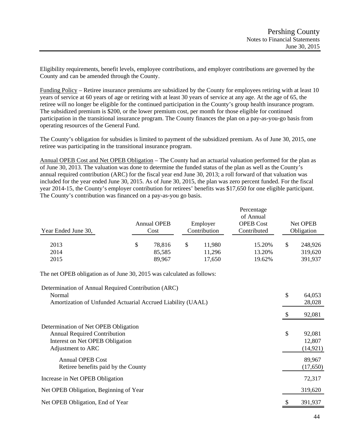Eligibility requirements, benefit levels, employee contributions, and employer contributions are governed by the County and can be amended through the County.

Funding Policy – Retiree insurance premiums are subsidized by the County for employees retiring with at least 10 years of service at 60 years of age or retiring with at least 30 years of service at any age. At the age of 65, the retiree will no longer be eligible for the continued participation in the County's group health insurance program. The subsidized premium is \$200, or the lower premium cost, per month for those eligible for continued participation in the transitional insurance program. The County finances the plan on a pay-as-you-go basis from operating resources of the General Fund.

The County's obligation for subsidies is limited to payment of the subsidized premium. As of June 30, 2015, one retiree was participating in the transitional insurance program.

Annual OPEB Cost and Net OPEB Obligation – The County had an actuarial valuation performed for the plan as of June 30, 2013. The valuation was done to determine the funded status of the plan as well as the County's annual required contribution (ARC) for the fiscal year end June 30, 2013; a roll forward of that valuation was included for the year ended June 30, 2015. As of June 30, 2015, the plan was zero percent funded. For the fiscal year 2014-15, the County's employer contribution for retirees' benefits was \$17,650 for one eligible participant. The County's contribution was financed on a pay-as-you go basis.

|                     |                    |              | Percentage<br>of Annual |            |
|---------------------|--------------------|--------------|-------------------------|------------|
|                     | <b>Annual OPEB</b> | Employer     | <b>OPEB</b> Cost        | Net OPEB   |
| Year Ended June 30, | Cost               | Contribution | Contributed             | Obligation |
| 2013                | \$<br>78,816       | \$<br>11,980 | 15.20%                  | 248,926    |
| 2014                | 85,585             | 11,296       | 13.20%                  | 319,620    |
| 2015                | 89,967             | 17.650       | 19.62%                  | 391,937    |

The net OPEB obligation as of June 30, 2015 was calculated as follows:

| Determination of Annual Required Contribution (ARC)<br>Normal<br>Amortization of Unfunded Actuarial Accrued Liability (UAAL)        | \$<br>64,053<br>28,028              |
|-------------------------------------------------------------------------------------------------------------------------------------|-------------------------------------|
|                                                                                                                                     | 92,081                              |
| Determination of Net OPEB Obligation<br><b>Annual Required Contribution</b><br>Interest on Net OPEB Obligation<br>Adjustment to ARC | \$<br>92,081<br>12,807<br>(14, 921) |
| <b>Annual OPEB Cost</b><br>Retiree benefits paid by the County                                                                      | 89,967<br>(17,650)                  |
| Increase in Net OPEB Obligation                                                                                                     | 72,317                              |
| Net OPEB Obligation, Beginning of Year                                                                                              | 319,620                             |
| Net OPEB Obligation, End of Year                                                                                                    | 391,937                             |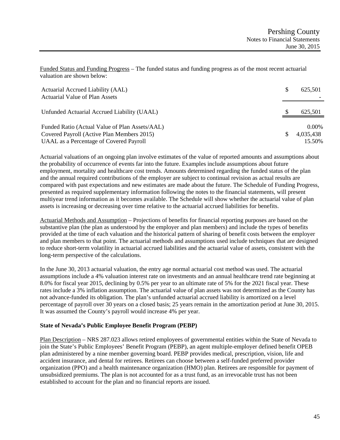Funded Status and Funding Progress – The funded status and funding progress as of the most recent actuarial valuation are shown below:

| Actuarial Accrued Liability (AAL)<br><b>Actuarial Value of Plan Assets</b>                                                              | 625.501                         |
|-----------------------------------------------------------------------------------------------------------------------------------------|---------------------------------|
| Unfunded Actuarial Accrued Liability (UAAL)                                                                                             | 625,501                         |
| Funded Ratio (Actual Value of Plan Assets/AAL)<br>Covered Payroll (Active Plan Members 2015)<br>UAAL as a Percentage of Covered Payroll | $0.00\%$<br>4,035,438<br>15.50% |

Actuarial valuations of an ongoing plan involve estimates of the value of reported amounts and assumptions about the probability of occurrence of events far into the future. Examples include assumptions about future employment, mortality and healthcare cost trends. Amounts determined regarding the funded status of the plan and the annual required contributions of the employer are subject to continual revision as actual results are compared with past expectations and new estimates are made about the future. The Schedule of Funding Progress, presented as required supplementary information following the notes to the financial statements, will present multiyear trend information as it becomes available. The Schedule will show whether the actuarial value of plan assets is increasing or decreasing over time relative to the actuarial accrued liabilities for benefits.

Actuarial Methods and Assumption – Projections of benefits for financial reporting purposes are based on the substantive plan (the plan as understood by the employer and plan members) and include the types of benefits provided at the time of each valuation and the historical pattern of sharing of benefit costs between the employer and plan members to that point. The actuarial methods and assumptions used include techniques that are designed to reduce short-term volatility in actuarial accrued liabilities and the actuarial value of assets, consistent with the long-term perspective of the calculations.

In the June 30, 2013 actuarial valuation, the entry age normal actuarial cost method was used. The actuarial assumptions include a 4% valuation interest rate on investments and an annual healthcare trend rate beginning at 8.0% for fiscal year 2015, declining by 0.5% per year to an ultimate rate of 5% for the 2021 fiscal year. These rates include a 3% inflation assumption. The actuarial value of plan assets was not determined as the County has not advance-funded its obligation. The plan's unfunded actuarial accrued liability is amortized on a level percentage of payroll over 30 years on a closed basis; 25 years remain in the amortization period at June 30, 2015. It was assumed the County's payroll would increase 4% per year.

# **State of Nevada's Public Employee Benefit Program (PEBP)**

Plan Description – NRS 287.023 allows retired employees of governmental entities within the State of Nevada to join the State's Public Employees' Benefit Program (PEBP), an agent multiple-employer defined benefit OPEB plan administered by a nine member governing board. PEBP provides medical, prescription, vision, life and accident insurance, and dental for retirees. Retirees can choose between a self-funded preferred provider organization (PPO) and a health maintenance organization (HMO) plan. Retirees are responsible for payment of unsubsidized premiums. The plan is not accounted for as a trust fund, as an irrevocable trust has not been established to account for the plan and no financial reports are issued.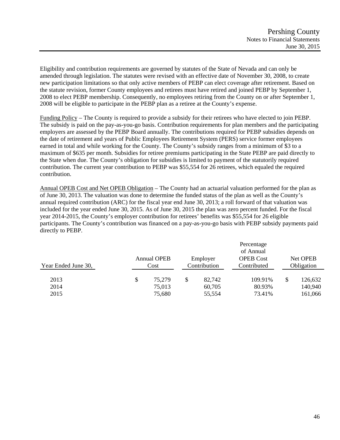Eligibility and contribution requirements are governed by statutes of the State of Nevada and can only be amended through legislation. The statutes were revised with an effective date of November 30, 2008, to create new participation limitations so that only active members of PEBP can elect coverage after retirement. Based on the statute revision, former County employees and retirees must have retired and joined PEBP by September 1, 2008 to elect PEBP membership. Consequently, no employees retiring from the County on or after September 1, 2008 will be eligible to participate in the PEBP plan as a retiree at the County's expense.

Funding Policy – The County is required to provide a subsidy for their retirees who have elected to join PEBP. The subsidy is paid on the pay-as-you-go basis. Contribution requirements for plan members and the participating employers are assessed by the PEBP Board annually. The contributions required for PEBP subsidies depends on the date of retirement and years of Public Employees Retirement System (PERS) service former employees earned in total and while working for the County. The County's subsidy ranges from a minimum of \$3 to a maximum of \$635 per month. Subsidies for retiree premiums participating in the State PEBP are paid directly to the State when due. The County's obligation for subsidies is limited to payment of the statutorily required contribution. The current year contribution to PEBP was \$55,554 for 26 retirees, which equaled the required contribution.

Annual OPEB Cost and Net OPEB Obligation – The County had an actuarial valuation performed for the plan as of June 30, 2013. The valuation was done to determine the funded status of the plan as well as the County's annual required contribution (ARC) for the fiscal year end June 30, 2013; a roll forward of that valuation was included for the year ended June 30, 2015. As of June 30, 2015 the plan was zero percent funded. For the fiscal year 2014-2015, the County's employer contribution for retirees' benefits was \$55,554 for 26 eligible participants. The County's contribution was financed on a pay-as-you-go basis with PEBP subsidy payments paid directly to PEBP.

| Year Ended June 30,  | <b>Annual OPEB</b><br>Cost       | Employer<br>Contribution         | Percentage<br>of Annual<br><b>OPEB</b> Cost<br>Contributed |   | <b>Net OPEB</b><br>Obligation |  |
|----------------------|----------------------------------|----------------------------------|------------------------------------------------------------|---|-------------------------------|--|
| 2013<br>2014<br>2015 | \$<br>75,279<br>75,013<br>75,680 | \$<br>82,742<br>60,705<br>55,554 | 109.91%<br>80.93%<br>73.41%                                | S | 126,632<br>140,940<br>161,066 |  |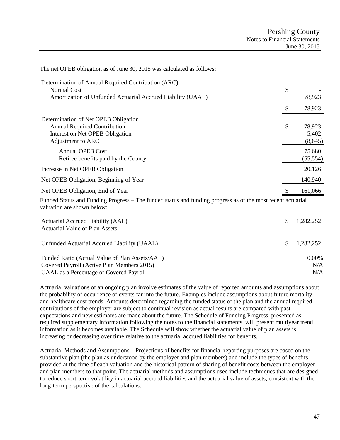The net OPEB obligation as of June 30, 2015 was calculated as follows:

| Determination of Annual Required Contribution (ARC)<br>Normal Cost<br>Amortization of Unfunded Actuarial Accrued Liability (UAAL)         | \$<br>78,923                     |
|-------------------------------------------------------------------------------------------------------------------------------------------|----------------------------------|
|                                                                                                                                           | 78,923                           |
| Determination of Net OPEB Obligation<br><b>Annual Required Contribution</b><br>Interest on Net OPEB Obligation<br>Adjustment to ARC       | \$<br>78,923<br>5,402<br>(8,645) |
| <b>Annual OPEB Cost</b><br>Retiree benefits paid by the County                                                                            | 75,680<br>(55, 554)              |
| Increase in Net OPEB Obligation                                                                                                           | 20,126                           |
| Net OPEB Obligation, Beginning of Year                                                                                                    | 140,940                          |
| Net OPEB Obligation, End of Year                                                                                                          | 161,066                          |
| Funded Status and Funding Progress – The funded status and funding progress as of the most recent actuarial<br>valuation are shown below: |                                  |

| Actuarial Accrued Liability (AAL)<br><b>Actuarial Value of Plan Assets</b>                                                              | 1,282,252              |
|-----------------------------------------------------------------------------------------------------------------------------------------|------------------------|
| Unfunded Actuarial Accrued Liability (UAAL)                                                                                             | 1,282,252              |
| Funded Ratio (Actual Value of Plan Assets/AAL)<br>Covered Payroll (Active Plan Members 2015)<br>UAAL as a Percentage of Covered Payroll | $0.00\%$<br>N/A<br>N/A |

Actuarial valuations of an ongoing plan involve estimates of the value of reported amounts and assumptions about the probability of occurrence of events far into the future. Examples include assumptions about future mortality and healthcare cost trends. Amounts determined regarding the funded status of the plan and the annual required contributions of the employer are subject to continual revision as actual results are compared with past expectations and new estimates are made about the future. The Schedule of Funding Progress, presented as required supplementary information following the notes to the financial statements, will present multiyear trend information as it becomes available. The Schedule will show whether the actuarial value of plan assets is increasing or decreasing over time relative to the actuarial accrued liabilities for benefits.

Actuarial Methods and Assumptions – Projections of benefits for financial reporting purposes are based on the substantive plan (the plan as understood by the employer and plan members) and include the types of benefits provided at the time of each valuation and the historical pattern of sharing of benefit costs between the employer and plan members to that point. The actuarial methods and assumptions used include techniques that are designed to reduce short-term volatility in actuarial accrued liabilities and the actuarial value of assets, consistent with the long-term perspective of the calculations.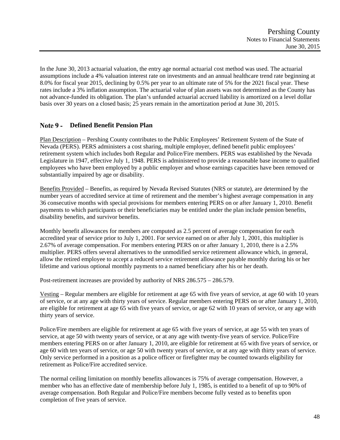In the June 30, 2013 actuarial valuation, the entry age normal actuarial cost method was used. The actuarial assumptions include a 4% valuation interest rate on investments and an annual healthcare trend rate beginning at 8.0% for fiscal year 2015, declining by 0.5% per year to an ultimate rate of 5% for the 2021 fiscal year. These rates include a 3% inflation assumption. The actuarial value of plan assets was not determined as the County has not advance-funded its obligation. The plan's unfunded actuarial accrued liability is amortized on a level dollar basis over 30 years on a closed basis; 25 years remain in the amortization period at June 30, 2015.

# **Defined Benefit Pension Plan**

Plan Description – Pershing County contributes to the Public Employees' Retirement System of the State of Nevada (PERS). PERS administers a cost sharing, multiple employer, defined benefit public employees' retirement system which includes both Regular and Police/Fire members. PERS was established by the Nevada Legislature in 1947, effective July 1, 1948. PERS is administered to provide a reasonable base income to qualified employees who have been employed by a public employer and whose earnings capacities have been removed or substantially impaired by age or disability.

Benefits Provided – Benefits, as required by Nevada Revised Statutes (NRS or statute), are determined by the number years of accredited service at time of retirement and the member's highest average compensation in any 36 consecutive months with special provisions for members entering PERS on or after January 1, 2010. Benefit payments to which participants or their beneficiaries may be entitled under the plan include pension benefits, disability benefits, and survivor benefits.

Monthly benefit allowances for members are computed as 2.5 percent of average compensation for each accredited year of service prior to July 1, 2001. For service earned on or after July 1, 2001, this multiplier is 2.67% of average compensation. For members entering PERS on or after January 1, 2010, there is a 2.5% multiplier. PERS offers several alternatives to the unmodified service retirement allowance which, in general, allow the retired employee to accept a reduced service retirement allowance payable monthly during his or her lifetime and various optional monthly payments to a named beneficiary after his or her death.

Post-retirement increases are provided by authority of NRS 286.575 – 286.579.

Vesting – Regular members are eligible for retirement at age 65 with five years of service, at age 60 with 10 years of service, or at any age with thirty years of service. Regular members entering PERS on or after January 1, 2010, are eligible for retirement at age 65 with five years of service, or age 62 with 10 years of service, or any age with thirty years of service.

Police/Fire members are eligible for retirement at age 65 with five years of service, at age 55 with ten years of service, at age 50 with twenty years of service, or at any age with twenty-five years of service. Police/Fire members entering PERS on or after January 1, 2010, are eligible for retirement at 65 with five years of service, or age 60 with ten years of service, or age 50 with twenty years of service, or at any age with thirty years of service. Only service performed in a position as a police officer or firefighter may be counted towards eligibility for retirement as Police/Fire accredited service.

The normal ceiling limitation on monthly benefits allowances is 75% of average compensation. However, a member who has an effective date of membership before July 1, 1985, is entitled to a benefit of up to 90% of average compensation. Both Regular and Police/Fire members become fully vested as to benefits upon completion of five years of service.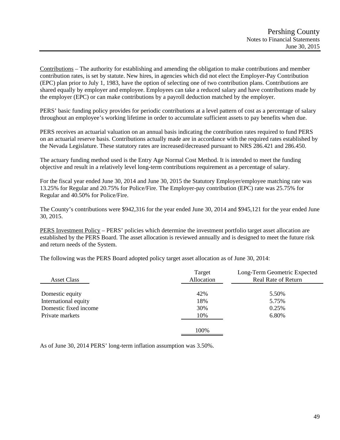Contributions – The authority for establishing and amending the obligation to make contributions and member contribution rates, is set by statute. New hires, in agencies which did not elect the Employer-Pay Contribution (EPC) plan prior to July 1, 1983, have the option of selecting one of two contribution plans. Contributions are shared equally by employer and employee. Employees can take a reduced salary and have contributions made by the employer (EPC) or can make contributions by a payroll deduction matched by the employer.

PERS' basic funding policy provides for periodic contributions at a level pattern of cost as a percentage of salary throughout an employee's working lifetime in order to accumulate sufficient assets to pay benefits when due.

PERS receives an actuarial valuation on an annual basis indicating the contribution rates required to fund PERS on an actuarial reserve basis. Contributions actually made are in accordance with the required rates established by the Nevada Legislature. These statutory rates are increased/decreased pursuant to NRS 286.421 and 286.450.

The actuary funding method used is the Entry Age Normal Cost Method. It is intended to meet the funding objective and result in a relatively level long-term contributions requirement as a percentage of salary.

For the fiscal year ended June 30, 2014 and June 30, 2015 the Statutory Employer/employee matching rate was 13.25% for Regular and 20.75% for Police/Fire. The Employer-pay contribution (EPC) rate was 25.75% for Regular and 40.50% for Police/Fire.

The County's contributions were \$942,316 for the year ended June 30, 2014 and \$945,121 for the year ended June 30, 2015.

PERS Investment Policy – PERS' policies which determine the investment portfolio target asset allocation are established by the PERS Board. The asset allocation is reviewed annually and is designed to meet the future risk and return needs of the System.

The following was the PERS Board adopted policy target asset allocation as of June 30, 2014:

| <b>Asset Class</b>    | Target<br>Allocation | Long-Term Geometric Expected<br><b>Real Rate of Return</b> |
|-----------------------|----------------------|------------------------------------------------------------|
| Domestic equity       | 42%                  | 5.50%                                                      |
| International equity  | 18%                  | 5.75%                                                      |
| Domestic fixed income | 30%                  | 0.25%                                                      |
| Private markets       | 10%                  | 6.80%                                                      |
|                       | 100%                 |                                                            |

As of June 30, 2014 PERS' long-term inflation assumption was 3.50%.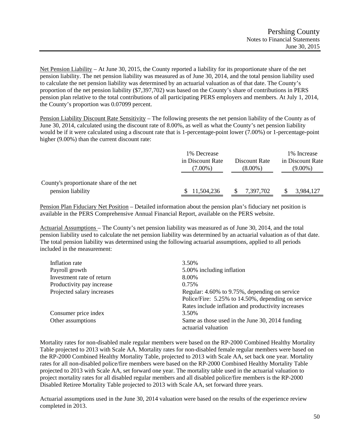Net Pension Liability – At June 30, 2015, the County reported a liability for its proportionate share of the net pension liability. The net pension liability was measured as of June 30, 2014, and the total pension liability used to calculate the net pension liability was determined by an actuarial valuation as of that date. The County's proportion of the net pension liability (\$7,397,702) was based on the County's share of contributions in PERS pension plan relative to the total contributions of all participating PERS employers and members. At July 1, 2014, the County's proportion was 0.07099 percent.

Pension Liability Discount Rate Sensitivity – The following presents the net pension liability of the County as of June 30, 2014, calculated using the discount rate of 8.00%, as well as what the County's net pension liability would be if it were calculated using a discount rate that is 1-percentage-point lower (7.00%) or 1-percentage-point higher (9.00%) than the current discount rate:

|                                                              | 1\% Decrease<br>in Discount Rate<br>(7.00%) | Discount Rate<br>$(8.00\%)$ | 1\% Increase<br>in Discount Rate<br>$(9.00\%)$ |
|--------------------------------------------------------------|---------------------------------------------|-----------------------------|------------------------------------------------|
| County's proportionate share of the net<br>pension liability | 11,504,236                                  | 7,397,702                   | 3,984,127                                      |

Pension Plan Fiduciary Net Position – Detailed information about the pension plan's fiduciary net position is available in the PERS Comprehensive Annual Financial Report, available on the PERS website.

Actuarial Assumptions – The County's net pension liability was measured as of June 30, 2014, and the total pension liability used to calculate the net pension liability was determined by an actuarial valuation as of that date. The total pension liability was determined using the following actuarial assumptions, applied to all periods included in the measurement:

| Inflation rate             | 3.50%                                              |
|----------------------------|----------------------------------------------------|
| Payroll growth             | 5.00% including inflation                          |
| Investment rate of return  | 8.00%                                              |
| Productivity pay increase  | 0.75%                                              |
| Projected salary increases | Regular: 4.60% to 9.75%, depending on service      |
|                            | Police/Fire: 5.25% to 14.50%, depending on service |
|                            | Rates include inflation and productivity increases |
| Consumer price index       | 3.50%                                              |
| Other assumptions          | Same as those used in the June 30, 2014 funding    |
|                            | actuarial valuation                                |

Mortality rates for non-disabled male regular members were based on the RP-2000 Combined Healthy Mortality Table projected to 2013 with Scale AA. Mortality rates for non-disabled female regular members were based on the RP-2000 Combined Healthy Mortality Table, projected to 2013 with Scale AA, set back one year. Mortality rates for all non-disabled police/fire members were based on the RP-2000 Combined Healthy Mortality Table projected to 2013 with Scale AA, set forward one year. The mortality table used in the actuarial valuation to project mortality rates for all disabled regular members and all disabled police/fire members is the RP-2000 Disabled Retiree Mortality Table projected to 2013 with Scale AA, set forward three years.

Actuarial assumptions used in the June 30, 2014 valuation were based on the results of the experience review completed in 2013.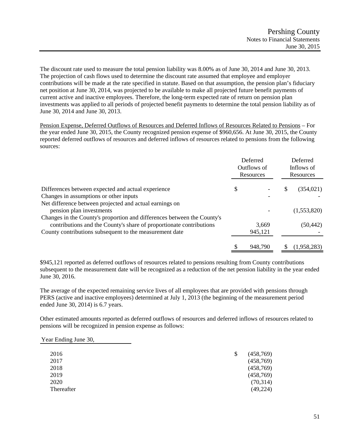The discount rate used to measure the total pension liability was 8.00% as of June 30, 2014 and June 30, 2013. The projection of cash flows used to determine the discount rate assumed that employee and employer contributions will be made at the rate specified in statute. Based on that assumption, the pension plan's fiduciary net position at June 30, 2014, was projected to be available to make all projected future benefit payments of current active and inactive employees. Therefore, the long-term expected rate of return on pension plan investments was applied to all periods of projected benefit payments to determine the total pension liability as of June 30, 2014 and June 30, 2013.

Pension Expense, Deferred Outflows of Resources and Deferred Inflows of Resources Related to Pensions – For the year ended June 30, 2015, the County recognized pension expense of \$960,656. At June 30, 2015, the County reported deferred outflows of resources and deferred inflows of resources related to pensions from the following sources:

|                                                                         | Deferred<br>Outflows of<br>Resources |    | Deferred<br>Inflows of<br>Resources |  |
|-------------------------------------------------------------------------|--------------------------------------|----|-------------------------------------|--|
| Differences between expected and actual experience                      | \$                                   | \$ | (354, 021)                          |  |
| Changes in assumptions or other inputs                                  |                                      |    |                                     |  |
| Net difference between projected and actual earnings on                 |                                      |    |                                     |  |
| pension plan investments                                                |                                      |    | (1,553,820)                         |  |
| Changes in the County's proportion and differences between the County's |                                      |    |                                     |  |
| contributions and the County's share of proportionate contributions     | 3,669                                |    | (50, 442)                           |  |
| County contributions subsequent to the measurement date                 | 945,121                              |    |                                     |  |
|                                                                         | 948,790                              |    | (1,958,283)                         |  |

\$945,121 reported as deferred outflows of resources related to pensions resulting from County contributions subsequent to the measurement date will be recognized as a reduction of the net pension liability in the year ended June 30, 2016.

The average of the expected remaining service lives of all employees that are provided with pensions through PERS (active and inactive employees) determined at July 1, 2013 (the beginning of the measurement period ended June 30, 2014) is 6.7 years.

Other estimated amounts reported as deferred outflows of resources and deferred inflows of resources related to pensions will be recognized in pension expense as follows:

2016 (458,769) \$ 2017 (458,769) 2018 (458,769) 2019 (458,769) 2020 (70,314) Thereafter (49,224)

Year Ending June 30,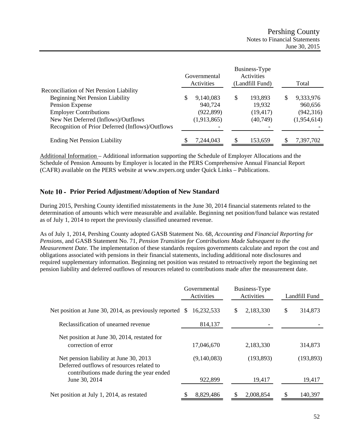|                                                  | Governmental<br>Activities | Business-Type<br>Activities<br>(Landfill Fund) | Total           |  |
|--------------------------------------------------|----------------------------|------------------------------------------------|-----------------|--|
| Reconciliation of Net Pension Liability          |                            |                                                |                 |  |
| <b>Beginning Net Pension Liability</b>           | \$<br>9,140,083            | \$<br>193,893                                  | \$<br>9,333,976 |  |
| Pension Expense                                  | 940,724                    | 19,932                                         | 960,656         |  |
| <b>Employer Contributions</b>                    | (922, 899)                 | (19, 417)                                      | (942, 316)      |  |
| New Net Deferred (Inflows)/Outflows              | (1,913,865)                | (40,749)                                       | (1,954,614)     |  |
| Recognition of Prior Deferred (Inflows)/Outflows |                            |                                                |                 |  |
| <b>Ending Net Pension Liability</b>              | 7,244,043                  | 153.659                                        | 7,397,702       |  |

Additional Information – Additional information supporting the Schedule of Employer Allocations and the Schedule of Pension Amounts by Employer is located in the PERS Comprehensive Annual Financial Report (CAFR) available on the PERS website at www.nvpers.org under Quick Links – Publications.

# Note 10 - Prior Period Adjustment/Adoption of New Standard

During 2015, Pershing County identified misstatements in the June 30, 2014 financial statements related to the determination of amounts which were measurable and available. Beginning net position/fund balance was restated as of July 1, 2014 to report the previously classified unearned revenue.

As of July 1, 2014, Pershing County adopted GASB Statement No. 68, *Accounting and Financial Reporting for Pensions,* and GASB Statement No. 71, *Pension Transition for Contributions Made Subsequent to the Measurement Date.* The implementation of these standards requires governments calculate and report the cost and obligations associated with pensions in their financial statements, including additional note disclosures and required supplementary information. Beginning net position was restated to retroactively report the beginning net pension liability and deferred outflows of resources related to contributions made after the measurement date.

|                                                                                     | Governmental<br>Business-Type<br>Activities<br>Activities |                  | Landfill Fund |  |  |
|-------------------------------------------------------------------------------------|-----------------------------------------------------------|------------------|---------------|--|--|
| Net position at June 30, 2014, as previously reported \$                            | 16,232,533                                                | 2,183,330<br>\$. | \$<br>314,873 |  |  |
| Reclassification of unearned revenue                                                | 814,137                                                   |                  |               |  |  |
| Net position at June 30, 2014, restated for<br>correction of error                  | 17,046,670                                                | 2,183,330        | 314,873       |  |  |
| Net pension liability at June 30, 2013<br>Deferred outflows of resources related to | (9,140,083)                                               | (193, 893)       | (193, 893)    |  |  |
| contributions made during the year ended<br>June 30, 2014                           | 922,899                                                   | 19,417           | 19,417        |  |  |
| Net position at July 1, 2014, as restated                                           | 8,829,486                                                 | 2,008,854        | 140,397<br>S  |  |  |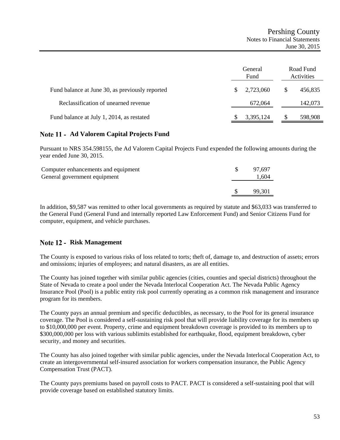|                                                 | General<br>Fund |           | Road Fund<br>Activities |         |  |
|-------------------------------------------------|-----------------|-----------|-------------------------|---------|--|
| Fund balance at June 30, as previously reported |                 | 2,723,060 | S                       | 456,835 |  |
| Reclassification of unearned revenue            |                 | 672,064   |                         | 142,073 |  |
| Fund balance at July 1, 2014, as restated       |                 | 3,395,124 |                         | 598,908 |  |

# **Ad Valorem Capital Projects Fund**

Pursuant to NRS 354.598155, the Ad Valorem Capital Projects Fund expended the following amounts during the year ended June 30, 2015.

| Computer enhancements and equipment<br>General government equipment | 97.697<br>1.604 |
|---------------------------------------------------------------------|-----------------|
|                                                                     | 99.301          |

In addition, \$9,587 was remitted to other local governments as required by statute and \$63,033 was transferred to the General Fund (General Fund and internally reported Law Enforcement Fund) and Senior Citizens Fund for computer, equipment, and vehicle purchases.

# **Risk Management**

The County is exposed to various risks of loss related to torts; theft of, damage to, and destruction of assets; errors and omissions; injuries of employees; and natural disasters, as are all entities.

The County has joined together with similar public agencies (cities, counties and special districts) throughout the State of Nevada to create a pool under the Nevada Interlocal Cooperation Act. The Nevada Public Agency Insurance Pool (Pool) is a public entity risk pool currently operating as a common risk management and insurance program for its members.

The County pays an annual premium and specific deductibles, as necessary, to the Pool for its general insurance coverage. The Pool is considered a self-sustaining risk pool that will provide liability coverage for its members up to \$10,000,000 per event. Property, crime and equipment breakdown coverage is provided to its members up to \$300,000,000 per loss with various sublimits established for earthquake, flood, equipment breakdown, cyber security, and money and securities.

The County has also joined together with similar public agencies, under the Nevada Interlocal Cooperation Act, to create an intergovernmental self-insured association for workers compensation insurance, the Public Agency Compensation Trust (PACT).

The County pays premiums based on payroll costs to PACT. PACT is considered a self-sustaining pool that will provide coverage based on established statutory limits.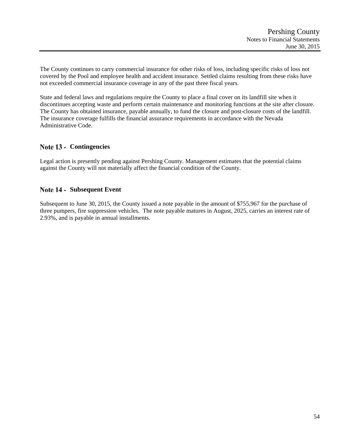The County continues to carry commercial insurance for other risks of loss, including specific risks of loss not covered by the Pool and employee health and accident insurance. Settled claims resulting from these risks have not exceeded commercial insurance coverage in any of the past three fiscal years.

State and federal laws and regulations require the County to place a final cover on its landfill site when it discontinues accepting waste and perform certain maintenance and monitoring functions at the site after closure. The County has obtained insurance, payable annually, to fund the closure and post-closure costs of the landfill. The insurance coverage fulfills the financial assurance requirements in accordance with the Nevada Administrative Code.

# Note 13 - Contingencies

Legal action is presently pending against Pershing County. Management estimates that the potential claims against the County will not materially affect the financial condition of the County.

# **Note 14 - Subsequent Event**

Subsequent to June 30, 2015, the County issued a note payable in the amount of \$755,967 for the purchase of three pumpers, fire suppression vehicles. The note payable matures in August, 2025, carries an interest rate of 2.93%, and is payable in annual installments.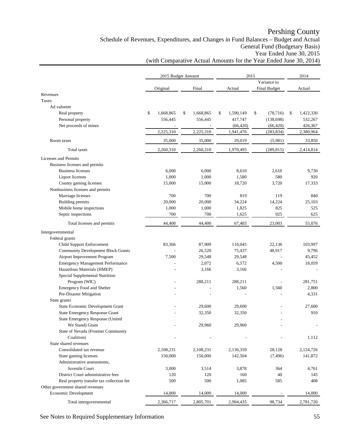Schedule of Revenues, Expenditures, and Changes in Fund Balances – Budget and Actual General Fund (Budgetary Basis)

Year Ended June 30, 2015

(with Comparative Actual Amounts for the Year Ended June 30, 2014)

|                                           |                 | 2015 Budget Amount |                 | 2015                |                 | 2014 |  |
|-------------------------------------------|-----------------|--------------------|-----------------|---------------------|-----------------|------|--|
|                                           |                 |                    |                 | Variance to         |                 |      |  |
| Revenues                                  | Original        | Final              | Actual          | <b>Final Budget</b> | Actual          |      |  |
| Taxes                                     |                 |                    |                 |                     |                 |      |  |
| Ad valorem                                |                 |                    |                 |                     |                 |      |  |
| Real property                             | \$<br>1,668,865 | \$<br>1,668,865    | \$<br>1,590,149 | \$<br>(78, 716)     | 1,422,330<br>\$ |      |  |
| Personal property                         | 556,445         | 556,445            | 417,747         | (138, 698)          | 532,267         |      |  |
| Net proceeds of mines                     |                 |                    | (66, 420)       | (66, 420)           | 426,367         |      |  |
|                                           | 2,225,310       | 2,225,310          | 1,941,476       | (283, 834)          | 2,380,964       |      |  |
| Room taxes                                | 35,000          | 35,000             | 29,019          | (5,981)             | 33,850          |      |  |
| Total taxes                               | 2,260,310       | 2,260,310          | 1,970,495       | (289, 815)          | 2,414,814       |      |  |
| Licenses and Permits                      |                 |                    |                 |                     |                 |      |  |
| Business licenses and permits             |                 |                    |                 |                     |                 |      |  |
| <b>Business licenses</b>                  | 6,000           | 6,000              | 8,610           | 2,610               | 9,730           |      |  |
| Liquor licenses                           | 1,000           | 1,000              | 1,580           | 580                 | 920             |      |  |
| County gaming licenses                    | 15,000          | 15,000             | 18,720          | 3,720               | 17,333          |      |  |
| Nonbusiness licenses and permits          |                 |                    |                 |                     |                 |      |  |
| Marriage licenses                         | 700             | 700                | 819             | 119                 | 840             |      |  |
| <b>Building permits</b>                   | 20,000          | 20,000             | 34,224          | 14,224              | 25,103          |      |  |
| Mobile home inspections                   | 1,000           | 1,000              | 1,825           | 825                 | 525             |      |  |
| Septic inspections                        | 700             | 700                | 1,625           | 925                 | 625             |      |  |
| Total licenses and permits                | 44,400          | 44,400             | 67,403          | 23,003              | 55,076          |      |  |
| Intergovernmental                         |                 |                    |                 |                     |                 |      |  |
| Federal grants                            |                 |                    |                 |                     |                 |      |  |
| Child Support Enforcement                 | 83,366          | 87,909             | 110,045         | 22,136              | 103,997         |      |  |
| <b>Community Development Block Grants</b> |                 | 26,520             | 75,437          | 48,917              | 9,796           |      |  |
| Airport Improvement Program               | 7,500           | 29,548             | 29,548          |                     | 45,452          |      |  |
| <b>Emergency Management Performance</b>   |                 | 2,072              | 6,572           | 4,500               | 18,059          |      |  |
| Hazardous Materials (HMEP)                |                 | 3,166              | 3,166           |                     |                 |      |  |
| Special Supplemental Nutrition            |                 |                    |                 |                     |                 |      |  |
| Program (WIC)                             |                 | 288,211            | 288,211         |                     | 281,751         |      |  |
| <b>Emergency Food and Shelter</b>         |                 |                    | 1,560           | 1,560               | 2,800           |      |  |
| Pre-Disaster Mitigation                   |                 |                    |                 |                     | 4,331           |      |  |
| State grants                              |                 |                    |                 |                     |                 |      |  |
| State Economic Development Grant          |                 | 29,600             | 29,600          |                     | 27,600          |      |  |
| State Emergency Response Grant            |                 | 32,350             | 32,350          |                     | 910             |      |  |
| State Emergency Response (United          |                 |                    |                 |                     |                 |      |  |
| We Stand) Grant                           |                 | 29,960             | 29,960          |                     |                 |      |  |
| State of Nevada (Frontier Community       |                 |                    |                 |                     |                 |      |  |
| Coalition)                                |                 |                    |                 |                     | 1,112           |      |  |
| State shared revenues                     |                 |                    |                 |                     |                 |      |  |
| Consolidated tax revenue                  | 2,108,231       | 2,108,231          | 2,136,359       | 28,128              | 2,124,726       |      |  |
| State gaming licenses                     | 150,000         | 150,000            | 142,504         | (7, 496)            | 141,872         |      |  |
| Administrative assessments,               |                 |                    |                 |                     |                 |      |  |
| Juvenile Court                            | 3,000           | 3,514              | 3,878           | 364                 | 4,761           |      |  |
| District Court administrative fees        | 120             | 120                | 160             | 40                  | 145             |      |  |
| Real property transfer tax collection fee | 500             | 500                | 1,085           | 585                 | 408             |      |  |
| Other government shared revenues          |                 |                    |                 |                     |                 |      |  |
| Economic Development                      | 14,000          | 14,000             | 14,000          |                     | 14,000          |      |  |
| Total intergovernmental                   | 2,366,717       | 2,805,701          | 2,904,435       | 98,734              | 2,781,720       |      |  |

See Notes to Required Supplementary Information 55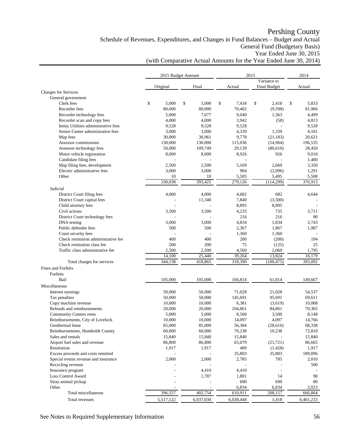Schedule of Revenues, Expenditures, and Changes in Fund Balances – Budget and Actual General Fund (Budgetary Basis) Year Ended June 30, 2015

(with Comparative Actual Amounts for the Year Ended June 30, 2014)

|                                      |             | 2015 Budget Amount |             | 2015                |             |
|--------------------------------------|-------------|--------------------|-------------|---------------------|-------------|
|                                      |             |                    |             | Variance to         | 2014        |
|                                      | Original    | Final              | Actual      | <b>Final Budget</b> | Actual      |
| <b>Charges for Services</b>          |             |                    |             |                     |             |
| General government                   |             |                    |             |                     |             |
| Clerk fees                           | \$<br>5,000 | \$<br>5,000        | \$<br>7,418 | \$<br>2,418         | \$<br>5,833 |
| Recorder fees                        | 80,000      | 80,000             | 70,402      | (9, 598)            | 81,966      |
| Recorder technology fees             | 5,000       | 7,677              | 9,040       | 1,363               | 4,499       |
| Recorder scan and copy fees          | 4,000       | 4,000              | 3,942       | (58)                | 4,813       |
| Imlay Utilities administrative fees  | 9,528       | 9,528              | 9,528       |                     | 9,528       |
| Senior Center administrative fees    | 3,000       | 3,000              | 4,339       | 1,339               | 4,101       |
| Map fees                             | 30,000      | 30,961             | 9,778       | (21, 183)           | 20,621      |
| Assessor commissions                 | 130,000     | 130,000            | 115,036     | (14,964)            | 196,535     |
| Assessor technology fees             | 50,000      | 109,749            | 29,139      | (80,610)            | 28,450      |
| Motor vehicle registration           | 8,000       | 8,000              | 8,926       | 926                 | 9,018       |
| Candidate filing fees                |             |                    |             |                     | 1,400       |
| Map filing fees, development         | 2,500       | 2,500              | 5,169       | 2,669               | 3,350       |
| Electric administrative fees         | 3,000       | 3,000              | 904         | (2,096)             | 1,291       |
| Other                                | 10          | 10                 | 5,505       | 5,495               | 5,508       |
|                                      | 330,038     | 393,425            | 279,126     | (114, 299)          | 376,913     |
| Judicial                             |             |                    |             |                     |             |
| District Court filing fees           | 4,000       | 4,000              | 4,682       | 682                 | 4,644       |
| District Court capital fees          |             | 11,340             | 7,840       | (3,500)             |             |
| Child attorney fees                  |             |                    | 8,895       | 8,895               |             |
| Civil actions                        | 3,500       | 3,500              | 4,235       | 735                 | 3,711       |
| District Court technology fees       |             |                    | 216         | 216                 | 80          |
| DNA testing                          | 3,000       | 3,000              | 4,834       | 1,834               | 3,743       |
| Public defender fees                 | 500         | 500                | 2,367       | 1,867               | 1,987       |
| Court security fees                  |             |                    | 1,360       | 1,360               |             |
| Check restitution administrative fee | 400         | 400                | 200         | (200)               | 194         |
| Check restitution class fee          | 200         | 200                | 75          | (125)               | 25          |
| Traffic class administrative fee     | 2,500       | 2,500              | 4,560       | 2,060               | 1,795       |
|                                      | 14,100      | 25,440             | 39,264      | 13,824              | 16,179      |
| Total charges for services           | 344,138     | 418,865            | 318,390     | (100, 475)          | 393,092     |
| <b>Fines and Forfeits</b>            |             |                    |             |                     |             |
| Forfeits                             |             |                    |             |                     |             |
| Bail                                 | 105,000     | 105,000            | 166,814     | 61,814              | 149,667     |
| Miscellaneous                        |             |                    |             |                     |             |
| Interest earnings                    | 50,000      | 50,000             | 71,028      | 21,028              | 54,537      |
| Tax penalties                        | 50,000      | 50,000             | 145,691     | 95,691              | 69,611      |
| Copy machine revenue                 | 10,000      | 10,000             | 6,381       | (3,619)             | 10,068      |
| Refunds and reimbursements           | 20,000      | 20,000             | 104,861     | 84,861              | 70,365      |
| <b>Community Centers rents</b>       | 5,000       | 5,000              | 8,500       | 3,500               | 8,148       |
| Reimbursements, City of Lovelock     | 10,000      | 10,000             | 14,097      | 4,097               | 14,766      |
| Geothermal lease                     | 85,000      | 85,000             | 56,384      | (28, 616)           | 68,338      |
| Reimbursements, Humboldt County      | 60,000      | 60,000             | 70,238      | 10,238              | 72,810      |
| Sales and rentals                    | 15,840      | 15,840             | 15,840      |                     | 15,840      |
| Airport fuel sales and revenue       | 86,800      | 86,800             | 65,079      | (21, 721)           | 86,665      |
| Restitution                          | 1,917       | 1,917              | 489         | (1,428)             | 1,917       |
| Excess proceeds and costs remitted   |             |                    | 35,803      | 35,803              | 189,096     |
| Special events revenue and insurance | 2,000       | 2,000              | 2,785       | 785                 | 2,010       |
| Recycling revenue                    |             |                    |             |                     | 500         |
| Insurance program                    |             | 4,410              | 4,410       |                     |             |
| Loss Control Award                   |             | 1,787              | 1,801       | 14                  | 90          |
| Stray animal pickup                  |             |                    | 690         | 690                 | 80          |
| Other                                |             |                    | 6,834       | 6,834               | 2,023       |
| Total miscellaneous                  | 396,557     | 402,754            | 610,911     | 208,157             |             |
|                                      |             |                    |             |                     | 666,864     |
| Total revenues                       | 5,517,122   | 6,037,030          | 6,038,448   | 1,418               | 6,461,233   |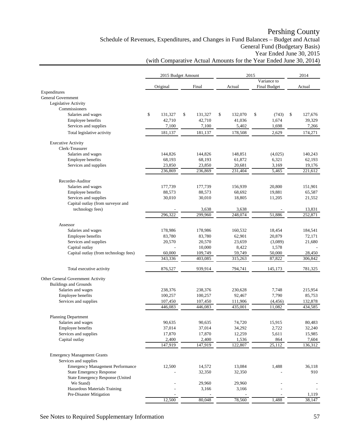Schedule of Revenues, Expenditures, and Changes in Fund Balances – Budget and Actual General Fund (Budgetary Basis)

Year Ended June 30, 2015

(with Comparative Actual Amounts for the Year Ended June 30, 2014)

|                                                             | 2015 Budget Amount |                    | 2015               |                                    | 2014 |                    |
|-------------------------------------------------------------|--------------------|--------------------|--------------------|------------------------------------|------|--------------------|
|                                                             | Original           | Final              | Actual             | Variance to<br><b>Final Budget</b> |      | Actual             |
| Expenditures                                                |                    |                    |                    |                                    |      |                    |
| <b>General Government</b>                                   |                    |                    |                    |                                    |      |                    |
| Legislative Activity                                        |                    |                    |                    |                                    |      |                    |
| Commissioners                                               | \$<br>131,327      | 131,327            | \$<br>132,070      | (743)                              | \$   | 127,676            |
| Salaries and wages<br>Employee benefits                     | 42,710             | \$<br>42,710       | 41,036             | \$<br>1,674                        |      | 39,329             |
| Services and supplies                                       | 7,100              | 7,100              | 5,402              | 1,698                              |      | 7,266              |
| Total legislative activity                                  | 181,137            | 181,137            | 178,508            | 2,629                              |      | 174,271            |
|                                                             |                    |                    |                    |                                    |      |                    |
| <b>Executive Activity</b>                                   |                    |                    |                    |                                    |      |                    |
| Clerk-Treasurer                                             |                    |                    |                    |                                    |      |                    |
| Salaries and wages                                          | 144,826            | 144,826            | 148,851            | (4,025)                            |      | 140,243            |
| Employee benefits                                           | 68,193             | 68,193             | 61,872             | 6,321                              |      | 62,193             |
| Services and supplies                                       | 23,850<br>236,869  | 23,850<br>236,869  | 20,681<br>231,404  | 3,169<br>5,465                     |      | 19,176<br>221,612  |
|                                                             |                    |                    |                    |                                    |      |                    |
| Recorder-Auditor                                            |                    |                    |                    |                                    |      |                    |
| Salaries and wages                                          | 177,739            | 177,739            | 156.939            | 20.800                             |      | 151,901            |
| Employee benefits                                           | 88,573             | 88,573             | 68,692             | 19,881                             |      | 65,587             |
| Services and supplies                                       | 30,010             | 30,010             | 18,805             | 11,205                             |      | 21,552             |
| Capital outlay (from surveyor and                           |                    |                    |                    |                                    |      |                    |
| technology fees)                                            | 296,322            | 3,638<br>299,960   | 3,638<br>248,074   | 51,886                             |      | 13,831<br>252,871  |
|                                                             |                    |                    |                    |                                    |      |                    |
| Assessor                                                    |                    |                    |                    |                                    |      |                    |
| Salaries and wages                                          | 178,986            | 178,986            | 160,532            | 18,454                             |      | 184,541            |
| Employee benefits                                           | 83,780             | 83,780             | 62,901             | 20,879                             |      | 72,171             |
| Services and supplies                                       | 20,570             | 20,570             | 23,659             | (3,089)                            |      | 21,680             |
| Capital outlay                                              |                    | 10,000             | 8,422              | 1,578                              |      |                    |
| Capital outlay (from technology fees)                       | 60,000             | 109,749            | 59,749             | 50,000                             |      | 28,450             |
|                                                             | 343,336            | 403,085            | 315,263            | 87,822                             |      | 306,842            |
| Total executive activity                                    | 876,527            | 939,914            | 794,741            | 145,173                            |      | 781,325            |
| Other General Government Activity                           |                    |                    |                    |                                    |      |                    |
| <b>Buildings and Grounds</b>                                |                    |                    |                    |                                    |      |                    |
| Salaries and wages                                          | 238,376            | 238,376            | 230,628            | 7,748                              |      | 215,954            |
| Employee benefits                                           | 100,257            | 100,257            | 92,467             | 7,790                              |      | 85,753             |
| Services and supplies                                       | 107,450<br>446,083 | 107,450<br>446,083 | 111,906<br>435,001 | (4, 456)<br>11,082                 |      | 132,878<br>434,585 |
|                                                             |                    |                    |                    |                                    |      |                    |
| <b>Planning Department</b>                                  |                    |                    |                    |                                    |      |                    |
| Salaries and wages                                          | 90,635             | 90,635             | 74,720             | 15,915                             |      | 80,483             |
| Employee benefits                                           | 37,014             | 37,014             | 34,292             | 2,722                              |      | 32,240             |
| Services and supplies                                       | 17,870             | 17,870             | 12,259             | 5,611                              |      | 15,985             |
| Capital outlay                                              | 2,400<br>147,919   | 2,400<br>147,919   | 1,536<br>122,807   | 864<br>25,112                      |      | 7,604<br>136,312   |
|                                                             |                    |                    |                    |                                    |      |                    |
| <b>Emergency Management Grants</b><br>Services and supplies |                    |                    |                    |                                    |      |                    |
| <b>Emergency Management Performance</b>                     | 12,500             | 14,572             | 13,084             | 1,488                              |      | 36,118             |
| <b>State Emergency Response</b>                             |                    | 32,350             | 32,350             |                                    |      | 910                |
| State Emergency Response (United                            |                    |                    |                    |                                    |      |                    |
| We Stand)                                                   |                    | 29,960             | 29,960             |                                    |      |                    |
| Hazardous Materials Training                                |                    | 3,166              | 3,166              |                                    |      |                    |
| Pre-Disaster Mitigation                                     |                    |                    |                    |                                    |      | 1,119              |
|                                                             | 12,500             | 80,048             | 78,560             | 1,488                              |      | 38,147             |

See Notes to Required Supplementary Information 57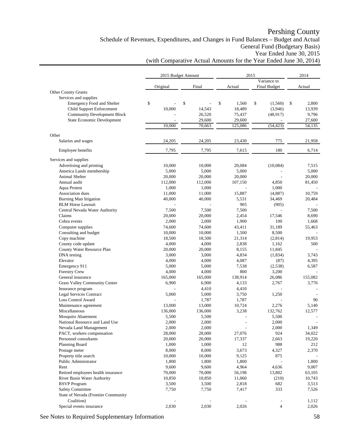Schedule of Revenues, Expenditures, and Changes in Fund Balances – Budget and Actual General Fund (Budgetary Basis)

Year Ended June 30, 2015

(with Comparative Actual Amounts for the Year Ended June 30, 2014)

|                                      |          | 2015 Budget Amount |             | 2015                               |                |  |  |
|--------------------------------------|----------|--------------------|-------------|------------------------------------|----------------|--|--|
|                                      | Original | Final              | Actual      | Variance to<br><b>Final Budget</b> | 2014<br>Actual |  |  |
| Other County Grants                  |          |                    |             |                                    |                |  |  |
| Services and supplies                |          |                    |             |                                    |                |  |  |
| <b>Emergency Food and Shelter</b>    | \$       | \$                 | \$<br>1,560 | \$<br>(1,560)                      | \$<br>2,800    |  |  |
| Child Support Enforcement            | 10,000   | 14,543             | 18,489      | (3,946)                            | 13,939         |  |  |
| <b>Community Development Block</b>   |          | 26,520             | 75,437      | (48, 917)                          | 9,796          |  |  |
| <b>State Economic Development</b>    |          | 29,600             | 29,600      |                                    | 27,600         |  |  |
|                                      | 10,000   | 70,663             | 125,086     | (54, 423)                          | 54,135         |  |  |
| Other                                |          |                    |             |                                    |                |  |  |
| Salaries and wages                   | 24,205   | 24,205             | 23,430      | 775                                | 21,958         |  |  |
| Employee benefits                    | 7,795    | 7,795              | 7,615       | 180                                | 6,714          |  |  |
| Services and supplies                |          |                    |             |                                    |                |  |  |
| Advertising and printing             | 10,000   | 10,000             | 20,084      | (10,084)                           | 7,515          |  |  |
| America Lands membership             | 5,000    | 5,000              | 5,000       |                                    | 5,000          |  |  |
| Animal Shelter                       | 20,000   | 20,000             | 20,000      |                                    | 20,000         |  |  |
| Annual audit                         | 112,000  | 112,000            | 107,150     | 4,850                              | 81,450         |  |  |
| <b>Aqua Protest</b>                  | 1,000    | 1,000              |             | 1,000                              |                |  |  |
| Association dues                     | 11,000   | 11,000             | 15,887      | (4,887)                            | 10,759         |  |  |
| <b>Burning Man litigation</b>        | 40,000   | 40,000             | 5,531       | 34,469                             | 20,484         |  |  |
| <b>BLM Horse Lawsuit</b>             |          |                    | 905         | (905)                              |                |  |  |
| Central Nevada Water Authority       | 7,500    | 7,500              | 7,500       |                                    | 7,500          |  |  |
| Claims                               | 20,000   | 20,000             | 2,454       | 17,546                             | 8,690          |  |  |
| Cobra events                         | 2,000    | 2,000              | 1,900       | 100                                | 1,668          |  |  |
| Computer supplies                    | 74,600   | 74,600             | 43,411      | 31,189                             | 55,463         |  |  |
| Consulting and budget                | 10,000   | 10,000             | 1,500       | 8,500                              |                |  |  |
| Copy machine                         | 18,500   | 18,500             | 21,314      | (2,814)                            | 19,953         |  |  |
| County code update                   | 4,000    | 4,000              | 2,838       | 1,162                              | 500            |  |  |
| County Water Resource Plan           | 20,000   | 20,000             | 8,155       | 11,845                             |                |  |  |
| DNA testing                          | 3,000    | 3,000              | 4,834       | (1,834)                            | 3,743          |  |  |
| Elevator                             | 4,000    | 4,000              | 4,087       | (87)                               | 4,395          |  |  |
| Emergency 911                        | 5,000    | 5,000              | 7,538       | (2,538)                            | 6,587          |  |  |
| <b>Forestry Crew</b>                 | 4,000    | 4,000              | 800         | 3,200                              |                |  |  |
| General insurance                    | 165,000  | 165,000            | 138,914     | 26,086                             | 155,082        |  |  |
| <b>Grass Valley Community Center</b> | 6,900    | 6,900              | 4,133       | 2,767                              | 3,776          |  |  |
| Insurance program                    |          | 4,410              | 4,410       |                                    |                |  |  |
| <b>Legal Services Contract</b>       | 5,000    | 5,000              | 3,750       | 1,250                              |                |  |  |
| Loss Control Award                   |          | 1,787              | 1,787       |                                    | 90             |  |  |
| Maintenance agreement                | 13,000   | 13,000             | 10,724      | 2,276                              | 5,140          |  |  |
| Miscellaneous                        | 136,000  | 136,000            | 3,238       | 132,762                            | 12,577         |  |  |
| Mosquito Abatement                   | 5,500    | 5,500              |             | 5,500                              |                |  |  |
| National Resource and Land Use       | 2,000    | 2,000              |             | 2,000                              |                |  |  |
| Nevada Land Management               | 2,000    | 2,000              |             | 2,000                              | 1,349          |  |  |
| PACT, workers compensation           | 28,000   | 28,000             | 27,076      | 924                                | 34,022         |  |  |
| Personnel consultants                | 20,000   | 20,000             | 17,337      | 2,663                              | 19,220         |  |  |
| Planning Board                       | 1,000    | 1,000              | 12          | 988                                | 212            |  |  |
| Postage meter                        | 8,000    | 8,000              | 3,673       | 4,327                              | 2,370          |  |  |
| Property title search                | 10,000   | 10,000             | 9,125       | 875                                |                |  |  |
| Public Administrator                 | 1,800    | 1,800              | 1,800       |                                    | 1,800          |  |  |
| Rent                                 | 9,600    | 9,600              | 4,964       | 4,636                              | 9,007          |  |  |
| Retired employees health insurance   | 70,000   | 70,000             | 56,198      | 13,802                             | 63,105         |  |  |
| River Basin Water Authority          | 10,850   | 10,850             | 11,060      | (210)                              | 10,743         |  |  |
| <b>RSVP</b> Program                  | 3,500    | 3,500              | 2,818       | 682                                | 3,513          |  |  |
| <b>Safety Committee</b>              | 7,750    | 7,750              | 7,417       | 333                                | 7,526          |  |  |
| State of Nevada (Frontier Community  |          |                    |             |                                    |                |  |  |
| Coalition)                           |          |                    |             |                                    | 1,112          |  |  |
|                                      | 2,030    | 2,030              |             | $\overline{4}$                     |                |  |  |
| Special events insurance             |          |                    | 2,026       |                                    | 2,026          |  |  |

See Notes to Required Supplementary Information 58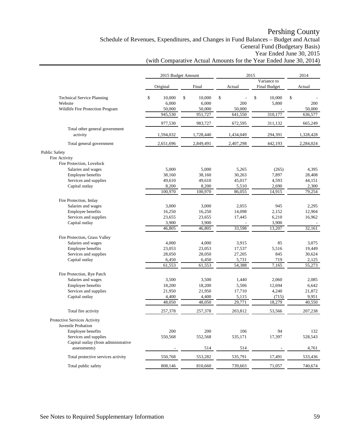Schedule of Revenues, Expenditures, and Changes in Fund Balances – Budget and Actual

# General Fund (Budgetary Basis)

|  |  | Year Ended June 30, 2015 |  |
|--|--|--------------------------|--|
|  |  | 20.2011                  |  |

| (with Comparative Actual Amounts for the Year Ended June 30, 2014) |  |  |
|--------------------------------------------------------------------|--|--|
|--------------------------------------------------------------------|--|--|

|                                                                                  |                                 | 2015 Budget Amount              |                     | 2015                               |                     |
|----------------------------------------------------------------------------------|---------------------------------|---------------------------------|---------------------|------------------------------------|---------------------|
|                                                                                  | Original                        | Final                           | Actual              | Variance to<br><b>Final Budget</b> | Actual              |
| <b>Technical Service Planning</b><br>Website<br>Wildlife Fire Protection Program | \$<br>10,000<br>6,000<br>50,000 | \$<br>10,000<br>6,000<br>50,000 | \$<br>200<br>50,000 | \$<br>10,000<br>5,800              | \$<br>200<br>50,000 |
|                                                                                  | 945,530                         | 951,727                         | 641,550             | 310,177                            | 636,577             |
|                                                                                  | 977,530                         | 983,727                         | 672,595             | 311,132                            | 665,249             |
| Total other general government<br>activity                                       | 1,594,032                       | 1,728,440                       | 1,434,049           | 294,391                            | 1,328,428           |
| Total general government                                                         | 2,651,696                       | 2,849,491                       | 2,407,298           | 442,193                            | 2,284,024           |
| <b>Public Safety</b>                                                             |                                 |                                 |                     |                                    |                     |
| Fire Activity                                                                    |                                 |                                 |                     |                                    |                     |
| Fire Protection, Lovelock                                                        |                                 |                                 |                     |                                    |                     |
| Salaries and wages                                                               | 5,000                           | 5,000                           | 5,265               | (265)                              | 4,395               |
| Employee benefits                                                                | 38,160                          | 38,160                          | 30,263              | 7,897                              | 28,408              |
| Services and supplies                                                            | 49,610                          | 49,610                          | 45,017              | 4,593                              | 44,151              |
| Capital outlay                                                                   | 8,200                           | 8,200                           | 5,510               | 2,690                              | 2,300               |
|                                                                                  | 100,970                         | 100,970                         | 86,055              | 14,915                             | 79,254              |
| Fire Protection, Imlay                                                           |                                 |                                 |                     |                                    |                     |
| Salaries and wages                                                               | 3,000                           | 3,000                           | 2,055               | 945                                | 2,295               |
| Employee benefits                                                                | 16,250                          | 16,250                          | 14,098              | 2,152                              | 12,904              |
| Services and supplies                                                            | 23,655                          | 23,655                          | 17,445              | 6,210                              | 16,962              |
| Capital outlay                                                                   | 3,900                           | 3,900                           |                     | 3,900                              |                     |
|                                                                                  | 46,805                          | 46,805                          | 33,598              | 13,207                             | 32,161              |
| Fire Protection, Grass Valley                                                    |                                 |                                 |                     |                                    |                     |
| Salaries and wages                                                               | 4,000                           | 4,000                           | 3,915               | 85                                 | 3,075               |
| Employee benefits                                                                | 23,053                          | 23,053                          | 17,537              | 5,516                              | 19,449              |
| Services and supplies                                                            | 28,050                          | 28,050                          | 27,205              | 845                                | 30,624              |
| Capital outlay                                                                   | 6,450                           | 6,450                           | 5,731               | 719                                | 2,125               |
|                                                                                  | 61,553                          | 61,553                          | 54,388              | 7,165                              | 55,273              |
| Fire Protection, Rye Patch                                                       |                                 |                                 |                     |                                    |                     |
| Salaries and wages                                                               | 3,500                           | 3,500                           | 1,440               | 2,060                              | 2,085               |
| Employee benefits                                                                | 18,200                          | 18,200                          | 5,506               | 12,694                             | 6,642               |
| Services and supplies                                                            | 21,950                          | 21,950                          | 17,710              | 4,240                              | 21,872              |
| Capital outlay                                                                   | 4,400                           | 4,400                           | 5,115               | (715)                              | 9,951               |
|                                                                                  | 48,050                          | 48,050                          | 29,771              | 18,279                             | 40,550              |
| Total fire activity                                                              | 257,378                         | 257,378                         | 203,812             | 53,566                             | 207,238             |
| Protective Services Activity                                                     |                                 |                                 |                     |                                    |                     |
| Juvenile Probation                                                               |                                 |                                 |                     |                                    |                     |
| Employee benefits                                                                | 200                             | 200                             | 106                 | 94                                 | 132                 |
| Services and supplies                                                            | 550,568                         | 552,568                         | 535,171             | 17,397                             | 528,543             |
| Capital outlay (from administrative                                              |                                 |                                 |                     |                                    |                     |
| assessments)                                                                     |                                 | 514                             | 514                 |                                    | 4,761               |
| Total protective services activity                                               | 550,768                         | 553,282                         | 535,791             | 17,491                             | 533,436             |
| Total public safety                                                              | 808,146                         | 810,660                         | 739,603             | 71,057                             | 740,674             |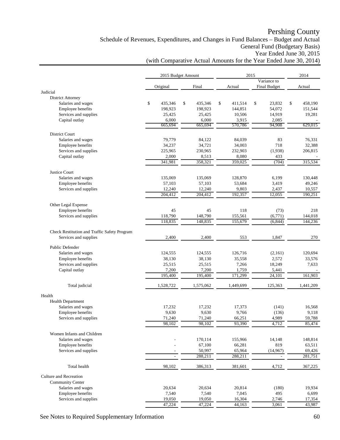Schedule of Revenues, Expenditures, and Changes in Fund Balances – Budget and Actual General Fund (Budgetary Basis)

Year Ended June 30, 2015

(with Comparative Actual Amounts for the Year Ended June 30, 2014)

|                                              |                  | 2015 Budget Amount |                  | 2015                               |                |
|----------------------------------------------|------------------|--------------------|------------------|------------------------------------|----------------|
|                                              | Original         | Final              | Actual           | Variance to<br><b>Final Budget</b> | 2014<br>Actual |
| Judicial                                     |                  |                    |                  |                                    |                |
| <b>District Attorney</b>                     |                  |                    |                  |                                    |                |
| Salaries and wages                           | \$<br>435,346    | \$<br>435,346      | \$<br>411,514    | \$<br>23,832                       | \$<br>458,190  |
| Employee benefits                            | 198,923          | 198,923            | 144,851          | 54,072                             | 151,544        |
| Services and supplies                        | 25,425           | 25,425             | 10,506           | 14,919                             | 19,281         |
| Capital outlay                               | 6,000<br>665,694 | 6,000<br>665,694   | 3,915<br>570,786 | 2,085<br>94,908                    | 629,015        |
|                                              |                  |                    |                  |                                    |                |
| <b>District Court</b>                        |                  |                    |                  |                                    |                |
| Salaries and wages                           | 79,779           | 84,122             | 84,039           | 83                                 | 76,331         |
| Employee benefits                            | 34,237           | 34,721             | 34,003           | 718                                | 32,388         |
| Services and supplies                        | 225,965          | 230,965            | 232,903          | (1,938)                            | 206,815        |
| Capital outlay                               | 2,000<br>341,981 | 8,513<br>358,321   | 8,080<br>359,025 | 433<br>(704)                       | 315,534        |
|                                              |                  |                    |                  |                                    |                |
| Justice Court                                |                  |                    |                  |                                    |                |
| Salaries and wages                           | 135,069          | 135,069            | 128,870          | 6,199                              | 130,448        |
| Employee benefits                            | 57,103           | 57,103             | 53,684           | 3,419                              | 49,246         |
| Services and supplies                        | 12,240           | 12,240             | 9,803            | 2,437                              | 10,557         |
|                                              | 204,412          | 204,412            | 192,357          | 12,055                             | 190,251        |
| Other Legal Expense                          |                  |                    |                  |                                    |                |
| Employee benefits                            | 45               | 45                 | 118              | (73)                               | 218            |
| Services and supplies                        | 118,790          | 148,790            | 155,561          | (6,771)                            | 144,018        |
|                                              | 118,835          | 148,835            | 155,679          | (6, 844)                           | 144,236        |
| Check Restitution and Traffic Safety Program |                  |                    |                  |                                    |                |
| Services and supplies                        | 2,400            | 2,400              | 553              | 1,847                              | 270            |
| Public Defender                              |                  |                    |                  |                                    |                |
| Salaries and wages                           | 124,555          | 124,555            | 126,716          | (2,161)                            | 120,694        |
| Employee benefits                            | 38,130           | 38,130             | 35,558           | 2,572                              | 33,576         |
| Services and supplies                        | 25,515           | 25,515             | 7,266            | 18,249                             | 7,633          |
| Capital outlay                               | 7,200            | 7,200              | 1,759            | 5,441                              |                |
|                                              | 195,400          | 195,400            | 171,299          | 24,101                             | 161,903        |
| Total judicial                               | 1,528,722        | 1,575,062          | 1,449,699        | 125,363                            | 1,441,209      |
| Health                                       |                  |                    |                  |                                    |                |
| Health Department                            |                  |                    |                  |                                    |                |
| Salaries and wages                           | 17,232           | 17,232             | 17,373           | (141)                              | 16,568         |
| Employee benefits                            | 9,630            | 9,630              | 9,766            | (136)                              | 9,118          |
| Services and supplies                        | 71,240           | 71,240             | 66,251           | 4,989                              | 59,788         |
|                                              | 98,102           | 98,102             | 93,390           | 4,712                              | 85,474         |
| Women Infants and Children                   |                  |                    |                  |                                    |                |
| Salaries and wages                           |                  | 170,114            | 155,966          | 14,148                             | 148,814        |
| Employee benefits                            |                  | 67,100             | 66,281           | 819                                | 63,511         |
| Services and supplies                        |                  | 50,997             | 65,964           | (14, 967)                          | 69,426         |
|                                              |                  | 288,211            | 288,211          |                                    | 281,751        |
| Total health                                 | 98,102           | 386,313            | 381,601          | 4,712                              | 367, 225       |
| <b>Culture and Recreation</b>                |                  |                    |                  |                                    |                |
| Community Center                             |                  |                    |                  |                                    |                |
| Salaries and wages                           | 20,634           | 20,634             | 20,814           | (180)                              | 19,934         |
| Employee benefits                            | 7,540            | 7,540              | 7,045            | 495                                | 6,699          |
| Services and supplies                        | 19,050           | 19,050             | 16,304           | 2,746                              | 17,354         |
|                                              | 47,224           | 47,224             | 44,163           | 3,061                              | 43,987         |

See Notes to Required Supplementary Information 60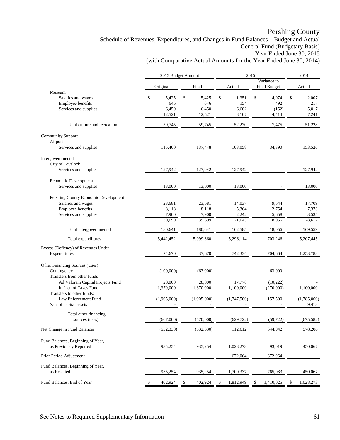Schedule of Revenues, Expenditures, and Changes in Fund Balances – Budget and Actual

# General Fund (Budgetary Basis) Year Ended June 30, 2015

|                                                   | 2015 Budget Amount |              | 2015            |                     | 2014        |
|---------------------------------------------------|--------------------|--------------|-----------------|---------------------|-------------|
|                                                   |                    |              |                 | Variance to         |             |
| Museum                                            | Original           | Final        | Actual          | <b>Final Budget</b> | Actual      |
| Salaries and wages                                | \$<br>5,425        | \$<br>5,425  | \$<br>1,351     | \$<br>4,074         | \$<br>2,007 |
| Employee benefits                                 | 646                | 646          | 154             | 492                 | 217         |
| Services and supplies                             | 6,450              | 6,450        | 6,602           | (152)               | 5,017       |
|                                                   | 12,521             | 12,521       | 8,107           | 4,414               | 7,241       |
| Total culture and recreation                      | 59,745             | 59,745       | 52,270          | 7,475               | 51,228      |
| <b>Community Support</b>                          |                    |              |                 |                     |             |
| Airport                                           |                    |              |                 |                     |             |
| Services and supplies                             | 115,400            | 137,448      | 103,058         | 34,390              | 153,526     |
| Intergovernmental                                 |                    |              |                 |                     |             |
| City of Lovelock                                  |                    |              |                 |                     |             |
| Services and supplies                             | 127,942            | 127,942      | 127,942         |                     | 127,942     |
| Economic Development                              |                    |              |                 |                     |             |
| Services and supplies                             | 13,000             | 13,000       | 13,000          |                     | 13,000      |
| Pershing County Economic Development              |                    |              |                 |                     |             |
| Salaries and wages                                | 23,681             | 23,681       | 14,037          | 9,644               | 17,709      |
| Employee benefits                                 | 8.118              | 8,118        | 5,364           | 2,754               | 7,373       |
| Services and supplies                             | 7,900<br>39,699    | 7,900        | 2,242           | 5,658               | 3,535       |
|                                                   |                    | 39,699       | 21,643          | 18,056              | 28,617      |
| Total intergovernmental                           | 180,641            | 180,641      | 162,585         | 18,056              | 169,559     |
| Total expenditures                                | 5,442,452          | 5,999,360    | 5,296,114       | 703,246             | 5,207,445   |
| Excess (Defiency) of Revenues Under               |                    |              |                 |                     |             |
| Expenditures                                      | 74,670             | 37,670       | 742,334         | 704,664             | 1,253,788   |
| Other Financing Sources (Uses)                    |                    |              |                 |                     |             |
| Contingency<br>Transfers from other funds         | (100,000)          | (63,000)     |                 | 63,000              |             |
| Ad Valorem Capital Projects Fund                  | 28,000             | 28,000       | 17,778          | (10,222)            |             |
| In Lieu of Taxes Fund                             | 1,370,000          | 1,370,000    | 1,100,000       | (270,000)           | 1,100,000   |
| Transfers to other funds:<br>Law Enforcement Fund | (1,905,000)        | (1,905,000)  | (1,747,500)     | 157,500             | (1,785,000) |
| Sale of capital assets                            |                    |              |                 |                     | 9,418       |
| Total other financing                             |                    |              |                 |                     |             |
| sources (uses)                                    | (607,000)          | (570,000)    | (629, 722)      | (59, 722)           | (675, 582)  |
| Net Change in Fund Balances                       | (532, 330)         | (532, 330)   | 112,612         | 644,942             | 578,206     |
| Fund Balances, Beginning of Year,                 |                    |              |                 |                     |             |
| as Previously Reported                            | 935,254            | 935,254      | 1,028,273       | 93,019              | 450,067     |
| Prior Period Adjustment                           |                    |              | 672,064         | 672,064             |             |
| Fund Balances, Beginning of Year,                 |                    |              |                 |                     |             |
| as Restated                                       | 935,254            | 935,254      | 1,700,337       | 765,083             | 450,067     |
| Fund Balances, End of Year                        | 402,924            | 402,924<br>S | 1,812,949<br>\$ | 1,410,025<br>\$     | 1,028,273   |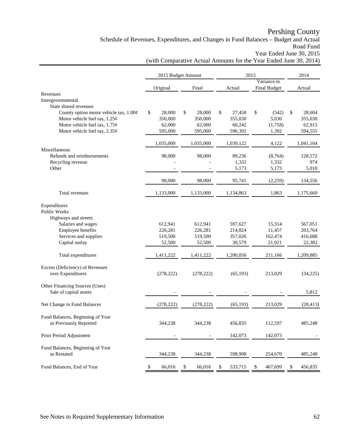## Schedule of Revenues, Expenditures, and Changes in Fund Balances – Budget and Actual Road Fund

Year Ended June 30, 2015

(with Comparative Actual Amounts for the Year Ended June 30, 2014)

|                                             | 2015 Budget Amount |              | 2015          |                                                         | 2014          |
|---------------------------------------------|--------------------|--------------|---------------|---------------------------------------------------------|---------------|
|                                             | Original           | Final        | Actual        | $\overline{\text{V}}$ ariance to<br><b>Final Budget</b> | Actual        |
| Revenues                                    |                    |              |               |                                                         |               |
| Intergovernmental                           |                    |              |               |                                                         |               |
| State shared revenues                       |                    |              |               |                                                         |               |
| County option motor vehicle tax, 1.00¢      | \$<br>28,000       | \$<br>28,000 | \$<br>27,458  | \$<br>(542)                                             | \$<br>28,604  |
| Motor vehicle fuel tax, $1.25¢$             | 350,000            | 350,000      | 355,030       | 5,030                                                   | 355,030       |
| Motor vehicle fuel tax, $1.75¢$             | 62,000             | 62,000       | 60,242        | (1,758)                                                 | 62,915        |
| Motor vehicle fuel tax, $2.35¢$             | 595,000            | 595,000      | 596,392       | 1,392                                                   | 594,555       |
|                                             | 1,035,000          | 1,035,000    | 1,039,122     | 4,122                                                   | 1,041,104     |
| Miscellaneous<br>Refunds and reimbursements | 98,000             | 98,000       | 89,236        | (8, 764)                                                | 128,572       |
| Recycling revenue                           |                    |              | 1,332         | 1,332                                                   | 974           |
| Other                                       |                    |              | 5,173         | 5,173                                                   | 5,010         |
|                                             | 98,000             | 98,000       | 95,741        | (2,259)                                                 | 134,556       |
|                                             |                    |              |               |                                                         |               |
| Total revenues                              | 1,133,000          | 1,133,000    | 1,134,863     | 1,863                                                   | 1,175,660     |
| Expenditures<br>Public Works                |                    |              |               |                                                         |               |
| Highways and streets                        |                    |              |               |                                                         |               |
| Salaries and wages                          | 612,941            | 612,941      | 597,627       | 15,314                                                  | 567,051       |
| Employee benefits                           | 226,281            | 226,281      | 214,824       | 11,457                                                  | 203,764       |
| Services and supplies                       | 519,500            | 519,500      | 357,026       | 162,474                                                 | 416,688       |
| Capital outlay                              | 52,500             | 52,500       | 30,579        | 21,921                                                  | 22,382        |
| Total expenditures                          | 1,411,222          | 1,411,222    | 1,200,056     | 211,166                                                 | 1,209,885     |
| Excess (Deficiency) of Revenues             |                    |              |               |                                                         |               |
| over Expenditures                           | (278, 222)         | (278, 222)   | (65, 193)     | 213,029                                                 | (34,225)      |
|                                             |                    |              |               |                                                         |               |
| Other Financing Sources (Uses)              |                    |              |               |                                                         |               |
| Sale of capital assets                      |                    |              |               |                                                         | 5,812         |
| Net Change in Fund Balances                 | (278, 222)         | (278, 222)   | (65, 193)     | 213,029                                                 | (28, 413)     |
| Fund Balances, Beginning of Year            |                    |              |               |                                                         |               |
| as Previously Reported                      | 344,238            | 344,238      | 456,835       | 112,597                                                 | 485,248       |
| Prior Period Adjustment                     |                    |              | 142,073       | 142,073                                                 |               |
|                                             |                    |              |               |                                                         |               |
| Fund Balances, Beginning of Year            |                    |              |               |                                                         |               |
| as Restated                                 | 344,238            | 344,238      | 598,908       | 254,670                                                 | 485,248       |
| Fund Balances, End of Year                  | 66,016<br>\$       | \$<br>66,016 | \$<br>533,715 | \$<br>467,699                                           | \$<br>456,835 |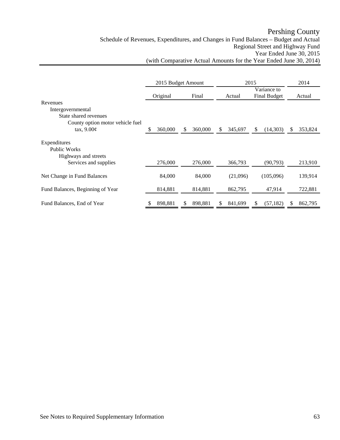Schedule of Revenues, Expenditures, and Changes in Fund Balances – Budget and Actual Regional Street and Highway Fund Year Ended June 30, 2015

|                                                                                      | 2015 Budget Amount |          |    |         | 2015 |          |   |                                    |   | 2014    |
|--------------------------------------------------------------------------------------|--------------------|----------|----|---------|------|----------|---|------------------------------------|---|---------|
|                                                                                      |                    | Original |    | Final   |      | Actual   |   | Variance to<br><b>Final Budget</b> |   | Actual  |
| Revenues                                                                             |                    |          |    |         |      |          |   |                                    |   |         |
| Intergovernmental                                                                    |                    |          |    |         |      |          |   |                                    |   |         |
| State shared revenues                                                                |                    |          |    |         |      |          |   |                                    |   |         |
| County option motor vehicle fuel                                                     |                    |          |    |         |      |          |   |                                    |   |         |
| tax, $9.00\phi$                                                                      | S                  | 360,000  | \$ | 360,000 | \$   | 345,697  | S | (14,303)                           | S | 353,824 |
| Expenditures<br><b>Public Works</b><br>Highways and streets<br>Services and supplies |                    | 276,000  |    | 276,000 |      | 366,793  |   | (90, 793)                          |   | 213,910 |
| Net Change in Fund Balances                                                          |                    | 84,000   |    | 84,000  |      | (21,096) |   | (105,096)                          |   | 139,914 |
| Fund Balances, Beginning of Year                                                     |                    | 814,881  |    | 814,881 |      | 862,795  |   | 47,914                             |   | 722,881 |
| Fund Balances, End of Year                                                           | \$                 | 898,881  | \$ | 898,881 | \$   | 841,699  | S | (57, 182)                          |   | 862,795 |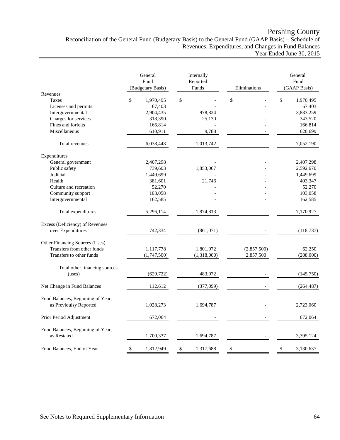Reconciliation of the General Fund (Budgetary Basis) to the General Fund (GAAP Basis) – Schedule of Revenues, Expenditures, and Changes in Fund Balances Year Ended June 30, 2015

|                                   | General<br>Fund<br>(Budgetary Basis) | Internally<br>Reported<br>Funds | Eliminations | General<br>Fund<br>(GAAP Basis) |
|-----------------------------------|--------------------------------------|---------------------------------|--------------|---------------------------------|
| Revenues                          |                                      |                                 |              |                                 |
| Taxes                             | \$<br>1,970,495                      | \$                              | \$           | \$<br>1,970,495                 |
| Licenses and permits              | 67,403                               |                                 |              | 67,403                          |
| Intergovernmental                 | 2,904,435                            | 978,824                         |              | 3,883,259                       |
| Charges for services              | 318,390                              | 25,130                          |              | 343,520                         |
| Fines and forfeits                | 166,814                              |                                 |              | 166,814                         |
| Miscellaneous                     | 610,911                              | 9,788                           |              | 620,699                         |
| Total revenues                    | 6,038,448                            | 1,013,742                       |              | 7,052,190                       |
| Expenditures                      |                                      |                                 |              |                                 |
| General government                | 2,407,298                            |                                 |              | 2,407,298                       |
| Public safety                     | 739,603                              | 1,853,067                       |              | 2,592,670                       |
| Judicial                          | 1,449,699                            |                                 |              | 1,449,699                       |
| Health                            | 381,601                              | 21,746                          |              | 403,347                         |
| Culture and recreation            | 52,270                               |                                 |              | 52,270                          |
| Community support                 | 103,058                              |                                 |              | 103,058                         |
| Intergovernmental                 | 162,585                              |                                 |              | 162,585                         |
| Total expenditures                | 5,296,114                            | 1,874,813                       |              | 7,170,927                       |
| Excess (Deficiency) of Revenues   |                                      |                                 |              |                                 |
| over Expenditures                 | 742,334                              | (861,071)                       |              | (118, 737)                      |
| Other Financing Sources (Uses)    |                                      |                                 |              |                                 |
| Transfers from other funds        | 1,117,778                            | 1,801,972                       | (2,857,500)  | 62,250                          |
| Transfers to other funds          | (1,747,500)                          | (1,318,000)                     | 2,857,500    | (208,000)                       |
| Total other financing sources     |                                      |                                 |              |                                 |
| (uses)                            | (629, 722)                           | 483,972                         |              | (145,750)                       |
| Net Change in Fund Balances       | 112,612                              | (377,099)                       |              | (264, 487)                      |
| Fund Balances, Beginning of Year, |                                      |                                 |              |                                 |
| as Previoulsy Reported            | 1,028,273                            | 1,694,787                       |              | 2,723,060                       |
| Prior Period Adjustment           | 672,064                              |                                 |              | 672,064                         |
| Fund Balances, Beginning of Year, |                                      |                                 |              |                                 |
| as Restated                       | 1,700,337                            | 1,694,787                       |              | 3,395,124                       |
| Fund Balances, End of Year        | \$<br>1,812,949                      | \$<br>1,317,688                 | \$           | \$<br>3,130,637                 |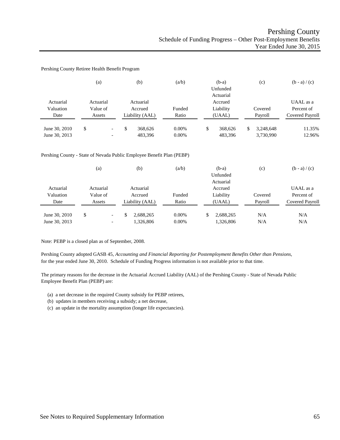Pershing County Retiree Health Benefit Program

|               | (a)       |                          | (b)             | (a/b)    |    | $(b-a)$   |  | (c)       | $(b - a) / (c)$ |         |                 |
|---------------|-----------|--------------------------|-----------------|----------|----|-----------|--|-----------|-----------------|---------|-----------------|
|               |           |                          |                 |          |    | Unfunded  |  |           |                 |         |                 |
|               |           |                          |                 |          |    | Actuarial |  |           |                 |         |                 |
| Actuarial     | Actuarial |                          | Actuarial       |          |    | Accrued   |  |           | UAAL as a       |         |                 |
| Valuation     | Value of  |                          | Accrued         | Funded   |    | Liability |  | Covered   |                 |         | Percent of      |
| Date          | Assets    |                          | Liability (AAL) | Ratio    |    | (UAAL)    |  |           |                 | Payroll | Covered Payroll |
| June 30, 2010 | \$        | $\overline{\phantom{0}}$ | \$<br>368,626   | $0.00\%$ | \$ | 368,626   |  | 3.248.648 | 11.35%          |         |                 |
| June 30, 2013 |           | $\overline{\phantom{0}}$ | 483,396         | $0.00\%$ |    | 483.396   |  | 3,730,990 | 12.96%          |         |                 |

Pershing County - State of Nevada Public Employee Benefit Plan (PEBP)

|               | (a)                            |   | (b)             | (a/b)  | $(b-a)$         | (c)     | $(b - a) / (c)$        |
|---------------|--------------------------------|---|-----------------|--------|-----------------|---------|------------------------|
|               |                                |   |                 |        | Unfunded        |         |                        |
|               |                                |   |                 |        | Actuarial       |         |                        |
| Actuarial     | Actuarial                      |   | Actuarial       |        | Accrued         |         | UAAL as a              |
| Valuation     | Value of                       |   | Accrued         | Funded | Liability       | Covered | Percent of             |
| Date          | Assets                         |   | Liability (AAL) | Ratio  | (UAAL)          | Pavroll | <b>Covered Payroll</b> |
| June 30, 2010 | \$<br>$\overline{\phantom{a}}$ | S | 2,688,265       | 0.00%  | \$<br>2,688,265 | N/A     | N/A                    |
| June 30, 2013 |                                |   | 1,326,806       | 0.00%  | 1,326,806       | N/A     | N/A                    |
|               | $\overline{\phantom{0}}$       |   |                 |        |                 |         |                        |

Note: PEBP is a closed plan as of September, 2008.

Pershing County adopted GASB 45, *Accounting and Financial Reporting for Postemployment Benefits Other than Pensions,*  for the year ended June 30, 2010. Schedule of Funding Progress information is not available prior to that time.

The primary reasons for the decrease in the Actuarial Accrued Liability (AAL) of the Pershing County - State of Nevada Public Employee Benefit Plan (PEBP) are:

- (a) a net decrease in the required County subsidy for PEBP retirees,
- (b) updates in members receiving a subsidy; a net decrease,
- (c) an update in the mortality assumption (longer life expectancies).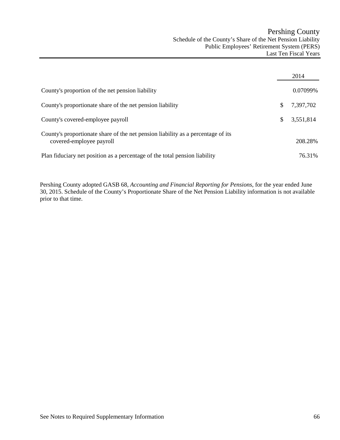|                                                                                                              |     | 2014      |
|--------------------------------------------------------------------------------------------------------------|-----|-----------|
| County's proportion of the net pension liability                                                             |     | 0.07099%  |
| County's proportionate share of the net pension liability                                                    | \$. | 7,397,702 |
| County's covered-employee payroll                                                                            | S   | 3,551,814 |
| County's proportionate share of the net pension liability as a percentage of its<br>covered-employee payroll |     | 208.28%   |
| Plan fiduciary net position as a percentage of the total pension liability                                   |     | 76.31%    |

Pershing County adopted GASB 68, *Accounting and Financial Reporting for Pensions*, for the year ended June 30, 2015. Schedule of the County's Proportionate Share of the Net Pension Liability information is not available prior to that time.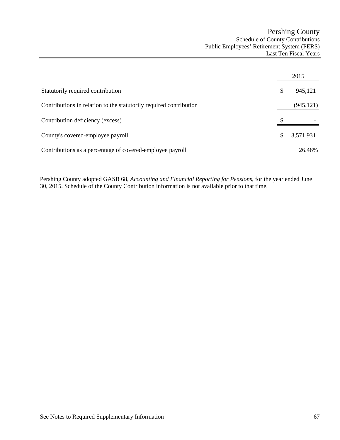|                                                                    |     | 2015       |
|--------------------------------------------------------------------|-----|------------|
| Statutorily required contribution                                  | \$  | 945,121    |
| Contributions in relation to the statutorily required contribution |     | (945, 121) |
| Contribution deficiency (excess)                                   |     |            |
| County's covered-employee payroll                                  | \$. | 3,571,931  |
| Contributions as a percentage of covered-employee payroll          |     | 26.46%     |

Pershing County adopted GASB 68, *Accounting and Financial Reporting for Pensions*, for the year ended June 30, 2015. Schedule of the County Contribution information is not available prior to that time.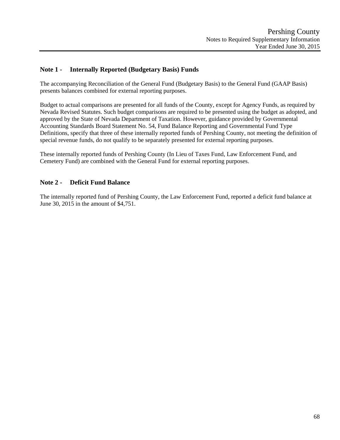#### **Note 1 - Internally Reported (Budgetary Basis) Funds**

The accompanying Reconciliation of the General Fund (Budgetary Basis) to the General Fund (GAAP Basis) presents balances combined for external reporting purposes.

Budget to actual comparisons are presented for all funds of the County, except for Agency Funds, as required by Nevada Revised Statutes. Such budget comparisons are required to be presented using the budget as adopted, and approved by the State of Nevada Department of Taxation. However, guidance provided by Governmental Accounting Standards Board Statement No. 54, Fund Balance Reporting and Governmental Fund Type Definitions, specify that three of these internally reported funds of Pershing County, not meeting the definition of special revenue funds, do not qualify to be separately presented for external reporting purposes.

These internally reported funds of Pershing County (In Lieu of Taxes Fund, Law Enforcement Fund, and Cemetery Fund) are combined with the General Fund for external reporting purposes.

#### **Note 2 - Deficit Fund Balance**

The internally reported fund of Pershing County, the Law Enforcement Fund, reported a deficit fund balance at June 30, 2015 in the amount of \$4,751.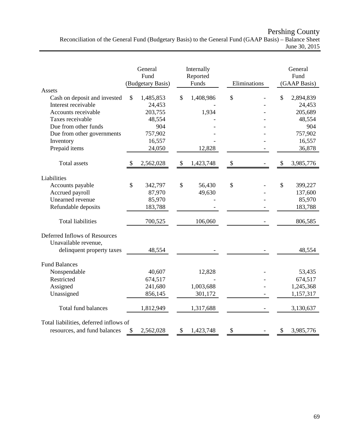Reconciliation of the General Fund (Budgetary Basis) to the General Fund (GAAP Basis) – Balance Sheet June 30, 2015

|                                                       |    | General<br>Fund<br>(Budgetary Basis) | Internally<br>Reported<br>Funds | Eliminations |    | General<br>Fund<br>(GAAP Basis) |
|-------------------------------------------------------|----|--------------------------------------|---------------------------------|--------------|----|---------------------------------|
| Assets                                                |    |                                      |                                 |              |    |                                 |
| Cash on deposit and invested                          | \$ | 1,485,853                            | \$<br>1,408,986                 | \$           | \$ | 2,894,839                       |
| Interest receivable                                   |    | 24,453                               |                                 |              |    | 24,453                          |
| Accounts receivable                                   |    | 203,755                              | 1,934                           |              |    | 205,689                         |
| Taxes receivable                                      |    | 48,554                               |                                 |              |    | 48,554                          |
| Due from other funds                                  |    | 904                                  |                                 |              |    | 904                             |
| Due from other governments                            |    | 757,902                              |                                 |              |    | 757,902                         |
| Inventory                                             |    | 16,557                               |                                 |              |    | 16,557                          |
| Prepaid items                                         |    | 24,050                               | 12,828                          |              |    | 36,878                          |
| <b>Total</b> assets                                   |    | 2,562,028                            | \$<br>1,423,748                 | \$           | \$ | 3,985,776                       |
| Liabilities                                           |    |                                      |                                 |              |    |                                 |
| Accounts payable                                      | \$ | 342,797                              | \$<br>56,430                    | \$           | \$ | 399,227                         |
| Accrued payroll                                       |    | 87,970                               | 49,630                          |              |    | 137,600                         |
| Unearned revenue                                      |    | 85,970                               |                                 |              |    | 85,970                          |
| Refundable deposits                                   |    | 183,788                              |                                 |              |    | 183,788                         |
| <b>Total liabilities</b>                              |    | 700,525                              | 106,060                         |              |    | 806,585                         |
| Deferred Inflows of Resources<br>Unavailable revenue, |    |                                      |                                 |              |    |                                 |
| delinquent property taxes                             |    | 48,554                               |                                 |              |    | 48,554                          |
| <b>Fund Balances</b>                                  |    |                                      |                                 |              |    |                                 |
| Nonspendable                                          |    | 40,607                               | 12,828                          |              |    | 53,435                          |
| Restricted                                            |    | 674,517                              |                                 |              |    | 674,517                         |
| Assigned                                              |    | 241,680                              | 1,003,688                       |              |    | 1,245,368                       |
| Unassigned                                            |    | 856,145                              | 301,172                         |              |    | 1,157,317                       |
| <b>Total fund balances</b>                            |    | 1,812,949                            | 1,317,688                       |              |    | 3,130,637                       |
| Total liabilities, deferred inflows of                |    |                                      |                                 |              |    |                                 |
| resources, and fund balances                          | P. | 2,562,028                            | \$<br>1,423,748                 | \$           | \$ | 3,985,776                       |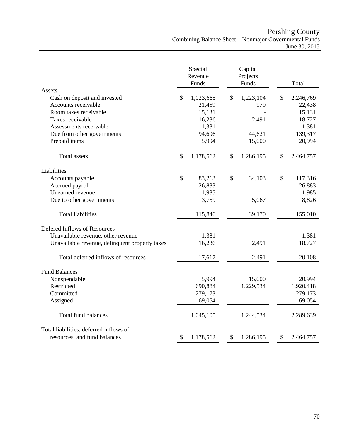Pershing County Combining Balance Sheet – Nonmajor Governmental Funds June 30, 2015

|                                                |               | Special<br>Revenue<br>Funds |              | Capital<br>Projects<br>Funds | Total           |
|------------------------------------------------|---------------|-----------------------------|--------------|------------------------------|-----------------|
| Assets                                         |               |                             |              |                              |                 |
| Cash on deposit and invested                   | $\mathcal{S}$ | 1,023,665                   | \$           | 1,223,104                    | \$<br>2,246,769 |
| Accounts receivable                            |               | 21,459                      |              | 979                          | 22,438          |
| Room taxes receivable                          |               | 15,131                      |              |                              | 15,131          |
| Taxes receivable                               |               | 16,236                      |              | 2,491                        | 18,727          |
| Assessments receivable                         |               | 1,381                       |              |                              | 1,381           |
| Due from other governments                     |               | 94,696                      |              | 44,621                       | 139,317         |
| Prepaid items                                  |               | 5,994                       |              | 15,000                       | 20,994          |
| <b>Total</b> assets                            | <sup>2</sup>  | 1,178,562                   | $\mathbb{S}$ | 1,286,195                    | \$<br>2,464,757 |
| Liabilities                                    |               |                             |              |                              |                 |
| Accounts payable                               | $\mathcal{S}$ | 83,213                      | \$           | 34,103                       | \$<br>117,316   |
| Accrued payroll                                |               | 26,883                      |              |                              | 26,883          |
| Unearned revenue                               |               | 1,985                       |              |                              | 1,985           |
| Due to other governments                       |               | 3,759                       |              | 5,067                        | 8,826           |
| <b>Total liabilities</b>                       |               | 115,840                     |              | 39,170                       | 155,010         |
| Defered Inflows of Resources                   |               |                             |              |                              |                 |
| Unavailable revenue, other revenue             |               | 1,381                       |              |                              | 1,381           |
| Unavailable revenue, delinquent property taxes |               | 16,236                      |              | 2,491                        | 18,727          |
| Total deferred inflows of resources            |               | 17,617                      |              | 2,491                        | 20,108          |
| <b>Fund Balances</b>                           |               |                             |              |                              |                 |
| Nonspendable                                   |               | 5,994                       |              | 15,000                       | 20,994          |
| Restricted                                     |               | 690,884                     |              | 1,229,534                    | 1,920,418       |
| Committed                                      |               | 279,173                     |              |                              | 279,173         |
| Assigned                                       |               | 69,054                      |              |                              | 69,054          |
| <b>Total fund balances</b>                     |               | 1,045,105                   |              | 1,244,534                    | 2,289,639       |
| Total liabilities, deferred inflows of         |               |                             |              |                              |                 |
| resources, and fund balances                   | \$            | 1,178,562                   | \$           | 1,286,195                    | \$<br>2,464,757 |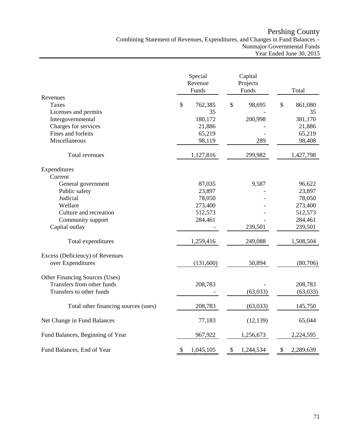|                                      |                           | Special<br>Revenue<br>Funds | Capital<br>Projects<br>Funds | Total |           |
|--------------------------------------|---------------------------|-----------------------------|------------------------------|-------|-----------|
| Revenues                             |                           |                             |                              |       |           |
| Taxes                                | \$                        | 762,385                     | \$<br>98,695                 | \$    | 861,080   |
| Licenses and permits                 |                           | 35                          |                              |       | 35        |
| Intergovernmental                    |                           | 180,172                     | 200,998                      |       | 381,170   |
| Charges for services                 |                           | 21,886                      |                              |       | 21,886    |
| Fines and forfeits                   |                           | 65,219                      |                              |       | 65,219    |
| Miscellaneous                        |                           | 98,119                      | 289                          |       | 98,408    |
| Total revenues                       |                           | 1,127,816                   | 299,982                      |       | 1,427,798 |
| Expenditures                         |                           |                             |                              |       |           |
| Current                              |                           |                             |                              |       |           |
| General government                   |                           | 87,035                      | 9,587                        |       | 96,622    |
| Public safety                        |                           | 23,897                      |                              |       | 23,897    |
| Judicial                             |                           | 78,050                      |                              |       | 78,050    |
| Welfare                              |                           | 273,400                     |                              |       | 273,400   |
| Culture and recreation               |                           | 512,573                     |                              |       | 512,573   |
| Community support                    |                           | 284,461                     |                              |       | 284,461   |
| Capital outlay                       |                           |                             | 239,501                      |       | 239,501   |
| Total expenditures                   |                           | 1,259,416                   | 249,088                      |       | 1,508,504 |
| Excess (Deficiency) of Revenues      |                           |                             |                              |       |           |
| over Expenditures                    |                           | (131,600)                   | 50,894                       |       | (80,706)  |
| Other Financing Sources (Uses)       |                           |                             |                              |       |           |
| Transfers from other funds           |                           | 208,783                     |                              |       | 208,783   |
| Transfers to other funds             |                           |                             | (63,033)                     |       | (63,033)  |
| Total other financing sources (uses) |                           | 208,783                     | (63,033)                     |       | 145,750   |
| Net Change in Fund Balances          |                           | 77,183                      | (12, 139)                    |       | 65,044    |
| Fund Balances, Beginning of Year     |                           | 967,922                     | 1,256,673                    |       | 2,224,595 |
| Fund Balances, End of Year           | $\boldsymbol{\mathsf{S}}$ | 1,045,105                   | \$<br>1,244,534              | \$    | 2,289,639 |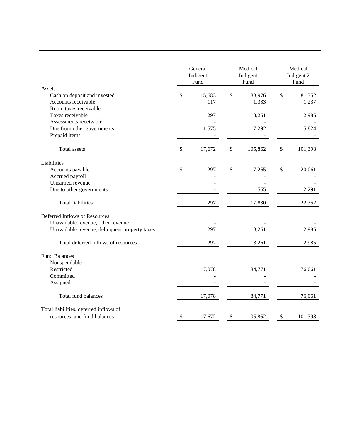|                                                     |                         | General<br>Indigent<br>Fund |        | Medical<br>Indigent<br>Fund | Medical<br>Indigent 2<br>Fund |                 |  |
|-----------------------------------------------------|-------------------------|-----------------------------|--------|-----------------------------|-------------------------------|-----------------|--|
| Assets                                              |                         |                             |        |                             |                               |                 |  |
| Cash on deposit and invested<br>Accounts receivable | \$                      | 15,683<br>117               | \$     | 83,976<br>1,333             | \$                            | 81,352<br>1,237 |  |
| Room taxes receivable                               |                         |                             |        |                             |                               |                 |  |
| Taxes receivable                                    |                         | 297                         |        | 3,261                       |                               | 2,985           |  |
| Assessments receivable                              |                         |                             |        |                             |                               |                 |  |
| Due from other governments                          |                         | 1,575                       |        | 17,292                      |                               | 15,824          |  |
| Prepaid items                                       |                         |                             |        |                             |                               |                 |  |
| Total assets                                        | $\sqrt[6]{\frac{1}{2}}$ | 17,672                      | $\$\,$ | 105,862                     | $\boldsymbol{\mathsf{S}}$     | 101,398         |  |
| Liabilities                                         |                         |                             |        |                             |                               |                 |  |
| Accounts payable                                    | \$                      | 297                         | \$     | 17,265                      | \$                            | 20,061          |  |
| Accrued payroll                                     |                         |                             |        |                             |                               |                 |  |
| Unearned revenue                                    |                         |                             |        |                             |                               |                 |  |
| Due to other governments                            |                         |                             |        | 565                         |                               | 2,291           |  |
| <b>Total liabilities</b>                            |                         | 297                         |        | 17,830                      |                               | 22,352          |  |
| Deferred Inflows of Resources                       |                         |                             |        |                             |                               |                 |  |
| Unavailable revenue, other revenue                  |                         |                             |        |                             |                               |                 |  |
| Unavailable revenue, delinquent property taxes      |                         | 297                         |        | 3,261                       |                               | 2,985           |  |
| Total deferred inflows of resources                 |                         | 297                         |        | 3,261                       |                               | 2,985           |  |
| <b>Fund Balances</b>                                |                         |                             |        |                             |                               |                 |  |
| Nonspendable                                        |                         |                             |        |                             |                               |                 |  |
| Restricted                                          |                         | 17,078                      |        | 84,771                      |                               | 76,061          |  |
| Committed                                           |                         |                             |        |                             |                               |                 |  |
| Assigned                                            |                         |                             |        |                             |                               |                 |  |
| Total fund balances                                 |                         | 17,078                      |        | 84,771                      |                               | 76,061          |  |
| Total liabilities, deferred inflows of              |                         |                             |        |                             |                               |                 |  |
| resources, and fund balances                        | \$                      | 17,672                      | \$     | 105,862                     | \$                            | 101,398         |  |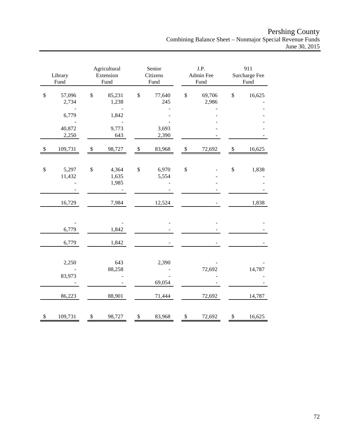Pershing County Combining Balance Sheet – Nonmajor Special Revenue Funds June 30, 2015

|                           | Library<br>Fund           |                           | Agricultural<br>Extension<br>Fund |                           | Senior<br>Citizens<br>Fund |               | J.P.<br>Admin Fee<br>Fund |               | 911<br>Surcharge Fee<br>Fund |
|---------------------------|---------------------------|---------------------------|-----------------------------------|---------------------------|----------------------------|---------------|---------------------------|---------------|------------------------------|
| \$                        | 57,096<br>2,734           | \$                        | 85,231<br>1,238                   | \$                        | 77,640<br>245              | \$            | 69,706<br>2,986           | $\$$          | 16,625                       |
|                           | 6,779                     |                           | 1,842                             |                           |                            |               |                           |               |                              |
|                           | 40,872<br>2,250           |                           | 9,773<br>643                      |                           | 3,693<br>2,390             |               |                           |               |                              |
| $\boldsymbol{\mathsf{S}}$ | 109,731                   | $\boldsymbol{\mathsf{S}}$ | 98,727                            | $\boldsymbol{\mathsf{S}}$ | 83,968                     | $\frac{1}{2}$ | 72,692                    | $\mathcal{S}$ | 16,625                       |
| $\$$                      | 5,297<br>11,432           | \$                        | 4,364<br>1,635<br>1,985           | \$                        | 6,970<br>5,554             | \$            |                           | \$            | 1,838                        |
|                           | 16,729                    |                           | 7,984                             |                           | 12,524                     |               |                           |               | 1,838                        |
|                           | 6,779                     |                           | 1,842                             |                           |                            |               |                           |               |                              |
|                           | 6,779                     |                           | 1,842                             |                           |                            |               |                           |               |                              |
|                           | 2,250<br>83,973<br>86,223 |                           | 643<br>88,258<br>88,901           |                           | 2,390<br>69,054<br>71,444  |               | 72,692<br>72,692          |               | 14,787<br>14,787             |
|                           |                           |                           |                                   |                           |                            |               |                           |               |                              |
| \$                        | 109,731                   | \$                        | 98,727                            | \$                        | 83,968                     | \$            | 72,692                    | \$            | 16,625                       |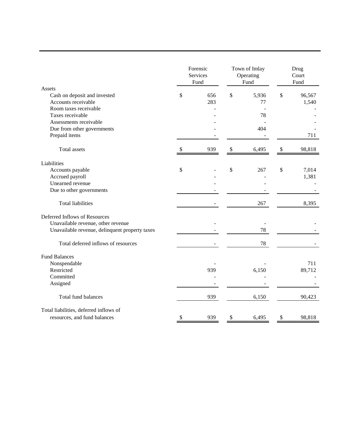|                                                |                           | Forensic<br>Services<br>Fund | Town of Imlay<br>Operating<br>Fund |                           | Drug<br>Court<br>Fund |
|------------------------------------------------|---------------------------|------------------------------|------------------------------------|---------------------------|-----------------------|
| Assets<br>Cash on deposit and invested         | $\mathcal{S}$             | 656                          | \$<br>5,936                        | $\boldsymbol{\mathsf{S}}$ | 96,567                |
| Accounts receivable                            |                           | 283                          | 77                                 |                           | 1,540                 |
| Room taxes receivable                          |                           |                              |                                    |                           |                       |
| Taxes receivable                               |                           |                              | 78                                 |                           |                       |
| Assessments receivable                         |                           |                              |                                    |                           |                       |
| Due from other governments                     |                           |                              | 404                                |                           |                       |
| Prepaid items                                  |                           |                              |                                    |                           | 711                   |
| <b>Total assets</b>                            | $\boldsymbol{\mathsf{S}}$ | 939                          | \$<br>6,495                        | $\$\,$                    | 98,818                |
| Liabilities                                    |                           |                              |                                    |                           |                       |
| Accounts payable                               | \$                        |                              | \$<br>267                          | \$                        | 7,014                 |
| Accrued payroll                                |                           |                              |                                    |                           | 1,381                 |
| Unearned revenue                               |                           |                              |                                    |                           |                       |
| Due to other governments                       |                           |                              |                                    |                           |                       |
| <b>Total liabilities</b>                       |                           |                              | 267                                |                           | 8,395                 |
| Deferred Inflows of Resources                  |                           |                              |                                    |                           |                       |
| Unavailable revenue, other revenue             |                           |                              |                                    |                           |                       |
| Unavailable revenue, delinquent property taxes |                           |                              | $78\,$                             |                           |                       |
| Total deferred inflows of resources            |                           |                              | 78                                 |                           |                       |
| <b>Fund Balances</b>                           |                           |                              |                                    |                           |                       |
| Nonspendable                                   |                           |                              |                                    |                           | 711                   |
| Restricted                                     |                           | 939                          | 6,150                              |                           | 89,712                |
| Committed                                      |                           |                              |                                    |                           |                       |
| Assigned                                       |                           |                              |                                    |                           |                       |
| Total fund balances                            |                           | 939                          | 6,150                              |                           | 90,423                |
| Total liabilities, deferred inflows of         |                           |                              |                                    |                           |                       |
| resources, and fund balances                   | \$                        | 939                          | \$<br>6,495                        | \$                        | 98,818                |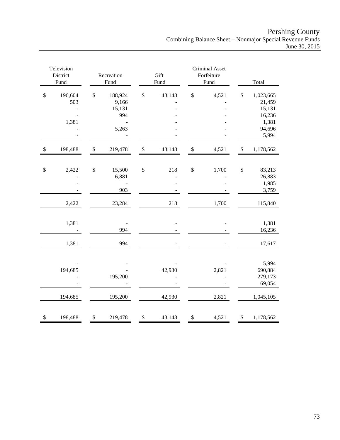|                           | Television<br>District<br>Fund |                           | Recreation<br>Fund                                   |      | Gift<br>Fund | <b>Criminal Asset</b><br>Forfeiture<br>Fund |       |      | Total                                                               |  |  |
|---------------------------|--------------------------------|---------------------------|------------------------------------------------------|------|--------------|---------------------------------------------|-------|------|---------------------------------------------------------------------|--|--|
| $\$\,$                    | 196,604<br>503<br>1,381        | $\$\,$                    | 188,924<br>9,166<br>15,131<br>994<br>$\Box$<br>5,263 | \$   | 43,148       | \$                                          | 4,521 | \$   | 1,023,665<br>21,459<br>15,131<br>16,236<br>1,381<br>94,696<br>5,994 |  |  |
| $\$$                      | 198,488                        | $\boldsymbol{\mathsf{S}}$ | 219,478                                              | $\$$ | 43,148       | \$                                          | 4,521 | \$   | 1,178,562                                                           |  |  |
| $\$$                      | 2,422                          | $\mathbb S$               | 15,500<br>6,881<br>903                               | \$   | 218          | \$                                          | 1,700 | \$   | 83,213<br>26,883<br>1,985<br>3,759                                  |  |  |
|                           | 2,422                          |                           | 23,284                                               |      | 218          |                                             | 1,700 |      | 115,840                                                             |  |  |
|                           | 1,381                          |                           | 994                                                  |      |              |                                             |       |      | 1,381<br>16,236                                                     |  |  |
|                           | 1,381                          |                           | 994                                                  |      |              |                                             |       |      | 17,617                                                              |  |  |
|                           | 194,685                        |                           | 195,200                                              |      | 42,930       |                                             | 2,821 |      | 5,994<br>690,884<br>279,173<br>69,054                               |  |  |
|                           | 194,685                        |                           | 195,200                                              |      | 42,930       |                                             | 2,821 |      | 1,045,105                                                           |  |  |
| $\boldsymbol{\mathsf{S}}$ | 198,488                        | $\boldsymbol{\mathsf{S}}$ | 219,478                                              | $\$$ | 43,148       | \$                                          | 4,521 | $\$$ | 1,178,562                                                           |  |  |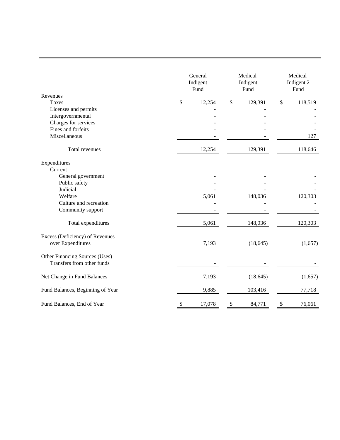|                                  | General<br>Indigent<br>Fund |              | Medical<br>Indigent<br>Fund | Medical<br>Indigent 2<br>Fund |  |
|----------------------------------|-----------------------------|--------------|-----------------------------|-------------------------------|--|
| Revenues                         |                             |              |                             |                               |  |
| Taxes                            | \$<br>12,254                | $\mathbb{S}$ | 129,391                     | \$<br>118,519                 |  |
| Licenses and permits             |                             |              |                             |                               |  |
| Intergovernmental                |                             |              |                             |                               |  |
| Charges for services             |                             |              |                             |                               |  |
| Fines and forfeits               |                             |              |                             |                               |  |
| Miscellaneous                    |                             |              |                             | 127                           |  |
| Total revenues                   | 12,254                      |              | 129,391                     | 118,646                       |  |
| Expenditures                     |                             |              |                             |                               |  |
| Current                          |                             |              |                             |                               |  |
| General government               |                             |              |                             |                               |  |
| Public safety                    |                             |              |                             |                               |  |
| Judicial                         |                             |              |                             |                               |  |
| Welfare                          | 5,061                       |              | 148,036                     | 120,303                       |  |
| Culture and recreation           |                             |              |                             |                               |  |
| Community support                |                             |              |                             |                               |  |
| Total expenditures               | 5,061                       |              | 148,036                     | 120,303                       |  |
| Excess (Deficiency) of Revenues  |                             |              |                             |                               |  |
| over Expenditures                | 7,193                       |              | (18, 645)                   | (1,657)                       |  |
| Other Financing Sources (Uses)   |                             |              |                             |                               |  |
| Transfers from other funds       |                             |              |                             |                               |  |
| Net Change in Fund Balances      | 7,193                       |              | (18, 645)                   | (1,657)                       |  |
| Fund Balances, Beginning of Year | 9,885                       |              | 103,416                     | 77,718                        |  |
| Fund Balances, End of Year       | \$<br>17,078                | \$           | 84,771                      | \$<br>76,061                  |  |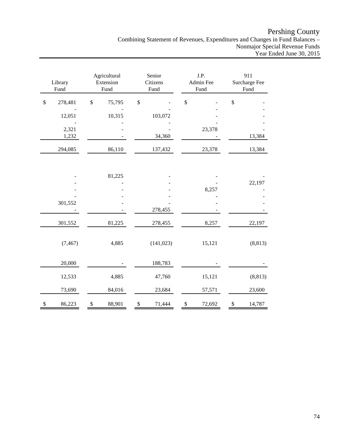#### Pershing County Combining Statement of Revenues, Expenditures and Changes in Fund Balances – Nonmajor Special Revenue Funds Year Ended June 30, 2015

| Library<br>Fund |              | Agricultural<br>Extension<br>Fund |    | Senior<br>Citizens<br>Fund | J.P.<br>Admin Fee<br>Fund | 911<br>Surcharge Fee<br>Fund |          |  |
|-----------------|--------------|-----------------------------------|----|----------------------------|---------------------------|------------------------------|----------|--|
| \$<br>278,481   | $\mathbb{S}$ | 75,795                            | \$ |                            | \$                        | \$                           |          |  |
| 12,051          |              | 10,315                            |    | 103,072                    |                           |                              |          |  |
| 2,321<br>1,232  |              |                                   |    | 34,360                     | 23,378                    |                              | 13,384   |  |
| 294,085         |              | 86,110                            |    | 137,432                    | 23,378                    |                              | 13,384   |  |
|                 |              |                                   |    |                            |                           |                              |          |  |
|                 |              | 81,225                            |    |                            |                           |                              | 22,197   |  |
|                 |              |                                   |    |                            | 8,257                     |                              |          |  |
| 301,552         |              |                                   |    | 278,455                    |                           |                              |          |  |
| 301,552         |              | 81,225                            |    | 278,455                    | 8,257                     |                              | 22,197   |  |
| (7, 467)        |              | 4,885                             |    | (141, 023)                 | 15,121                    |                              | (8, 813) |  |
| 20,000          |              |                                   |    | 188,783                    |                           |                              |          |  |
| 12,533          |              | 4,885                             |    | 47,760                     | 15,121                    |                              | (8, 813) |  |
| 73,690          |              | 84,016                            |    | 23,684                     | 57,571                    |                              | 23,600   |  |
| \$<br>86,223    | \$           | 88,901                            | \$ | 71,444                     | \$<br>72,692              | \$                           | 14,787   |  |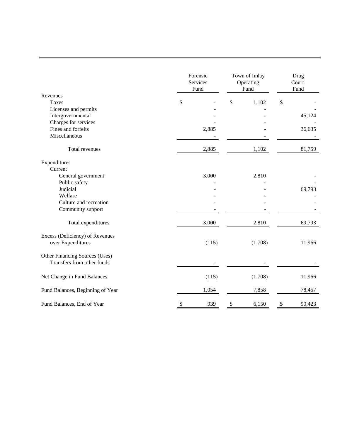|                                  | Forensic<br>Services<br>Fund | Town of Imlay<br>Operating<br>Fund | Drug<br>Court<br>Fund |
|----------------------------------|------------------------------|------------------------------------|-----------------------|
| Revenues                         |                              |                                    |                       |
| Taxes                            | \$                           | \$<br>1,102                        | \$                    |
| Licenses and permits             |                              |                                    |                       |
| Intergovernmental                |                              |                                    | 45,124                |
| Charges for services             |                              |                                    |                       |
| Fines and forfeits               | 2,885                        |                                    | 36,635                |
| Miscellaneous                    |                              |                                    |                       |
| Total revenues                   | 2,885                        | 1,102                              | 81,759                |
| Expenditures                     |                              |                                    |                       |
| Current                          |                              |                                    |                       |
| General government               | 3,000                        | 2,810                              |                       |
| Public safety                    |                              |                                    |                       |
| Judicial                         |                              |                                    | 69,793                |
| Welfare                          |                              |                                    |                       |
| Culture and recreation           |                              |                                    |                       |
| Community support                |                              |                                    |                       |
| Total expenditures               | 3,000                        | 2,810                              | 69,793                |
| Excess (Deficiency) of Revenues  |                              |                                    |                       |
| over Expenditures                | (115)                        | (1,708)                            | 11,966                |
| Other Financing Sources (Uses)   |                              |                                    |                       |
| Transfers from other funds       |                              |                                    |                       |
| Net Change in Fund Balances      | (115)                        | (1,708)                            | 11,966                |
| Fund Balances, Beginning of Year | 1,054                        | 7,858                              | 78,457                |
| Fund Balances, End of Year       | $\mathcal{S}$<br>939         | \$<br>6,150                        | \$<br>90,423          |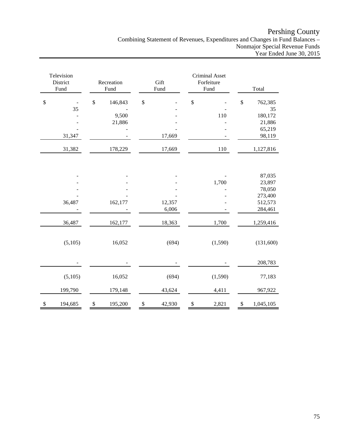#### Pershing County Combining Statement of Revenues, Expenditures and Changes in Fund Balances – Nonmajor Special Revenue Funds Year Ended June 30, 2015

| Television<br>District<br>Fund       |    | Recreation<br>Fund |                 |                           | Gift<br>Fund |    | Criminal Asset<br>Forfeiture<br>Fund | Total         |                   |  |
|--------------------------------------|----|--------------------|-----------------|---------------------------|--------------|----|--------------------------------------|---------------|-------------------|--|
| $\$\,$                               |    | $\mathcal{S}$      | 146,843         | $\boldsymbol{\mathsf{S}}$ |              |    |                                      | $\mathsf{\$}$ | 762,385           |  |
|                                      | 35 |                    |                 |                           |              |    |                                      |               | 35                |  |
|                                      |    |                    | 9,500<br>21,886 |                           |              |    | 110                                  |               | 180,172<br>21,886 |  |
|                                      |    |                    |                 |                           |              |    |                                      |               | 65,219            |  |
| 31,347                               |    |                    |                 |                           | 17,669       |    |                                      |               | 98,119            |  |
| 31,382                               |    |                    | 178,229         |                           | 17,669       |    | 110                                  |               | 1,127,816         |  |
|                                      |    |                    |                 |                           |              |    |                                      |               |                   |  |
|                                      |    |                    |                 |                           |              |    |                                      |               | 87,035            |  |
|                                      |    |                    |                 |                           |              |    | 1,700                                |               | 23,897            |  |
|                                      |    |                    |                 |                           |              |    |                                      |               | 78,050            |  |
|                                      |    |                    |                 |                           |              |    |                                      |               | 273,400           |  |
| 36,487                               |    |                    | 162,177         |                           | 12,357       |    |                                      |               | 512,573           |  |
|                                      |    |                    |                 |                           | 6,006        |    |                                      |               | 284,461           |  |
| 36,487                               |    |                    | 162,177         |                           | 18,363       |    | 1,700                                |               | 1,259,416         |  |
| (5,105)                              |    |                    | 16,052          |                           | (694)        |    | (1,590)                              |               | (131,600)         |  |
|                                      |    |                    |                 |                           |              |    |                                      |               | 208,783           |  |
| (5,105)                              |    |                    | 16,052          |                           | (694)        |    | (1,590)                              |               | 77,183            |  |
| 199,790                              |    |                    | 179,148         |                           | 43,624       |    | 4,411                                |               | 967,922           |  |
| $\boldsymbol{\mathsf{S}}$<br>194,685 |    | \$                 | 195,200         | $\boldsymbol{\mathsf{S}}$ | 42,930       | \$ | 2,821                                | \$            | 1,045,105         |  |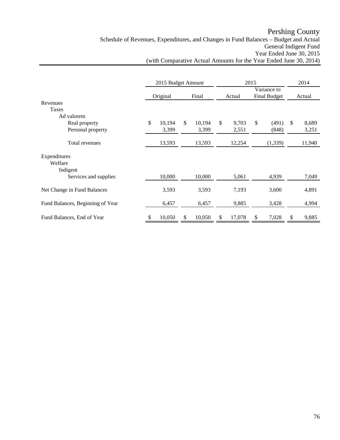#### Pershing County Schedule of Revenues, Expenditures, and Changes in Fund Balances – Budget and Actual General Indigent Fund Year Ended June 30, 2015

| (with Comparative Actual Amounts for the Year Ended June 30, 2014) |  |  |
|--------------------------------------------------------------------|--|--|
|--------------------------------------------------------------------|--|--|

|                                  | 2015 Budget Amount |        |              | 2015   |        |        |                                    | 2014    |        |        |
|----------------------------------|--------------------|--------|--------------|--------|--------|--------|------------------------------------|---------|--------|--------|
|                                  | Original           |        |              | Final  | Actual |        | Variance to<br><b>Final Budget</b> |         | Actual |        |
| Revenues                         |                    |        |              |        |        |        |                                    |         |        |        |
| Taxes                            |                    |        |              |        |        |        |                                    |         |        |        |
| Ad valorem                       |                    |        |              |        |        |        |                                    |         |        |        |
| Real property                    | \$                 | 10,194 | $\mathbb{S}$ | 10,194 | \$     | 9,703  | \$                                 | (491)   | \$     | 8,689  |
| Personal property                |                    | 3,399  |              | 3,399  |        | 2,551  |                                    | (848)   |        | 3,251  |
| Total revenues                   |                    | 13,593 |              | 13,593 |        | 12,254 |                                    | (1,339) |        | 11,940 |
| Expenditures                     |                    |        |              |        |        |        |                                    |         |        |        |
| Welfare                          |                    |        |              |        |        |        |                                    |         |        |        |
| Indigent                         |                    |        |              |        |        |        |                                    |         |        |        |
| Services and supplies            |                    | 10,000 |              | 10,000 |        | 5,061  |                                    | 4,939   |        | 7,049  |
| Net Change in Fund Balances      |                    | 3,593  |              | 3,593  |        | 7,193  |                                    | 3,600   |        | 4,891  |
| Fund Balances, Beginning of Year |                    | 6,457  |              | 6,457  |        | 9,885  |                                    | 3,428   |        | 4,994  |
| Fund Balances, End of Year       | \$                 | 10,050 | \$           | 10,050 | \$     | 17,078 | \$                                 | 7,028   | S      | 9,885  |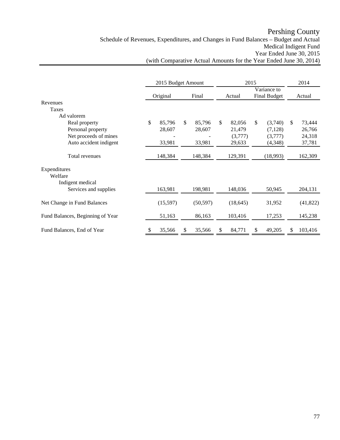#### Pershing County Schedule of Revenues, Expenditures, and Changes in Fund Balances – Budget and Actual Medical Indigent Fund Year Ended June 30, 2015

| (with Comparative Actual Amounts for the Year Ended June 30, 2014) |  |  |  |
|--------------------------------------------------------------------|--|--|--|
|--------------------------------------------------------------------|--|--|--|

|                                  | 2015 Budget Amount |          |              | 2015      |    |           |              | 2014                               |     |           |  |
|----------------------------------|--------------------|----------|--------------|-----------|----|-----------|--------------|------------------------------------|-----|-----------|--|
|                                  |                    | Original |              | Final     |    | Actual    |              | Variance to<br><b>Final Budget</b> |     | Actual    |  |
| Revenues                         |                    |          |              |           |    |           |              |                                    |     |           |  |
| Taxes                            |                    |          |              |           |    |           |              |                                    |     |           |  |
| Ad valorem                       |                    |          |              |           |    |           |              |                                    |     |           |  |
| Real property                    | \$                 | 85,796   | $\mathbb{S}$ | 85,796    | \$ | 82,056    | $\mathbb{S}$ | (3,740)                            | \$. | 73,444    |  |
| Personal property                |                    | 28,607   |              | 28,607    |    | 21,479    |              | (7,128)                            |     | 26,766    |  |
| Net proceeds of mines            |                    |          |              |           |    | (3,777)   |              | (3,777)                            |     | 24,318    |  |
| Auto accident indigent           |                    | 33,981   |              | 33,981    |    | 29,633    |              | (4,348)                            |     | 37,781    |  |
|                                  |                    |          |              |           |    |           |              |                                    |     |           |  |
| Total revenues                   |                    | 148,384  |              | 148,384   |    | 129,391   |              | (18,993)                           |     | 162,309   |  |
| Expenditures                     |                    |          |              |           |    |           |              |                                    |     |           |  |
| Welfare                          |                    |          |              |           |    |           |              |                                    |     |           |  |
|                                  |                    |          |              |           |    |           |              |                                    |     |           |  |
| Indigent medical                 |                    |          |              |           |    |           |              |                                    |     |           |  |
| Services and supplies            |                    | 163,981  |              | 198,981   |    | 148,036   |              | 50,945                             |     | 204,131   |  |
| Net Change in Fund Balances      |                    | (15,597) |              | (50, 597) |    | (18, 645) |              | 31,952                             |     | (41, 822) |  |
| Fund Balances, Beginning of Year |                    | 51,163   |              | 86,163    |    | 103,416   |              | 17,253                             |     | 145,238   |  |
| Fund Balances, End of Year       | S                  | 35,566   | \$           | 35,566    | \$ | 84,771    | S            | 49,205                             | S   | 103,416   |  |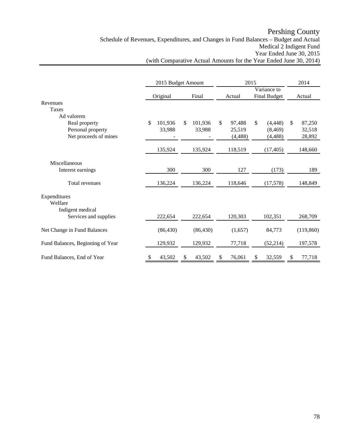#### Pershing County Schedule of Revenues, Expenditures, and Changes in Fund Balances – Budget and Actual Medical 2 Indigent Fund Year Ended June 30, 2015

| (with Comparative Actual Amounts for the Year Ended June 30, 2014) |  |
|--------------------------------------------------------------------|--|
|--------------------------------------------------------------------|--|

|                                            |               | 2015 Budget Amount | 2015                                         | 2014             |  |
|--------------------------------------------|---------------|--------------------|----------------------------------------------|------------------|--|
|                                            | Original      | Final              | Variance to<br><b>Final Budget</b><br>Actual | Actual           |  |
| Revenues                                   |               |                    |                                              |                  |  |
| <b>Taxes</b>                               |               |                    |                                              |                  |  |
| Ad valorem                                 |               |                    |                                              |                  |  |
| Real property                              | \$<br>101,936 | \$<br>101,936      | $\mathbb{S}$<br>\$<br>97,488<br>(4, 448)     | 87,250<br>\$.    |  |
| Personal property<br>Net proceeds of mines | 33,988        | 33,988             | 25,519<br>(8, 469)<br>(4, 488)<br>(4, 488)   | 32,518<br>28,892 |  |
|                                            | 135,924       | 135,924            | 118,519<br>(17, 405)                         | 148,660          |  |
| Miscellaneous                              |               |                    |                                              |                  |  |
| Interest earnings                          | 300           | 300                | 127<br>(173)                                 | 189              |  |
| Total revenues                             | 136,224       | 136,224            | 118,646<br>(17,578)                          | 148,849          |  |
| Expenditures                               |               |                    |                                              |                  |  |
| Welfare                                    |               |                    |                                              |                  |  |
| Indigent medical<br>Services and supplies  | 222,654       | 222,654            | 120,303<br>102,351                           | 268,709          |  |
| Net Change in Fund Balances                | (86, 430)     | (86, 430)          | (1,657)<br>84,773                            | (119, 860)       |  |
| Fund Balances, Beginning of Year           | 129,932       | 129,932            | 77,718<br>(52, 214)                          | 197,578          |  |
| Fund Balances, End of Year                 | 43,502        | 43,502             | 76,061<br>32,559<br>\$                       | 77,718           |  |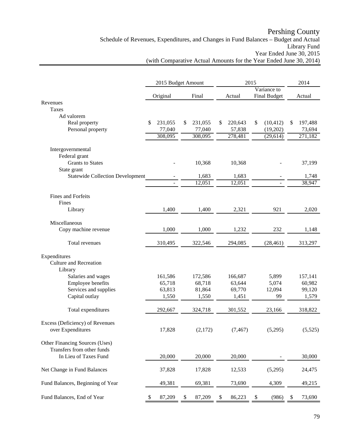#### Pershing County Schedule of Revenues, Expenditures, and Changes in Fund Balances – Budget and Actual Library Fund Year Ended June 30, 2015

|                                         |               | 2015 Budget Amount |               | 2015                               | 2014          |
|-----------------------------------------|---------------|--------------------|---------------|------------------------------------|---------------|
|                                         | Original      | Final              | Actual        | Variance to<br><b>Final Budget</b> | Actual        |
| Revenues                                |               |                    |               |                                    |               |
| Taxes                                   |               |                    |               |                                    |               |
| Ad valorem                              |               |                    |               |                                    |               |
| Real property                           | 231,055<br>\$ | 231,055<br>\$      | 220,643<br>\$ | \$<br>(10, 412)                    | 197,488<br>\$ |
| Personal property                       | 77,040        | 77,040             | 57,838        | (19,202)                           | 73,694        |
|                                         | 308,095       | 308,095            | 278,481       | (29, 614)                          | 271,182       |
| Intergovernmental                       |               |                    |               |                                    |               |
| Federal grant                           |               |                    |               |                                    |               |
| <b>Grants</b> to States                 |               | 10,368             | 10,368        |                                    | 37,199        |
| State grant                             |               |                    |               |                                    |               |
| <b>Statewide Collection Development</b> |               | 1,683              | 1,683         |                                    | 1,748         |
|                                         |               | 12,051             | 12,051        |                                    | 38,947        |
| <b>Fines and Forfeits</b>               |               |                    |               |                                    |               |
| Fines                                   |               |                    |               |                                    |               |
| Library                                 | 1,400         | 1,400              | 2,321         | 921                                | 2,020         |
| Miscellaneous                           |               |                    |               |                                    |               |
| Copy machine revenue                    | 1,000         | 1,000              | 1,232         | 232                                | 1,148         |
| Total revenues                          | 310,495       | 322,546            | 294,085       | (28, 461)                          | 313,297       |
| Expenditures                            |               |                    |               |                                    |               |
| <b>Culture and Recreation</b>           |               |                    |               |                                    |               |
| Library                                 |               |                    |               |                                    |               |
| Salaries and wages                      | 161,586       | 172,586            | 166,687       | 5,899                              | 157,141       |
| Employee benefits                       | 65,718        | 68,718             | 63,644        | 5,074                              | 60,982        |
| Services and supplies                   | 63,813        | 81,864             | 69,770        | 12,094                             | 99,120        |
| Capital outlay                          | 1,550         | 1,550              | 1,451         | 99                                 | 1,579         |
| Total expenditures                      | 292,667       | 324,718            | 301,552       | 23,166                             | 318,822       |
| Excess (Deficiency) of Revenues         |               |                    |               |                                    |               |
| over Expenditures                       | 17,828        | (2,172)            | (7, 467)      | (5,295)                            | (5,525)       |
| Other Financing Sources (Uses)          |               |                    |               |                                    |               |
| Transfers from other funds              |               |                    |               |                                    |               |
| In Lieu of Taxes Fund                   | 20,000        | 20,000             | 20,000        |                                    | 30,000        |
| Net Change in Fund Balances             | 37,828        | 17,828             | 12,533        | (5,295)                            | 24,475        |
| Fund Balances, Beginning of Year        | 49,381        | 69,381             | 73,690        | 4,309                              | 49,215        |
|                                         |               |                    |               |                                    |               |
| Fund Balances, End of Year              | 87,209        | 87,209             | 86,223        | (986)                              | 73,690        |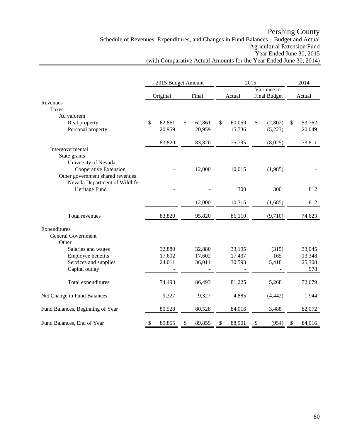Schedule of Revenues, Expenditures, and Changes in Fund Balances – Budget and Actual Agricultural Extension Fund Year Ended June 30, 2015

|                                  | 2015<br>2015 Budget Amount |          |    |        | 2014         |                                    |              |
|----------------------------------|----------------------------|----------|----|--------|--------------|------------------------------------|--------------|
|                                  |                            | Original |    | Final  | Actual       | Variance to<br><b>Final Budget</b> | Actual       |
| Revenues                         |                            |          |    |        |              |                                    |              |
| Taxes                            |                            |          |    |        |              |                                    |              |
| Ad valorem                       |                            |          |    |        |              |                                    |              |
| Real property                    | \$                         | 62,861   | \$ | 62,861 | \$<br>60,059 | \$<br>(2,802)                      | \$<br>53,762 |
| Personal property                |                            | 20,959   |    | 20,959 | 15,736       | (5,223)                            | 20,049       |
|                                  |                            | 83,820   |    | 83,820 | 75,795       | (8,025)                            | 73,811       |
| Intergovermental                 |                            |          |    |        |              |                                    |              |
| State grants                     |                            |          |    |        |              |                                    |              |
| University of Nevada,            |                            |          |    |        |              |                                    |              |
| Cooperative Extension            |                            |          |    | 12,000 | 10,015       | (1,985)                            |              |
| Other government shared revenues |                            |          |    |        |              |                                    |              |
| Nevada Department of Wildlife,   |                            |          |    |        |              |                                    |              |
| Heritage Fund                    |                            |          |    |        | 300          | 300                                | 812          |
|                                  |                            |          |    | 12,000 | 10,315       | (1,685)                            | 812          |
|                                  |                            |          |    |        |              |                                    |              |
| Total revenues                   |                            | 83,820   |    | 95,820 | 86,110       | (9,710)                            | 74,623       |
| Expenditures                     |                            |          |    |        |              |                                    |              |
| <b>General Government</b>        |                            |          |    |        |              |                                    |              |
| Other                            |                            |          |    |        |              |                                    |              |
| Salaries and wages               |                            | 32,880   |    | 32,880 | 33,195       | (315)                              | 33,045       |
| Employee benefits                |                            | 17,602   |    | 17,602 | 17,437       | 165                                | 13,348       |
| Services and supplies            |                            | 24,011   |    | 36,011 | 30,593       | 5,418                              | 25,308       |
| Capital outlay                   |                            |          |    |        |              |                                    | 978          |
| Total expenditures               |                            | 74,493   |    | 86,493 | 81,225       | 5,268                              | 72,679       |
| Net Change in Fund Balances      |                            | 9,327    |    | 9,327  | 4,885        | (4, 442)                           | 1,944        |
| Fund Balances, Beginning of Year |                            | 80,528   |    | 80,528 | 84,016       | 3,488                              | 82,072       |
| Fund Balances, End of Year       |                            | 89,855   |    | 89,855 | 88,901       | (954)                              | 84,016       |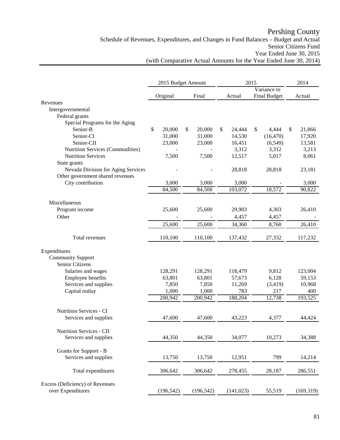#### Pershing County Schedule of Revenues, Expenditures, and Changes in Fund Balances – Budget and Actual Senior Citizens Fund Year Ended June 30, 2015

|                                             | 2015 Budget Amount |              | 2015              | 2014                               |    |            |
|---------------------------------------------|--------------------|--------------|-------------------|------------------------------------|----|------------|
|                                             | Original           | Final        | Actual            | Variance to<br><b>Final Budget</b> |    | Actual     |
| Revenues                                    |                    |              |                   |                                    |    |            |
| Intergovernmental                           |                    |              |                   |                                    |    |            |
| Federal grants                              |                    |              |                   |                                    |    |            |
| Special Programs for the Aging              |                    |              |                   |                                    |    |            |
| Senior-B                                    | \$<br>20,000       | \$<br>20,000 | \$<br>24,444      | \$<br>4,444                        | \$ | 21,866     |
| Senior-CI                                   | 31,000             | 31,000       | 14,530            | (16, 470)                          |    | 17,920     |
| Senior-CII                                  | 23,000             | 23,000       | 16,451            | (6, 549)                           |    | 13,581     |
| Nutrition Services (Commodities)            |                    |              | 3,312             | 3,312                              |    | 3,213      |
| <b>Nutrition Services</b>                   | 7,500              | 7,500        | 12,517            | 5,017                              |    | 8,061      |
| State grants                                |                    |              |                   |                                    |    |            |
| Nevada Division for Aging Services          |                    |              | 28,818            | 28,818                             |    | 23,181     |
| Other government shared revenues            |                    |              |                   |                                    |    |            |
| City contribution                           | 3,000              | 3,000        | 3,000             |                                    |    | 3,000      |
|                                             | 84,500             | 84,500       | 103,072           | 18,572                             |    | 90,822     |
|                                             |                    |              |                   |                                    |    |            |
| Miscellaneous                               |                    |              |                   |                                    |    |            |
| Program income                              | 25,600             | 25,600       | 29,903            | 4,303                              |    | 26,410     |
| Other                                       |                    |              | 4,457             | 4,457                              |    |            |
|                                             | 25,600             | 25,600       | 34,360            | 8,760                              |    | 26,410     |
| Total revenues                              | 110,100            | 110,100      | 137,432           | 27,332                             |    | 117,232    |
|                                             |                    |              |                   |                                    |    |            |
| Expenditures                                |                    |              |                   |                                    |    |            |
| <b>Community Support</b><br>Senior Citizens |                    |              |                   |                                    |    |            |
| Salaries and wages                          | 128,291            | 128,291      |                   | 9,812                              |    | 123,004    |
| Employee benefits                           | 63,801             | 63,801       | 118,479<br>57,673 | 6,128                              |    | 59,153     |
| Services and supplies                       | 7,850              | 7,850        | 11,269            |                                    |    | 10,968     |
| Capital outlay                              | 1,000              | 1,000        | 783               | (3, 419)<br>217                    |    | 400        |
|                                             | 200,942            | 200,942      | 188,204           | 12,738                             |    | 193,525    |
|                                             |                    |              |                   |                                    |    |            |
| Nutrition Services - CI                     |                    |              |                   |                                    |    |            |
| Services and supplies                       | 47,600             | 47,600       | 43,223            | 4,377                              |    | 44,424     |
| Nutrition Services - CII                    |                    |              |                   |                                    |    |            |
| Services and supplies                       | 44,350             | 44,350       | 34,077            | 10,273                             |    | 34,388     |
| Grants for Support - B                      |                    |              |                   |                                    |    |            |
| Services and supplies                       | 13,750             | 13,750       | 12,951            | 799                                |    | 14,214     |
|                                             |                    |              |                   |                                    |    |            |
| Total expenditures                          | 306,642            | 306,642      | 278,455           | 28,187                             |    | 286,551    |
| Excess (Deficiency) of Revenues             |                    |              |                   |                                    |    |            |
| over Expenditures                           | (196, 542)         | (196, 542)   | (141, 023)        | 55,519                             |    | (169, 319) |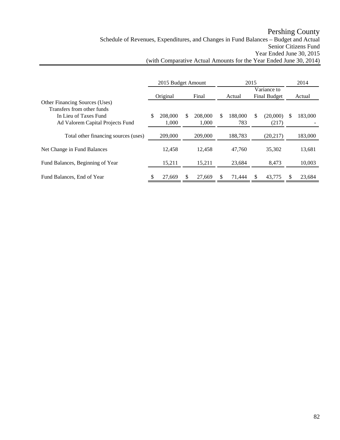#### Pershing County Schedule of Revenues, Expenditures, and Changes in Fund Balances – Budget and Actual Senior Citizens Fund Year Ended June 30, 2015

|                                                                                         | 2015 Budget Amount     |       |                  | 2015 |                |                                    |                   |        | 2014    |
|-----------------------------------------------------------------------------------------|------------------------|-------|------------------|------|----------------|------------------------------------|-------------------|--------|---------|
|                                                                                         | Original               | Final | Actual           |      |                | Variance to<br><b>Final Budget</b> |                   | Actual |         |
| Other Financing Sources (Uses)                                                          |                        |       |                  |      |                |                                    |                   |        |         |
| Transfers from other funds<br>In Lieu of Taxes Fund<br>Ad Valorem Capital Projects Fund | \$<br>208,000<br>1,000 | \$    | 208,000<br>1,000 | \$.  | 188,000<br>783 | \$                                 | (20.000)<br>(217) | S      | 183,000 |
| Total other financing sources (uses)                                                    | 209,000                |       | 209,000          |      | 188.783        |                                    | (20, 217)         |        | 183,000 |
| Net Change in Fund Balances                                                             | 12,458                 |       | 12.458           |      | 47,760         |                                    | 35,302            |        | 13,681  |
| Fund Balances, Beginning of Year                                                        | 15,211                 |       | 15,211           |      | 23,684         |                                    | 8,473             |        | 10,003  |
| Fund Balances, End of Year                                                              | 27,669                 | S     | 27.669           | S    | 71,444         | S.                                 | 43,775            |        | 23,684  |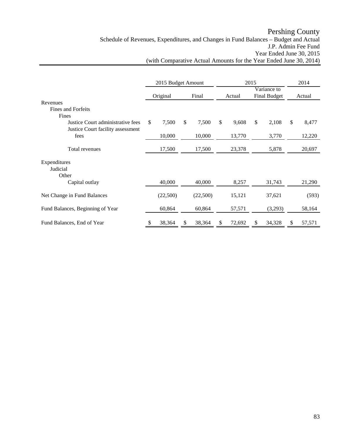#### Pershing County Schedule of Revenues, Expenditures, and Changes in Fund Balances – Budget and Actual J.P. Admin Fee Fund Year Ended June 30, 2015

| (with Comparative Actual Amounts for the Year Ended June 30, 2014) |  |  |  |
|--------------------------------------------------------------------|--|--|--|
|--------------------------------------------------------------------|--|--|--|

|                                   |          | 2015 Budget Amount |       |          | 2015   |        |              |                                    |    | 2014   |
|-----------------------------------|----------|--------------------|-------|----------|--------|--------|--------------|------------------------------------|----|--------|
|                                   | Original |                    | Final |          | Actual |        |              | Variance to<br><b>Final Budget</b> |    | Actual |
| Revenues                          |          |                    |       |          |        |        |              |                                    |    |        |
| Fines and Forfeits                |          |                    |       |          |        |        |              |                                    |    |        |
| Fines                             |          |                    |       |          |        |        |              |                                    |    |        |
| Justice Court administrative fees | \$.      | 7,500              | \$    | 7,500    | \$     | 9,608  | $\mathbb{S}$ | 2,108                              | \$ | 8,477  |
| Justice Court facility assessment |          |                    |       |          |        |        |              |                                    |    |        |
| fees                              |          | 10,000             |       | 10,000   |        | 13,770 |              | 3,770                              |    | 12,220 |
|                                   |          |                    |       |          |        |        |              |                                    |    |        |
| Total revenues                    |          | 17,500             |       | 17,500   |        | 23,378 |              | 5,878                              |    | 20,697 |
|                                   |          |                    |       |          |        |        |              |                                    |    |        |
| Expenditures                      |          |                    |       |          |        |        |              |                                    |    |        |
| Judicial                          |          |                    |       |          |        |        |              |                                    |    |        |
| Other                             |          |                    |       |          |        |        |              |                                    |    |        |
| Capital outlay                    |          | 40,000             |       | 40,000   |        | 8,257  |              | 31,743                             |    | 21,290 |
| Net Change in Fund Balances       |          | (22,500)           |       | (22,500) |        | 15,121 |              | 37,621                             |    | (593)  |
| Fund Balances, Beginning of Year  |          | 60,864             |       | 60,864   |        | 57,571 |              | (3,293)                            |    | 58,164 |
| Fund Balances, End of Year        | S        | 38,364             | S     | 38,364   | S      | 72,692 | S            | 34,328                             | S  | 57,571 |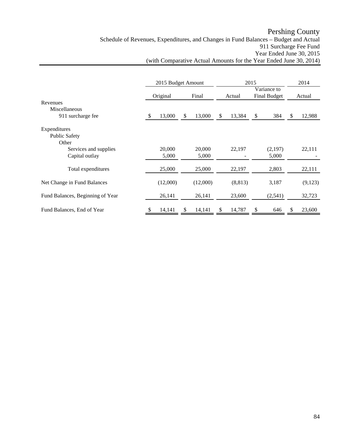Schedule of Revenues, Expenditures, and Changes in Fund Balances – Budget and Actual 911 Surcharge Fee Fund Year Ended June 30, 2015

|                                  |    | 2015 Budget Amount |    |          | 2015 |          |    |                                    |        | 2014    |
|----------------------------------|----|--------------------|----|----------|------|----------|----|------------------------------------|--------|---------|
|                                  |    | Original           |    | Final    |      | Actual   |    | Variance to<br><b>Final Budget</b> | Actual |         |
| Revenues                         |    |                    |    |          |      |          |    |                                    |        |         |
| Miscellaneous                    |    |                    |    |          |      |          |    |                                    |        |         |
| 911 surcharge fee                | -S | 13,000             | \$ | 13,000   | \$   | 13,384   | \$ | 384                                | S.     | 12,988  |
| Expenditures                     |    |                    |    |          |      |          |    |                                    |        |         |
| <b>Public Safety</b>             |    |                    |    |          |      |          |    |                                    |        |         |
| Other                            |    |                    |    |          |      |          |    |                                    |        |         |
| Services and supplies            |    | 20,000             |    | 20,000   |      | 22,197   |    | (2,197)                            |        | 22,111  |
| Capital outlay                   |    | 5,000              |    | 5,000    |      |          |    | 5,000                              |        |         |
| Total expenditures               |    | 25,000             |    | 25,000   |      | 22,197   |    | 2,803                              |        | 22,111  |
| Net Change in Fund Balances      |    | (12,000)           |    | (12,000) |      | (8, 813) |    | 3,187                              |        | (9,123) |
| Fund Balances, Beginning of Year |    | 26,141             |    | 26,141   |      | 23,600   |    | (2,541)                            |        | 32,723  |
| Fund Balances, End of Year       | \$ | 14,141             | \$ | 14,141   | \$   | 14,787   | \$ | 646                                | S      | 23,600  |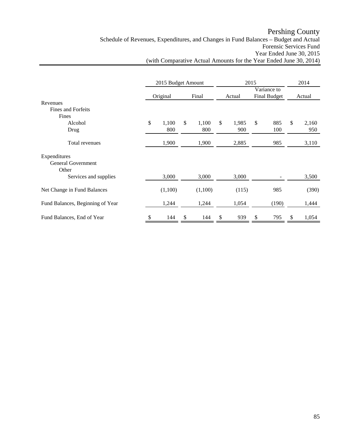#### Pershing County Schedule of Revenues, Expenditures, and Changes in Fund Balances – Budget and Actual Forensic Services Fund Year Ended June 30, 2015

|  | (with Comparative Actual Amounts for the Year Ended June 30, 2014) |
|--|--------------------------------------------------------------------|
|--|--------------------------------------------------------------------|

|                                  | 2015 Budget Amount |              |         | 2015 |        |                           |                                    |    | 2014   |
|----------------------------------|--------------------|--------------|---------|------|--------|---------------------------|------------------------------------|----|--------|
|                                  | Original           |              | Final   |      | Actual |                           | Variance to<br><b>Final Budget</b> |    | Actual |
| Revenues                         |                    |              |         |      |        |                           |                                    |    |        |
| <b>Fines and Forfeits</b>        |                    |              |         |      |        |                           |                                    |    |        |
| Fines                            |                    |              |         |      |        |                           |                                    |    |        |
| Alcohol                          | \$<br>1,100        | $\mathbb{S}$ | 1,100   | \$   | 1,985  | $\boldsymbol{\mathsf{S}}$ | 885                                | \$ | 2,160  |
| Drug                             | 800                |              | 800     |      | 900    |                           | 100                                |    | 950    |
| Total revenues                   | 1,900              |              | 1,900   |      | 2,885  |                           | 985                                |    | 3,110  |
| Expenditures                     |                    |              |         |      |        |                           |                                    |    |        |
| General Government               |                    |              |         |      |        |                           |                                    |    |        |
| Other                            |                    |              |         |      |        |                           |                                    |    |        |
| Services and supplies            | 3,000              |              | 3,000   |      | 3,000  |                           |                                    |    | 3,500  |
| Net Change in Fund Balances      | (1,100)            |              | (1,100) |      | (115)  |                           | 985                                |    | (390)  |
| Fund Balances, Beginning of Year | 1,244              |              | 1,244   |      | 1,054  |                           | (190)                              |    | 1,444  |
| Fund Balances, End of Year       | \$<br>144          | \$           | 144     | \$   | 939    | \$                        | 795                                | \$ | 1,054  |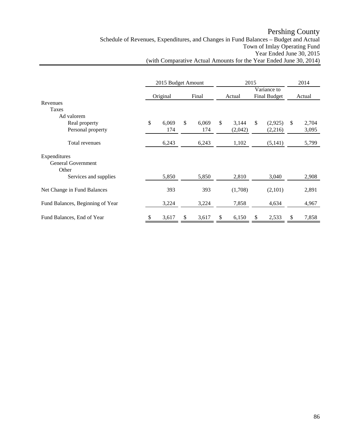#### Pershing County Schedule of Revenues, Expenditures, and Changes in Fund Balances – Budget and Actual Town of Imlay Operating Fund Year Ended June 30, 2015

| (with Comparative Actual Amounts for the Year Ended June 30, 2014) |  |  |  |
|--------------------------------------------------------------------|--|--|--|
|--------------------------------------------------------------------|--|--|--|

|                                  | 2015 Budget Amount |       |              |       |        | 2015    |                                    | 2014    |               |        |
|----------------------------------|--------------------|-------|--------------|-------|--------|---------|------------------------------------|---------|---------------|--------|
|                                  | Original           |       | Final        |       | Actual |         | Variance to<br><b>Final Budget</b> |         |               | Actual |
| Revenues                         |                    |       |              |       |        |         |                                    |         |               |        |
| Taxes                            |                    |       |              |       |        |         |                                    |         |               |        |
| Ad valorem                       |                    |       |              |       |        |         |                                    |         |               |        |
| Real property                    | \$                 | 6,069 | $\mathbb{S}$ | 6,069 | \$     | 3,144   | $\mathbb{S}$                       | (2,925) | <sup>\$</sup> | 2,704  |
| Personal property                |                    | 174   |              | 174   |        | (2,042) |                                    | (2,216) |               | 3,095  |
| Total revenues                   |                    | 6,243 |              | 6,243 |        | 1,102   |                                    | (5,141) |               | 5,799  |
| Expenditures                     |                    |       |              |       |        |         |                                    |         |               |        |
| General Government               |                    |       |              |       |        |         |                                    |         |               |        |
| Other<br>Services and supplies   |                    | 5,850 |              | 5,850 |        | 2,810   |                                    | 3,040   |               | 2,908  |
| Net Change in Fund Balances      |                    | 393   |              | 393   |        | (1,708) |                                    | (2,101) |               | 2,891  |
| Fund Balances, Beginning of Year |                    | 3,224 |              | 3,224 |        | 7,858   |                                    | 4,634   |               | 4,967  |
| Fund Balances, End of Year       | \$                 | 3,617 | \$           | 3,617 | \$     | 6,150   | \$                                 | 2,533   | \$            | 7,858  |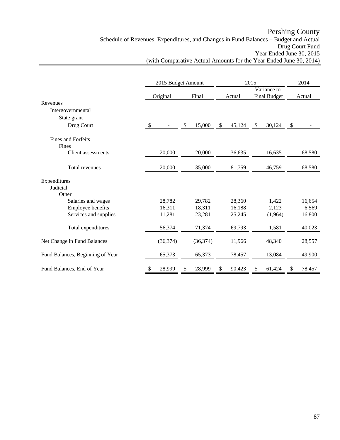#### Pershing County Schedule of Revenues, Expenditures, and Changes in Fund Balances – Budget and Actual Drug Court Fund Year Ended June 30, 2015

| (with Comparative Actual Amounts for the Year Ended June 30, 2014) |
|--------------------------------------------------------------------|
|--------------------------------------------------------------------|

|                                  | 2015 Budget Amount              |       |          | 2015         | 2014 |                                    |    |        |
|----------------------------------|---------------------------------|-------|----------|--------------|------|------------------------------------|----|--------|
|                                  | Original                        | Final |          | Actual       |      | Variance to<br><b>Final Budget</b> |    | Actual |
| Revenues                         |                                 |       |          |              |      |                                    |    |        |
| Intergovernmental                |                                 |       |          |              |      |                                    |    |        |
| State grant                      |                                 |       |          |              |      |                                    |    |        |
| Drug Court                       | <sup>\$</sup><br>$\blacksquare$ | \$    | 15,000   | \$<br>45,124 | \$   | 30,124                             | \$ |        |
| <b>Fines and Forfeits</b>        |                                 |       |          |              |      |                                    |    |        |
| Fines                            |                                 |       |          |              |      |                                    |    |        |
| Client assessments               | 20,000                          |       | 20,000   | 36,635       |      | 16,635                             |    | 68,580 |
|                                  |                                 |       |          |              |      |                                    |    |        |
| Total revenues                   | 20,000                          |       | 35,000   | 81,759       |      | 46,759                             |    | 68,580 |
| Expenditures                     |                                 |       |          |              |      |                                    |    |        |
| Judicial                         |                                 |       |          |              |      |                                    |    |        |
| Other                            |                                 |       |          |              |      |                                    |    |        |
| Salaries and wages               | 28,782                          |       | 29,782   | 28,360       |      | 1,422                              |    | 16,654 |
| Employee benefits                | 16,311                          |       | 18,311   | 16,188       |      | 2,123                              |    | 6,569  |
| Services and supplies            | 11,281                          |       | 23,281   | 25,245       |      | (1,964)                            |    | 16,800 |
| Total expenditures               | 56,374                          |       | 71,374   | 69,793       |      | 1,581                              |    | 40,023 |
| Net Change in Fund Balances      | (36, 374)                       |       | (36,374) | 11,966       |      | 48,340                             |    | 28,557 |
| Fund Balances, Beginning of Year | 65,373                          |       | 65,373   | 78,457       |      | 13,084                             |    | 49,900 |
| Fund Balances, End of Year       | 28,999<br>S                     |       | 28,999   | \$<br>90,423 |      | 61,424                             |    | 78,457 |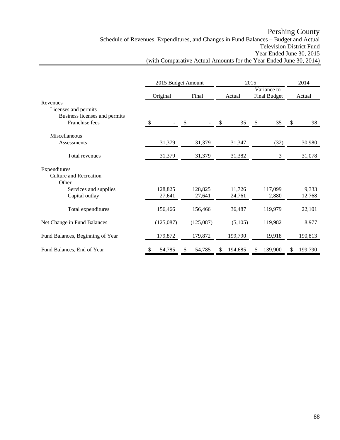Schedule of Revenues, Expenditures, and Changes in Fund Balances – Budget and Actual Television District Fund Year Ended June 30, 2015

|                                                                   |                   | 2015 Budget Amount | 2015             | 2014                               |                 |  |
|-------------------------------------------------------------------|-------------------|--------------------|------------------|------------------------------------|-----------------|--|
|                                                                   | Original<br>Final |                    | Actual           | Variance to<br><b>Final Budget</b> | Actual          |  |
| Revenues<br>Licenses and permits<br>Business licenses and permits |                   |                    |                  |                                    |                 |  |
| Franchise fees                                                    | \$                | $\mathcal{S}$      | 35<br>- \$       | $\mathcal{S}$<br>35                | \$<br>98        |  |
| Miscellaneous<br>Assessments                                      | 31,379            | 31,379             | 31,347           | (32)                               | 30,980          |  |
| Total revenues                                                    | 31,379            | 31,379             | 31,382           | 3                                  | 31,078          |  |
| Expenditures<br>Culture and Recreation<br>Other                   |                   |                    |                  |                                    |                 |  |
| Services and supplies<br>Capital outlay                           | 128,825<br>27,641 | 128,825<br>27,641  | 11,726<br>24,761 | 117,099<br>2,880                   | 9,333<br>12,768 |  |
| Total expenditures                                                | 156,466           | 156,466            | 36,487           | 119,979                            | 22,101          |  |
| Net Change in Fund Balances                                       | (125,087)         | (125,087)          | (5,105)          | 119,982                            | 8,977           |  |
| Fund Balances, Beginning of Year                                  | 179,872           | 179,872            | 199,790          | 19,918                             | 190,813         |  |
| Fund Balances, End of Year                                        | 54,785            | 54,785<br>S        | 194,685          | 139,900                            | 199,790         |  |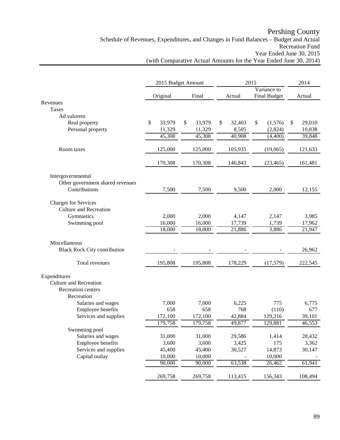### Pershing County Schedule of Revenues, Expenditures, and Changes in Fund Balances – Budget and Actual Recreation Fund

Year Ended June 30, 2015

|                                     | 2015 Budget Amount |              | 2015         | 2014                               |              |
|-------------------------------------|--------------------|--------------|--------------|------------------------------------|--------------|
|                                     | Original           | Final        | Actual       | Variance to<br><b>Final Budget</b> | Actual       |
| Revenues                            |                    |              |              |                                    |              |
| Taxes                               |                    |              |              |                                    |              |
| Ad valorem                          |                    |              |              |                                    |              |
| Real property                       | 33,979<br>\$       | \$<br>33,979 | \$<br>32,403 | \$<br>(1,576)                      | 29,010<br>\$ |
| Personal property                   | 11,329             | 11,329       | 8,505        | (2,824)                            | 10,838       |
|                                     | 45,308             | 45,308       | 40,908       | (4,400)                            | 39,848       |
| Room taxes                          | 125,000            | 125,000      | 105,935      | (19,065)                           | 121,633      |
|                                     | 170,308            | 170,308      | 146,843      | (23, 465)                          | 161,481      |
| Intergovernmental                   |                    |              |              |                                    |              |
| Other government shared revenues    |                    |              |              |                                    |              |
| Contributions                       | 7,500              | 7,500        | 9,500        | 2,000                              | 12,155       |
|                                     |                    |              |              |                                    |              |
| <b>Charges for Services</b>         |                    |              |              |                                    |              |
| <b>Culture and Recreation</b>       |                    |              |              |                                    |              |
| Gymnastics                          | 2,000              | 2,000        | 4,147        | 2,147                              | 3,985        |
| Swimming pool                       | 16,000             | 16,000       | 17,739       | 1,739                              | 17,962       |
|                                     | 18,000             | 18,000       | 21,886       | 3,886                              | 21,947       |
| Miscellaneous                       |                    |              |              |                                    |              |
| <b>Black Rock City contribution</b> |                    |              |              |                                    | 26,962       |
|                                     |                    |              |              |                                    |              |
| Total revenues                      | 195,808            | 195,808      | 178,229      | (17,579)                           | 222,545      |
| Expenditures                        |                    |              |              |                                    |              |
| <b>Culture and Recreation</b>       |                    |              |              |                                    |              |
| Recreation centers                  |                    |              |              |                                    |              |
| Recreation                          |                    |              |              |                                    |              |
| Salaries and wages                  | 7,000              | 7,000        | 6,225        | 775                                | 6,775        |
| Employee benefits                   | 658                | 658          | 768          | (110)                              | 677          |
| Services and supplies               | 172,100            | 172,100      | 42,884       | 129,216                            | 39,101       |
|                                     | 179,758            | 179,758      | 49,877       | 129,881                            | 46,553       |
| Swimming pool                       |                    |              |              |                                    |              |
| Salaries and wages                  | 31,000             | 31,000       | 29,586       | 1,414                              | 28,432       |
| Employee benefits                   | 3,600              | 3,600        | 3,425        | 175                                | 3,362        |
| Services and supplies               | 45,400             | 45,400       | 30,527       | 14,873                             | 30,147       |
| Capital outlay                      | 10,000             | 10,000       |              | 10,000                             |              |
|                                     | 90,000             | 90,000       | 63,538       | 26,462                             | 61,941       |
|                                     | 269,758            | 269,758      | 113,415      | 156,343                            | 108,494      |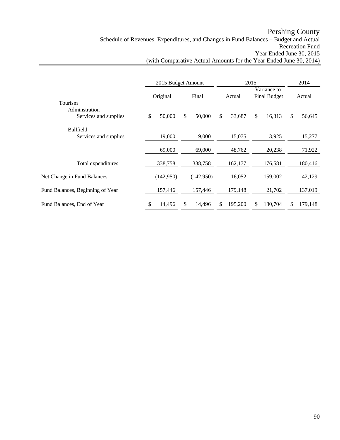Schedule of Revenues, Expenditures, and Changes in Fund Balances – Budget and Actual Recreation Fund Year Ended June 30, 2015

|                                        |              | 2015 Budget Amount | 2015                   | 2014                               |                         |
|----------------------------------------|--------------|--------------------|------------------------|------------------------------------|-------------------------|
|                                        | Original     | Final              | Actual                 | Variance to<br><b>Final Budget</b> | Actual                  |
| Tourism                                |              |                    |                        |                                    |                         |
| Adminstration<br>Services and supplies | 50,000<br>\$ | \$<br>50,000       | 33,687<br>$\mathbb{S}$ | 16,313<br><sup>\$</sup>            | 56,645<br><sup>\$</sup> |
| Ballfield                              |              |                    |                        |                                    |                         |
| Services and supplies                  | 19,000       | 19,000             | 15,075                 | 3,925                              | 15,277                  |
|                                        | 69,000       | 69,000             | 48,762                 | 20,238                             | 71,922                  |
| Total expenditures                     | 338,758      | 338,758            | 162,177                | 176,581                            | 180,416                 |
| Net Change in Fund Balances            | (142,950)    | (142,950)          | 16,052                 | 159,002                            | 42,129                  |
| Fund Balances, Beginning of Year       | 157,446      | 157,446            | 179,148                | 21,702                             | 137,019                 |
| Fund Balances, End of Year             | 14,496<br>\$ | \$<br>14,496       | 195,200<br>S.          | 180,704<br>S                       | 179,148                 |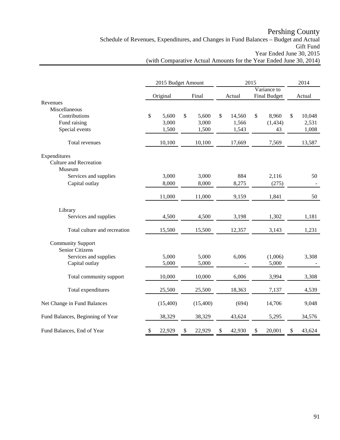#### Pershing County Schedule of Revenues, Expenditures, and Changes in Fund Balances – Budget and Actual Gift Fund Year Ended June 30, 2015

| (with Comparative Actual Amounts for the Year Ended June 30, 2014) |  |  |  |  |
|--------------------------------------------------------------------|--|--|--|--|
|                                                                    |  |  |  |  |

|                                  | 2015 Budget Amount |          | 2015         |    |        |    | 2014                               |    |        |
|----------------------------------|--------------------|----------|--------------|----|--------|----|------------------------------------|----|--------|
|                                  |                    | Original | Final        |    | Actual |    | Variance to<br><b>Final Budget</b> |    | Actual |
| Revenues                         |                    |          |              |    |        |    |                                    |    |        |
| Miscellaneous                    |                    |          |              |    |        |    |                                    |    |        |
| Contributions                    | \$                 | 5,600    | \$<br>5,600  | \$ | 14,560 | \$ | 8,960                              | \$ | 10,048 |
| Fund raising                     |                    | 3,000    | 3,000        |    | 1,566  |    | (1, 434)                           |    | 2,531  |
| Special events                   |                    | 1,500    | 1,500        |    | 1,543  |    | 43                                 |    | 1,008  |
| Total revenues                   |                    | 10,100   | 10,100       |    | 17,669 |    | 7,569                              |    | 13,587 |
| Expenditures                     |                    |          |              |    |        |    |                                    |    |        |
| <b>Culture and Recreation</b>    |                    |          |              |    |        |    |                                    |    |        |
| Museum                           |                    |          |              |    |        |    |                                    |    |        |
| Services and supplies            |                    | 3,000    | 3,000        |    | 884    |    | 2,116                              |    | 50     |
| Capital outlay                   |                    | 8,000    | 8,000        |    | 8,275  |    | (275)                              |    |        |
|                                  |                    | 11,000   | 11,000       |    | 9,159  |    | 1,841                              |    | 50     |
| Library                          |                    |          |              |    |        |    |                                    |    |        |
| Services and supplies            |                    | 4,500    | 4,500        |    | 3,198  |    | 1,302                              |    | 1,181  |
| Total culture and recreation     |                    | 15,500   | 15,500       |    | 12,357 |    | 3,143                              |    | 1,231  |
| <b>Community Support</b>         |                    |          |              |    |        |    |                                    |    |        |
| Senior Citizens                  |                    |          |              |    |        |    |                                    |    |        |
| Services and supplies            |                    | 5,000    | 5,000        |    | 6,006  |    | (1,006)                            |    | 3,308  |
| Capital outlay                   |                    | 5,000    | 5,000        |    |        |    | 5,000                              |    |        |
| Total community support          |                    | 10,000   | 10,000       |    | 6,006  |    | 3,994                              |    | 3,308  |
| Total expenditures               |                    | 25,500   | 25,500       |    | 18,363 |    | 7,137                              |    | 4,539  |
| Net Change in Fund Balances      |                    | (15,400) | (15,400)     |    | (694)  |    | 14,706                             |    | 9,048  |
| Fund Balances, Beginning of Year |                    | 38,329   | 38,329       |    | 43,624 |    | 5,295                              |    | 34,576 |
| Fund Balances, End of Year       |                    | 22,929   | \$<br>22,929 | \$ | 42,930 | \$ | 20,001                             | \$ | 43,624 |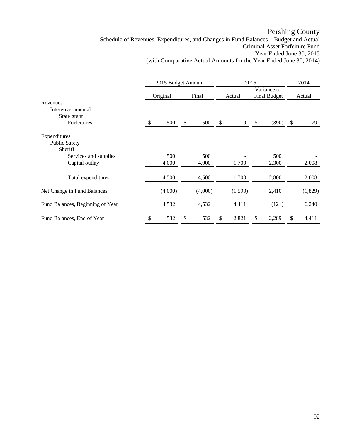Schedule of Revenues, Expenditures, and Changes in Fund Balances – Budget and Actual Criminal Asset Forfeiture Fund Year Ended June 30, 2015

|                                                             |          | 2015 Budget Amount |       |              | 2015                      |         |                                    |              |        | 2014    |  |
|-------------------------------------------------------------|----------|--------------------|-------|--------------|---------------------------|---------|------------------------------------|--------------|--------|---------|--|
|                                                             | Original |                    | Final |              | Actual                    |         | Variance to<br><b>Final Budget</b> |              | Actual |         |  |
| Revenues<br>Intergovernmental<br>State grant<br>Forfeitures | -S       | 500                | \$    | 500          | $\boldsymbol{\mathsf{S}}$ | 110     | \$                                 | (390)        | \$     | 179     |  |
| Expenditures<br><b>Public Safety</b><br>Sheriff             |          |                    |       |              |                           |         |                                    |              |        |         |  |
| Services and supplies<br>Capital outlay                     |          | 500<br>4,000       |       | 500<br>4,000 |                           | 1,700   |                                    | 500<br>2,300 |        | 2,008   |  |
| Total expenditures                                          |          | 4,500              |       | 4,500        |                           | 1,700   |                                    | 2,800        |        | 2,008   |  |
| Net Change in Fund Balances                                 |          | (4,000)            |       | (4,000)      |                           | (1,590) |                                    | 2,410        |        | (1,829) |  |
| Fund Balances, Beginning of Year                            |          | 4,532              |       | 4,532        |                           | 4,411   |                                    | (121)        |        | 6,240   |  |
| Fund Balances, End of Year                                  | \$       | 532                | \$    | 532          | \$                        | 2,821   | \$                                 | 2,289        | \$     | 4,411   |  |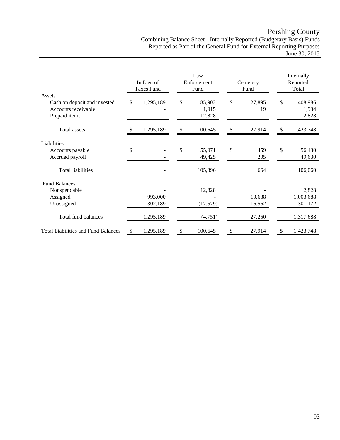Combining Balance Sheet - Internally Reported (Budgetary Basis) Funds Reported as Part of the General Fund for External Reporting Purposes June 30, 2015

|                                                                                |    | In Lieu of<br><b>Taxes Fund</b> | Law<br>Enforcement<br>Fund      | Cemetery<br>Fund   | Internally<br>Reported<br>Total |                                |  |
|--------------------------------------------------------------------------------|----|---------------------------------|---------------------------------|--------------------|---------------------------------|--------------------------------|--|
| Assets<br>Cash on deposit and invested<br>Accounts receivable<br>Prepaid items | \$ | 1,295,189                       | \$<br>85,902<br>1,915<br>12,828 | \$<br>27,895<br>19 | \$                              | 1,408,986<br>1,934<br>12,828   |  |
| Total assets                                                                   |    | 1,295,189                       | \$<br>100,645                   | 27,914             | \$                              | 1,423,748                      |  |
| Liabilities<br>Accounts payable<br>Accrued payroll                             | \$ |                                 | \$<br>55,971<br>49,425          | \$<br>459<br>205   | \$                              | 56,430<br>49,630               |  |
| <b>Total liabilities</b>                                                       |    |                                 | 105,396                         | 664                |                                 | 106,060                        |  |
| <b>Fund Balances</b><br>Nonspendable<br>Assigned<br>Unassigned                 |    | 993,000<br>302,189              | 12,828<br>(17,579)              | 10,688<br>16,562   |                                 | 12,828<br>1,003,688<br>301,172 |  |
| Total fund balances                                                            |    | 1,295,189                       | (4,751)                         | 27,250             |                                 | 1,317,688                      |  |
| <b>Total Liabilities and Fund Balances</b>                                     | \$ | 1,295,189                       | \$<br>100,645                   | \$<br>27,914       | \$                              | 1,423,748                      |  |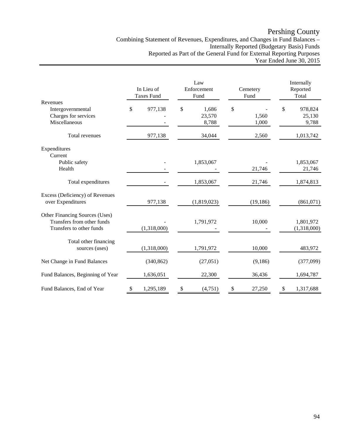Combining Statement of Revenues, Expenditures, and Changes in Fund Balances – Internally Reported (Budgetary Basis) Funds Reported as Part of the General Fund for External Reporting Purposes Year Ended June 30, 2015

|                                                                                          |    | In Lieu of<br><b>Taxes Fund</b> |    | Law<br>Enforcement<br>Fund | Cemetery<br>Fund     | Internally<br>Reported<br>Total |                            |  |
|------------------------------------------------------------------------------------------|----|---------------------------------|----|----------------------------|----------------------|---------------------------------|----------------------------|--|
| Revenues                                                                                 |    |                                 |    |                            |                      |                                 |                            |  |
| Intergovernmental<br>Charges for services<br>Miscellaneous                               | \$ | 977,138                         | \$ | 1,686<br>23,570<br>8,788   | \$<br>1,560<br>1,000 | \$                              | 978,824<br>25,130<br>9,788 |  |
| Total revenues                                                                           |    | 977,138                         |    | 34,044                     | 2,560                |                                 | 1,013,742                  |  |
| Expenditures<br>Current                                                                  |    |                                 |    |                            |                      |                                 |                            |  |
| Public safety<br>Health                                                                  |    |                                 |    | 1,853,067                  | 21,746               |                                 | 1,853,067<br>21,746        |  |
| Total expenditures                                                                       |    |                                 |    | 1,853,067                  | 21,746               |                                 | 1,874,813                  |  |
| Excess (Deficiency) of Revenues<br>over Expenditures                                     |    | 977,138                         |    | (1,819,023)                | (19, 186)            |                                 | (861,071)                  |  |
| Other Financing Sources (Uses)<br>Transfers from other funds<br>Transfers to other funds |    | (1,318,000)                     |    | 1,791,972                  | 10,000               |                                 | 1,801,972<br>(1,318,000)   |  |
| Total other financing<br>sources (uses)                                                  |    | (1,318,000)                     |    | 1,791,972                  | 10,000               |                                 | 483,972                    |  |
| Net Change in Fund Balances                                                              |    | (340, 862)                      |    | (27, 051)                  | (9,186)              |                                 | (377,099)                  |  |
| Fund Balances, Beginning of Year                                                         |    | 1,636,051                       |    | 22,300                     | 36,436               |                                 | 1,694,787                  |  |
| Fund Balances, End of Year                                                               | \$ | 1,295,189                       | \$ | (4,751)                    | \$<br>27,250         | \$                              | 1,317,688                  |  |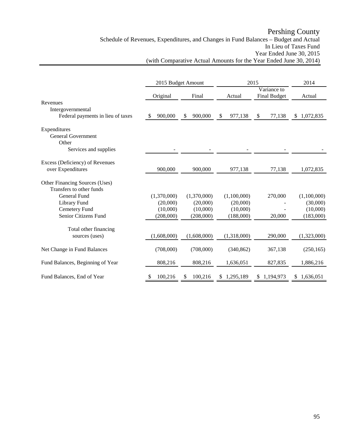### Pershing County Schedule of Revenues, Expenditures, and Changes in Fund Balances – Budget and Actual In Lieu of Taxes Fund Year Ended June 30, 2015

| (with Comparative Actual Amounts for the Year Ended June 30, 2014) |  |  |  |  |
|--------------------------------------------------------------------|--|--|--|--|
|                                                                    |  |  |  |  |

|                                   |               | 2015 Budget Amount | 2015          |                                    | 2014<br>Actual            |  |
|-----------------------------------|---------------|--------------------|---------------|------------------------------------|---------------------------|--|
|                                   | Original      | Final              | Actual        | Variance to<br><b>Final Budget</b> |                           |  |
| Revenues                          |               |                    |               |                                    |                           |  |
| Intergovernmental                 |               |                    |               |                                    |                           |  |
| Federal payments in lieu of taxes | 900,000<br>-S | 900,000<br>\$      | \$<br>977,138 | \$<br>77,138                       | 1,072,835<br>$\mathbb{S}$ |  |
| Expenditures                      |               |                    |               |                                    |                           |  |
| <b>General Government</b>         |               |                    |               |                                    |                           |  |
| Other                             |               |                    |               |                                    |                           |  |
| Services and supplies             |               |                    |               |                                    |                           |  |
| Excess (Deficiency) of Revenues   |               |                    |               |                                    |                           |  |
| over Expenditures                 | 900,000       | 900,000            | 977,138       | 77,138                             | 1,072,835                 |  |
| Other Financing Sources (Uses)    |               |                    |               |                                    |                           |  |
| Transfers to other funds          |               |                    |               |                                    |                           |  |
| General Fund                      | (1,370,000)   | (1,370,000)        | (1,100,000)   | 270,000                            | (1,100,000)               |  |
| Library Fund                      | (20,000)      | (20,000)           | (20,000)      |                                    | (30,000)                  |  |
| Cemetery Fund                     | (10,000)      | (10,000)           | (10,000)      |                                    | (10,000)                  |  |
| Senior Citizens Fund              | (208,000)     | (208,000)          | (188,000)     | 20,000                             | (183,000)                 |  |
| Total other financing             |               |                    |               |                                    |                           |  |
| sources (uses)                    | (1,608,000)   | (1,608,000)        | (1,318,000)   | 290,000                            | (1,323,000)               |  |
| Net Change in Fund Balances       | (708,000)     | (708,000)          | (340, 862)    | 367,138                            | (250, 165)                |  |
| Fund Balances, Beginning of Year  | 808,216       | 808,216            | 1,636,051     | 827,835                            | 1,886,216                 |  |
| Fund Balances, End of Year        | 100,216<br>S  | 100,216            | 1,295,189     | 1,194,973<br>\$                    | 1,636,051                 |  |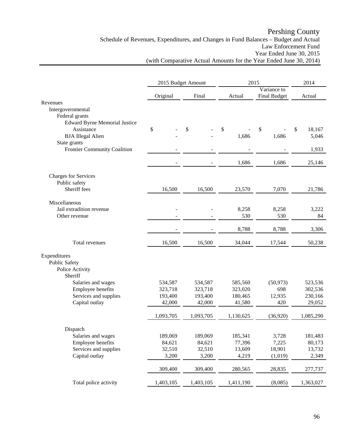## Pershing County Schedule of Revenues, Expenditures, and Changes in Fund Balances – Budget and Actual Law Enforcement Fund Year Ended June 30, 2015

|                                      | 2015 Budget Amount |           | 2015      |                     | 2014         |  |
|--------------------------------------|--------------------|-----------|-----------|---------------------|--------------|--|
|                                      |                    |           |           | Variance to         |              |  |
|                                      | Original           | Final     | Actual    | <b>Final Budget</b> | Actual       |  |
| Revenues                             |                    |           |           |                     |              |  |
| Intergovernmental<br>Federal grants  |                    |           |           |                     |              |  |
| <b>Edward Byrne Memorial Justice</b> |                    |           |           |                     |              |  |
| Assistance                           | \$                 | \$        | \$        | \$                  | 18,167<br>\$ |  |
| <b>BJA</b> Illegal Alien             |                    |           | 1,686     | 1,686               | 5,046        |  |
| State grants                         |                    |           |           |                     |              |  |
| <b>Frontier Community Coalition</b>  |                    |           |           |                     | 1,933        |  |
|                                      |                    |           | 1,686     | 1,686               | 25,146       |  |
|                                      |                    |           |           |                     |              |  |
| <b>Charges for Services</b>          |                    |           |           |                     |              |  |
| Public safety<br>Sheriff fees        | 16,500             | 16,500    | 23,570    | 7,070               | 21,786       |  |
|                                      |                    |           |           |                     |              |  |
| Miscellaneous                        |                    |           |           |                     |              |  |
| Jail extradition revenue             |                    |           | 8,258     | 8,258               | 3,222        |  |
| Other revenue                        |                    |           | 530       | 530                 | 84           |  |
|                                      |                    |           | 8,788     | 8,788               | 3,306        |  |
| Total revenues                       | 16,500             | 16,500    | 34,044    | 17,544              | 50,238       |  |
|                                      |                    |           |           |                     |              |  |
| Expenditures<br><b>Public Safety</b> |                    |           |           |                     |              |  |
| Police Activity                      |                    |           |           |                     |              |  |
| Sheriff                              |                    |           |           |                     |              |  |
| Salaries and wages                   | 534,587            | 534,587   | 585,560   | (50, 973)           | 523,536      |  |
| Employee benefits                    | 323,718            | 323,718   | 323,020   | 698                 | 302,536      |  |
| Services and supplies                | 193,400            | 193,400   | 180,465   | 12,935              | 230,166      |  |
| Capital outlay                       | 42,000             | 42,000    | 41,580    | 420                 | 29,052       |  |
|                                      | 1,093,705          | 1,093,705 | 1,130,625 | (36,920)            | 1,085,290    |  |
|                                      |                    |           |           |                     |              |  |
| Dispatch<br>Salaries and wages       | 189,069            | 189,069   | 185,341   | 3,728               | 181,483      |  |
| Employee benefits                    | 84,621             | 84,621    | 77,396    | 7,225               | 80,173       |  |
| Services and supplies                | 32,510             | 32,510    | 13,609    | 18,901              | 13,732       |  |
| Capital outlay                       | 3,200              | 3,200     | 4,219     | (1,019)             | 2,349        |  |
|                                      | 309,400            | 309,400   | 280,565   | 28,835              | 277,737      |  |
| Total police activity                | 1,403,105          | 1,403,105 | 1,411,190 | (8,085)             | 1,363,027    |  |
|                                      |                    |           |           |                     |              |  |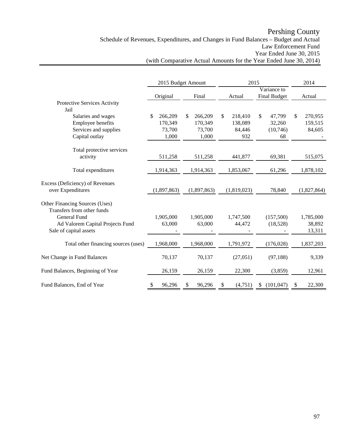## Pershing County Schedule of Revenues, Expenditures, and Changes in Fund Balances – Budget and Actual Law Enforcement Fund Year Ended June 30, 2015

|                                                                     | 2015 Budget Amount |     |             | 2015          |    |                                    | 2014   |             |
|---------------------------------------------------------------------|--------------------|-----|-------------|---------------|----|------------------------------------|--------|-------------|
|                                                                     | Original           |     | Final       | Actual        |    | Variance to<br><b>Final Budget</b> | Actual |             |
| Protective Services Activity                                        |                    |     |             |               |    |                                    |        |             |
| Jail                                                                |                    |     |             |               |    |                                    |        |             |
| Salaries and wages                                                  | \$<br>266,209      | \$. | 266,209     | \$<br>218,410 | \$ | 47,799                             | \$     | 270,955     |
| Employee benefits                                                   | 170,349            |     | 170,349     | 138,089       |    | 32,260                             |        | 159,515     |
| Services and supplies                                               | 73,700             |     | 73,700      | 84,446        |    | (10,746)                           |        | 84,605      |
| Capital outlay                                                      | 1,000              |     | 1,000       | 932           |    | 68                                 |        |             |
| Total protective services                                           |                    |     |             |               |    |                                    |        |             |
| activity                                                            | 511,258            |     | 511,258     | 441,877       |    | 69,381                             |        | 515,075     |
| Total expenditures                                                  | 1,914,363          |     | 1,914,363   | 1,853,067     |    | 61,296                             |        | 1,878,102   |
| Excess (Deficiency) of Revenues                                     |                    |     |             |               |    |                                    |        |             |
| over Expenditures                                                   | (1,897,863)        |     | (1,897,863) | (1,819,023)   |    | 78,840                             |        | (1,827,864) |
| <b>Other Financing Sources (Uses)</b><br>Transfers from other funds |                    |     |             |               |    |                                    |        |             |
| General Fund                                                        | 1,905,000          |     | 1,905,000   | 1,747,500     |    | (157,500)                          |        | 1,785,000   |
| Ad Valorem Capital Projects Fund                                    | 63,000             |     | 63,000      | 44,472        |    | (18,528)                           |        | 38,892      |
| Sale of capital assets                                              |                    |     |             |               |    |                                    |        | 13,311      |
| Total other financing sources (uses)                                | 1,968,000          |     | 1,968,000   | 1,791,972     |    | (176, 028)                         |        | 1,837,203   |
| Net Change in Fund Balances                                         | 70,137             |     | 70,137      | (27,051)      |    | (97, 188)                          |        | 9,339       |
| Fund Balances, Beginning of Year                                    | 26,159             |     | 26,159      | 22,300        |    | (3,859)                            |        | 12,961      |
| Fund Balances, End of Year                                          | \$<br>96,296       | \$  | 96,296      | \$<br>(4,751) | S  | (101, 047)                         | \$     | 22,300      |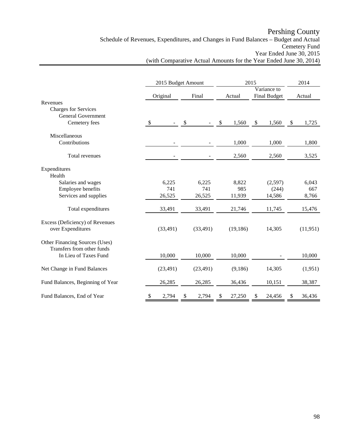Schedule of Revenues, Expenditures, and Changes in Fund Balances – Budget and Actual Cemetery Fund Year Ended June 30, 2015

|                                                     | 2015 Budget Amount |           | 2015        |    |                                    |    | 2014    |    |           |
|-----------------------------------------------------|--------------------|-----------|-------------|----|------------------------------------|----|---------|----|-----------|
|                                                     | Original<br>Final  |           | Actual      |    | Variance to<br><b>Final Budget</b> |    | Actual  |    |           |
| Revenues                                            |                    |           |             |    |                                    |    |         |    |           |
| <b>Charges for Services</b>                         |                    |           |             |    |                                    |    |         |    |           |
| <b>General Government</b>                           |                    |           |             |    |                                    |    |         |    |           |
| Cemetery fees                                       | \$                 |           | \$          | \$ | 1,560                              | \$ | 1,560   | \$ | 1,725     |
| Miscellaneous                                       |                    |           |             |    |                                    |    |         |    |           |
| Contributions                                       |                    |           |             |    | 1,000                              |    | 1,000   |    | 1,800     |
| Total revenues                                      |                    |           |             |    | 2,560                              |    | 2,560   |    | 3,525     |
| Expenditures                                        |                    |           |             |    |                                    |    |         |    |           |
| Health                                              |                    |           |             |    |                                    |    |         |    |           |
| Salaries and wages                                  |                    | 6,225     | 6,225       |    | 8,822                              |    | (2,597) |    | 6,043     |
| Employee benefits                                   |                    | 741       | 741         |    | 985                                |    | (244)   |    | 667       |
| Services and supplies                               |                    | 26,525    | 26,525      |    | 11,939                             |    | 14,586  |    | 8,766     |
| Total expenditures                                  |                    | 33,491    | 33,491      |    | 21,746                             |    | 11,745  |    | 15,476    |
| Excess (Deficiency) of Revenues                     |                    |           |             |    |                                    |    |         |    |           |
| over Expenditures                                   |                    | (33, 491) | (33, 491)   |    | (19, 186)                          |    | 14,305  |    | (11, 951) |
| Other Financing Sources (Uses)                      |                    |           |             |    |                                    |    |         |    |           |
| Transfers from other funds<br>In Lieu of Taxes Fund |                    | 10,000    | 10,000      |    | 10,000                             |    |         |    | 10,000    |
| Net Change in Fund Balances                         |                    | (23, 491) | (23, 491)   |    | (9,186)                            |    | 14,305  |    | (1,951)   |
| Fund Balances, Beginning of Year                    |                    | 26,285    | 26,285      |    | 36,436                             |    | 10,151  |    | 38,387    |
| Fund Balances, End of Year                          | \$                 | 2,794     | \$<br>2,794 | \$ | 27,250                             | \$ | 24,456  | \$ | 36,436    |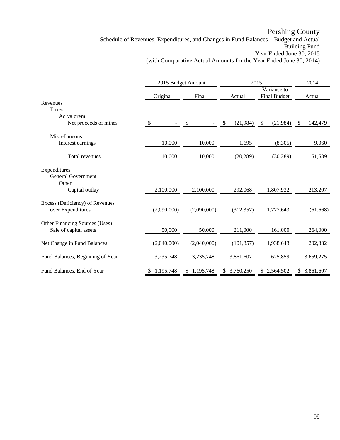## Pershing County Schedule of Revenues, Expenditures, and Changes in Fund Balances – Budget and Actual Building Fund Year Ended June 30, 2015

|                                                          |                | 2015 Budget Amount |                          | 2015                               | 2014           |  |
|----------------------------------------------------------|----------------|--------------------|--------------------------|------------------------------------|----------------|--|
|                                                          | Original       | Final              | Actual                   | Variance to<br><b>Final Budget</b> | Actual         |  |
| Revenues<br>Taxes                                        |                |                    |                          |                                    |                |  |
| Ad valorem<br>Net proceeds of mines                      | $\mathcal{S}$  | \$                 | (21,984)<br>$\mathbb{S}$ | (21,984)<br>\$                     | 142,479<br>\$. |  |
| Miscellaneous                                            |                |                    |                          |                                    |                |  |
| Interest earnings                                        | 10,000         | 10,000             | 1,695                    | (8,305)                            | 9,060          |  |
| Total revenues                                           | 10,000         | 10,000             | (20, 289)                | (30, 289)                          | 151,539        |  |
| Expenditures<br><b>General Government</b><br>Other       |                |                    |                          |                                    |                |  |
| Capital outlay                                           | 2,100,000      | 2,100,000          | 292,068                  | 1,807,932                          | 213,207        |  |
| Excess (Deficiency) of Revenues<br>over Expenditures     | (2,090,000)    | (2,090,000)        | (312, 357)               | 1,777,643                          | (61, 668)      |  |
| Other Financing Sources (Uses)<br>Sale of capital assets | 50,000         | 50,000             | 211,000                  | 161,000                            | 264,000        |  |
| Net Change in Fund Balances                              | (2,040,000)    | (2,040,000)        | (101, 357)               | 1,938,643                          | 202,332        |  |
| Fund Balances, Beginning of Year                         | 3,235,748      | 3,235,748          | 3,861,607                | 625,859                            | 3,659,275      |  |
| Fund Balances, End of Year                               | 1,195,748<br>S | \$1,195,748        | 3,760,250<br>\$          | 2,564,502<br>\$                    | \$3,861,607    |  |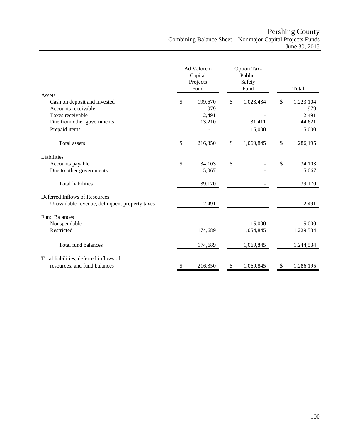Pershing County Combining Balance Sheet – Nonmajor Capital Projects Funds June 30, 2015

|                                                |              | Ad Valorem<br>Capital<br>Projects<br>Fund |    | Option Tax-<br>Public<br>Safety<br>Fund | Total |              |
|------------------------------------------------|--------------|-------------------------------------------|----|-----------------------------------------|-------|--------------|
| Assets                                         |              |                                           |    |                                         |       |              |
| Cash on deposit and invested                   | $\mathbb{S}$ | 199,670                                   | \$ | 1,023,434                               | \$    | 1,223,104    |
| Accounts receivable<br>Taxes receivable        |              | 979<br>2,491                              |    |                                         |       | 979<br>2,491 |
| Due from other governments                     |              | 13,210                                    |    | 31,411                                  |       | 44,621       |
| Prepaid items                                  |              | ÷,                                        |    | 15,000                                  |       | 15,000       |
|                                                |              |                                           |    |                                         |       |              |
| Total assets                                   | £.           | 216,350                                   | \$ | 1,069,845                               | \$    | 1,286,195    |
| Liabilities                                    |              |                                           |    |                                         |       |              |
| Accounts payable                               | $\mathbb{S}$ | 34,103                                    | \$ |                                         | \$    | 34,103       |
| Due to other governments                       |              | 5,067                                     |    |                                         |       | 5,067        |
| <b>Total liabilities</b>                       |              | 39,170                                    |    |                                         |       | 39,170       |
| Deferred Inflows of Resources                  |              |                                           |    |                                         |       |              |
| Unavailable revenue, delinquent property taxes |              | 2,491                                     |    |                                         |       | 2,491        |
| <b>Fund Balances</b>                           |              |                                           |    |                                         |       |              |
| Nonspendable                                   |              |                                           |    | 15,000                                  |       | 15,000       |
| Restricted                                     |              | 174,689                                   |    | 1,054,845                               |       | 1,229,534    |
| Total fund balances                            |              | 174,689                                   |    | 1,069,845                               |       | 1,244,534    |
| Total liabilities, deferred inflows of         |              |                                           |    |                                         |       |              |
| resources, and fund balances                   | S            | 216,350                                   | S  | 1,069,845                               | S     | 1,286,195    |
|                                                |              |                                           |    |                                         |       |              |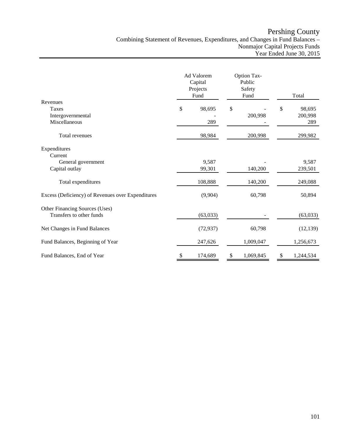|                                                   | Ad Valorem<br>Capital<br>Projects<br>Fund |           |    | Option Tax-<br>Public<br>Safety<br>Fund | Total           |  |  |
|---------------------------------------------------|-------------------------------------------|-----------|----|-----------------------------------------|-----------------|--|--|
| Revenues                                          |                                           |           |    |                                         |                 |  |  |
| Taxes                                             | \$                                        | 98,695    | \$ |                                         | \$<br>98,695    |  |  |
| Intergovernmental                                 |                                           |           |    | 200,998                                 | 200,998         |  |  |
| Miscellaneous                                     |                                           | 289       |    |                                         | 289             |  |  |
| Total revenues                                    |                                           | 98,984    |    | 200,998                                 | 299,982         |  |  |
| Expenditures                                      |                                           |           |    |                                         |                 |  |  |
| Current                                           |                                           |           |    |                                         |                 |  |  |
| General government                                |                                           | 9,587     |    |                                         | 9,587           |  |  |
| Capital outlay                                    |                                           | 99,301    |    | 140,200                                 | 239,501         |  |  |
| Total expenditures                                |                                           | 108,888   |    | 140,200                                 | 249,088         |  |  |
| Excess (Deficiency) of Revenues over Expenditures |                                           | (9,904)   |    | 60,798                                  | 50,894          |  |  |
| Other Financing Sources (Uses)                    |                                           |           |    |                                         |                 |  |  |
| Transfers to other funds                          |                                           | (63,033)  |    |                                         | (63,033)        |  |  |
| Net Changes in Fund Balances                      |                                           | (72, 937) |    | 60,798                                  | (12, 139)       |  |  |
| Fund Balances, Beginning of Year                  |                                           | 247,626   |    | 1,009,047                               | 1,256,673       |  |  |
| Fund Balances, End of Year                        | \$                                        | 174,689   | S  | 1,069,845                               | \$<br>1,244,534 |  |  |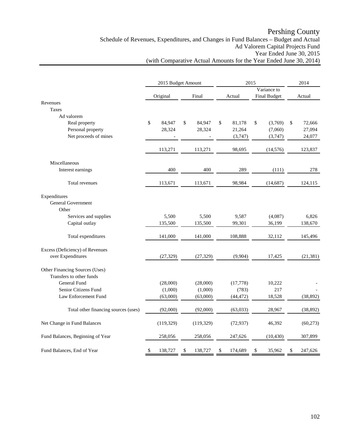Schedule of Revenues, Expenditures, and Changes in Fund Balances – Budget and Actual Ad Valorem Capital Projects Fund Year Ended June 30, 2015

|                                                            | 2015 Budget Amount |               |               | 2015                               | 2014          |  |
|------------------------------------------------------------|--------------------|---------------|---------------|------------------------------------|---------------|--|
|                                                            | Original           | Final         | Actual        | Variance to<br><b>Final Budget</b> | Actual        |  |
| Revenues                                                   |                    |               |               |                                    |               |  |
| <b>Taxes</b>                                               |                    |               |               |                                    |               |  |
| Ad valorem                                                 |                    |               |               |                                    |               |  |
| Real property                                              | \$<br>84,947       | 84,947<br>\$  | \$<br>81,178  | \$<br>(3,769)                      | 72,666<br>\$  |  |
| Personal property                                          | 28,324             | 28,324        | 21,264        | (7,060)                            | 27,094        |  |
| Net proceeds of mines                                      |                    |               | (3,747)       | (3,747)                            | 24,077        |  |
|                                                            | 113,271            | 113,271       | 98,695        | (14, 576)                          | 123,837       |  |
| Miscellaneous                                              |                    |               |               |                                    |               |  |
| Interest earnings                                          | 400                | 400           | 289           | (111)                              | 278           |  |
| Total revenues                                             | 113,671            | 113,671       | 98,984        | (14, 687)                          | 124,115       |  |
| Expenditures                                               |                    |               |               |                                    |               |  |
| General Government                                         |                    |               |               |                                    |               |  |
| Other                                                      |                    |               |               |                                    |               |  |
| Services and supplies                                      | 5,500              | 5,500         | 9,587         | (4,087)                            | 6,826         |  |
| Capital outlay                                             | 135,500            | 135,500       | 99,301        | 36,199                             | 138,670       |  |
| Total expenditures                                         | 141,000            | 141,000       | 108,888       | 32,112                             | 145,496       |  |
| Excess (Deficiency) of Revenues                            |                    |               |               |                                    |               |  |
| over Expenditures                                          | (27, 329)          | (27, 329)     | (9,904)       | 17,425                             | (21, 381)     |  |
| Other Financing Sources (Uses)<br>Transfers to other funds |                    |               |               |                                    |               |  |
| <b>General Fund</b>                                        | (28,000)           | (28,000)      | (17, 778)     | 10,222                             |               |  |
| Senior Citizens Fund                                       | (1,000)            | (1,000)       | (783)         | 217                                |               |  |
| Law Enforcement Fund                                       | (63,000)           | (63,000)      | (44, 472)     | 18,528                             | (38, 892)     |  |
| Total other financing sources (uses)                       | (92,000)           | (92,000)      | (63,033)      | 28,967                             | (38, 892)     |  |
| Net Change in Fund Balances                                | (119, 329)         | (119, 329)    | (72, 937)     | 46,392                             | (60, 273)     |  |
| Fund Balances, Beginning of Year                           | 258,056            | 258,056       | 247,626       | (10, 430)                          | 307,899       |  |
| Fund Balances, End of Year                                 | \$<br>138,727      | 138,727<br>\$ | 174,689<br>\$ | \$<br>35,962                       | 247,626<br>\$ |  |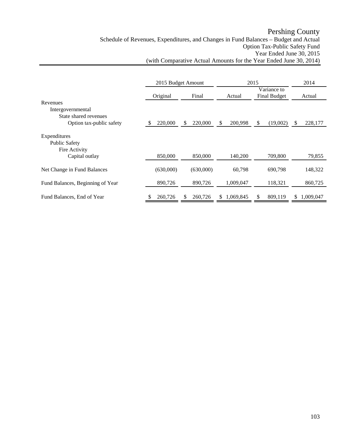Schedule of Revenues, Expenditures, and Changes in Fund Balances – Budget and Actual Option Tax-Public Safety Fund Year Ended June 30, 2015

|                                                        |               | 2015 Budget Amount |                 | 2015                               | 2014            |  |
|--------------------------------------------------------|---------------|--------------------|-----------------|------------------------------------|-----------------|--|
|                                                        | Original      | Final              | Actual          | Variance to<br><b>Final Budget</b> | Actual          |  |
| Revenues<br>Intergovernmental<br>State shared revenues |               |                    |                 |                                    |                 |  |
| Option tax-public safety                               | \$<br>220,000 | \$.<br>220,000     | 200,998<br>S    | (19,002)<br>S                      | 228,177<br>S    |  |
| Expenditures<br><b>Public Safety</b><br>Fire Activity  |               |                    |                 |                                    |                 |  |
| Capital outlay                                         | 850,000       | 850,000            | 140,200         | 709,800                            | 79,855          |  |
| Net Change in Fund Balances                            | (630,000)     | (630,000)          | 60,798          | 690,798                            | 148,322         |  |
| Fund Balances, Beginning of Year                       | 890,726       | 890,726            | 1,009,047       | 118,321                            | 860,725         |  |
| Fund Balances, End of Year                             | 260,726<br>\$ | 260,726<br>S       | 1,069,845<br>\$ | 809,119<br>\$                      | 1,009,047<br>\$ |  |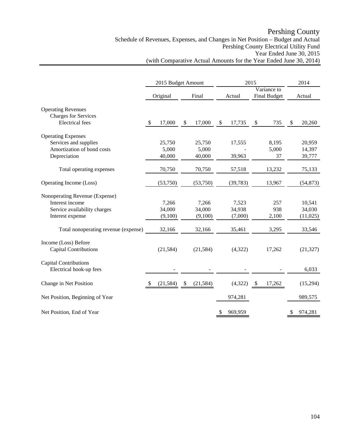Schedule of Revenues, Expenses, and Changes in Net Position – Budget and Actual Pershing County Electrical Utility Fund Year Ended June 30, 2015

|                                      |                           | 2015 Budget Amount |              | 2015                               | 2014         |  |
|--------------------------------------|---------------------------|--------------------|--------------|------------------------------------|--------------|--|
|                                      | Original                  | Final              | Actual       | Variance to<br><b>Final Budget</b> | Actual       |  |
| <b>Operating Revenues</b>            |                           |                    |              |                                    |              |  |
| <b>Charges for Services</b>          |                           |                    |              |                                    |              |  |
| <b>Electrical</b> fees               | 17,000<br>$\mathcal{S}$   | 17,000<br>\$       | \$<br>17,735 | 735<br>\$                          | 20,260<br>S  |  |
| <b>Operating Expenses</b>            |                           |                    |              |                                    |              |  |
| Services and supplies                | 25,750                    | 25,750             | 17,555       | 8,195                              | 20,959       |  |
| Amortization of bond costs           | 5,000                     | 5,000              |              | 5,000                              | 14,397       |  |
| Depreciation                         | 40,000                    | 40,000             | 39,963       | 37                                 | 39,777       |  |
| Total operating expenses             | 70,750                    | 70,750             | 57,518       | 13,232                             | 75,133       |  |
| Operating Income (Loss)              | (53,750)                  | (53,750)           | (39, 783)    | 13,967                             | (54, 873)    |  |
| Nonoperating Revenue (Expense)       |                           |                    |              |                                    |              |  |
| Interest income                      | 7,266                     | 7,266              | 7,523        | 257                                | 10,541       |  |
| Service availability charges         | 34,000                    | 34,000             | 34,938       | 938                                | 34,030       |  |
| Interest expense                     | (9,100)                   | (9,100)            | (7,000)      | 2,100                              | (11, 025)    |  |
| Total nonoperating revenue (expense) | 32,166                    | 32,166             | 35,461       | 3,295                              | 33,546       |  |
| Income (Loss) Before                 |                           |                    |              |                                    |              |  |
| <b>Capital Contributions</b>         | (21, 584)                 | (21, 584)          | (4,322)      | 17,262                             | (21, 327)    |  |
| <b>Capital Contributions</b>         |                           |                    |              |                                    |              |  |
| Electrical hook-up fees              |                           |                    |              |                                    | 6,033        |  |
| Change in Net Position               | (21, 584)<br><sup>S</sup> | \$<br>(21, 584)    | (4,322)      | 17,262<br>S                        | (15,294)     |  |
| Net Position, Beginning of Year      |                           |                    | 974,281      |                                    | 989,575      |  |
| Net Position, End of Year            |                           |                    | 969,959<br>S |                                    | 974,281<br>S |  |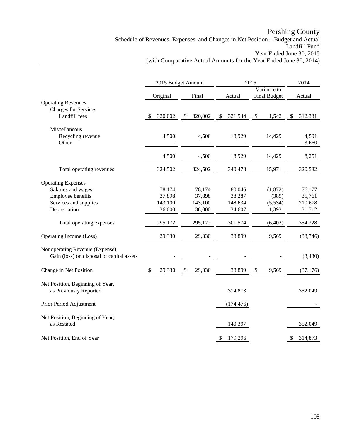### Pershing County Schedule of Revenues, Expenses, and Changes in Net Position – Budget and Actual Landfill Fund Year Ended June 30, 2015

| (with Comparative Actual Amounts for the Year Ended June 30, 2014) |  |  |  |
|--------------------------------------------------------------------|--|--|--|
|--------------------------------------------------------------------|--|--|--|

|                                                                                                               | 2015 Budget Amount |                                       |    | 2015                                  | 2014                                  |                                      |    |                                       |
|---------------------------------------------------------------------------------------------------------------|--------------------|---------------------------------------|----|---------------------------------------|---------------------------------------|--------------------------------------|----|---------------------------------------|
|                                                                                                               |                    | Original                              |    | Final                                 | Actual                                | Variance to<br><b>Final Budget</b>   |    | Actual                                |
| <b>Operating Revenues</b><br><b>Charges for Services</b><br>Landfill fees                                     | $\mathbb{S}$       | 320,002                               | \$ | 320,002                               | \$<br>321,544                         | \$<br>1,542                          | \$ | 312,331                               |
| Miscellaneous<br>Recycling revenue<br>Other                                                                   |                    | 4,500                                 |    | 4,500                                 | 18,929                                | 14,429                               |    | 4,591<br>3,660                        |
|                                                                                                               |                    | 4,500                                 |    | 4,500                                 | 18,929                                | 14,429                               |    | 8,251                                 |
| Total operating revenues                                                                                      |                    | 324,502                               |    | 324,502                               | 340,473                               | 15,971                               |    | 320,582                               |
| <b>Operating Expenses</b><br>Salaries and wages<br>Employee benefits<br>Services and supplies<br>Depreciation |                    | 78,174<br>37,898<br>143,100<br>36,000 |    | 78,174<br>37,898<br>143,100<br>36,000 | 80,046<br>38,287<br>148,634<br>34,607 | (1,872)<br>(389)<br>(5,534)<br>1,393 |    | 76,177<br>35,761<br>210,678<br>31,712 |
| Total operating expenses                                                                                      |                    | 295,172                               |    | 295,172                               | 301,574                               | (6, 402)                             |    | 354,328                               |
| Operating Income (Loss)                                                                                       |                    | 29,330                                |    | 29,330                                | 38,899                                | 9,569                                |    | (33,746)                              |
| Nonoperating Revenue (Expense)<br>Gain (loss) on disposal of capital assets                                   |                    |                                       |    |                                       |                                       |                                      |    | (3,430)                               |
| Change in Net Position                                                                                        | S                  | 29,330                                | \$ | 29,330                                | 38,899                                | \$<br>9,569                          |    | (37, 176)                             |
| Net Position, Beginning of Year,<br>as Previously Reported                                                    |                    |                                       |    |                                       | 314,873                               |                                      |    | 352,049                               |
| Prior Period Adjustment                                                                                       |                    |                                       |    |                                       | (174, 476)                            |                                      |    |                                       |
| Net Position, Beginning of Year,<br>as Restated                                                               |                    |                                       |    |                                       | 140,397                               |                                      |    | 352,049                               |
| Net Position, End of Year                                                                                     |                    |                                       |    |                                       | \$<br>179,296                         |                                      | \$ | 314,873                               |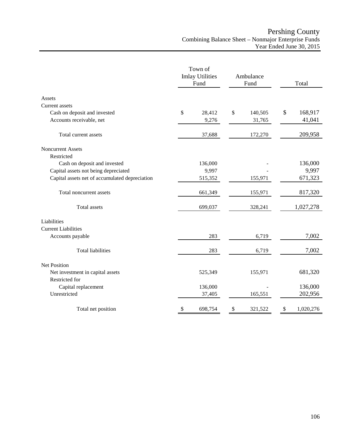## Pershing County Combining Balance Sheet – Nonmajor Enterprise Funds Year Ended June 30, 2015

|                                                | Town of<br><b>Imlay Utilities</b><br>Fund | Ambulance<br>Fund | Total           |
|------------------------------------------------|-------------------------------------------|-------------------|-----------------|
| Assets                                         |                                           |                   |                 |
| Current assets                                 |                                           |                   |                 |
| Cash on deposit and invested                   | \$<br>28,412                              | \$<br>140,505     | \$<br>168,917   |
| Accounts receivable, net                       | 9,276                                     | 31,765            | 41,041          |
| Total current assets                           | 37,688                                    | 172,270           | 209,958         |
| <b>Noncurrent Assets</b>                       |                                           |                   |                 |
| Restricted                                     |                                           |                   |                 |
| Cash on deposit and invested                   | 136,000                                   |                   | 136,000         |
| Capital assets not being depreciated           | 9,997                                     |                   | 9,997           |
| Capital assets net of accumulated depreciation | 515,352                                   | 155,971           | 671,323         |
| Total noncurrent assets                        | 661,349                                   | 155,971           | 817,320         |
| <b>Total assets</b>                            | 699,037                                   | 328,241           | 1,027,278       |
| Liabilities                                    |                                           |                   |                 |
| <b>Current Liabilities</b>                     |                                           |                   |                 |
| Accounts payable                               | 283                                       | 6,719             | 7,002           |
| <b>Total liabilities</b>                       | 283                                       | 6,719             | 7,002           |
| Net Position                                   |                                           |                   |                 |
| Net investment in capital assets               | 525,349                                   | 155,971           | 681,320         |
| Restricted for                                 |                                           |                   |                 |
| Capital replacement                            | 136,000                                   |                   | 136,000         |
| Unrestricted                                   | 37,405                                    | 165,551           | 202,956         |
| Total net position                             | \$<br>698,754                             | 321,522<br>\$     | 1,020,276<br>\$ |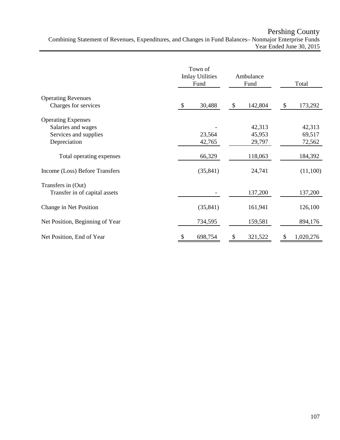Combining Statement of Revenues, Expenditures, and Changes in Fund Balances– Nonmajor Enterprise Funds Year Ended June 30, 2015

|                                 | Town of<br><b>Imlay Utilities</b><br>Fund | Ambulance<br>Fund                    | Total                                |
|---------------------------------|-------------------------------------------|--------------------------------------|--------------------------------------|
| <b>Operating Revenues</b>       |                                           |                                      |                                      |
| Charges for services            | 30,488<br>\$                              | 142,804<br>$\boldsymbol{\mathsf{S}}$ | 173,292<br>$\boldsymbol{\mathsf{S}}$ |
| <b>Operating Expenses</b>       |                                           |                                      |                                      |
| Salaries and wages              |                                           | 42,313                               | 42,313                               |
| Services and supplies           | 23,564                                    | 45,953                               | 69,517                               |
| Depreciation                    | 42,765                                    | 29,797                               | 72,562                               |
| Total operating expenses        | 66,329                                    | 118,063                              | 184,392                              |
| Income (Loss) Before Transfers  | (35, 841)                                 | 24,741                               | (11,100)                             |
| Transfers in (Out)              |                                           |                                      |                                      |
| Transfer in of capital assets   |                                           | 137,200                              | 137,200                              |
| Change in Net Position          | (35, 841)                                 | 161,941                              | 126,100                              |
| Net Position, Beginning of Year | 734,595                                   | 159,581                              | 894,176                              |
| Net Position, End of Year       | 698,754<br>\$                             | 321,522<br>S                         | 1,020,276<br>\$                      |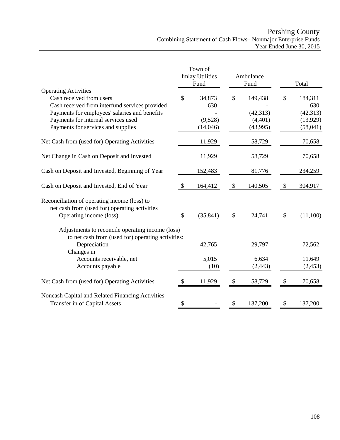|                                                                                      |               | Town of<br><b>Imlay Utilities</b><br>Fund |               | Ambulance<br>Fund    |               | Total                 |
|--------------------------------------------------------------------------------------|---------------|-------------------------------------------|---------------|----------------------|---------------|-----------------------|
| <b>Operating Activities</b>                                                          |               |                                           |               |                      |               |                       |
| Cash received from users                                                             | \$            | 34,873                                    | \$            | 149,438              | \$            | 184,311               |
| Cash received from interfund services provided                                       |               | 630                                       |               |                      |               | 630                   |
| Payments for employees' salaries and benefits<br>Payments for internal services used |               | (9,528)                                   |               | (42, 313)<br>(4,401) |               | (42, 313)<br>(13,929) |
| Payments for services and supplies                                                   |               | (14, 046)                                 |               | (43,995)             |               | (58,041)              |
|                                                                                      |               |                                           |               |                      |               |                       |
| Net Cash from (used for) Operating Activities                                        |               | 11,929                                    |               | 58,729               |               | 70,658                |
| Net Change in Cash on Deposit and Invested                                           |               | 11,929                                    |               | 58,729               |               | 70,658                |
| Cash on Deposit and Invested, Beginning of Year                                      |               | 152,483                                   |               | 81,776               |               | 234,259               |
| Cash on Deposit and Invested, End of Year                                            | <sup>\$</sup> | 164,412                                   | $\mathcal{S}$ | 140,505              | \$            | 304,917               |
| Reconciliation of operating income (loss) to                                         |               |                                           |               |                      |               |                       |
| net cash from (used for) operating activities                                        |               |                                           |               |                      |               |                       |
| Operating income (loss)                                                              | \$            | (35, 841)                                 | \$            | 24,741               | $\mathcal{S}$ | (11,100)              |
| Adjustments to reconcile operating income (loss)                                     |               |                                           |               |                      |               |                       |
| to net cash from (used for) operating activities:                                    |               |                                           |               |                      |               |                       |
| Depreciation<br>Changes in                                                           |               | 42,765                                    |               | 29,797               |               | 72,562                |
| Accounts receivable, net                                                             |               | 5,015                                     |               | 6,634                |               | 11,649                |
| Accounts payable                                                                     |               | (10)                                      |               | (2, 443)             |               | (2, 453)              |
|                                                                                      |               |                                           |               |                      |               |                       |
| Net Cash from (used for) Operating Activities                                        | S,            | 11,929                                    | $\mathcal{S}$ | 58,729               | S             | 70,658                |
| Noncash Capital and Related Financing Activities                                     |               |                                           |               |                      |               |                       |
| Transfer in of Capital Assets                                                        | \$            |                                           | \$            | 137,200              | \$            | 137,200               |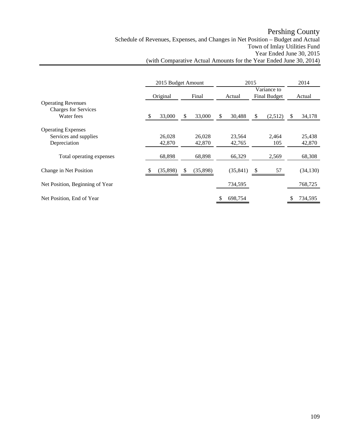Schedule of Revenues, Expenses, and Changes in Net Position – Budget and Actual Town of Imlay Utilities Fund Year Ended June 30, 2015

|                                 | 2015 Budget Amount |          |     |          |    | 2015      | 2014                               |   |           |
|---------------------------------|--------------------|----------|-----|----------|----|-----------|------------------------------------|---|-----------|
|                                 |                    | Original |     | Final    |    | Actual    | Variance to<br><b>Final Budget</b> |   | Actual    |
| <b>Operating Revenues</b>       |                    |          |     |          |    |           |                                    |   |           |
| <b>Charges for Services</b>     |                    |          |     |          |    |           |                                    |   |           |
| Water fees                      | -S                 | 33,000   | \$  | 33,000   | \$ | 30,488    | \$<br>(2,512)                      | S | 34,178    |
| <b>Operating Expenses</b>       |                    |          |     |          |    |           |                                    |   |           |
| Services and supplies           |                    | 26,028   |     | 26,028   |    | 23,564    | 2.464                              |   | 25,438    |
| Depreciation                    |                    | 42,870   |     | 42,870   |    | 42,765    | 105                                |   | 42,870    |
| Total operating expenses        |                    | 68,898   |     | 68,898   |    | 66,329    | 2,569                              |   | 68,308    |
| Change in Net Position          |                    | (35,898) | \$. | (35,898) |    | (35, 841) | 57                                 |   | (34, 130) |
| Net Position, Beginning of Year |                    |          |     |          |    | 734,595   |                                    |   | 768,725   |
| Net Position, End of Year       |                    |          |     |          |    | 698,754   |                                    |   | 734,595   |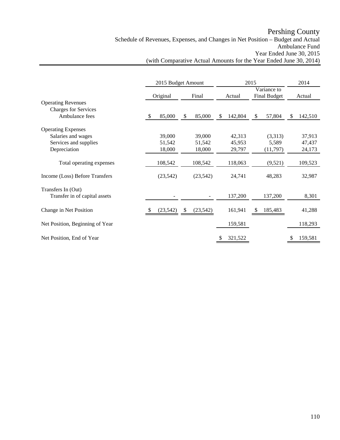## Pershing County Schedule of Revenues, Expenses, and Changes in Net Position – Budget and Actual Ambulance Fund Year Ended June 30, 2015

|                                 | 2015 Budget Amount |           |    |           |    | 2015    |    | 2014                               |               |
|---------------------------------|--------------------|-----------|----|-----------|----|---------|----|------------------------------------|---------------|
|                                 |                    | Original  |    | Final     |    | Actual  |    | Variance to<br><b>Final Budget</b> | Actual        |
| <b>Operating Revenues</b>       |                    |           |    |           |    |         |    |                                    |               |
| <b>Charges for Services</b>     |                    |           |    |           |    |         |    |                                    |               |
| Ambulance fees                  | <sup>\$</sup>      | 85,000    | \$ | 85,000    | \$ | 142,804 | \$ | 57,804                             | \$<br>142,510 |
| <b>Operating Expenses</b>       |                    |           |    |           |    |         |    |                                    |               |
| Salaries and wages              |                    | 39,000    |    | 39,000    |    | 42,313  |    | (3,313)                            | 37,913        |
| Services and supplies           |                    | 51,542    |    | 51,542    |    | 45,953  |    | 5,589                              | 47,437        |
| Depreciation                    |                    | 18,000    |    | 18,000    |    | 29,797  |    | (11,797)                           | 24,173        |
| Total operating expenses        |                    | 108,542   |    | 108,542   |    | 118,063 |    | (9,521)                            | 109,523       |
| Income (Loss) Before Transfers  |                    | (23, 542) |    | (23, 542) |    | 24,741  |    | 48,283                             | 32,987        |
| Transfers In (Out)              |                    |           |    |           |    |         |    |                                    |               |
| Transfer in of capital assets   |                    |           |    |           |    | 137,200 |    | 137,200                            | 8,301         |
| Change in Net Position          |                    | (23, 542) | \$ | (23, 542) |    | 161,941 |    | 185,483                            | 41,288        |
| Net Position, Beginning of Year |                    |           |    |           |    | 159,581 |    |                                    | 118,293       |
| Net Position, End of Year       |                    |           |    |           |    | 321,522 |    |                                    | 159,581       |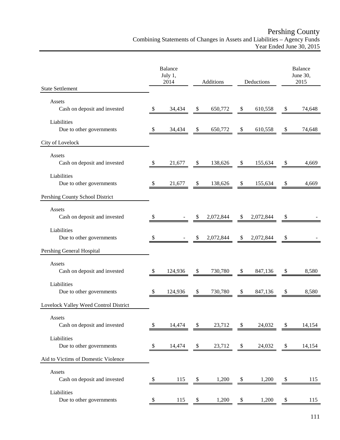Pershing County Combining Statements of Changes in Assets and Liabilities – Agency Funds

Year Ended June 30, 2015

|                                       |                           | <b>Balance</b><br>July 1,<br>2014 |                           | Additions | Deductions |           | <b>Balance</b><br>June 30,<br>2015 |
|---------------------------------------|---------------------------|-----------------------------------|---------------------------|-----------|------------|-----------|------------------------------------|
| <b>State Settlement</b>               |                           |                                   |                           |           |            |           |                                    |
| Assets                                |                           |                                   |                           |           |            |           |                                    |
| Cash on deposit and invested          | $\boldsymbol{\mathsf{S}}$ | 34,434                            | \$                        | 650,772   | \$         | 610,558   | \$<br>74,648                       |
| Liabilities                           |                           |                                   |                           |           |            |           |                                    |
| Due to other governments              | \$                        | 34,434                            | \$                        | 650,772   | \$         | 610,558   | \$<br>74,648                       |
| City of Lovelock                      |                           |                                   |                           |           |            |           |                                    |
| Assets                                |                           |                                   |                           |           |            |           |                                    |
| Cash on deposit and invested          | \$                        | 21,677                            | \$                        | 138,626   | \$         | 155,634   | \$<br>4,669                        |
| Liabilities                           |                           |                                   |                           |           |            |           |                                    |
| Due to other governments              | \$                        | 21,677                            | \$                        | 138,626   | \$         | 155,634   | \$<br>4,669                        |
| Pershing County School District       |                           |                                   |                           |           |            |           |                                    |
| Assets                                |                           |                                   |                           |           |            |           |                                    |
| Cash on deposit and invested          | \$                        |                                   | \$                        | 2,072,844 | \$         | 2,072,844 | \$                                 |
| Liabilities                           |                           |                                   |                           |           |            |           |                                    |
| Due to other governments              | \$                        |                                   | \$                        | 2,072,844 | \$         | 2,072,844 | \$                                 |
| Pershing General Hospital             |                           |                                   |                           |           |            |           |                                    |
| Assets                                |                           |                                   |                           |           |            |           |                                    |
| Cash on deposit and invested          | \$                        | 124,936                           | \$                        | 730,780   | \$         | 847,136   | \$<br>8,580                        |
| Liabilities                           |                           |                                   |                           |           |            |           |                                    |
| Due to other governments              | \$                        | 124,936                           | $\boldsymbol{\mathsf{S}}$ | 730,780   | \$         | 847,136   | \$<br>8,580                        |
| Lovelock Valley Weed Control District |                           |                                   |                           |           |            |           |                                    |
| Assets                                |                           |                                   |                           |           |            |           |                                    |
| Cash on deposit and invested          | $\mathcal{S}$             | 14,474                            | \$                        | 23,712    | \$         | 24,032    | \$<br>14,154                       |
| Liabilities                           |                           |                                   |                           |           |            |           |                                    |
| Due to other governments              | $\boldsymbol{\mathsf{S}}$ | 14,474                            | \$                        | 23,712    | \$         | 24,032    | \$<br>14,154                       |
| Aid to Victims of Domestic Violence   |                           |                                   |                           |           |            |           |                                    |
| Assets                                |                           |                                   |                           |           |            |           |                                    |
| Cash on deposit and invested          | \$                        | 115                               | \$                        | 1,200     | \$         | 1,200     | \$<br>115                          |
| Liabilities                           |                           |                                   |                           |           |            |           |                                    |
| Due to other governments              | \$                        | 115                               | \$                        | 1,200     | \$         | 1,200     | \$<br>115                          |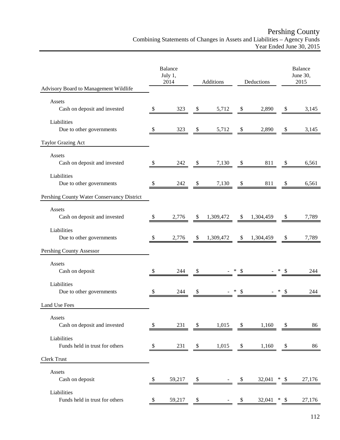Pershing County Combining Statements of Changes in Assets and Liabilities – Agency Funds

Year Ended June 30, 2015

| Advisory Board to Management Wildlife         |                           | <b>Balance</b><br>July 1,<br>2014 |                           | Additions | Deductions                |             |        |                           | <b>Balance</b><br>June 30,<br>2015 |
|-----------------------------------------------|---------------------------|-----------------------------------|---------------------------|-----------|---------------------------|-------------|--------|---------------------------|------------------------------------|
|                                               |                           |                                   |                           |           |                           |             |        |                           |                                    |
| Assets<br>Cash on deposit and invested        | $\boldsymbol{\mathsf{S}}$ | 323                               | \$                        | 5,712     | \$                        | 2,890       |        | \$                        | 3,145                              |
| Liabilities<br>Due to other governments       | $\boldsymbol{\mathsf{S}}$ | 323                               | \$                        | 5,712     | $\boldsymbol{\mathsf{S}}$ | 2,890       |        | \$                        | 3,145                              |
| Taylor Grazing Act                            |                           |                                   |                           |           |                           |             |        |                           |                                    |
| Assets<br>Cash on deposit and invested        | \$                        | 242                               | \$                        | 7,130     | \$                        | 811         |        | \$                        | 6,561                              |
| Liabilities<br>Due to other governments       | \$                        | 242                               | $\boldsymbol{\mathsf{S}}$ | 7,130     | \$                        | 811         |        | $\boldsymbol{\mathsf{S}}$ | 6,561                              |
| Pershing County Water Conservancy District    |                           |                                   |                           |           |                           |             |        |                           |                                    |
| Assets<br>Cash on deposit and invested        | $\boldsymbol{\mathsf{S}}$ | 2,776                             | \$                        | 1,309,472 | \$                        | 1,304,459   |        | \$                        | 7,789                              |
| Liabilities<br>Due to other governments       | S                         | 2,776                             | $\mathcal{S}$             | 1,309,472 |                           | \$1,304,459 |        | \$                        | 7,789                              |
| Pershing County Assessor                      |                           |                                   |                           |           |                           |             |        |                           |                                    |
| Assets<br>Cash on deposit                     | S                         | 244                               | \$                        |           |                           |             |        |                           | 244                                |
| Liabilities<br>Due to other governments       |                           | 244                               |                           |           | *                         |             |        |                           | 244                                |
| Land Use Fees                                 |                           |                                   |                           |           |                           |             |        |                           |                                    |
| Assets<br>Cash on deposit and invested        | $\mathcal{S}$             | 231                               | \$                        | 1,015     | \$                        | 1,160       |        | \$                        | 86                                 |
| Liabilities<br>Funds held in trust for others | \$                        | 231                               | \$                        | 1,015     | \$                        | 1,160       |        | \$                        | 86                                 |
| <b>Clerk Trust</b>                            |                           |                                   |                           |           |                           |             |        |                           |                                    |
| Assets<br>Cash on deposit                     | $\boldsymbol{\mathsf{S}}$ | 59,217                            | \$                        |           | \$                        | 32,041      | $\ast$ | \$                        | 27,176                             |
| Liabilities<br>Funds held in trust for others | -S                        | 59,217                            | \$                        |           | \$                        | 32,041      |        | $*$ \$                    | 27,176                             |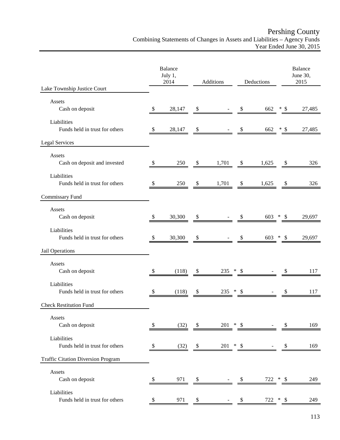Pershing County Combining Statements of Changes in Assets and Liabilities – Agency Funds Year Ended June 30, 2015

| Lake Township Justice Court                   |    | <b>Balance</b><br>July 1,<br>2014 |            | Additions |                         | Deductions |               | <b>Balance</b><br>June 30,<br>2015 |
|-----------------------------------------------|----|-----------------------------------|------------|-----------|-------------------------|------------|---------------|------------------------------------|
|                                               |    |                                   |            |           |                         |            |               |                                    |
| Assets<br>Cash on deposit                     | \$ | 28,147                            | \$         |           | \$                      | 662        | $*$ \$        | 27,485                             |
|                                               |    |                                   |            |           |                         |            |               |                                    |
| Liabilities                                   |    |                                   |            |           |                         |            |               |                                    |
| Funds held in trust for others                | \$ | 28,147                            | \$         |           | $\$$                    | 662        | $*$ \$        | 27,485                             |
| <b>Legal Services</b>                         |    |                                   |            |           |                         |            |               |                                    |
| Assets                                        |    |                                   |            |           |                         |            |               |                                    |
| Cash on deposit and invested                  | \$ | 250                               | \$         | 1,701     | \$                      | 1,625      | \$            | 326                                |
|                                               |    |                                   |            |           |                         |            |               |                                    |
| Liabilities<br>Funds held in trust for others | \$ | 250                               | \$         | 1,701     | \$                      | 1,625      | \$            | 326                                |
|                                               |    |                                   |            |           |                         |            |               |                                    |
| Commissary Fund                               |    |                                   |            |           |                         |            |               |                                    |
| Assets                                        |    |                                   |            |           |                         |            |               |                                    |
| Cash on deposit                               | \$ | 30,300                            | \$         |           | \$                      |            | $603 * $$     | 29,697                             |
| Liabilities                                   |    |                                   |            |           |                         |            |               |                                    |
| Funds held in trust for others                | \$ | 30,300                            | \$         |           | \$                      | 603        | $\ast$<br>-\$ | 29,697                             |
|                                               |    |                                   |            |           |                         |            |               |                                    |
| Jail Operations                               |    |                                   |            |           |                         |            |               |                                    |
| Assets                                        |    |                                   |            |           |                         |            |               |                                    |
| Cash on deposit                               | \$ | (118)                             | $\sqrt{3}$ | 235       | $\ast$<br>$\mathcal{S}$ |            | \$            | 117                                |
| Liabilities                                   |    |                                   |            |           |                         |            |               |                                    |
| Funds held in trust for others                | P  | (118)                             | \$         | 235       | $\ast$<br>\$            |            |               | 117                                |
| <b>Check Restitution Fund</b>                 |    |                                   |            |           |                         |            |               |                                    |
|                                               |    |                                   |            |           |                         |            |               |                                    |
| Assets<br>Cash on deposit                     | \$ | (32)                              | \$         | 201       | $\ast$<br>-S            |            | \$            | 169                                |
|                                               |    |                                   |            |           |                         |            |               |                                    |
| Liabilities                                   |    |                                   |            |           |                         |            |               |                                    |
| Funds held in trust for others                | S  | (32)                              | \$         | $201 * $$ |                         |            | \$            | 169                                |
| <b>Traffic Citation Diversion Program</b>     |    |                                   |            |           |                         |            |               |                                    |
| Assets                                        |    |                                   |            |           |                         |            |               |                                    |
| Cash on deposit                               | \$ | 971                               | \$         |           | \$                      | 722        | $*$ \$        | 249                                |
|                                               |    |                                   |            |           |                         |            |               |                                    |
| Liabilities<br>Funds held in trust for others |    | 971                               | \$         |           | \$                      |            | $722 * $$     | 249                                |
|                                               |    |                                   |            |           |                         |            |               |                                    |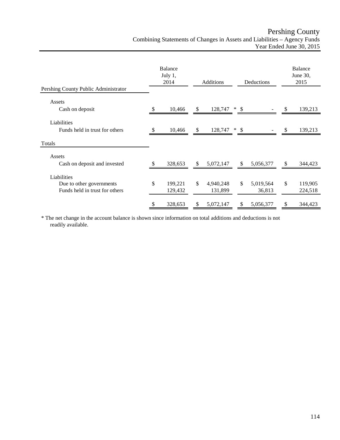| Pershing County Public Administrator |               | <b>Balance</b><br>July 1,<br>2014 |               | <b>Additions</b> |        |              | Deductions |    | Balance<br>June 30,<br>2015 |
|--------------------------------------|---------------|-----------------------------------|---------------|------------------|--------|--------------|------------|----|-----------------------------|
| Assets                               |               |                                   |               |                  |        |              |            |    |                             |
| Cash on deposit                      | <sup>\$</sup> | 10,466                            | S.            | 128,747          | $\ast$ | -S           |            | S  | 139,213                     |
| Liabilities                          |               |                                   |               |                  |        |              |            |    |                             |
| Funds held in trust for others       | <sup>\$</sup> | 10,466                            | \$            | 128,747          | $*$ \$ |              |            |    | 139,213                     |
| Totals                               |               |                                   |               |                  |        |              |            |    |                             |
| Assets                               |               |                                   |               |                  |        |              |            |    |                             |
| Cash on deposit and invested         | £.            | 328,653                           | <sup>\$</sup> | 5,072,147        |        | \$.          | 5,056,377  | S. | 344,423                     |
| Liabilities                          |               |                                   |               |                  |        |              |            |    |                             |
| Due to other governments             | \$            | 199,221                           | $\mathbb{S}$  | 4,940,248        |        | $\mathbb{S}$ | 5,019,564  | \$ | 119,905                     |
| Funds held in trust for others       |               | 129,432                           |               | 131,899          |        |              | 36,813     |    | 224,518                     |
|                                      | \$            | 328,653                           | \$            | 5,072,147        |        | S            | 5,056,377  | \$ | 344,423                     |

\* The net change in the account balance is shown since information on total additions and deductions is not readily available.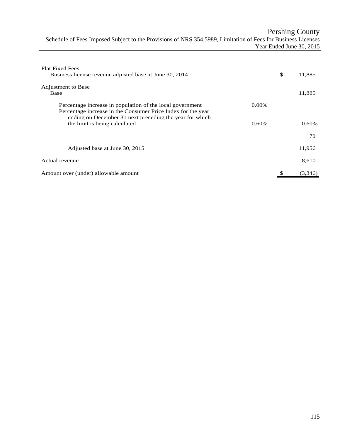Schedule of Fees Imposed Subject to the Provisions of NRS 354.5989, Limitation of Fees for Business Licenses Year Ended June 30, 2015

| <b>Flat Fixed Fees</b><br>Business license revenue adjusted base at June 30, 2014                                         |       | \$. | 11,885  |
|---------------------------------------------------------------------------------------------------------------------------|-------|-----|---------|
| <b>Adjustment to Base</b><br>Base                                                                                         |       |     | 11,885  |
| Percentage increase in population of the local government<br>Percentage increase in the Consumer Price Index for the year | 0.00% |     |         |
| ending on December 31 next preceding the year for which<br>the limit is being calculated                                  | 0.60% |     | 0.60%   |
|                                                                                                                           |       |     | 71      |
| Adjusted base at June 30, 2015                                                                                            |       |     | 11,956  |
| Actual revenue                                                                                                            |       |     | 8,610   |
| Amount over (under) allowable amount                                                                                      |       |     | (3,346) |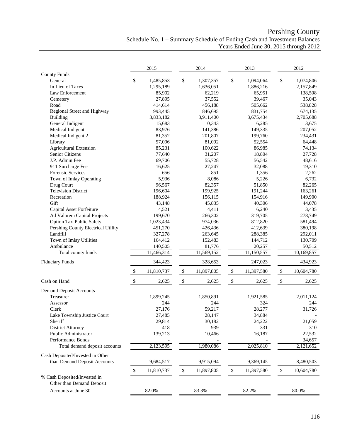#### Schedule No. 1 – Summary Schedule of Ending Cash and Investment Balances Years Ended June 30, 2015 through 2012

|                                                                  | 2015             | 2014                       | 2013                  | 2012             |
|------------------------------------------------------------------|------------------|----------------------------|-----------------------|------------------|
| <b>County Funds</b>                                              |                  |                            |                       |                  |
| General                                                          | \$<br>1,485,853  | \$<br>1,307,357            | \$<br>1,094,064       | \$<br>1,074,806  |
| In Lieu of Taxes                                                 | 1,295,189        | 1,636,051                  | 1,886,216             | 2,157,849        |
| Law Enforcement                                                  | 85,902           | 62,219                     | 65,951                | 138,508          |
| Cemetery                                                         | 27,895           | 37,552                     | 39,467                | 35,043           |
| Road                                                             | 414,614          | 456,188                    | 505,662               | 538,828          |
| Regional Street and Highway                                      | 993,445          | 846,695                    | 831,754               | 674,135          |
| Building                                                         | 3,833,182        | 3,911,400                  | 3,675,434             | 2,705,688        |
| General Indigent                                                 | 15,683           | 10,343                     | 6,285                 | 3,675            |
| Medical Indigent                                                 | 83,976           | 141,386                    | 149,335               | 207,052          |
| Medical Indigent 2                                               | 81,352           | 201,807                    | 199,760               | 234,431          |
| Library                                                          | 57,096           | 81,092                     | 52,554                | 64,448           |
| <b>Agricultural Extension</b>                                    | 85,231           | 100,622                    | 86,985                | 74,134           |
| Senior Citizens                                                  | 77,640           | 31,207                     | 18,804                | 27,728           |
| J.P. Admin Fee                                                   | 69,706           | 55,728                     | 56,542                | 48,616           |
| 911 Surcharge Fee                                                | 16,625           | 27,247                     | 32,088                | 19,310           |
| Forensic Services                                                | 656              | 851                        | 1,356                 | 2,262            |
| Town of Imlay Operating                                          | 5,936            | 8,086                      | 5,226                 | 6,732            |
| Drug Court                                                       | 96,567           | 82,357                     | 51,850                | 82,265           |
| <b>Television District</b>                                       | 196,604          | 199,925                    | 191,244               | 163,261          |
| Recreation                                                       | 188,924          | 156,115                    | 154,916               | 149,900          |
| Gift                                                             | 43,148           | 45,835                     | 40,306                | 44,078           |
| Capital Asset Forfeiture                                         | 4,521            | 4,411                      | 6,240                 | 3,435            |
| Ad Valorem Capital Projects                                      | 199,670          | 266,302                    | 319,705               | 278,749          |
| <b>Option Tax-Public Safety</b>                                  | 1,023,434        | 974,036                    | 812,820               | 581,494          |
| Pershing County Electrical Utility                               | 451,270          | 426,436                    | 412,639               | 380,198          |
| Landfill                                                         | 327,278          | 263,645                    | 288,385               | 292,011          |
| Town of Imlay Utilities                                          | 164,412          | 152,483                    | 144,712               | 130,709          |
| Ambulance                                                        |                  |                            |                       |                  |
|                                                                  | 140,505          | 81,776                     | 20,257                | 50,512           |
| Total county funds                                               | 11,466,314       | 11,569,152                 | 11,150,557            | 10,169,857       |
| <b>Fiduciary Funds</b>                                           | 344,423          | 328,653                    | 247,023               | 434,923          |
|                                                                  | \$<br>11,810,737 | $\mathbb{S}$<br>11,897,805 | \$<br>11,397,580      | \$<br>10,604,780 |
| Cash on Hand                                                     | $\$$<br>2,625    | $\$$<br>2,625              | $\mathbb{S}$<br>2,625 | $\$$<br>2,625    |
| <b>Demand Deposit Accounts</b>                                   |                  |                            |                       |                  |
| Treasurer                                                        | 1,899,245        | 1,850,891                  | 1,921,585             | 2,011,124        |
| Assessor                                                         | 244              | 244                        | 324                   | 244              |
| Clerk                                                            | 27,176           | 59,217                     | 28.277                | 31,726           |
| Lake Township Justice Court                                      | 27,485           | 28,147                     | 34,884                |                  |
| Sheriff                                                          | 29,814           | 30,182                     | 24,222                | 21,059           |
| District Attorney                                                | 418              | 939                        | 331                   | 310              |
| Public Administrator                                             | 139,213          | 10,466                     | 16,187                | 22,532           |
| Performance Bonds                                                |                  |                            |                       | 34,657           |
| Total demand deposit accounts                                    | 2,123,595        | 1,980,086                  | 2,025,810             | 2,121,652        |
|                                                                  |                  |                            |                       |                  |
| Cash Deposited/Invested in Other<br>than Demand Deposit Accounts | 9,684,517        | 9,915,094                  | 9,369,145             | 8,480,503        |
|                                                                  | \$<br>11,810,737 | \$<br>11,897,805           | $\$$<br>11,397,580    | \$<br>10,604,780 |
| % Cash Deposited/Invested in                                     |                  |                            |                       |                  |
| Other than Demand Deposit                                        |                  |                            |                       |                  |
| Accounts at June 30                                              | 82.0%            | 83.3%                      | 82.2%                 | 80.0%            |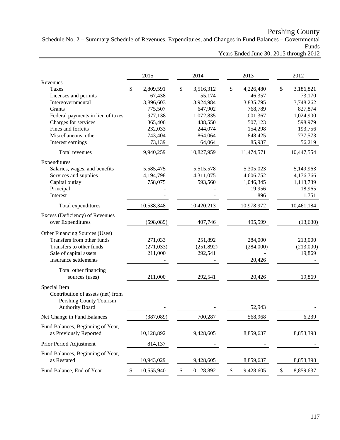Schedule No. 2 – Summary Schedule of Revenues, Expenditures, and Changes in Fund Balances – Governmental Funds

Years Ended June 30, 2015 through 2012

|                                                                                                        | 2015                      | 2014                 | 2013                      | 2012                 |
|--------------------------------------------------------------------------------------------------------|---------------------------|----------------------|---------------------------|----------------------|
| Revenues                                                                                               |                           |                      |                           |                      |
| Taxes                                                                                                  | \$<br>2,809,591<br>67,438 | \$<br>3,516,312      | \$<br>4,226,480<br>46,357 | \$<br>3,186,821      |
| Licenses and permits                                                                                   |                           | 55,174<br>3,924,984  |                           | 73,170<br>3,748,262  |
| Intergovernmental<br>Grants                                                                            | 3,896,603<br>775,507      |                      | 3,835,795                 |                      |
|                                                                                                        |                           | 647,902<br>1,072,835 | 768,789                   | 827,874<br>1,024,900 |
| Federal payments in lieu of taxes<br>Charges for services                                              | 977,138                   |                      | 1,001,367                 | 598,979              |
| Fines and forfeits                                                                                     | 365,406<br>232,033        | 438,550<br>244,074   | 507,123<br>154,298        | 193,756              |
| Miscellaneous, other                                                                                   | 743,404                   | 864,064              | 848,425                   | 737,573              |
| Interest earnings                                                                                      | 73,139                    | 64,064               | 85,937                    | 56,219               |
| Total revenues                                                                                         | 9,940,259                 | 10,827,959           | 11,474,571                | 10,447,554           |
| Expenditures                                                                                           |                           |                      |                           |                      |
| Salaries, wages, and benefits                                                                          | 5,585,475                 | 5,515,578            | 5,305,023                 | 5,149,963            |
| Services and supplies                                                                                  | 4,194,798                 | 4,311,075            | 4,606,752                 | 4,176,766            |
| Capital outlay                                                                                         | 758,075                   | 593,560              | 1,046,345                 | 1,113,739            |
| Principal                                                                                              |                           |                      | 19,956                    | 18,965               |
| Interest                                                                                               |                           |                      | 896                       | 1,751                |
| Total expenditures                                                                                     | 10,538,348                | 10,420,213           | 10,978,972                | 10,461,184           |
| Excess (Deficiency) of Revenues<br>over Expenditures                                                   | (598,089)                 | 407,746              | 495,599                   | (13,630)             |
| Other Financing Sources (Uses)                                                                         |                           |                      |                           |                      |
| Transfers from other funds                                                                             | 271,033                   | 251,892              | 284,000                   | 213,000              |
| Transfers to other funds                                                                               | (271, 033)                | (251, 892)           | (284,000)                 | (213,000)            |
| Sale of capital assets                                                                                 | 211,000                   | 292,541              |                           | 19,869               |
| Insurance settlements                                                                                  |                           |                      | 20,426                    |                      |
| Total other financing                                                                                  |                           |                      |                           |                      |
| sources (uses)                                                                                         | 211,000                   | 292,541              | 20,426                    | 19,869               |
| Special Item<br>Contribution of assets (net) from<br>Pershing County Tourism<br><b>Authority Board</b> |                           |                      | 52,943                    |                      |
| Net Change in Fund Balances                                                                            | (387,089)                 | 700,287              | 568,968                   | 6,239                |
| Fund Balances, Beginning of Year,                                                                      |                           |                      |                           |                      |
| as Previously Reported                                                                                 | 10,128,892                | 9,428,605            | 8,859,637                 | 8,853,398            |
| Prior Period Adjustment                                                                                | 814,137                   |                      |                           |                      |
| Fund Balances, Beginning of Year,                                                                      |                           |                      |                           |                      |
| as Restated                                                                                            | 10,943,029                | 9,428,605            | 8,859,637                 | 8,853,398            |
| Fund Balance, End of Year                                                                              | \$<br>10,555,940          | \$<br>10,128,892     | \$<br>9,428,605           | \$<br>8,859,637      |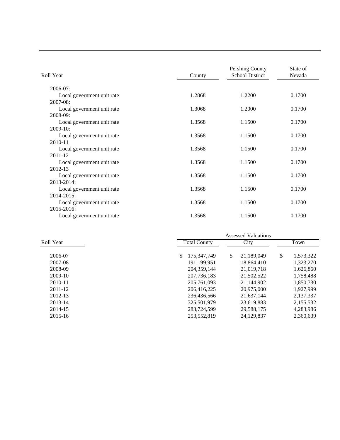| Roll Year                  | County | Pershing County<br><b>School District</b> | State of<br>Nevada |
|----------------------------|--------|-------------------------------------------|--------------------|
| $2006 - 07$ :              |        |                                           |                    |
| Local government unit rate | 1.2868 | 1.2200                                    | 0.1700             |
| 2007-08:                   |        |                                           |                    |
| Local government unit rate | 1.3068 | 1.2000                                    | 0.1700             |
| 2008-09:                   |        |                                           |                    |
| Local government unit rate | 1.3568 | 1.1500                                    | 0.1700             |
| 2009-10:                   |        |                                           |                    |
| Local government unit rate | 1.3568 | 1.1500                                    | 0.1700             |
| 2010-11                    |        |                                           |                    |
| Local government unit rate | 1.3568 | 1.1500                                    | 0.1700             |
| $2011 - 12$                |        |                                           |                    |
| Local government unit rate | 1.3568 | 1.1500                                    | 0.1700             |
| 2012-13                    |        |                                           |                    |
| Local government unit rate | 1.3568 | 1.1500                                    | 0.1700             |
| 2013-2014:                 |        |                                           |                    |
| Local government unit rate | 1.3568 | 1.1500                                    | 0.1700             |
| 2014-2015:                 |        |                                           |                    |
| Local government unit rate | 1.3568 | 1.1500                                    | 0.1700             |
| 2015-2016:                 |        |                                           |                    |
| Local government unit rate | 1.3568 | 1.1500                                    | 0.1700             |

|             | <b>Assessed Valuations</b> |                  |                 |  |  |
|-------------|----------------------------|------------------|-----------------|--|--|
| Roll Year   | <b>Total County</b>        | City             | Town            |  |  |
| 2006-07     | 175,347,749<br>S.          | 21,189,049<br>\$ | \$<br>1,573,322 |  |  |
| 2007-08     | 191.199.951                | 18.864.410       | 1,323,270       |  |  |
| 2008-09     | 204.359.144                | 21,019,718       | 1,626,860       |  |  |
| $2009-10$   | 207, 736, 183              | 21,502,522       | 1,758,488       |  |  |
| 2010-11     | 205,761,093                | 21,144,902       | 1,850,730       |  |  |
| 2011-12     | 206.416.225                | 20.975,000       | 1.927.999       |  |  |
| 2012-13     | 236,436,566                | 21,637,144       | 2,137,337       |  |  |
| 2013-14     | 325,501,979                | 23,619,883       | 2,155,532       |  |  |
| 2014-15     | 283.724.599                | 29,588,175       | 4,283,986       |  |  |
| $2015 - 16$ | 253,552,819                | 24,129,837       | 2,360,639       |  |  |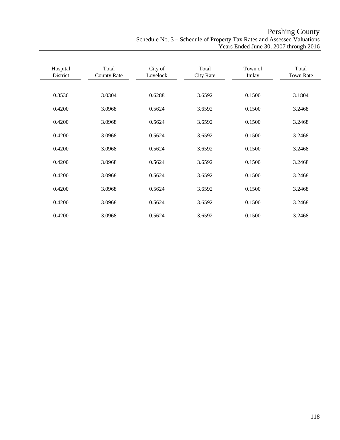### Pershing County Schedule No. 3 – Schedule of Property Tax Rates and Assessed Valuations Years Ended June 30, 2007 through 2016

| Hospital<br>District | Total<br><b>County Rate</b> | City of<br>Lovelock | Total<br><b>City Rate</b> | Town of<br>Imlay | Total<br><b>Town Rate</b> |
|----------------------|-----------------------------|---------------------|---------------------------|------------------|---------------------------|
|                      |                             |                     |                           |                  |                           |
| 0.3536               | 3.0304                      | 0.6288              | 3.6592                    | 0.1500           | 3.1804                    |
| 0.4200               | 3.0968                      | 0.5624              | 3.6592                    | 0.1500           | 3.2468                    |
| 0.4200               | 3.0968                      | 0.5624              | 3.6592                    | 0.1500           | 3.2468                    |
| 0.4200               | 3.0968                      | 0.5624              | 3.6592                    | 0.1500           | 3.2468                    |
| 0.4200               | 3.0968                      | 0.5624              | 3.6592                    | 0.1500           | 3.2468                    |
| 0.4200               | 3.0968                      | 0.5624              | 3.6592                    | 0.1500           | 3.2468                    |
| 0.4200               | 3.0968                      | 0.5624              | 3.6592                    | 0.1500           | 3.2468                    |
| 0.4200               | 3.0968                      | 0.5624              | 3.6592                    | 0.1500           | 3.2468                    |
| 0.4200               | 3.0968                      | 0.5624              | 3.6592                    | 0.1500           | 3.2468                    |
| 0.4200               | 3.0968                      | 0.5624              | 3.6592                    | 0.1500           | 3.2468                    |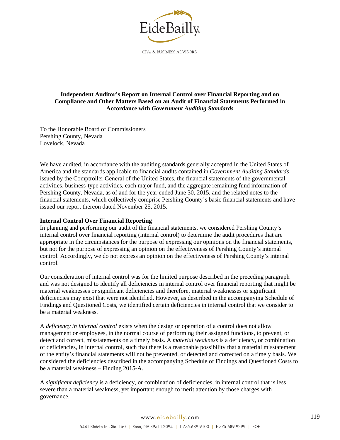

### **Independent Auditor's Report on Internal Control over Financial Reporting and on Compliance and Other Matters Based on an Audit of Financial Statements Performed in Accordance with** *Government Auditing Standards*

To the Honorable Board of Commissioners Pershing County, Nevada Lovelock, Nevada

We have audited, in accordance with the auditing standards generally accepted in the United States of America and the standards applicable to financial audits contained in *Government Auditing Standards* issued by the Comptroller General of the United States, the financial statements of the governmental activities, business-type activities, each major fund, and the aggregate remaining fund information of Pershing County, Nevada, as of and for the year ended June 30, 2015, and the related notes to the financial statements, which collectively comprise Pershing County's basic financial statements and have issued our report thereon dated November 25, 2015.

#### **Internal Control Over Financial Reporting**

In planning and performing our audit of the financial statements, we considered Pershing County's internal control over financial reporting (internal control) to determine the audit procedures that are appropriate in the circumstances for the purpose of expressing our opinions on the financial statements, but not for the purpose of expressing an opinion on the effectiveness of Pershing County's internal control. Accordingly, we do not express an opinion on the effectiveness of Pershing County's internal control.

Our consideration of internal control was for the limited purpose described in the preceding paragraph and was not designed to identify all deficiencies in internal control over financial reporting that might be material weaknesses or significant deficiencies and therefore, material weaknesses or significant deficiencies may exist that were not identified. However, as described in the accompanying Schedule of Findings and Questioned Costs, we identified certain deficiencies in internal control that we consider to be a material weakness.

A *deficiency in internal control* exists when the design or operation of a control does not allow management or employees, in the normal course of performing their assigned functions, to prevent, or detect and correct, misstatements on a timely basis. A *material weakness* is a deficiency, or combination of deficiencies, in internal control, such that there is a reasonable possibility that a material misstatement of the entity's financial statements will not be prevented, or detected and corrected on a timely basis. We considered the deficiencies described in the accompanying Schedule of Findings and Questioned Costs to be a material weakness – Finding 2015-A.

A *significant deficiency* is a deficiency, or combination of deficiencies, in internal control that is less severe than a material weakness, yet important enough to merit attention by those charges with governance.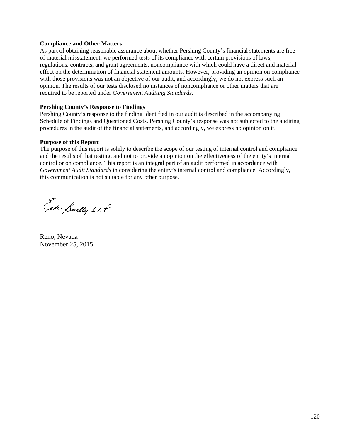#### **Compliance and Other Matters**

As part of obtaining reasonable assurance about whether Pershing County's financial statements are free of material misstatement, we performed tests of its compliance with certain provisions of laws, regulations, contracts, and grant agreements, noncompliance with which could have a direct and material effect on the determination of financial statement amounts. However, providing an opinion on compliance with those provisions was not an objective of our audit, and accordingly, we do not express such an opinion. The results of our tests disclosed no instances of noncompliance or other matters that are required to be reported under *Government Auditing Standards*.

#### **Pershing County's Response to Findings**

Pershing County's response to the finding identified in our audit is described in the accompanying Schedule of Findings and Questioned Costs. Pershing County's response was not subjected to the auditing procedures in the audit of the financial statements, and accordingly, we express no opinion on it.

#### **Purpose of this Report**

The purpose of this report is solely to describe the scope of our testing of internal control and compliance and the results of that testing, and not to provide an opinion on the effectiveness of the entity's internal control or on compliance. This report is an integral part of an audit performed in accordance with *Government Audit Standards* in considering the entity's internal control and compliance. Accordingly, this communication is not suitable for any other purpose.

Gode Sailly LLP

Reno, Nevada November 25, 2015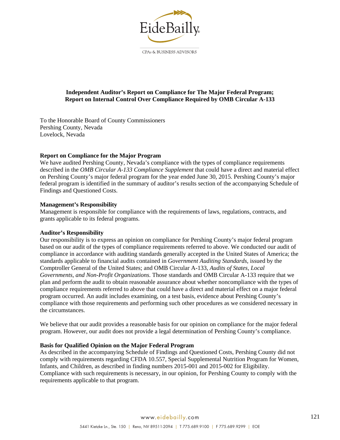

### **Independent Auditor's Report on Compliance for The Major Federal Program; Report on Internal Control Over Compliance Required by OMB Circular A-133**

To the Honorable Board of County Commissioners Pershing County, Nevada Lovelock, Nevada

#### **Report on Compliance for the Major Program**

We have audited Pershing County, Nevada's compliance with the types of compliance requirements described in the *OMB Circular A-133 Compliance Supplement* that could have a direct and material effect on Pershing County's major federal program for the year ended June 30, 2015. Pershing County's major federal program is identified in the summary of auditor's results section of the accompanying Schedule of Findings and Questioned Costs.

#### **Management's Responsibility**

Management is responsible for compliance with the requirements of laws, regulations, contracts, and grants applicable to its federal programs.

#### **Auditor's Responsibility**

Our responsibility is to express an opinion on compliance for Pershing County's major federal program based on our audit of the types of compliance requirements referred to above. We conducted our audit of compliance in accordance with auditing standards generally accepted in the United States of America; the standards applicable to financial audits contained in *Government Auditing Standards*, issued by the Comptroller General of the United States; and OMB Circular A-133, *Audits of States, Local Governments, and Non-Profit Organizations*. Those standards and OMB Circular A-133 require that we plan and perform the audit to obtain reasonable assurance about whether noncompliance with the types of compliance requirements referred to above that could have a direct and material effect on a major federal program occurred. An audit includes examining, on a test basis, evidence about Pershing County's compliance with those requirements and performing such other procedures as we considered necessary in the circumstances.

We believe that our audit provides a reasonable basis for our opinion on compliance for the major federal program. However, our audit does not provide a legal determination of Pershing County's compliance.

#### **Basis for Qualified Opinion on the Major Federal Program**

As described in the accompanying Schedule of Findings and Questioned Costs, Pershing County did not comply with requirements regarding CFDA 10.557, Special Supplemental Nutrition Program for Women, Infants, and Children, as described in finding numbers 2015-001 and 2015-002 for Eligibility. Compliance with such requirements is necessary, in our opinion, for Pershing County to comply with the requirements applicable to that program.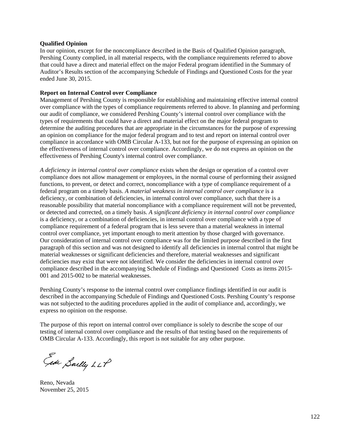#### **Qualified Opinion**

In our opinion, except for the noncompliance described in the Basis of Qualified Opinion paragraph, Pershing County complied, in all material respects, with the compliance requirements referred to above that could have a direct and material effect on the major Federal program identified in the Summary of Auditor's Results section of the accompanying Schedule of Findings and Questioned Costs for the year ended June 30, 2015.

#### **Report on Internal Control over Compliance**

Management of Pershing County is responsible for establishing and maintaining effective internal control over compliance with the types of compliance requirements referred to above. In planning and performing our audit of compliance, we considered Pershing County's internal control over compliance with the types of requirements that could have a direct and material effect on the major federal program to determine the auditing procedures that are appropriate in the circumstances for the purpose of expressing an opinion on compliance for the major federal program and to test and report on internal control over compliance in accordance with OMB Circular A-133, but not for the purpose of expressing an opinion on the effectiveness of internal control over compliance. Accordingly, we do not express an opinion on the effectiveness of Pershing County's internal control over compliance.

*A deficiency in internal control over compliance* exists when the design or operation of a control over compliance does not allow management or employees, in the normal course of performing their assigned functions, to prevent, or detect and correct, noncompliance with a type of compliance requirement of a federal program on a timely basis. *A material weakness in internal control over compliance* is a deficiency, or combination of deficiencies, in internal control over compliance, such that there is a reasonable possibility that material noncompliance with a compliance requirement will not be prevented, or detected and corrected, on a timely basis. *A significant deficiency in internal control over compliance* is a deficiency, or a combination of deficiencies, in internal control over compliance with a type of compliance requirement of a federal program that is less severe than a material weakness in internal control over compliance, yet important enough to merit attention by those charged with governance. Our consideration of internal control over compliance was for the limited purpose described in the first paragraph of this section and was not designed to identify all deficiencies in internal control that might be material weaknesses or significant deficiencies and therefore, material weaknesses and significant deficiencies may exist that were not identified. We consider the deficiencies in internal control over compliance described in the accompanying Schedule of Findings and Questioned Costs as items 2015- 001 and 2015-002 to be material weaknesses.

Pershing County's response to the internal control over compliance findings identified in our audit is described in the accompanying Schedule of Findings and Questioned Costs. Pershing County's response was not subjected to the auditing procedures applied in the audit of compliance and, accordingly, we express no opinion on the response.

The purpose of this report on internal control over compliance is solely to describe the scope of our testing of internal control over compliance and the results of that testing based on the requirements of OMB Circular A-133. Accordingly, this report is not suitable for any other purpose.

Ede Sailly LLP

Reno, Nevada November 25, 2015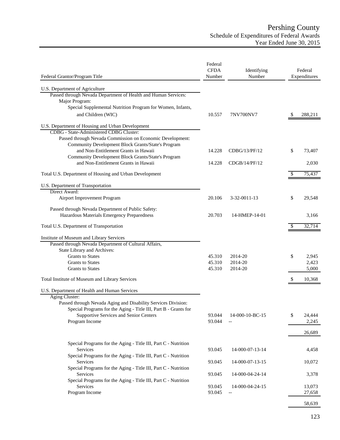| Federal Grantor/Program Title                                                              | Federal<br><b>CFDA</b><br>Number | Identifying<br>Number           |    | Federal<br>Expenditures |
|--------------------------------------------------------------------------------------------|----------------------------------|---------------------------------|----|-------------------------|
| U.S. Department of Agriculture                                                             |                                  |                                 |    |                         |
| Passed through Nevada Department of Health and Human Services:<br>Major Program:           |                                  |                                 |    |                         |
| Special Supplemental Nutrition Program for Women, Infants,                                 |                                  |                                 |    |                         |
| and Children (WIC)                                                                         | 10.557                           | 7NV700NV7                       | \$ | 288,211                 |
| U.S. Department of Housing and Urban Development                                           |                                  |                                 |    |                         |
| CDBG - State-Administered CDBG Cluster:                                                    |                                  |                                 |    |                         |
| Passed through Nevada Commission on Economic Development:                                  |                                  |                                 |    |                         |
| Community Development Block Grants/State's Program                                         |                                  |                                 |    |                         |
| and Non-Entitlement Grants in Hawaii<br>Community Development Block Grants/State's Program | 14.228                           | CDBG/13/PF/12                   | \$ | 73,407                  |
| and Non-Entitlement Grants in Hawaii                                                       | 14.228                           | CDGB/14/PF/12                   |    | 2,030                   |
| Total U.S. Department of Housing and Urban Development                                     |                                  |                                 | \$ | 75,437                  |
| U.S. Department of Transportation                                                          |                                  |                                 |    |                         |
| Direct Award:                                                                              |                                  |                                 |    |                         |
| Airport Improvement Program                                                                | 20.106                           | 3-32-0011-13                    | \$ | 29,548                  |
| Passed through Nevada Department of Public Safety:                                         |                                  |                                 |    |                         |
| Hazardous Materials Emergency Preparedness                                                 | 20.703                           | 14-HMEP-14-01                   |    | 3,166                   |
| Total U.S. Department of Transportation                                                    |                                  |                                 | \$ | 32,714                  |
| Institute of Museum and Library Services                                                   |                                  |                                 |    |                         |
| Passed through Nevada Department of Cultural Affairs,                                      |                                  |                                 |    |                         |
| State Library and Archives:                                                                |                                  |                                 |    |                         |
| <b>Grants</b> to States<br><b>Grants</b> to States                                         | 45.310<br>45.310                 | 2014-20<br>2014-20              | \$ | 2,945<br>2,423          |
| <b>Grants to States</b>                                                                    | 45.310                           | 2014-20                         |    | 5,000                   |
| Total Institute of Museum and Library Services                                             |                                  |                                 | S  | 10,368                  |
|                                                                                            |                                  |                                 |    |                         |
| U.S. Department of Health and Human Services                                               |                                  |                                 |    |                         |
| Aging Cluster:<br>Passed through Nevada Aging and Disability Services Division:            |                                  |                                 |    |                         |
| Special Programs for the Aging - Title III, Part B - Grants for                            |                                  |                                 |    |                         |
| Supportive Services and Senior Centers                                                     | 93.044                           | 14-000-10-BC-15                 | \$ | 24,444                  |
| Program Income                                                                             | 93.044                           |                                 |    | 2,245                   |
|                                                                                            |                                  |                                 |    | 26,689                  |
|                                                                                            |                                  |                                 |    |                         |
| Special Programs for the Aging - Title III, Part C - Nutrition                             |                                  |                                 |    |                         |
| <b>Services</b>                                                                            | 93.045                           | 14-000-07-13-14                 |    | 4,458                   |
| Special Programs for the Aging - Title III, Part C - Nutrition<br>Services                 | 93.045                           | 14-000-07-13-15                 |    | 10,072                  |
| Special Programs for the Aging - Title III, Part C - Nutrition                             |                                  |                                 |    |                         |
| Services                                                                                   | 93.045                           | 14-000-04-24-14                 |    | 3,378                   |
| Special Programs for the Aging - Title III, Part C - Nutrition<br>Services                 |                                  |                                 |    |                         |
| Program Income                                                                             | 93.045<br>93.045                 | 14-000-04-24-15<br>$-\hbox{--}$ |    | 13,073<br>27,658        |
|                                                                                            |                                  |                                 |    |                         |
|                                                                                            |                                  |                                 |    | 58,639                  |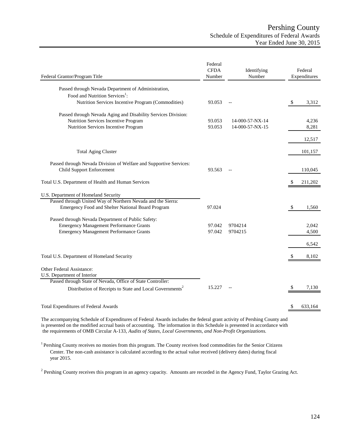| Federal Grantor/Program Title                                                                        | Federal<br><b>CFDA</b><br>Number | Identifying<br>Number |              | Federal<br>Expenditures |
|------------------------------------------------------------------------------------------------------|----------------------------------|-----------------------|--------------|-------------------------|
|                                                                                                      |                                  |                       |              |                         |
| Passed through Nevada Department of Administration,<br>Food and Nutrition Services <sup>1</sup> :    |                                  |                       |              |                         |
| Nutrition Services Incentive Program (Commodities)                                                   | 93.053                           |                       | $\mathbb{S}$ | 3,312                   |
|                                                                                                      |                                  |                       |              |                         |
| Passed through Nevada Aging and Disability Services Division:                                        |                                  |                       |              |                         |
| Nutrition Services Incentive Program                                                                 | 93.053                           | 14-000-57-NX-14       |              | 4,236                   |
| Nutrition Services Incentive Program                                                                 | 93.053                           | 14-000-57-NX-15       |              | 8,281                   |
|                                                                                                      |                                  |                       |              | 12,517                  |
|                                                                                                      |                                  |                       |              |                         |
| <b>Total Aging Cluster</b>                                                                           |                                  |                       |              | 101,157                 |
| Passed through Nevada Division of Welfare and Supportive Services:                                   |                                  |                       |              |                         |
| <b>Child Support Enforcement</b>                                                                     | 93.563                           |                       |              | 110,045                 |
|                                                                                                      |                                  |                       |              |                         |
| Total U.S. Department of Health and Human Services                                                   |                                  |                       | \$           | 211,202                 |
|                                                                                                      |                                  |                       |              |                         |
| U.S. Department of Homeland Security<br>Passed through United Way of Northern Nevada and the Sierra: |                                  |                       |              |                         |
| Emergency Food and Shelter National Board Program                                                    | 97.024                           |                       | \$           | 1,560                   |
|                                                                                                      |                                  |                       |              |                         |
| Passed through Nevada Department of Public Safety:                                                   |                                  |                       |              |                         |
| <b>Emergency Management Performance Grants</b>                                                       | 97.042                           | 9704214               |              | 2,042                   |
| <b>Emergency Management Performance Grants</b>                                                       | 97.042                           | 9704215               |              | 4,500                   |
|                                                                                                      |                                  |                       |              |                         |
|                                                                                                      |                                  |                       |              | 6,542                   |
| Total U.S. Department of Homeland Security                                                           |                                  |                       |              | 8,102                   |
| Other Federal Assistance:                                                                            |                                  |                       |              |                         |
| U.S. Department of Interior                                                                          |                                  |                       |              |                         |
| Passed through State of Nevada, Office of State Controller:                                          |                                  |                       |              |                         |
| Distribution of Receipts to State and Local Governments <sup>2</sup>                                 | 15.227                           |                       | -S           | 7,130                   |
|                                                                                                      |                                  |                       |              |                         |
|                                                                                                      |                                  |                       |              |                         |
| <b>Total Expenditures of Federal Awards</b>                                                          |                                  |                       | \$           | 633,164                 |

The accompanying Schedule of Expenditures of Federal Awards includes the federal grant activity of Pershing County and is presented on the modified accrual basis of accounting. The information in this Schedule is presented in accordance with the requirements of OMB Circular A-133, *Audits of States, Local Governments, and Non-Profit Organizations.*

<sup>1</sup> Pershing County receives no monies from this program. The County receives food commodities for the Senior Citizens Center. The non-cash assistance is calculated according to the actual value received (delivery dates) during fiscal year 2015.

 $2$  Pershing County receives this program in an agency capacity. Amounts are recorded in the Agency Fund, Taylor Grazing Act.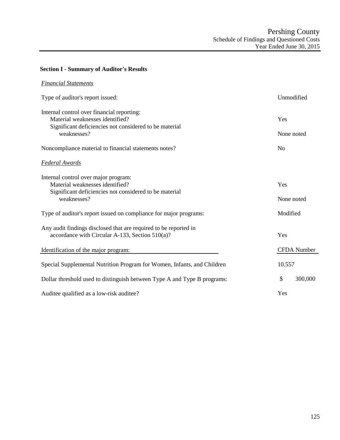## **Section I - Summary of Auditor's Results**

| <b>Financial Statements</b>                                                                                                                            |                    |
|--------------------------------------------------------------------------------------------------------------------------------------------------------|--------------------|
| Type of auditor's report issued:                                                                                                                       | Unmodified         |
| Internal control over financial reporting:<br>Material weaknesses identified?<br>Significant deficiencies not considered to be material<br>weaknesses? | Yes<br>None noted  |
| Noncompliance material to financial statements notes?                                                                                                  | N <sub>o</sub>     |
| Federal Awards                                                                                                                                         |                    |
| Internal control over major program:<br>Material weaknesses identified?<br>Significant deficiencies not considered to be material<br>weaknesses?       | Yes<br>None noted  |
| Type of auditor's report issued on compliance for major programs:                                                                                      | Modified           |
| Any audit findings disclosed that are required to be reported in<br>accordance with Circular A-133, Section 510(a)?                                    | Yes                |
| Identification of the major program:                                                                                                                   | <b>CFDA</b> Number |
| Special Supplemental Nutrition Program for Women, Infants, and Children                                                                                | 10.557             |
| Dollar threshold used to distinguish between Type A and Type B programs:                                                                               | \$<br>300,000      |
| Auditee qualified as a low-risk auditee?                                                                                                               | Yes                |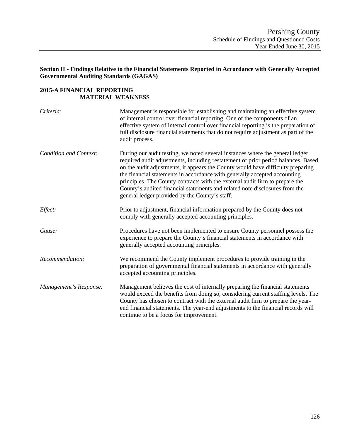## **Section II - Findings Relative to the Financial Statements Reported in Accordance with Generally Accepted Governmental Auditing Standards (GAGAS)**

### **2015-A FINANCIAL REPORTING MATERIAL WEAKNESS**

| Criteria:              | Management is responsible for establishing and maintaining an effective system<br>of internal control over financial reporting. One of the components of an<br>effective system of internal control over financial reporting is the preparation of<br>full disclosure financial statements that do not require adjustment as part of the<br>audit process.                                                                                                                                                                                          |
|------------------------|-----------------------------------------------------------------------------------------------------------------------------------------------------------------------------------------------------------------------------------------------------------------------------------------------------------------------------------------------------------------------------------------------------------------------------------------------------------------------------------------------------------------------------------------------------|
| Condition and Context: | During our audit testing, we noted several instances where the general ledger<br>required audit adjustments, including restatement of prior period balances. Based<br>on the audit adjustments, it appears the County would have difficulty preparing<br>the financial statements in accordance with generally accepted accounting<br>principles. The County contracts with the external audit firm to prepare the<br>County's audited financial statements and related note disclosures from the<br>general ledger provided by the County's staff. |
| Effect:                | Prior to adjustment, financial information prepared by the County does not<br>comply with generally accepted accounting principles.                                                                                                                                                                                                                                                                                                                                                                                                                 |
| Cause:                 | Procedures have not been implemented to ensure County personnel possess the<br>experience to prepare the County's financial statements in accordance with<br>generally accepted accounting principles.                                                                                                                                                                                                                                                                                                                                              |
| Recommendation:        | We recommend the County implement procedures to provide training in the<br>preparation of governmental financial statements in accordance with generally<br>accepted accounting principles.                                                                                                                                                                                                                                                                                                                                                         |
| Management's Response: | Management believes the cost of internally preparing the financial statements<br>would exceed the benefits from doing so, considering current staffing levels. The<br>County has chosen to contract with the external audit firm to prepare the year-<br>end financial statements. The year-end adjustments to the financial records will<br>continue to be a focus for improvement.                                                                                                                                                                |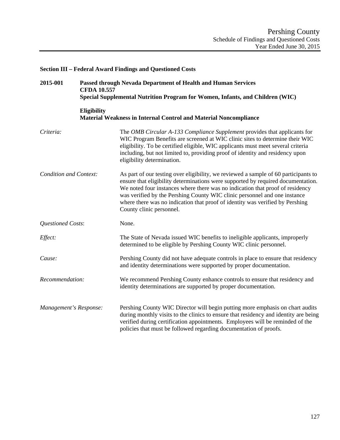| <b>Section III - Federal Award Findings and Questioned Costs</b> |                                                                                                                                                                      |                                                                                                                                                                                                                                                                                                                                                                                                                                                    |  |
|------------------------------------------------------------------|----------------------------------------------------------------------------------------------------------------------------------------------------------------------|----------------------------------------------------------------------------------------------------------------------------------------------------------------------------------------------------------------------------------------------------------------------------------------------------------------------------------------------------------------------------------------------------------------------------------------------------|--|
| 2015-001                                                         | Passed through Nevada Department of Health and Human Services<br><b>CFDA 10.557</b><br>Special Supplemental Nutrition Program for Women, Infants, and Children (WIC) |                                                                                                                                                                                                                                                                                                                                                                                                                                                    |  |
|                                                                  | Eligibility                                                                                                                                                          | Material Weakness in Internal Control and Material Noncompliance                                                                                                                                                                                                                                                                                                                                                                                   |  |
| Criteria:                                                        |                                                                                                                                                                      | The OMB Circular A-133 Compliance Supplement provides that applicants for<br>WIC Program Benefits are screened at WIC clinic sites to determine their WIC<br>eligibility. To be certified eligible, WIC applicants must meet several criteria<br>including, but not limited to, providing proof of identity and residency upon<br>eligibility determination.                                                                                       |  |
| <b>Condition and Context:</b>                                    |                                                                                                                                                                      | As part of our testing over eligibility, we reviewed a sample of 60 participants to<br>ensure that eligibility determinations were supported by required documentation.<br>We noted four instances where there was no indication that proof of residency<br>was verified by the Pershing County WIC clinic personnel and one instance<br>where there was no indication that proof of identity was verified by Pershing<br>County clinic personnel. |  |
| Questioned Costs:                                                |                                                                                                                                                                      | None.                                                                                                                                                                                                                                                                                                                                                                                                                                              |  |
| Effect:                                                          |                                                                                                                                                                      | The State of Nevada issued WIC benefits to ineligible applicants, improperly<br>determined to be eligible by Pershing County WIC clinic personnel.                                                                                                                                                                                                                                                                                                 |  |
| Cause:                                                           |                                                                                                                                                                      | Pershing County did not have adequate controls in place to ensure that residency<br>and identity determinations were supported by proper documentation.                                                                                                                                                                                                                                                                                            |  |
| Recommendation:                                                  |                                                                                                                                                                      | We recommend Pershing County enhance controls to ensure that residency and<br>identity determinations are supported by proper documentation.                                                                                                                                                                                                                                                                                                       |  |
| Management's Response:                                           |                                                                                                                                                                      | Pershing County WIC Director will begin putting more emphasis on chart audits<br>during monthly visits to the clinics to ensure that residency and identity are being<br>verified during certification appointments. Employees will be reminded of the<br>policies that must be followed regarding documentation of proofs.                                                                                                                        |  |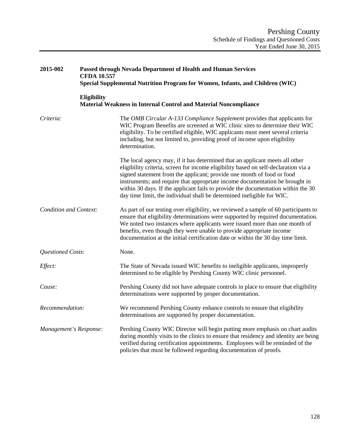| 2015-002                      | <b>CFDA 10.557</b> | Passed through Nevada Department of Health and Human Services<br>Special Supplemental Nutrition Program for Women, Infants, and Children (WIC)                                                                                                                                                                                                                                                                                                                                               |  |  |  |
|-------------------------------|--------------------|----------------------------------------------------------------------------------------------------------------------------------------------------------------------------------------------------------------------------------------------------------------------------------------------------------------------------------------------------------------------------------------------------------------------------------------------------------------------------------------------|--|--|--|
|                               | Eligibility        | <b>Material Weakness in Internal Control and Material Noncompliance</b>                                                                                                                                                                                                                                                                                                                                                                                                                      |  |  |  |
| Criteria:                     |                    | The OMB Circular A-133 Compliance Supplement provides that applicants for<br>WIC Program Benefits are screened at WIC clinic sites to determine their WIC<br>eligibility. To be certified eligible, WIC applicants must meet several criteria<br>including, but not limited to, providing proof of income upon eligibility<br>determination.                                                                                                                                                 |  |  |  |
|                               |                    | The local agency may, if it has determined that an applicant meets all other<br>eligibility criteria, screen for income eligibility based on self-declaration via a<br>signed statement from the applicant; provide one month of food or food<br>instruments; and require that appropriate income documentation be brought in<br>within 30 days. If the applicant fails to provide the documentation within the 30<br>day time limit, the individual shall be determined ineligible for WIC. |  |  |  |
| <b>Condition and Context:</b> |                    | As part of our testing over eligibility, we reviewed a sample of 60 participants to<br>ensure that eligibility determinations were supported by required documentation.<br>We noted two instances where applicants were issued more than one month of<br>benefits, even though they were unable to provide appropriate income<br>documentation at the initial certification date or within the 30 day time limit.                                                                            |  |  |  |
| Questioned Costs:             |                    | None.                                                                                                                                                                                                                                                                                                                                                                                                                                                                                        |  |  |  |
| Effect:                       |                    | The State of Nevada issued WIC benefits to ineligible applicants, improperly<br>determined to be eligible by Pershing County WIC clinic personnel.                                                                                                                                                                                                                                                                                                                                           |  |  |  |
| Cause:                        |                    | Pershing County did not have adequate controls in place to ensure that eligibility<br>determinations were supported by proper documentation.                                                                                                                                                                                                                                                                                                                                                 |  |  |  |
| Recommendation:               |                    | We recommend Pershing County enhance controls to ensure that eligibility<br>determinations are supported by proper documentation.                                                                                                                                                                                                                                                                                                                                                            |  |  |  |
| Management's Response:        |                    | Pershing County WIC Director will begin putting more emphasis on chart audits<br>during monthly visits to the clinics to ensure that residency and identity are being<br>verified during certification appointments. Employees will be reminded of the<br>policies that must be followed regarding documentation of proofs.                                                                                                                                                                  |  |  |  |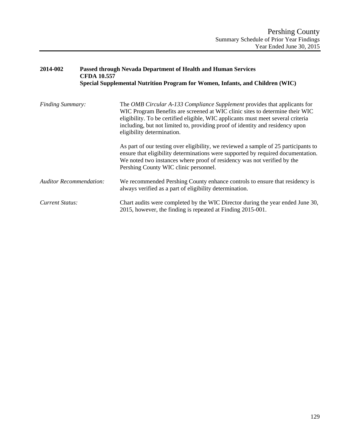# **CFDA 10.557 Special Supplemental Nutrition Program for Women, Infants, and Children (WIC)**  *Finding Summary:* The *OMB Circular A-133 Compliance Supplement* provides that applicants for WIC Program Benefits are screened at WIC clinic sites to determine their WIC eligibility. To be certified eligible, WIC applicants must meet several criteria including, but not limited to, providing proof of identity and residency upon eligibility determination. As part of our testing over eligibility, we reviewed a sample of 25 participants to ensure that eligibility determinations were supported by required documentation. We noted two instances where proof of residency was not verified by the Pershing County WIC clinic personnel. *Auditor Recommendation:* We recommended Pershing County enhance controls to ensure that residency is always verified as a part of eligibility determination. *Current Status:* Chart audits were completed by the WIC Director during the year ended June 30, 2015, however, the finding is repeated at Finding 2015-001.

**2014-002 Passed through Nevada Department of Health and Human Services**